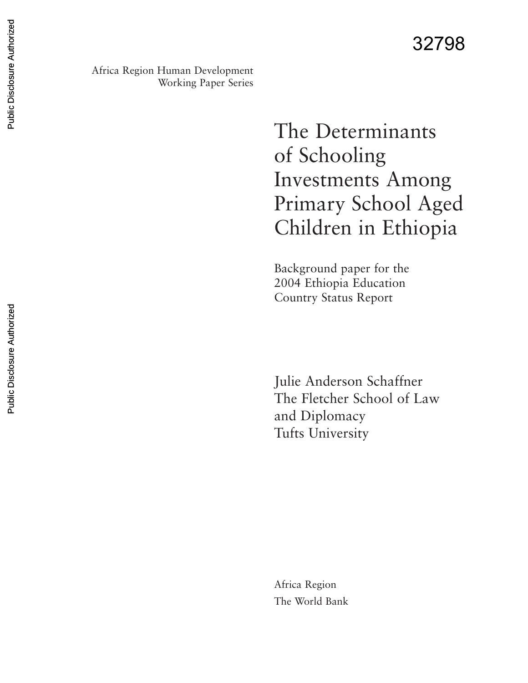Africa Region Human Development Working Paper Series

> The Determinants of Schooling Investments Among Primary School Aged Children in Ethiopia

Background paper for the 2004 Ethiopia Education Country Status Report

Julie Anderson Schaffner The Fletcher School of Law and Diplomacy Tufts University

Africa Region The World Bank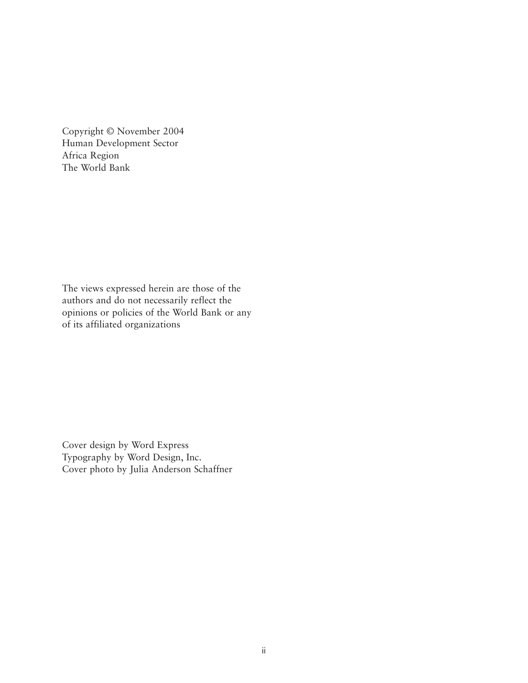Copyright © November 2004 Human Development Sector Africa Region The World Bank

The views expressed herein are those of the authors and do not necessarily reflect the opinions or policies of the World Bank or any of its affiliated organizations

Cover design by Word Express Typography by Word Design, Inc. Cover photo by Julia Anderson Schaffner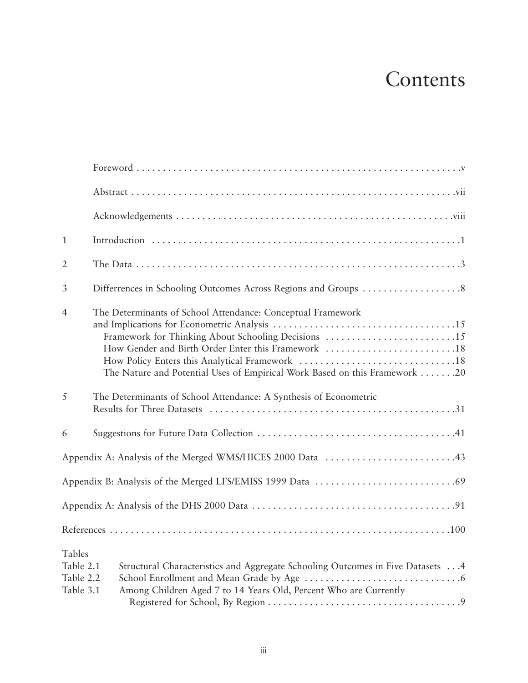# Contents

| $\mathbf{1}$                                         |                                                                                                                                                                                                                                                        |
|------------------------------------------------------|--------------------------------------------------------------------------------------------------------------------------------------------------------------------------------------------------------------------------------------------------------|
| $\overline{2}$                                       |                                                                                                                                                                                                                                                        |
| 3                                                    |                                                                                                                                                                                                                                                        |
| $\overline{4}$                                       | The Determinants of School Attendance: Conceptual Framework<br>Framework for Thinking About Schooling Decisions 15<br>How Gender and Birth Order Enter this Framework 18<br>The Nature and Potential Uses of Empirical Work Based on this Framework 20 |
| 5                                                    | The Determinants of School Attendance: A Synthesis of Econometric                                                                                                                                                                                      |
| 6                                                    |                                                                                                                                                                                                                                                        |
|                                                      | Appendix A: Analysis of the Merged WMS/HICES 2000 Data 43                                                                                                                                                                                              |
|                                                      |                                                                                                                                                                                                                                                        |
|                                                      |                                                                                                                                                                                                                                                        |
|                                                      |                                                                                                                                                                                                                                                        |
| <b>Tables</b><br>Table 2.1<br>Table 2.2<br>Table 3.1 | Structural Characteristics and Aggregate Schooling Outcomes in Five Datasets  4<br>Among Children Aged 7 to 14 Years Old, Percent Who are Currently                                                                                                    |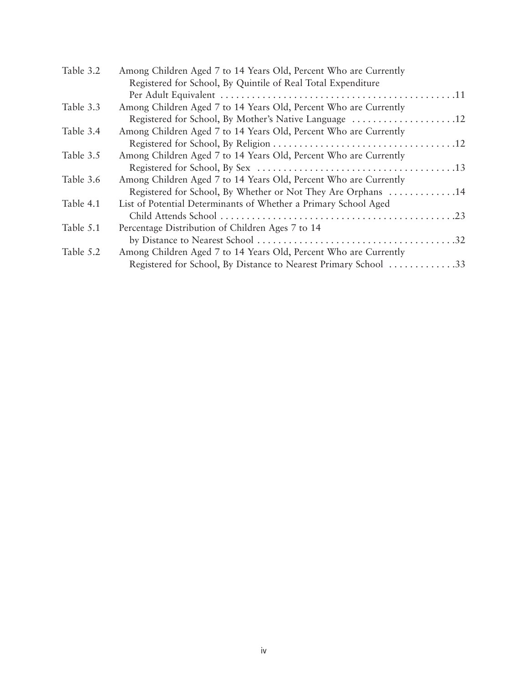| Table 3.2 | Among Children Aged 7 to 14 Years Old, Percent Who are Currently |  |
|-----------|------------------------------------------------------------------|--|
|           | Registered for School, By Quintile of Real Total Expenditure     |  |
|           |                                                                  |  |
| Table 3.3 | Among Children Aged 7 to 14 Years Old, Percent Who are Currently |  |
|           | Registered for School, By Mother's Native Language 12            |  |
| Table 3.4 | Among Children Aged 7 to 14 Years Old, Percent Who are Currently |  |
|           |                                                                  |  |
| Table 3.5 | Among Children Aged 7 to 14 Years Old, Percent Who are Currently |  |
|           |                                                                  |  |
| Table 3.6 | Among Children Aged 7 to 14 Years Old, Percent Who are Currently |  |
|           | Registered for School, By Whether or Not They Are Orphans 14     |  |
| Table 4.1 | List of Potential Determinants of Whether a Primary School Aged  |  |
|           |                                                                  |  |
| Table 5.1 | Percentage Distribution of Children Ages 7 to 14                 |  |
|           |                                                                  |  |
| Table 5.2 | Among Children Aged 7 to 14 Years Old, Percent Who are Currently |  |
|           | Registered for School, By Distance to Nearest Primary School 33  |  |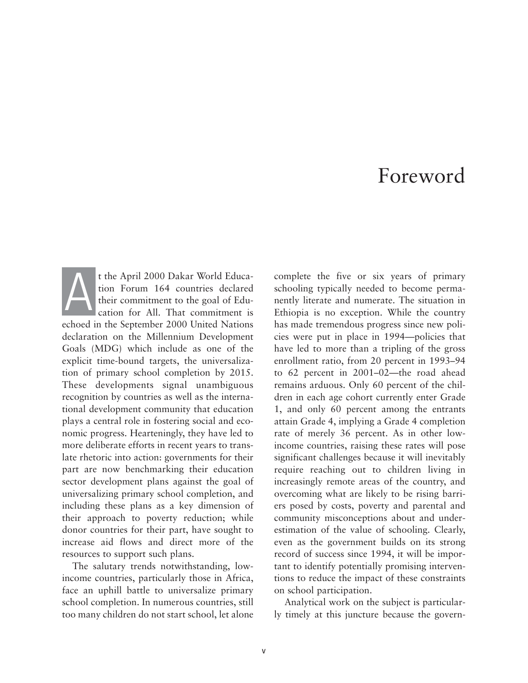## Foreword

t the April 2000 Dakar World Education Forum 164 countries declared their commitment to the goal of Education for All. That commitment is echoed in the September 2000 United Nations declaration on the Millennium Development Goals (MDG) which include as one of the explicit time-bound targets, the universalization of primary school completion by 2015. These developments signal unambiguous recognition by countries as well as the international development community that education plays a central role in fostering social and economic progress. Hearteningly, they have led to more deliberate efforts in recent years to translate rhetoric into action: governments for their part are now benchmarking their education sector development plans against the goal of universalizing primary school completion, and including these plans as a key dimension of their approach to poverty reduction; while donor countries for their part, have sought to increase aid flows and direct more of the resources to support such plans. A

The salutary trends notwithstanding, lowincome countries, particularly those in Africa, face an uphill battle to universalize primary school completion. In numerous countries, still too many children do not start school, let alone complete the five or six years of primary schooling typically needed to become permanently literate and numerate. The situation in Ethiopia is no exception. While the country has made tremendous progress since new policies were put in place in 1994—policies that have led to more than a tripling of the gross enrollment ratio, from 20 percent in 1993–94 to 62 percent in 2001–02—the road ahead remains arduous. Only 60 percent of the children in each age cohort currently enter Grade 1, and only 60 percent among the entrants attain Grade 4, implying a Grade 4 completion rate of merely 36 percent. As in other lowincome countries, raising these rates will pose significant challenges because it will inevitably require reaching out to children living in increasingly remote areas of the country, and overcoming what are likely to be rising barriers posed by costs, poverty and parental and community misconceptions about and underestimation of the value of schooling. Clearly, even as the government builds on its strong record of success since 1994, it will be important to identify potentially promising interventions to reduce the impact of these constraints on school participation.

Analytical work on the subject is particularly timely at this juncture because the govern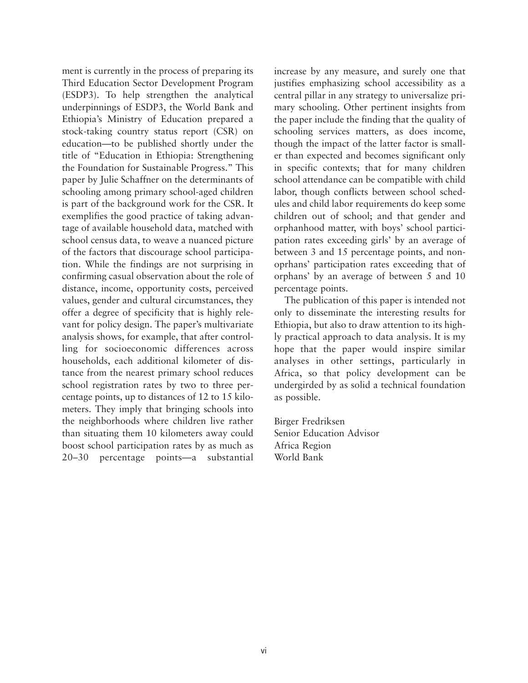ment is currently in the process of preparing its Third Education Sector Development Program (ESDP3). To help strengthen the analytical underpinnings of ESDP3, the World Bank and Ethiopia's Ministry of Education prepared a stock-taking country status report (CSR) on education—to be published shortly under the title of "Education in Ethiopia: Strengthening the Foundation for Sustainable Progress." This paper by Julie Schaffner on the determinants of schooling among primary school-aged children is part of the background work for the CSR. It exemplifies the good practice of taking advantage of available household data, matched with school census data, to weave a nuanced picture of the factors that discourage school participation. While the findings are not surprising in confirming casual observation about the role of distance, income, opportunity costs, perceived values, gender and cultural circumstances, they offer a degree of specificity that is highly relevant for policy design. The paper's multivariate analysis shows, for example, that after controlling for socioeconomic differences across households, each additional kilometer of distance from the nearest primary school reduces school registration rates by two to three percentage points, up to distances of 12 to 15 kilometers. They imply that bringing schools into the neighborhoods where children live rather than situating them 10 kilometers away could boost school participation rates by as much as 20–30 percentage points—a substantial

increase by any measure, and surely one that justifies emphasizing school accessibility as a central pillar in any strategy to universalize primary schooling. Other pertinent insights from the paper include the finding that the quality of schooling services matters, as does income, though the impact of the latter factor is smaller than expected and becomes significant only in specific contexts; that for many children school attendance can be compatible with child labor, though conflicts between school schedules and child labor requirements do keep some children out of school; and that gender and orphanhood matter, with boys' school participation rates exceeding girls' by an average of between 3 and 15 percentage points, and nonoprhans' participation rates exceeding that of orphans' by an average of between 5 and 10 percentage points.

The publication of this paper is intended not only to disseminate the interesting results for Ethiopia, but also to draw attention to its highly practical approach to data analysis. It is my hope that the paper would inspire similar analyses in other settings, particularly in Africa, so that policy development can be undergirded by as solid a technical foundation as possible.

Birger Fredriksen Senior Education Advisor Africa Region World Bank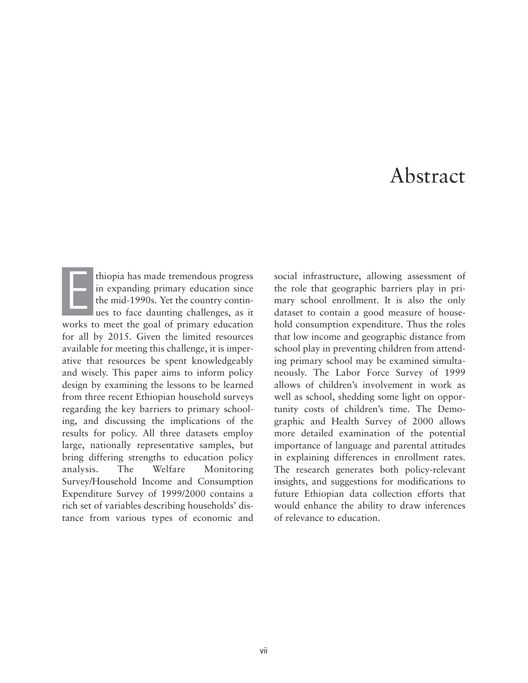## Abstract

thiopia has made tremendous progress in expanding primary education since the mid-1990s. Yet the country continues to face daunting challenges, as it works to meet the goal of primary education for all by 2015. Given the limited resources available for meeting this challenge, it is imperative that resources be spent knowledgeably and wisely. This paper aims to inform policy design by examining the lessons to be learned from three recent Ethiopian household surveys regarding the key barriers to primary schooling, and discussing the implications of the results for policy. All three datasets employ large, nationally representative samples, but bring differing strengths to education policy analysis. The Welfare Monitoring Survey/Household Income and Consumption Expenditure Survey of 1999/2000 contains a rich set of variables describing households' distance from various types of economic and E

social infrastructure, allowing assessment of the role that geographic barriers play in primary school enrollment. It is also the only dataset to contain a good measure of household consumption expenditure. Thus the roles that low income and geographic distance from school play in preventing children from attending primary school may be examined simultaneously. The Labor Force Survey of 1999 allows of children's involvement in work as well as school, shedding some light on opportunity costs of children's time. The Demographic and Health Survey of 2000 allows more detailed examination of the potential importance of language and parental attitudes in explaining differences in enrollment rates. The research generates both policy-relevant insights, and suggestions for modifications to future Ethiopian data collection efforts that would enhance the ability to draw inferences of relevance to education.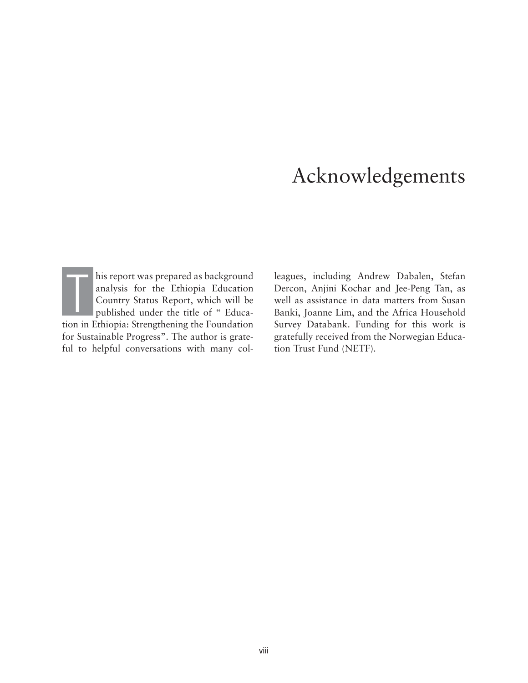## Acknowledgements

his report was prepared as background analysis for the Ethiopia Education Country Status Report, which will be published under the title of " Educahis report was prepared as background<br>analysis for the Ethiopia Education<br>Country Status Report, which will be<br>published under the title of " Educa-<br>tion in Ethiopia: Strengthening the Foundation for Sustainable Progress". The author is grateful to helpful conversations with many col-

leagues, including Andrew Dabalen, Stefan Dercon, Anjini Kochar and Jee-Peng Tan, as well as assistance in data matters from Susan Banki, Joanne Lim, and the Africa Household Survey Databank. Funding for this work is gratefully received from the Norwegian Education Trust Fund (NETF).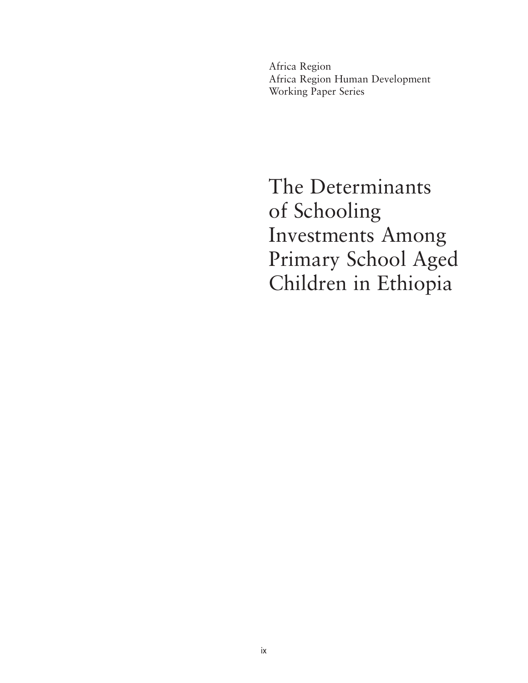Africa Region Africa Region Human Development Working Paper Series

The Determinants of Schooling Investments Among Primary School Aged Children in Ethiopia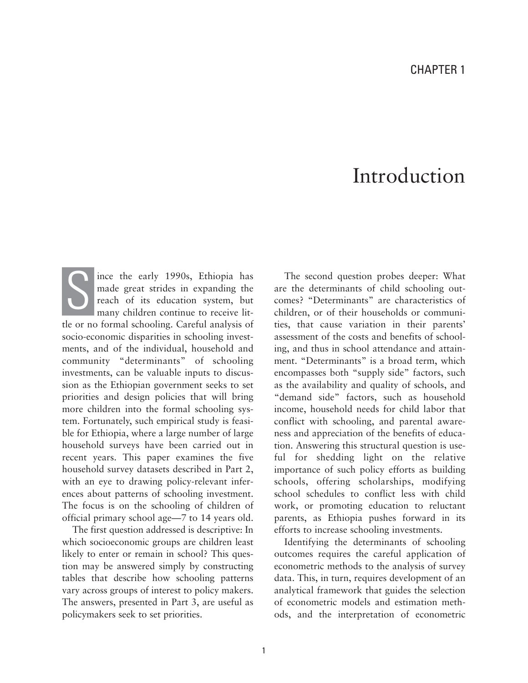## Introduction

ince the early 1990s, Ethiopia has made great strides in expanding the reach of its education system, but many children continue to receive little or no formal schooling. Careful analysis of socio-economic disparities in schooling investments, and of the individual, household and community "determinants" of schooling investments, can be valuable inputs to discussion as the Ethiopian government seeks to set priorities and design policies that will bring more children into the formal schooling system. Fortunately, such empirical study is feasible for Ethiopia, where a large number of large household surveys have been carried out in recent years. This paper examines the five household survey datasets described in Part 2, with an eye to drawing policy-relevant inferences about patterns of schooling investment. The focus is on the schooling of children of official primary school age—7 to 14 years old. S

The first question addressed is descriptive: In which socioeconomic groups are children least likely to enter or remain in school? This question may be answered simply by constructing tables that describe how schooling patterns vary across groups of interest to policy makers. The answers, presented in Part 3, are useful as policymakers seek to set priorities.

The second question probes deeper: What are the determinants of child schooling outcomes? "Determinants" are characteristics of children, or of their households or communities, that cause variation in their parents' assessment of the costs and benefits of schooling, and thus in school attendance and attainment. "Determinants" is a broad term, which encompasses both "supply side" factors, such as the availability and quality of schools, and "demand side" factors, such as household income, household needs for child labor that conflict with schooling, and parental awareness and appreciation of the benefits of education. Answering this structural question is useful for shedding light on the relative importance of such policy efforts as building schools, offering scholarships, modifying school schedules to conflict less with child work, or promoting education to reluctant parents, as Ethiopia pushes forward in its efforts to increase schooling investments.

Identifying the determinants of schooling outcomes requires the careful application of econometric methods to the analysis of survey data. This, in turn, requires development of an analytical framework that guides the selection of econometric models and estimation methods, and the interpretation of econometric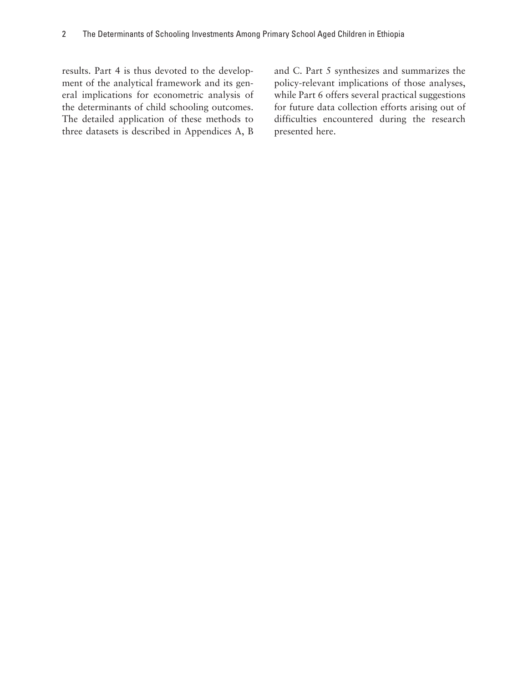results. Part 4 is thus devoted to the development of the analytical framework and its general implications for econometric analysis of the determinants of child schooling outcomes. The detailed application of these methods to three datasets is described in Appendices A, B

and C. Part 5 synthesizes and summarizes the policy-relevant implications of those analyses, while Part 6 offers several practical suggestions for future data collection efforts arising out of difficulties encountered during the research presented here.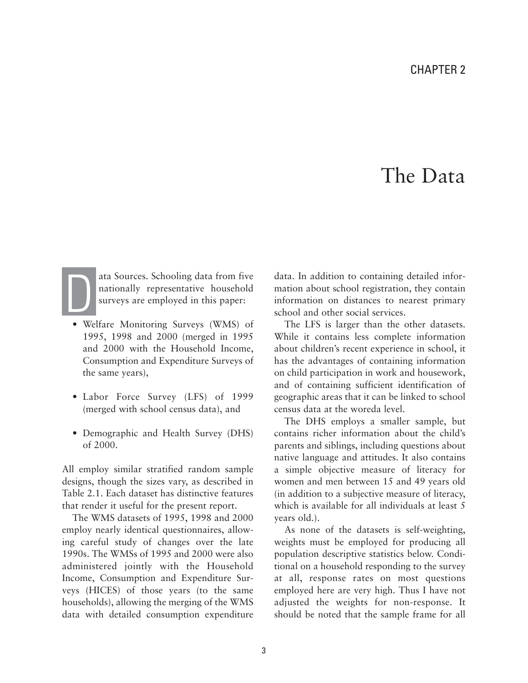## The Data



ata Sources. Schooling data from five nationally representative household surveys are employed in this paper:

- Welfare Monitoring Surveys (WMS) of 1995, 1998 and 2000 (merged in 1995 and 2000 with the Household Income, Consumption and Expenditure Surveys of the same years),
- Labor Force Survey (LFS) of 1999 (merged with school census data), and
- Demographic and Health Survey (DHS) of 2000.

All employ similar stratified random sample designs, though the sizes vary, as described in Table 2.1. Each dataset has distinctive features that render it useful for the present report.

The WMS datasets of 1995, 1998 and 2000 employ nearly identical questionnaires, allowing careful study of changes over the late 1990s. The WMSs of 1995 and 2000 were also administered jointly with the Household Income, Consumption and Expenditure Surveys (HICES) of those years (to the same households), allowing the merging of the WMS data with detailed consumption expenditure data. In addition to containing detailed information about school registration, they contain information on distances to nearest primary school and other social services.

The LFS is larger than the other datasets. While it contains less complete information about children's recent experience in school, it has the advantages of containing information on child participation in work and housework, and of containing sufficient identification of geographic areas that it can be linked to school census data at the woreda level.

The DHS employs a smaller sample, but contains richer information about the child's parents and siblings, including questions about native language and attitudes. It also contains a simple objective measure of literacy for women and men between 15 and 49 years old (in addition to a subjective measure of literacy, which is available for all individuals at least 5 years old.).

As none of the datasets is self-weighting, weights must be employed for producing all population descriptive statistics below. Conditional on a household responding to the survey at all, response rates on most questions employed here are very high. Thus I have not adjusted the weights for non-response. It should be noted that the sample frame for all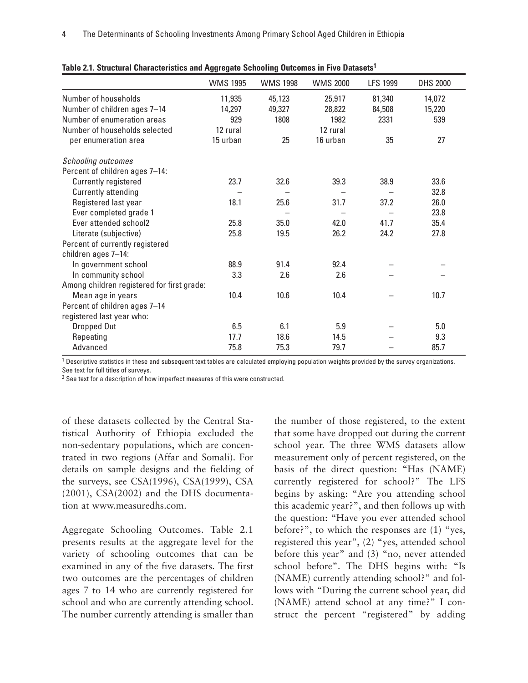|                                            | <b>WMS 1995</b> | <b>WMS 1998</b> | <b>WMS 2000</b> | <b>LFS 1999</b> | <b>DHS 2000</b> |
|--------------------------------------------|-----------------|-----------------|-----------------|-----------------|-----------------|
| Number of households                       | 11,935          | 45,123          | 25,917          | 81,340          | 14,072          |
| Number of children ages 7-14               | 14,297          | 49,327          | 28,822          | 84,508          | 15,220          |
| Number of enumeration areas                | 929             | 1808            | 1982            | 2331            | 539             |
| Number of households selected              | 12 rural        |                 | 12 rural        |                 |                 |
| per enumeration area                       | 15 urban        | 25              | 16 urban        | 35              | 27              |
| <b>Schooling outcomes</b>                  |                 |                 |                 |                 |                 |
| Percent of children ages 7-14:             |                 |                 |                 |                 |                 |
| Currently registered                       | 23.7            | 32.6            | 39.3            | 38.9            | 33.6            |
| Currently attending                        |                 |                 |                 |                 | 32.8            |
| Registered last year                       | 18.1            | 25.6            | 31.7            | 37.2            | 26.0            |
| Ever completed grade 1                     |                 |                 |                 |                 | 23.8            |
| Ever attended school2                      | 25.8            | 35.0            | 42.0            | 41.7            | 35.4            |
| Literate (subjective)                      | 25.8            | 19.5            | 26.2            | 24.2            | 27.8            |
| Percent of currently registered            |                 |                 |                 |                 |                 |
| children ages 7-14:                        |                 |                 |                 |                 |                 |
| In government school                       | 88.9            | 91.4            | 92.4            |                 |                 |
| In community school                        | 3.3             | 2.6             | 2.6             |                 |                 |
| Among children registered for first grade: |                 |                 |                 |                 |                 |
| Mean age in years                          | 10.4            | 10.6            | 10.4            |                 | 10.7            |
| Percent of children ages 7-14              |                 |                 |                 |                 |                 |
| registered last year who:                  |                 |                 |                 |                 |                 |
| Dropped Out                                | 6.5             | 6.1             | 5.9             |                 | 5.0             |
| Repeating                                  | 17.7            | 18.6            | 14.5            |                 | 9.3             |
| Advanced                                   | 75.8            | 75.3            | 79.7            |                 | 85.7            |

| Table 2.1. Structural Characteristics and Aggregate Schooling Outcomes in Five Datasets <sup>1</sup> |
|------------------------------------------------------------------------------------------------------|
|------------------------------------------------------------------------------------------------------|

<sup>1</sup> Descriptive statistics in these and subsequent text tables are calculated employing population weights provided by the survey organizations. See text for full titles of surveys.

<sup>2</sup> See text for a description of how imperfect measures of this were constructed.

of these datasets collected by the Central Statistical Authority of Ethiopia excluded the non-sedentary populations, which are concentrated in two regions (Affar and Somali). For details on sample designs and the fielding of the surveys, see CSA(1996), CSA(1999), CSA (2001), CSA(2002) and the DHS documentation at www.measuredhs.com.

Aggregate Schooling Outcomes. Table 2.1 presents results at the aggregate level for the variety of schooling outcomes that can be examined in any of the five datasets. The first two outcomes are the percentages of children ages 7 to 14 who are currently registered for school and who are currently attending school. The number currently attending is smaller than

the number of those registered, to the extent that some have dropped out during the current school year. The three WMS datasets allow measurement only of percent registered, on the basis of the direct question: "Has (NAME) currently registered for school?" The LFS begins by asking: "Are you attending school this academic year?", and then follows up with the question: "Have you ever attended school before?", to which the responses are (1) "yes, registered this year", (2) "yes, attended school before this year" and (3) "no, never attended school before". The DHS begins with: "Is (NAME) currently attending school?" and follows with "During the current school year, did (NAME) attend school at any time?" I construct the percent "registered" by adding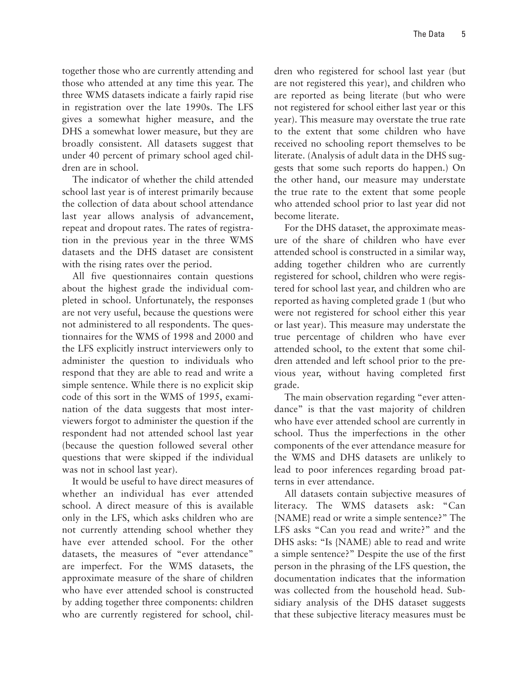together those who are currently attending and those who attended at any time this year. The three WMS datasets indicate a fairly rapid rise in registration over the late 1990s. The LFS gives a somewhat higher measure, and the DHS a somewhat lower measure, but they are broadly consistent. All datasets suggest that under 40 percent of primary school aged children are in school.

The indicator of whether the child attended school last year is of interest primarily because the collection of data about school attendance last year allows analysis of advancement, repeat and dropout rates. The rates of registration in the previous year in the three WMS datasets and the DHS dataset are consistent with the rising rates over the period.

All five questionnaires contain questions about the highest grade the individual completed in school. Unfortunately, the responses are not very useful, because the questions were not administered to all respondents. The questionnaires for the WMS of 1998 and 2000 and the LFS explicitly instruct interviewers only to administer the question to individuals who respond that they are able to read and write a simple sentence. While there is no explicit skip code of this sort in the WMS of 1995, examination of the data suggests that most interviewers forgot to administer the question if the respondent had not attended school last year (because the question followed several other questions that were skipped if the individual was not in school last year).

It would be useful to have direct measures of whether an individual has ever attended school. A direct measure of this is available only in the LFS, which asks children who are not currently attending school whether they have ever attended school. For the other datasets, the measures of "ever attendance" are imperfect. For the WMS datasets, the approximate measure of the share of children who have ever attended school is constructed by adding together three components: children who are currently registered for school, children who registered for school last year (but are not registered this year), and children who are reported as being literate (but who were not registered for school either last year or this year). This measure may overstate the true rate to the extent that some children who have received no schooling report themselves to be literate. (Analysis of adult data in the DHS suggests that some such reports do happen.) On the other hand, our measure may understate the true rate to the extent that some people who attended school prior to last year did not become literate.

For the DHS dataset, the approximate measure of the share of children who have ever attended school is constructed in a similar way, adding together children who are currently registered for school, children who were registered for school last year, and children who are reported as having completed grade 1 (but who were not registered for school either this year or last year). This measure may understate the true percentage of children who have ever attended school, to the extent that some children attended and left school prior to the previous year, without having completed first grade.

The main observation regarding "ever attendance" is that the vast majority of children who have ever attended school are currently in school. Thus the imperfections in the other components of the ever attendance measure for the WMS and DHS datasets are unlikely to lead to poor inferences regarding broad patterns in ever attendance.

All datasets contain subjective measures of literacy. The WMS datasets ask: "Can {NAME} read or write a simple sentence?" The LFS asks "Can you read and write?" and the DHS asks: "Is {NAME) able to read and write a simple sentence?" Despite the use of the first person in the phrasing of the LFS question, the documentation indicates that the information was collected from the household head. Subsidiary analysis of the DHS dataset suggests that these subjective literacy measures must be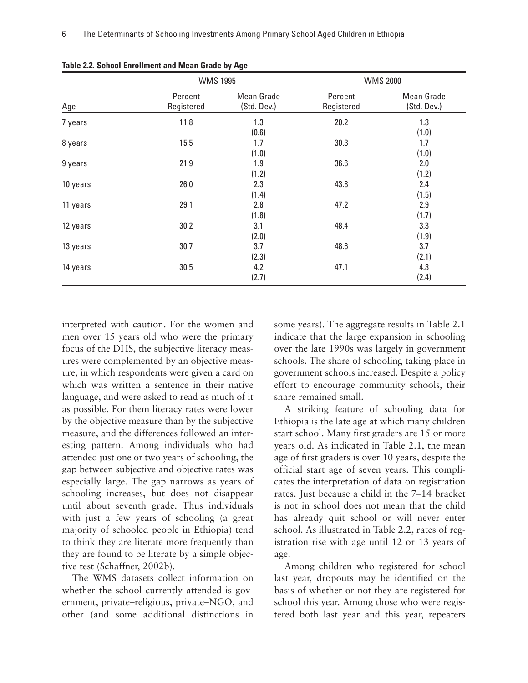|          | <b>WMS 1995</b>       |                           |                       | <b>WMS 2000</b>                  |
|----------|-----------------------|---------------------------|-----------------------|----------------------------------|
| Age      | Percent<br>Registered | Mean Grade<br>(Std. Dev.) | Percent<br>Registered | <b>Mean Grade</b><br>(Std. Dev.) |
| 7 years  | 11.8                  | 1.3<br>(0.6)              | 20.2                  | 1.3<br>(1.0)                     |
| 8 years  | 15.5                  | 1.7<br>(1.0)              | 30.3                  | 1.7<br>(1.0)                     |
| 9 years  | 21.9                  | 1.9<br>(1.2)              | 36.6                  | 2.0<br>(1.2)                     |
| 10 years | 26.0                  | 2.3<br>(1.4)              | 43.8                  | 2.4<br>(1.5)                     |
| 11 years | 29.1                  | 2.8<br>(1.8)              | 47.2                  | 2.9<br>(1.7)                     |
| 12 years | 30.2                  | 3.1<br>(2.0)              | 48.4                  | 3.3<br>(1.9)                     |
| 13 years | 30.7                  | 3.7<br>(2.3)              | 48.6                  | 3.7<br>(2.1)                     |
| 14 years | 30.5                  | 4.2<br>(2.7)              | 47.1                  | 4.3<br>(2.4)                     |

**Table 2.2. School Enrollment and Mean Grade by Age**

interpreted with caution. For the women and men over 15 years old who were the primary focus of the DHS, the subjective literacy measures were complemented by an objective measure, in which respondents were given a card on which was written a sentence in their native language, and were asked to read as much of it as possible. For them literacy rates were lower by the objective measure than by the subjective measure, and the differences followed an interesting pattern. Among individuals who had attended just one or two years of schooling, the gap between subjective and objective rates was especially large. The gap narrows as years of schooling increases, but does not disappear until about seventh grade. Thus individuals with just a few years of schooling (a great majority of schooled people in Ethiopia) tend to think they are literate more frequently than they are found to be literate by a simple objective test (Schaffner, 2002b).

The WMS datasets collect information on whether the school currently attended is government, private–religious, private–NGO, and other (and some additional distinctions in some years). The aggregate results in Table 2.1 indicate that the large expansion in schooling over the late 1990s was largely in government schools. The share of schooling taking place in government schools increased. Despite a policy effort to encourage community schools, their share remained small.

A striking feature of schooling data for Ethiopia is the late age at which many children start school. Many first graders are 15 or more years old. As indicated in Table 2.1, the mean age of first graders is over 10 years, despite the official start age of seven years. This complicates the interpretation of data on registration rates. Just because a child in the 7–14 bracket is not in school does not mean that the child has already quit school or will never enter school. As illustrated in Table 2.2, rates of registration rise with age until 12 or 13 years of age.

Among children who registered for school last year, dropouts may be identified on the basis of whether or not they are registered for school this year. Among those who were registered both last year and this year, repeaters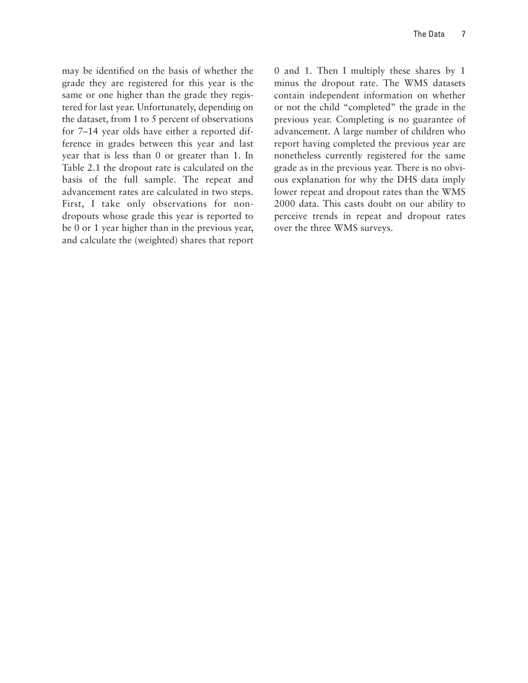may be identified on the basis of whether the grade they are registered for this year is the same or one higher than the grade they registered for last year. Unfortunately, depending on the dataset, from 1 to 5 percent of observations for 7–14 year olds have either a reported difference in grades between this year and last year that is less than 0 or greater than 1. In Table 2.1 the dropout rate is calculated on the basis of the full sample. The repeat and advancement rates are calculated in two steps. First, I take only observations for nondropouts whose grade this year is reported to be 0 or 1 year higher than in the previous year, and calculate the (weighted) shares that report

0 and 1. Then I multiply these shares by 1 minus the dropout rate. The WMS datasets contain independent information on whether or not the child "completed" the grade in the previous year. Completing is no guarantee of advancement. A large number of children who report having completed the previous year are nonetheless currently registered for the same grade as in the previous year. There is no obvious explanation for why the DHS data imply lower repeat and dropout rates than the WMS 2000 data. This casts doubt on our ability to perceive trends in repeat and dropout rates over the three WMS surveys.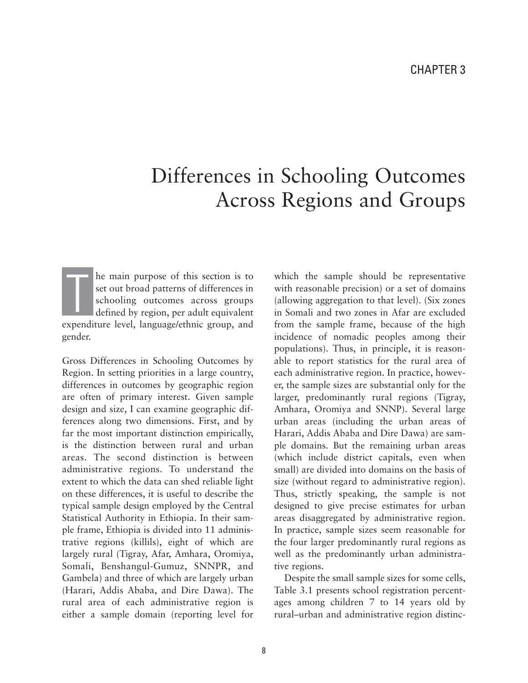## Differences in Schooling Outcomes Across Regions and Groups

he main purpose of this section is to set out broad patterns of differences in schooling outcomes across groups defined by region, per adult equivalent expenditure level, language/ethnic group, and gender. T

Gross Differences in Schooling Outcomes by Region. In setting priorities in a large country, differences in outcomes by geographic region are often of primary interest. Given sample design and size, I can examine geographic differences along two dimensions. First, and by far the most important distinction empirically, is the distinction between rural and urban areas. The second distinction is between administrative regions. To understand the extent to which the data can shed reliable light on these differences, it is useful to describe the typical sample design employed by the Central Statistical Authority in Ethiopia. In their sample frame, Ethiopia is divided into 11 administrative regions (killils), eight of which are largely rural (Tigray, Afar, Amhara, Oromiya, Somali, Benshangul-Gumuz, SNNPR, and Gambela) and three of which are largely urban (Harari, Addis Ababa, and Dire Dawa). The rural area of each administrative region is either a sample domain (reporting level for which the sample should be representative with reasonable precision) or a set of domains (allowing aggregation to that level). (Six zones in Somali and two zones in Afar are excluded from the sample frame, because of the high incidence of nomadic peoples among their populations). Thus, in principle, it is reasonable to report statistics for the rural area of each administrative region. In practice, however, the sample sizes are substantial only for the larger, predominantly rural regions (Tigray, Amhara, Oromiya and SNNP). Several large urban areas (including the urban areas of Harari, Addis Ababa and Dire Dawa) are sample domains. But the remaining urban areas (which include district capitals, even when small) are divided into domains on the basis of size (without regard to administrative region). Thus, strictly speaking, the sample is not designed to give precise estimates for urban areas disaggregated by administrative region. In practice, sample sizes seem reasonable for the four larger predominantly rural regions as well as the predominantly urban administrative regions.

Despite the small sample sizes for some cells, Table 3.1 presents school registration percentages among children 7 to 14 years old by rural–urban and administrative region distinc-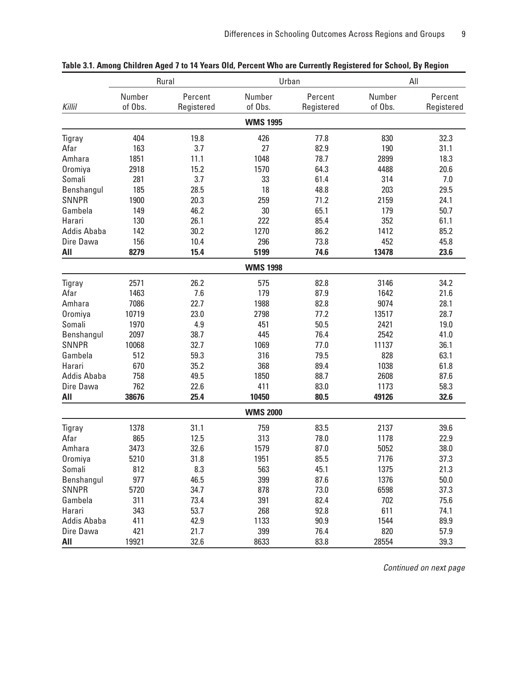|              | Rural             |                       |                   | Urban                 | All               |                       |
|--------------|-------------------|-----------------------|-------------------|-----------------------|-------------------|-----------------------|
| Killil       | Number<br>of Obs. | Percent<br>Registered | Number<br>of Obs. | Percent<br>Registered | Number<br>of Obs. | Percent<br>Registered |
|              |                   |                       | <b>WMS 1995</b>   |                       |                   |                       |
| Tigray       | 404               | 19.8                  | 426               | 77.8                  | 830               | 32.3                  |
| Afar         | 163               | 3.7                   | 27                | 82.9                  | 190               | 31.1                  |
| Amhara       | 1851              | 11.1                  | 1048              | 78.7                  | 2899              | 18.3                  |
| Oromiya      | 2918              | 15.2                  | 1570              | 64.3                  | 4488              | 20.6                  |
| Somali       | 281               | 3.7                   | 33                | 61.4                  | 314               | 7.0                   |
| Benshangul   | 185               | 28.5                  | 18                | 48.8                  | 203               | 29.5                  |
| <b>SNNPR</b> | 1900              | 20.3                  | 259               | 71.2                  | 2159              | 24.1                  |
| Gambela      | 149               | 46.2                  | 30                | 65.1                  | 179               | 50.7                  |
| Harari       | 130               | 26.1                  | 222               | 85.4                  | 352               | 61.1                  |
| Addis Ababa  | 142               | 30.2                  | 1270              | 86.2                  | 1412              | 85.2                  |
| Dire Dawa    | 156               | 10.4                  | 296               | 73.8                  | 452               | 45.8                  |
| All          | 8279              | 15.4                  | 5199              | 74.6                  | 13478             | 23.6                  |
|              |                   |                       | <b>WMS 1998</b>   |                       |                   |                       |
| Tigray       | 2571              | 26.2                  | 575               | 82.8                  | 3146              | 34.2                  |
| Afar         | 1463              | 7.6                   | 179               | 87.9                  | 1642              | 21.6                  |
| Amhara       | 7086              | 22.7                  | 1988              | 82.8                  | 9074              | 28.1                  |
| Oromiya      | 10719             | 23.0                  | 2798              | 77.2                  | 13517             | 28.7                  |
| Somali       | 1970              | 4.9                   | 451               | 50.5                  | 2421              | 19.0                  |
| Benshangul   | 2097              | 38.7                  | 445               | 76.4                  | 2542              | 41.0                  |
| <b>SNNPR</b> | 10068             | 32.7                  | 1069              | 77.0                  | 11137             | 36.1                  |
| Gambela      | 512               | 59.3                  | 316               | 79.5                  | 828               | 63.1                  |
| Harari       | 670               | 35.2                  | 368               | 89.4                  | 1038              | 61.8                  |
| Addis Ababa  | 758               | 49.5                  | 1850              | 88.7                  | 2608              | 87.6                  |
| Dire Dawa    | 762               | 22.6                  | 411               | 83.0                  | 1173              | 58.3                  |
| All          | 38676             | 25.4                  | 10450             | 80.5                  | 49126             | 32.6                  |
|              |                   |                       | <b>WMS 2000</b>   |                       |                   |                       |
| Tigray       | 1378              | 31.1                  | 759               | 83.5                  | 2137              | 39.6                  |
| Afar         | 865               | 12.5                  | 313               | 78.0                  | 1178              | 22.9                  |
| Amhara       | 3473              | 32.6                  | 1579              | 87.0                  | 5052              | 38.0                  |
| Oromiya      | 5210              | 31.8                  | 1951              | 85.5                  | 7176              | 37.3                  |
| Somali       | 812               | 8.3                   | 563               | 45.1                  | 1375              | 21.3                  |
| Benshangul   | 977               | 46.5                  | 399               | 87.6                  | 1376              | 50.0                  |
| <b>SNNPR</b> | 5720              | 34.7                  | 878               | 73.0                  | 6598              | 37.3                  |
| Gambela      | 311               | 73.4                  | 391               | 82.4                  | 702               | 75.6                  |
| Harari       | 343               | 53.7                  | 268               | 92.8                  | 611               | 74.1                  |
| Addis Ababa  | 411               | 42.9                  | 1133              | 90.9                  | 1544              | 89.9                  |
| Dire Dawa    | 421               | 21.7                  | 399               | 76.4                  | 820               | 57.9                  |
| All          | 19921             | 32.6                  | 8633              | 83.8                  | 28554             | 39.3                  |

### **Table 3.1. Among Children Aged 7 to 14 Years Old, Percent Who are Currently Registered for School, By Region**

Continued on next page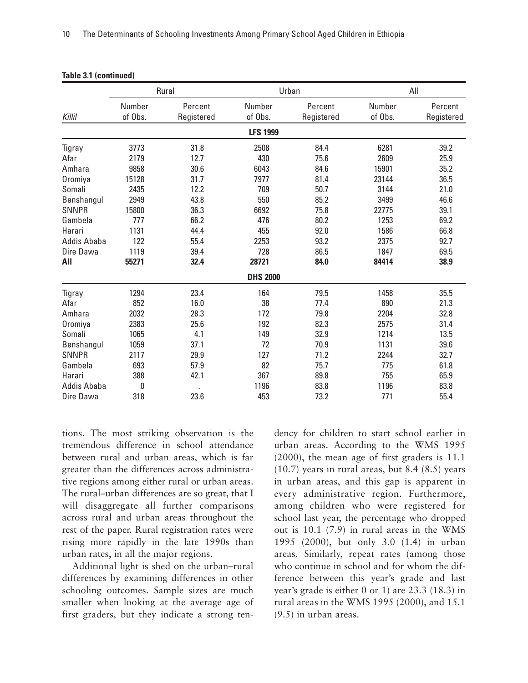|                    | Rural   |            |                 | Urban      | All     |            |
|--------------------|---------|------------|-----------------|------------|---------|------------|
|                    | Number  | Percent    | Number          | Percent    | Number  | Percent    |
| Killil             | of Obs. | Registered | of Obs.         | Registered | of Obs. | Registered |
|                    |         |            | <b>LFS 1999</b> |            |         |            |
| Tigray             | 3773    | 31.8       | 2508            | 84.4       | 6281    | 39.2       |
| Afar               | 2179    | 12.7       | 430             | 75.6       | 2609    | 25.9       |
| Amhara             | 9858    | 30.6       | 6043            | 84.6       | 15901   | 35.2       |
| Oromiya            | 15128   | 31.7       | 7977            | 81.4       | 23144   | 36.5       |
| Somali             | 2435    | 12.2       | 709             | 50.7       | 3144    | 21.0       |
| Benshangul         | 2949    | 43.8       | 550             | 85.2       | 3499    | 46.6       |
| <b>SNNPR</b>       | 15800   | 36.3       | 6692            | 75.8       | 22775   | 39.1       |
| Gambela            | 777     | 66.2       | 476             | 80.2       | 1253    | 69.2       |
| Harari             | 1131    | 44.4       | 455             | 92.0       | 1586    | 66.8       |
| <b>Addis Ababa</b> | 122     | 55.4       | 2253            | 93.2       | 2375    | 92.7       |
| Dire Dawa          | 1119    | 39.4       | 728             | 86.5       | 1847    | 69.5       |
| All                | 55271   | 32.4       | 28721           | 84.0       | 84414   | 38.9       |
|                    |         |            | <b>DHS 2000</b> |            |         |            |
| Tigray             | 1294    | 23.4       | 164             | 79.5       | 1458    | 35.5       |
| Afar               | 852     | 16.0       | 38              | 77.4       | 890     | 21.3       |
| Amhara             | 2032    | 28.3       | 172             | 79.8       | 2204    | 32.8       |
| Oromiya            | 2383    | 25.6       | 192             | 82.3       | 2575    | 31.4       |
| Somali             | 1065    | 4.1        | 149             | 32.9       | 1214    | 13.5       |
| Benshangul         | 1059    | 37.1       | 72              | 70.9       | 1131    | 39.6       |
| <b>SNNPR</b>       | 2117    | 29.9       | 127             | 71.2       | 2244    | 32.7       |
| Gambela            | 693     | 57.9       | 82              | 75.7       | 775     | 61.8       |
| Harari             | 388     | 42.1       | 367             | 89.8       | 755     | 65.9       |
| Addis Ababa        | 0       |            | 1196            | 83.8       | 1196    | 83.8       |
| Dire Dawa          | 318     | 23.6       | 453             | 73.2       | 771     | 55.4       |

| Table 3.1 (continued) |  |  |
|-----------------------|--|--|
|-----------------------|--|--|

tions. The most striking observation is the tremendous difference in school attendance between rural and urban areas, which is far greater than the differences across administrative regions among either rural or urban areas. The rural–urban differences are so great, that I will disaggregate all further comparisons across rural and urban areas throughout the rest of the paper. Rural registration rates were rising more rapidly in the late 1990s than urban rates, in all the major regions.

Additional light is shed on the urban–rural differences by examining differences in other schooling outcomes. Sample sizes are much smaller when looking at the average age of first graders, but they indicate a strong ten-

dency for children to start school earlier in urban areas. According to the WMS 1995 (2000), the mean age of first graders is 11.1 (10.7) years in rural areas, but 8.4 (8.5) years in urban areas, and this gap is apparent in every administrative region. Furthermore, among children who were registered for school last year, the percentage who dropped out is 10.1 (7.9) in rural areas in the WMS 1995 (2000), but only 3.0 (1.4) in urban areas. Similarly, repeat rates (among those who continue in school and for whom the difference between this year's grade and last year's grade is either 0 or 1) are 23.3 (18.3) in rural areas in the WMS 1995 (2000), and 15.1 (9.5) in urban areas.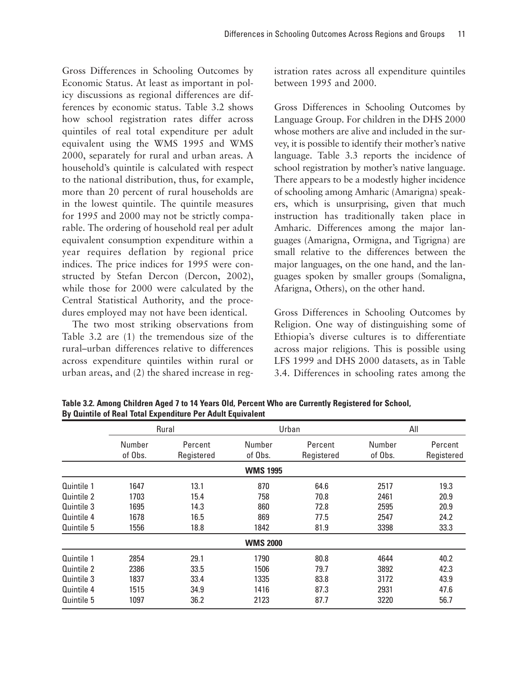Gross Differences in Schooling Outcomes by Economic Status. At least as important in policy discussions as regional differences are differences by economic status. Table 3.2 shows how school registration rates differ across quintiles of real total expenditure per adult equivalent using the WMS 1995 and WMS 2000, separately for rural and urban areas. A household's quintile is calculated with respect to the national distribution, thus, for example, more than 20 percent of rural households are in the lowest quintile. The quintile measures for 1995 and 2000 may not be strictly comparable. The ordering of household real per adult equivalent consumption expenditure within a year requires deflation by regional price indices. The price indices for 1995 were constructed by Stefan Dercon (Dercon, 2002), while those for 2000 were calculated by the Central Statistical Authority, and the procedures employed may not have been identical.

The two most striking observations from Table 3.2 are (1) the tremendous size of the rural–urban differences relative to differences across expenditure quintiles within rural or urban areas, and (2) the shared increase in registration rates across all expenditure quintiles between 1995 and 2000.

Gross Differences in Schooling Outcomes by Language Group. For children in the DHS 2000 whose mothers are alive and included in the survey, it is possible to identify their mother's native language. Table 3.3 reports the incidence of school registration by mother's native language. There appears to be a modestly higher incidence of schooling among Amharic (Amarigna) speakers, which is unsurprising, given that much instruction has traditionally taken place in Amharic. Differences among the major languages (Amarigna, Ormigna, and Tigrigna) are small relative to the differences between the major languages, on the one hand, and the languages spoken by smaller groups (Somaligna, Afarigna, Others), on the other hand.

Gross Differences in Schooling Outcomes by Religion. One way of distinguishing some of Ethiopia's diverse cultures is to differentiate across major religions. This is possible using LFS 1999 and DHS 2000 datasets, as in Table 3.4. Differences in schooling rates among the

|            | Rural             |                       | Urban             |                       | All               |                       |
|------------|-------------------|-----------------------|-------------------|-----------------------|-------------------|-----------------------|
|            | Number<br>of Obs. | Percent<br>Registered | Number<br>of Obs. | Percent<br>Registered | Number<br>of Obs. | Percent<br>Registered |
|            |                   |                       | <b>WMS 1995</b>   |                       |                   |                       |
| Quintile 1 | 1647              | 13.1                  | 870               | 64.6                  | 2517              | 19.3                  |
| Quintile 2 | 1703              | 15.4                  | 758               | 70.8                  | 2461              | 20.9                  |
| Quintile 3 | 1695              | 14.3                  | 860               | 72.8                  | 2595              | 20.9                  |
| Quintile 4 | 1678              | 16.5                  | 869               | 77.5                  | 2547              | 24.2                  |
| Quintile 5 | 1556              | 18.8                  | 1842              | 81.9                  | 3398              | 33.3                  |
|            |                   |                       | <b>WMS 2000</b>   |                       |                   |                       |
| Quintile 1 | 2854              | 29.1                  | 1790              | 80.8                  | 4644              | 40.2                  |
| Quintile 2 | 2386              | 33.5                  | 1506              | 79.7                  | 3892              | 42.3                  |
| Quintile 3 | 1837              | 33.4                  | 1335              | 83.8                  | 3172              | 43.9                  |
| Quintile 4 | 1515              | 34.9                  | 1416              | 87.3                  | 2931              | 47.6                  |
| Quintile 5 | 1097              | 36.2                  | 2123              | 87.7                  | 3220              | 56.7                  |

**Table 3.2. Among Children Aged 7 to 14 Years Old, Percent Who are Currently Registered for School, By Quintile of Real Total Expenditure Per Adult Equivalent**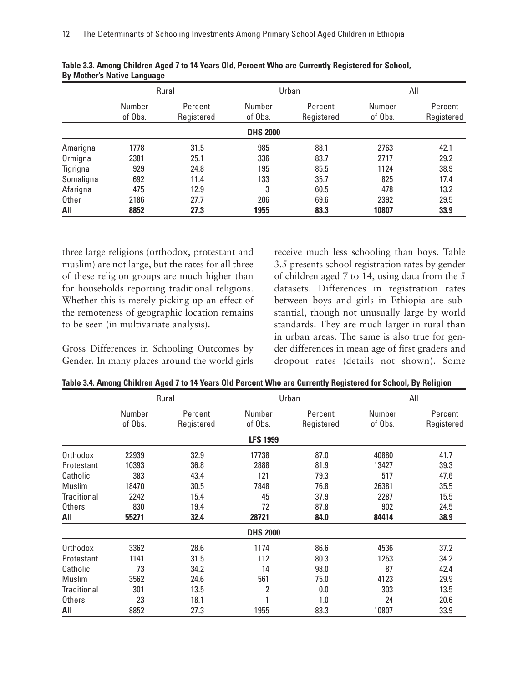|           | Rural             |                       | Urban             |                       | All               |                       |
|-----------|-------------------|-----------------------|-------------------|-----------------------|-------------------|-----------------------|
|           | Number<br>of Obs. | Percent<br>Registered | Number<br>of Obs. | Percent<br>Registered | Number<br>of Obs. | Percent<br>Registered |
|           |                   |                       | <b>DHS 2000</b>   |                       |                   |                       |
| Amarigna  | 1778              | 31.5                  | 985               | 88.1                  | 2763              | 42.1                  |
| Ormigna   | 2381              | 25.1                  | 336               | 83.7                  | 2717              | 29.2                  |
| Tigrigna  | 929               | 24.8                  | 195               | 85.5                  | 1124              | 38.9                  |
| Somaligna | 692               | 11.4                  | 133               | 35.7                  | 825               | 17.4                  |
| Afarigna  | 475               | 12.9                  | 3                 | 60.5                  | 478               | 13.2                  |
| Other     | 2186              | 27.7                  | 206               | 69.6                  | 2392              | 29.5                  |
| All       | 8852              | 27.3                  | 1955              | 83.3                  | 10807             | 33.9                  |

|                                    | Table 3.3. Among Children Aged 7 to 14 Years Old, Percent Who are Currently Registered for School, |
|------------------------------------|----------------------------------------------------------------------------------------------------|
| <b>By Mother's Native Language</b> |                                                                                                    |

three large religions (orthodox, protestant and muslim) are not large, but the rates for all three of these religion groups are much higher than for households reporting traditional religions. Whether this is merely picking up an effect of the remoteness of geographic location remains to be seen (in multivariate analysis).

Gross Differences in Schooling Outcomes by Gender. In many places around the world girls receive much less schooling than boys. Table 3.5 presents school registration rates by gender of children aged 7 to 14, using data from the 5 datasets. Differences in registration rates between boys and girls in Ethiopia are substantial, though not unusually large by world standards. They are much larger in rural than in urban areas. The same is also true for gender differences in mean age of first graders and dropout rates (details not shown). Some

|                    |         | Rural      |                 | Urban      | All     |            |
|--------------------|---------|------------|-----------------|------------|---------|------------|
|                    | Number  | Percent    | Number          | Percent    | Number  | Percent    |
|                    | of Obs. | Registered | of Obs.         | Registered | of Obs. | Registered |
|                    |         |            | <b>LFS 1999</b> |            |         |            |
| Orthodox           | 22939   | 32.9       | 17738           | 87.0       | 40880   | 41.7       |
| Protestant         | 10393   | 36.8       | 2888            | 81.9       | 13427   | 39.3       |
| Catholic           | 383     | 43.4       | 121             | 79.3       | 517     | 47.6       |
| Muslim             | 18470   | 30.5       | 7848            | 76.8       | 26381   | 35.5       |
| Traditional        | 2242    | 15.4       | 45              | 37.9       | 2287    | 15.5       |
| Others             | 830     | 19.4       | 72              | 87.8       | 902     | 24.5       |
| All                | 55271   | 32.4       | 28721           | 84.0       | 84414   | 38.9       |
|                    |         |            | <b>DHS 2000</b> |            |         |            |
| Orthodox           | 3362    | 28.6       | 1174            | 86.6       | 4536    | 37.2       |
| Protestant         | 1141    | 31.5       | 112             | 80.3       | 1253    | 34.2       |
| Catholic           | 73      | 34.2       | 14              | 98.0       | 87      | 42.4       |
| Muslim             | 3562    | 24.6       | 561             | 75.0       | 4123    | 29.9       |
| <b>Traditional</b> | 301     | 13.5       | 2               | 0.0        | 303     | 13.5       |
| <b>Others</b>      | 23      | 18.1       |                 | 1.0        | 24      | 20.6       |
| All                | 8852    | 27.3       | 1955            | 83.3       | 10807   | 33.9       |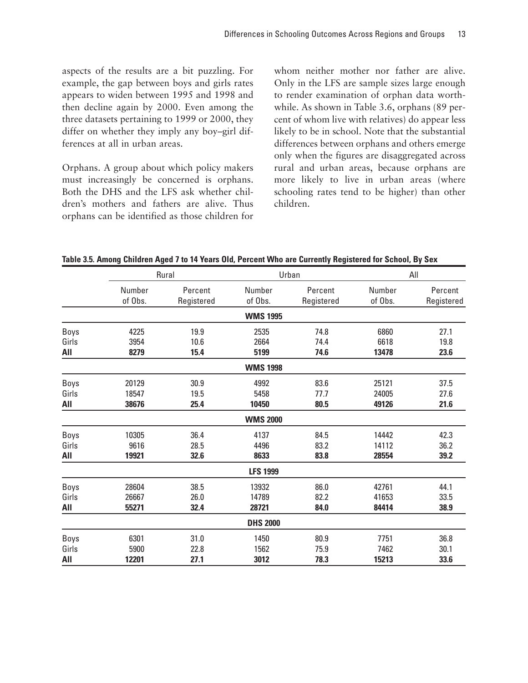aspects of the results are a bit puzzling. For example, the gap between boys and girls rates appears to widen between 1995 and 1998 and then decline again by 2000. Even among the three datasets pertaining to 1999 or 2000, they differ on whether they imply any boy–girl differences at all in urban areas.

Orphans. A group about which policy makers must increasingly be concerned is orphans. Both the DHS and the LFS ask whether children's mothers and fathers are alive. Thus orphans can be identified as those children for whom neither mother nor father are alive. Only in the LFS are sample sizes large enough to render examination of orphan data worthwhile. As shown in Table 3.6, orphans (89 percent of whom live with relatives) do appear less likely to be in school. Note that the substantial differences between orphans and others emerge only when the figures are disaggregated across rural and urban areas, because orphans are more likely to live in urban areas (where schooling rates tend to be higher) than other children.

|       | Rural   |            | Urban           |            | All     |            |
|-------|---------|------------|-----------------|------------|---------|------------|
|       | Number  | Percent    | Number          | Percent    | Number  | Percent    |
|       | of Obs. | Registered | of Obs.         | Registered | of Obs. | Registered |
|       |         |            | <b>WMS 1995</b> |            |         |            |
| Boys  | 4225    | 19.9       | 2535            | 74.8       | 6860    | 27.1       |
| Girls | 3954    | 10.6       | 2664            | 74.4       | 6618    | 19.8       |
| All   | 8279    | 15.4       | 5199            | 74.6       | 13478   | 23.6       |
|       |         |            | <b>WMS 1998</b> |            |         |            |
| Boys  | 20129   | 30.9       | 4992            | 83.6       | 25121   | 37.5       |
| Girls | 18547   | 19.5       | 5458            | 77.7       | 24005   | 27.6       |
| All   | 38676   | 25.4       | 10450           | 80.5       | 49126   | 21.6       |
|       |         |            | <b>WMS 2000</b> |            |         |            |
| Boys  | 10305   | 36.4       | 4137            | 84.5       | 14442   | 42.3       |
| Girls | 9616    | 28.5       | 4496            | 83.2       | 14112   | 36.2       |
| All   | 19921   | 32.6       | 8633            | 83.8       | 28554   | 39.2       |
|       |         |            | <b>LFS 1999</b> |            |         |            |
| Boys  | 28604   | 38.5       | 13932           | 86.0       | 42761   | 44.1       |
| Girls | 26667   | 26.0       | 14789           | 82.2       | 41653   | 33.5       |
| AII   | 55271   | 32.4       | 28721           | 84.0       | 84414   | 38.9       |
|       |         |            | <b>DHS 2000</b> |            |         |            |
| Boys  | 6301    | 31.0       | 1450            | 80.9       | 7751    | 36.8       |
| Girls | 5900    | 22.8       | 1562            | 75.9       | 7462    | 30.1       |
| All   | 12201   | 27.1       | 3012            | 78.3       | 15213   | 33.6       |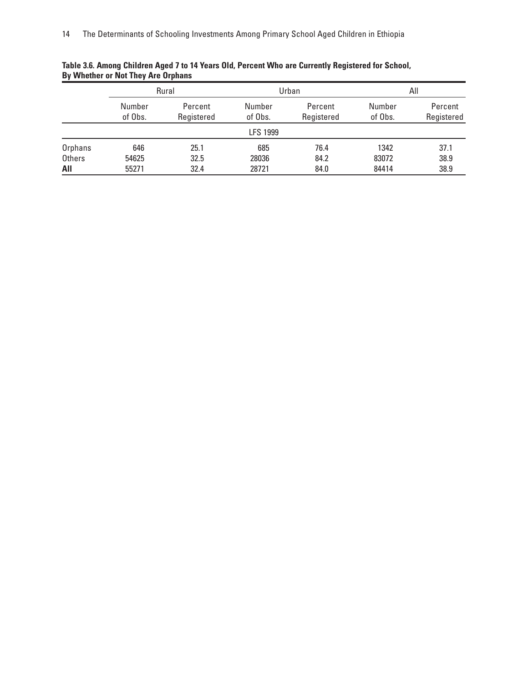|                      | Rural             |                       | Urban             |                       | All               |                       |
|----------------------|-------------------|-----------------------|-------------------|-----------------------|-------------------|-----------------------|
|                      | Number<br>of Obs. | Percent<br>Registered | Number<br>of Obs. | Percent<br>Registered | Number<br>of Obs. | Percent<br>Registered |
|                      |                   |                       | <b>LFS 1999</b>   |                       |                   |                       |
| Orphans              | 646               | 25.1                  | 685               | 76.4                  | 1342              | 37.1                  |
| <b>Others</b><br>All | 54625<br>55271    | 32.5<br>32.4          | 28036<br>28721    | 84.2<br>84.0          | 83072<br>84414    | 38.9<br>38.9          |

### **Table 3.6. Among Children Aged 7 to 14 Years Old, Percent Who are Currently Registered for School, By Whether or Not They Are Orphans**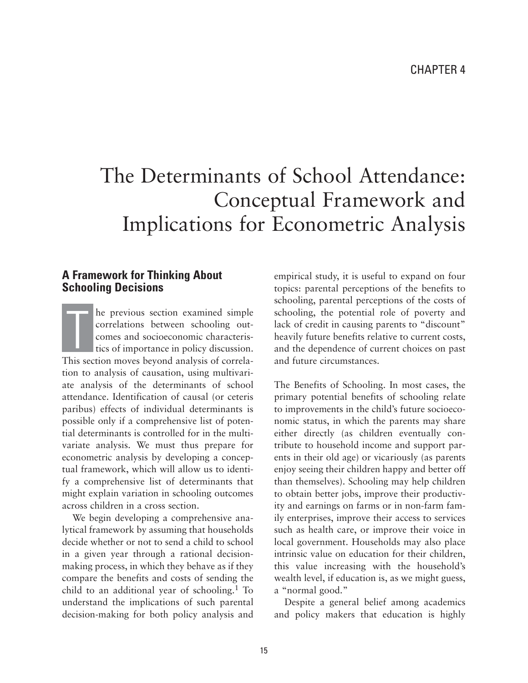# The Determinants of School Attendance: Conceptual Framework and Implications for Econometric Analysis

### **A Framework for Thinking About Schooling Decisions**

he previous section examined simple correlations between schooling outcomes and socioeconomic characteristics of importance in policy discussion. This section moves beyond analysis of correlation to analysis of causation, using multivariate analysis of the determinants of school attendance. Identification of causal (or ceteris paribus) effects of individual determinants is possible only if a comprehensive list of potential determinants is controlled for in the multivariate analysis. We must thus prepare for econometric analysis by developing a conceptual framework, which will allow us to identify a comprehensive list of determinants that might explain variation in schooling outcomes across children in a cross section.  $\prod$ 

We begin developing a comprehensive analytical framework by assuming that households decide whether or not to send a child to school in a given year through a rational decisionmaking process, in which they behave as if they compare the benefits and costs of sending the child to an additional year of schooling.1 To understand the implications of such parental decision-making for both policy analysis and empirical study, it is useful to expand on four topics: parental perceptions of the benefits to schooling, parental perceptions of the costs of schooling, the potential role of poverty and lack of credit in causing parents to "discount" heavily future benefits relative to current costs, and the dependence of current choices on past and future circumstances.

The Benefits of Schooling. In most cases, the primary potential benefits of schooling relate to improvements in the child's future socioeconomic status, in which the parents may share either directly (as children eventually contribute to household income and support parents in their old age) or vicariously (as parents enjoy seeing their children happy and better off than themselves). Schooling may help children to obtain better jobs, improve their productivity and earnings on farms or in non-farm family enterprises, improve their access to services such as health care, or improve their voice in local government. Households may also place intrinsic value on education for their children, this value increasing with the household's wealth level, if education is, as we might guess, a "normal good."

Despite a general belief among academics and policy makers that education is highly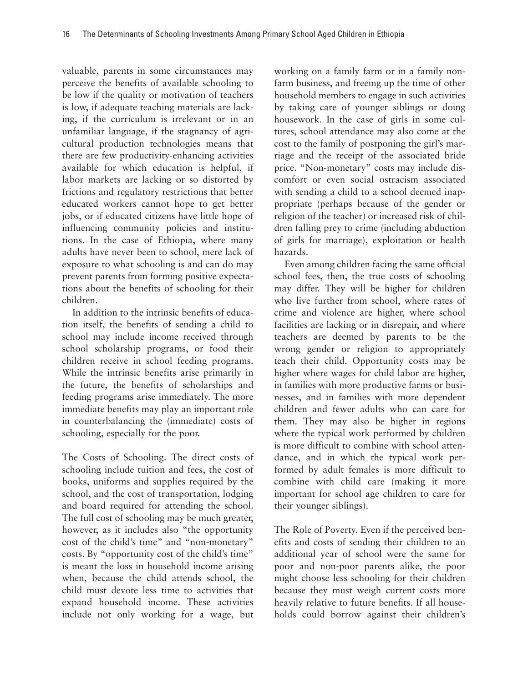valuable, parents in some circumstances may perceive the benefits of available schooling to be low if the quality or motivation of teachers is low, if adequate teaching materials are lacking, if the curriculum is irrelevant or in an unfamiliar language, if the stagnancy of agricultural production technologies means that there are few productivity-enhancing activities available for which education is helpful, if labor markets are lacking or so distorted by frictions and regulatory restrictions that better educated workers cannot hope to get better jobs, or if educated citizens have little hope of influencing community policies and institutions. In the case of Ethiopia, where many adults have never been to school, mere lack of exposure to what schooling is and can do may prevent parents from forming positive expectations about the benefits of schooling for their children.

In addition to the intrinsic benefits of education itself, the benefits of sending a child to school may include income received through school scholarship programs, or food their children receive in school feeding programs. While the intrinsic benefits arise primarily in the future, the benefits of scholarships and feeding programs arise immediately. The more immediate benefits may play an important role in counterbalancing the (immediate) costs of schooling, especially for the poor.

The Costs of Schooling. The direct costs of schooling include tuition and fees, the cost of books, uniforms and supplies required by the school, and the cost of transportation, lodging and board required for attending the school. The full cost of schooling may be much greater, however, as it includes also "the opportunity cost of the child's time" and "non-monetary" costs. By "opportunity cost of the child's time" is meant the loss in household income arising when, because the child attends school, the child must devote less time to activities that expand household income. These activities include not only working for a wage, but

working on a family farm or in a family nonfarm business, and freeing up the time of other household members to engage in such activities by taking care of younger siblings or doing housework. In the case of girls in some cultures, school attendance may also come at the cost to the family of postponing the girl's marriage and the receipt of the associated bride price. "Non-monetary" costs may include discomfort or even social ostracism associated with sending a child to a school deemed inappropriate (perhaps because of the gender or religion of the teacher) or increased risk of children falling prey to crime (including abduction of girls for marriage), exploitation or health hazards.

Even among children facing the same official school fees, then, the true costs of schooling may differ. They will be higher for children who live further from school, where rates of crime and violence are higher, where school facilities are lacking or in disrepair, and where teachers are deemed by parents to be the wrong gender or religion to appropriately teach their child. Opportunity costs may be higher where wages for child labor are higher, in families with more productive farms or businesses, and in families with more dependent children and fewer adults who can care for them. They may also be higher in regions where the typical work performed by children is more difficult to combine with school attendance, and in which the typical work performed by adult females is more difficult to combine with child care (making it more important for school age children to care for their younger siblings).

The Role of Poverty. Even if the perceived benefits and costs of sending their children to an additional year of school were the same for poor and non-poor parents alike, the poor might choose less schooling for their children because they must weigh current costs more heavily relative to future benefits. If all households could borrow against their children's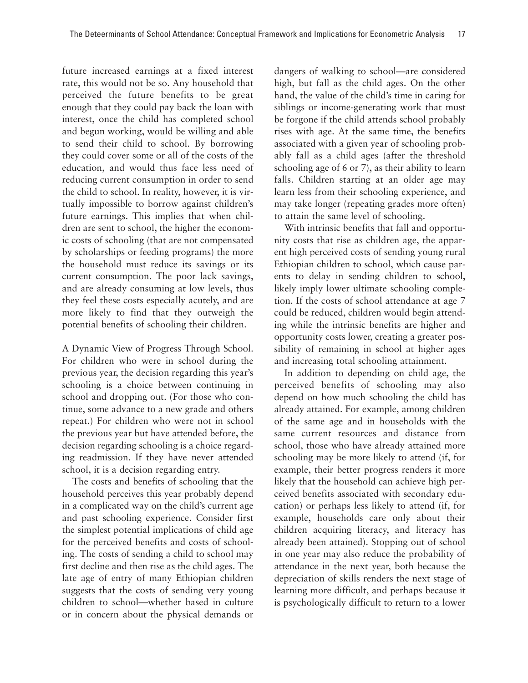future increased earnings at a fixed interest rate, this would not be so. Any household that perceived the future benefits to be great enough that they could pay back the loan with interest, once the child has completed school and begun working, would be willing and able to send their child to school. By borrowing they could cover some or all of the costs of the education, and would thus face less need of reducing current consumption in order to send the child to school. In reality, however, it is virtually impossible to borrow against children's future earnings. This implies that when children are sent to school, the higher the economic costs of schooling (that are not compensated by scholarships or feeding programs) the more the household must reduce its savings or its current consumption. The poor lack savings, and are already consuming at low levels, thus they feel these costs especially acutely, and are more likely to find that they outweigh the potential benefits of schooling their children.

A Dynamic View of Progress Through School. For children who were in school during the previous year, the decision regarding this year's schooling is a choice between continuing in school and dropping out. (For those who continue, some advance to a new grade and others repeat.) For children who were not in school the previous year but have attended before, the decision regarding schooling is a choice regarding readmission. If they have never attended school, it is a decision regarding entry.

The costs and benefits of schooling that the household perceives this year probably depend in a complicated way on the child's current age and past schooling experience. Consider first the simplest potential implications of child age for the perceived benefits and costs of schooling. The costs of sending a child to school may first decline and then rise as the child ages. The late age of entry of many Ethiopian children suggests that the costs of sending very young children to school—whether based in culture or in concern about the physical demands or

dangers of walking to school—are considered high, but fall as the child ages. On the other hand, the value of the child's time in caring for siblings or income-generating work that must be forgone if the child attends school probably rises with age. At the same time, the benefits associated with a given year of schooling probably fall as a child ages (after the threshold schooling age of 6 or 7), as their ability to learn falls. Children starting at an older age may learn less from their schooling experience, and may take longer (repeating grades more often) to attain the same level of schooling.

With intrinsic benefits that fall and opportunity costs that rise as children age, the apparent high perceived costs of sending young rural Ethiopian children to school, which cause parents to delay in sending children to school, likely imply lower ultimate schooling completion. If the costs of school attendance at age 7 could be reduced, children would begin attending while the intrinsic benefits are higher and opportunity costs lower, creating a greater possibility of remaining in school at higher ages and increasing total schooling attainment.

In addition to depending on child age, the perceived benefits of schooling may also depend on how much schooling the child has already attained. For example, among children of the same age and in households with the same current resources and distance from school, those who have already attained more schooling may be more likely to attend (if, for example, their better progress renders it more likely that the household can achieve high perceived benefits associated with secondary education) or perhaps less likely to attend (if, for example, households care only about their children acquiring literacy, and literacy has already been attained). Stopping out of school in one year may also reduce the probability of attendance in the next year, both because the depreciation of skills renders the next stage of learning more difficult, and perhaps because it is psychologically difficult to return to a lower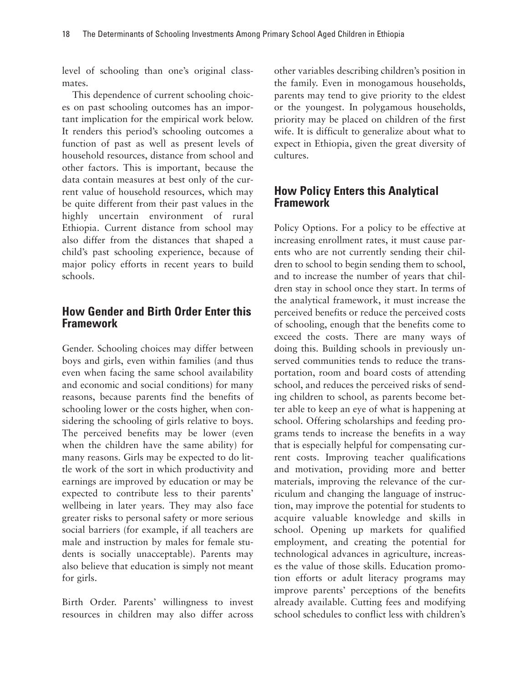level of schooling than one's original classmates.

This dependence of current schooling choices on past schooling outcomes has an important implication for the empirical work below. It renders this period's schooling outcomes a function of past as well as present levels of household resources, distance from school and other factors. This is important, because the data contain measures at best only of the current value of household resources, which may be quite different from their past values in the highly uncertain environment of rural Ethiopia. Current distance from school may also differ from the distances that shaped a child's past schooling experience, because of major policy efforts in recent years to build schools.

### **How Gender and Birth Order Enter this Framework**

Gender. Schooling choices may differ between boys and girls, even within families (and thus even when facing the same school availability and economic and social conditions) for many reasons, because parents find the benefits of schooling lower or the costs higher, when considering the schooling of girls relative to boys. The perceived benefits may be lower (even when the children have the same ability) for many reasons. Girls may be expected to do little work of the sort in which productivity and earnings are improved by education or may be expected to contribute less to their parents' wellbeing in later years. They may also face greater risks to personal safety or more serious social barriers (for example, if all teachers are male and instruction by males for female students is socially unacceptable). Parents may also believe that education is simply not meant for girls.

Birth Order. Parents' willingness to invest resources in children may also differ across

other variables describing children's position in the family. Even in monogamous households, parents may tend to give priority to the eldest or the youngest. In polygamous households, priority may be placed on children of the first wife. It is difficult to generalize about what to expect in Ethiopia, given the great diversity of cultures.

### **How Policy Enters this Analytical Framework**

Policy Options. For a policy to be effective at increasing enrollment rates, it must cause parents who are not currently sending their children to school to begin sending them to school, and to increase the number of years that children stay in school once they start. In terms of the analytical framework, it must increase the perceived benefits or reduce the perceived costs of schooling, enough that the benefits come to exceed the costs. There are many ways of doing this. Building schools in previously unserved communities tends to reduce the transportation, room and board costs of attending school, and reduces the perceived risks of sending children to school, as parents become better able to keep an eye of what is happening at school. Offering scholarships and feeding programs tends to increase the benefits in a way that is especially helpful for compensating current costs. Improving teacher qualifications and motivation, providing more and better materials, improving the relevance of the curriculum and changing the language of instruction, may improve the potential for students to acquire valuable knowledge and skills in school. Opening up markets for qualified employment, and creating the potential for technological advances in agriculture, increases the value of those skills. Education promotion efforts or adult literacy programs may improve parents' perceptions of the benefits already available. Cutting fees and modifying school schedules to conflict less with children's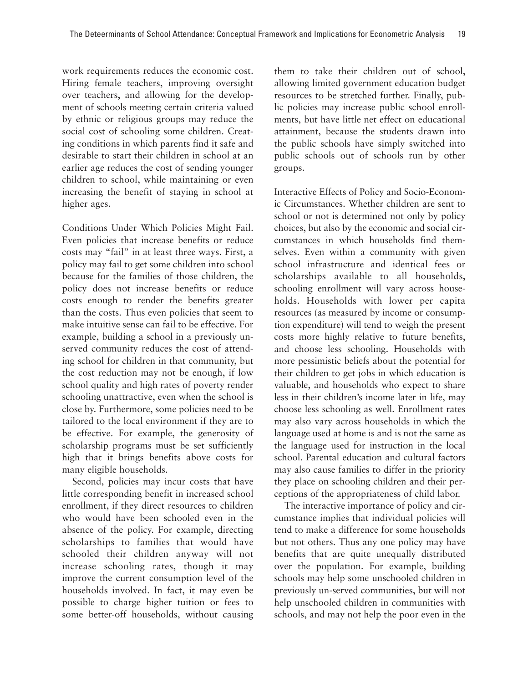work requirements reduces the economic cost. Hiring female teachers, improving oversight over teachers, and allowing for the development of schools meeting certain criteria valued by ethnic or religious groups may reduce the social cost of schooling some children. Creating conditions in which parents find it safe and desirable to start their children in school at an earlier age reduces the cost of sending younger children to school, while maintaining or even increasing the benefit of staying in school at higher ages.

Conditions Under Which Policies Might Fail. Even policies that increase benefits or reduce costs may "fail" in at least three ways. First, a policy may fail to get some children into school because for the families of those children, the policy does not increase benefits or reduce costs enough to render the benefits greater than the costs. Thus even policies that seem to make intuitive sense can fail to be effective. For example, building a school in a previously unserved community reduces the cost of attending school for children in that community, but the cost reduction may not be enough, if low school quality and high rates of poverty render schooling unattractive, even when the school is close by. Furthermore, some policies need to be tailored to the local environment if they are to be effective. For example, the generosity of scholarship programs must be set sufficiently high that it brings benefits above costs for many eligible households.

Second, policies may incur costs that have little corresponding benefit in increased school enrollment, if they direct resources to children who would have been schooled even in the absence of the policy. For example, directing scholarships to families that would have schooled their children anyway will not increase schooling rates, though it may improve the current consumption level of the households involved. In fact, it may even be possible to charge higher tuition or fees to some better-off households, without causing

them to take their children out of school, allowing limited government education budget resources to be stretched further. Finally, public policies may increase public school enrollments, but have little net effect on educational attainment, because the students drawn into the public schools have simply switched into public schools out of schools run by other groups.

Interactive Effects of Policy and Socio-Economic Circumstances. Whether children are sent to school or not is determined not only by policy choices, but also by the economic and social circumstances in which households find themselves. Even within a community with given school infrastructure and identical fees or scholarships available to all households, schooling enrollment will vary across households. Households with lower per capita resources (as measured by income or consumption expenditure) will tend to weigh the present costs more highly relative to future benefits, and choose less schooling. Households with more pessimistic beliefs about the potential for their children to get jobs in which education is valuable, and households who expect to share less in their children's income later in life, may choose less schooling as well. Enrollment rates may also vary across households in which the language used at home is and is not the same as the language used for instruction in the local school. Parental education and cultural factors may also cause families to differ in the priority they place on schooling children and their perceptions of the appropriateness of child labor.

The interactive importance of policy and circumstance implies that individual policies will tend to make a difference for some households but not others. Thus any one policy may have benefits that are quite unequally distributed over the population. For example, building schools may help some unschooled children in previously un-served communities, but will not help unschooled children in communities with schools, and may not help the poor even in the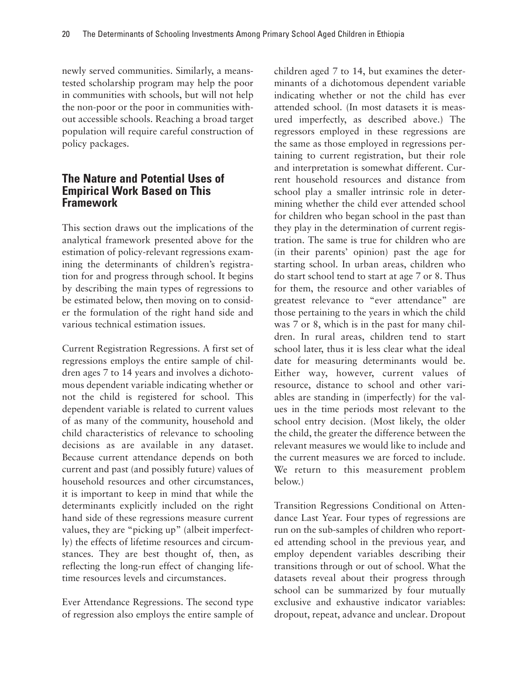newly served communities. Similarly, a meanstested scholarship program may help the poor in communities with schools, but will not help the non-poor or the poor in communities without accessible schools. Reaching a broad target population will require careful construction of policy packages.

### **The Nature and Potential Uses of Empirical Work Based on This Framework**

This section draws out the implications of the analytical framework presented above for the estimation of policy-relevant regressions examining the determinants of children's registration for and progress through school. It begins by describing the main types of regressions to be estimated below, then moving on to consider the formulation of the right hand side and various technical estimation issues.

Current Registration Regressions. A first set of regressions employs the entire sample of children ages 7 to 14 years and involves a dichotomous dependent variable indicating whether or not the child is registered for school. This dependent variable is related to current values of as many of the community, household and child characteristics of relevance to schooling decisions as are available in any dataset. Because current attendance depends on both current and past (and possibly future) values of household resources and other circumstances, it is important to keep in mind that while the determinants explicitly included on the right hand side of these regressions measure current values, they are "picking up" (albeit imperfectly) the effects of lifetime resources and circumstances. They are best thought of, then, as reflecting the long-run effect of changing lifetime resources levels and circumstances.

Ever Attendance Regressions. The second type of regression also employs the entire sample of children aged 7 to 14, but examines the determinants of a dichotomous dependent variable indicating whether or not the child has ever attended school. (In most datasets it is measured imperfectly, as described above.) The regressors employed in these regressions are the same as those employed in regressions pertaining to current registration, but their role and interpretation is somewhat different. Current household resources and distance from school play a smaller intrinsic role in determining whether the child ever attended school for children who began school in the past than they play in the determination of current registration. The same is true for children who are (in their parents' opinion) past the age for starting school. In urban areas, children who do start school tend to start at age 7 or 8. Thus for them, the resource and other variables of greatest relevance to "ever attendance" are those pertaining to the years in which the child was 7 or 8, which is in the past for many children. In rural areas, children tend to start school later, thus it is less clear what the ideal date for measuring determinants would be. Either way, however, current values of resource, distance to school and other variables are standing in (imperfectly) for the values in the time periods most relevant to the school entry decision. (Most likely, the older the child, the greater the difference between the relevant measures we would like to include and the current measures we are forced to include. We return to this measurement problem below.)

Transition Regressions Conditional on Attendance Last Year. Four types of regressions are run on the sub-samples of children who reported attending school in the previous year, and employ dependent variables describing their transitions through or out of school. What the datasets reveal about their progress through school can be summarized by four mutually exclusive and exhaustive indicator variables: dropout, repeat, advance and unclear. Dropout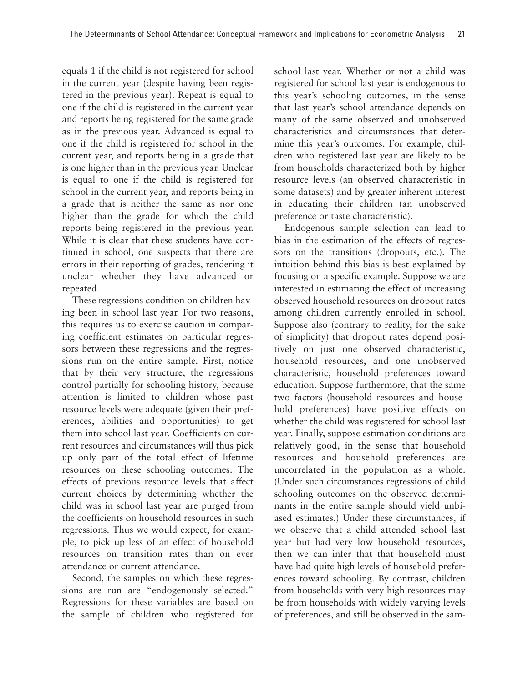equals 1 if the child is not registered for school in the current year (despite having been registered in the previous year). Repeat is equal to one if the child is registered in the current year and reports being registered for the same grade as in the previous year. Advanced is equal to one if the child is registered for school in the current year, and reports being in a grade that is one higher than in the previous year. Unclear is equal to one if the child is registered for school in the current year, and reports being in a grade that is neither the same as nor one higher than the grade for which the child reports being registered in the previous year. While it is clear that these students have continued in school, one suspects that there are errors in their reporting of grades, rendering it unclear whether they have advanced or repeated.

These regressions condition on children having been in school last year. For two reasons, this requires us to exercise caution in comparing coefficient estimates on particular regressors between these regressions and the regressions run on the entire sample. First, notice that by their very structure, the regressions control partially for schooling history, because attention is limited to children whose past resource levels were adequate (given their preferences, abilities and opportunities) to get them into school last year. Coefficients on current resources and circumstances will thus pick up only part of the total effect of lifetime resources on these schooling outcomes. The effects of previous resource levels that affect current choices by determining whether the child was in school last year are purged from the coefficients on household resources in such regressions. Thus we would expect, for example, to pick up less of an effect of household resources on transition rates than on ever attendance or current attendance.

Second, the samples on which these regressions are run are "endogenously selected." Regressions for these variables are based on the sample of children who registered for school last year. Whether or not a child was registered for school last year is endogenous to this year's schooling outcomes, in the sense that last year's school attendance depends on many of the same observed and unobserved characteristics and circumstances that determine this year's outcomes. For example, children who registered last year are likely to be from households characterized both by higher resource levels (an observed characteristic in some datasets) and by greater inherent interest in educating their children (an unobserved preference or taste characteristic).

Endogenous sample selection can lead to bias in the estimation of the effects of regressors on the transitions (dropouts, etc.). The intuition behind this bias is best explained by focusing on a specific example. Suppose we are interested in estimating the effect of increasing observed household resources on dropout rates among children currently enrolled in school. Suppose also (contrary to reality, for the sake of simplicity) that dropout rates depend positively on just one observed characteristic, household resources, and one unobserved characteristic, household preferences toward education. Suppose furthermore, that the same two factors (household resources and household preferences) have positive effects on whether the child was registered for school last year. Finally, suppose estimation conditions are relatively good, in the sense that household resources and household preferences are uncorrelated in the population as a whole. (Under such circumstances regressions of child schooling outcomes on the observed determinants in the entire sample should yield unbiased estimates.) Under these circumstances, if we observe that a child attended school last year but had very low household resources, then we can infer that that household must have had quite high levels of household preferences toward schooling. By contrast, children from households with very high resources may be from households with widely varying levels of preferences, and still be observed in the sam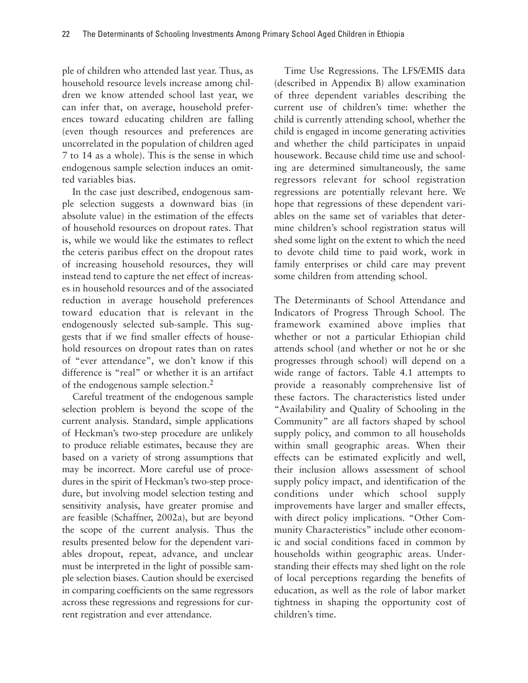ple of children who attended last year. Thus, as household resource levels increase among children we know attended school last year, we can infer that, on average, household preferences toward educating children are falling (even though resources and preferences are uncorrelated in the population of children aged 7 to 14 as a whole). This is the sense in which endogenous sample selection induces an omitted variables bias.

In the case just described, endogenous sample selection suggests a downward bias (in absolute value) in the estimation of the effects of household resources on dropout rates. That is, while we would like the estimates to reflect the ceteris paribus effect on the dropout rates of increasing household resources, they will instead tend to capture the net effect of increases in household resources and of the associated reduction in average household preferences toward education that is relevant in the endogenously selected sub-sample. This suggests that if we find smaller effects of household resources on dropout rates than on rates of "ever attendance", we don't know if this difference is "real" or whether it is an artifact of the endogenous sample selection.2

Careful treatment of the endogenous sample selection problem is beyond the scope of the current analysis. Standard, simple applications of Heckman's two-step procedure are unlikely to produce reliable estimates, because they are based on a variety of strong assumptions that may be incorrect. More careful use of procedures in the spirit of Heckman's two-step procedure, but involving model selection testing and sensitivity analysis, have greater promise and are feasible (Schaffner, 2002a), but are beyond the scope of the current analysis. Thus the results presented below for the dependent variables dropout, repeat, advance, and unclear must be interpreted in the light of possible sample selection biases. Caution should be exercised in comparing coefficients on the same regressors across these regressions and regressions for current registration and ever attendance.

Time Use Regressions. The LFS/EMIS data (described in Appendix B) allow examination of three dependent variables describing the current use of children's time: whether the child is currently attending school, whether the child is engaged in income generating activities and whether the child participates in unpaid housework. Because child time use and schooling are determined simultaneously, the same regressors relevant for school registration regressions are potentially relevant here. We hope that regressions of these dependent variables on the same set of variables that determine children's school registration status will shed some light on the extent to which the need to devote child time to paid work, work in family enterprises or child care may prevent some children from attending school.

The Determinants of School Attendance and Indicators of Progress Through School. The framework examined above implies that whether or not a particular Ethiopian child attends school (and whether or not he or she progresses through school) will depend on a wide range of factors. Table 4.1 attempts to provide a reasonably comprehensive list of these factors. The characteristics listed under "Availability and Quality of Schooling in the Community" are all factors shaped by school supply policy, and common to all households within small geographic areas. When their effects can be estimated explicitly and well, their inclusion allows assessment of school supply policy impact, and identification of the conditions under which school supply improvements have larger and smaller effects, with direct policy implications. "Other Community Characteristics" include other economic and social conditions faced in common by households within geographic areas. Understanding their effects may shed light on the role of local perceptions regarding the benefits of education, as well as the role of labor market tightness in shaping the opportunity cost of children's time.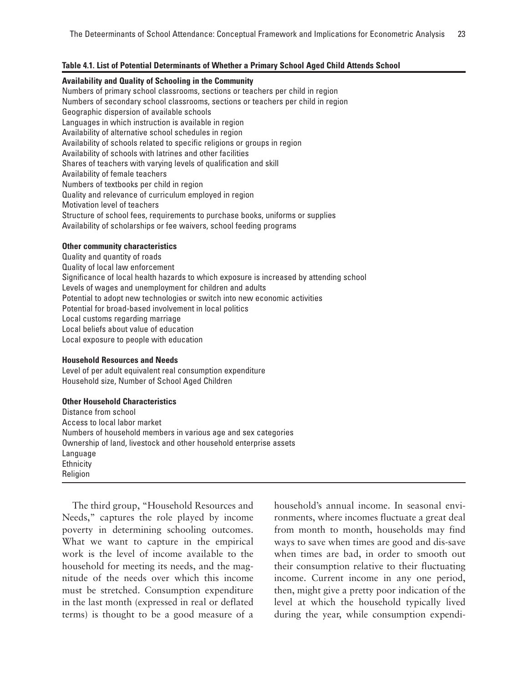### **Table 4.1. List of Potential Determinants of Whether a Primary School Aged Child Attends School**

### **Availability and Quality of Schooling in the Community**

Numbers of primary school classrooms, sections or teachers per child in region Numbers of secondary school classrooms, sections or teachers per child in region Geographic dispersion of available schools Languages in which instruction is available in region Availability of alternative school schedules in region Availability of schools related to specific religions or groups in region Availability of schools with latrines and other facilities Shares of teachers with varying levels of qualification and skill Availability of female teachers Numbers of textbooks per child in region Quality and relevance of curriculum employed in region Motivation level of teachers Structure of school fees, requirements to purchase books, uniforms or supplies Availability of scholarships or fee waivers, school feeding programs

### **Other community characteristics**

Quality and quantity of roads Quality of local law enforcement Significance of local health hazards to which exposure is increased by attending school Levels of wages and unemployment for children and adults Potential to adopt new technologies or switch into new economic activities Potential for broad-based involvement in local politics Local customs regarding marriage Local beliefs about value of education Local exposure to people with education

### **Household Resources and Needs**

Level of per adult equivalent real consumption expenditure Household size, Number of School Aged Children

#### **Other Household Characteristics**

Distance from school Access to local labor market Numbers of household members in various age and sex categories Ownership of land, livestock and other household enterprise assets Language **Ethnicity** Religion

The third group, "Household Resources and Needs," captures the role played by income poverty in determining schooling outcomes. What we want to capture in the empirical work is the level of income available to the household for meeting its needs, and the magnitude of the needs over which this income must be stretched. Consumption expenditure in the last month (expressed in real or deflated terms) is thought to be a good measure of a

household's annual income. In seasonal environments, where incomes fluctuate a great deal from month to month, households may find ways to save when times are good and dis-save when times are bad, in order to smooth out their consumption relative to their fluctuating income. Current income in any one period, then, might give a pretty poor indication of the level at which the household typically lived during the year, while consumption expendi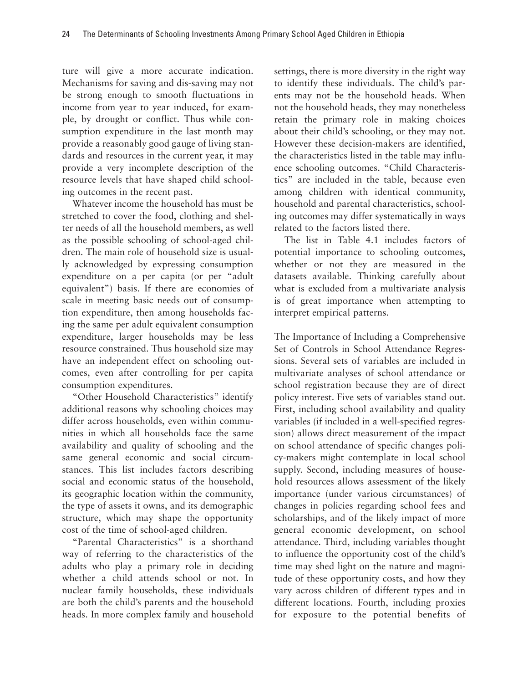ture will give a more accurate indication. Mechanisms for saving and dis-saving may not be strong enough to smooth fluctuations in income from year to year induced, for example, by drought or conflict. Thus while consumption expenditure in the last month may provide a reasonably good gauge of living standards and resources in the current year, it may provide a very incomplete description of the resource levels that have shaped child schooling outcomes in the recent past.

Whatever income the household has must be stretched to cover the food, clothing and shelter needs of all the household members, as well as the possible schooling of school-aged children. The main role of household size is usually acknowledged by expressing consumption expenditure on a per capita (or per "adult equivalent") basis. If there are economies of scale in meeting basic needs out of consumption expenditure, then among households facing the same per adult equivalent consumption expenditure, larger households may be less resource constrained. Thus household size may have an independent effect on schooling outcomes, even after controlling for per capita consumption expenditures.

"Other Household Characteristics" identify additional reasons why schooling choices may differ across households, even within communities in which all households face the same availability and quality of schooling and the same general economic and social circumstances. This list includes factors describing social and economic status of the household, its geographic location within the community, the type of assets it owns, and its demographic structure, which may shape the opportunity cost of the time of school-aged children.

"Parental Characteristics" is a shorthand way of referring to the characteristics of the adults who play a primary role in deciding whether a child attends school or not. In nuclear family households, these individuals are both the child's parents and the household heads. In more complex family and household settings, there is more diversity in the right way to identify these individuals. The child's parents may not be the household heads. When not the household heads, they may nonetheless retain the primary role in making choices about their child's schooling, or they may not. However these decision-makers are identified, the characteristics listed in the table may influence schooling outcomes. "Child Characteristics" are included in the table, because even among children with identical community, household and parental characteristics, schooling outcomes may differ systematically in ways related to the factors listed there.

The list in Table 4.1 includes factors of potential importance to schooling outcomes, whether or not they are measured in the datasets available. Thinking carefully about what is excluded from a multivariate analysis is of great importance when attempting to interpret empirical patterns.

The Importance of Including a Comprehensive Set of Controls in School Attendance Regressions. Several sets of variables are included in multivariate analyses of school attendance or school registration because they are of direct policy interest. Five sets of variables stand out. First, including school availability and quality variables (if included in a well-specified regression) allows direct measurement of the impact on school attendance of specific changes policy-makers might contemplate in local school supply. Second, including measures of household resources allows assessment of the likely importance (under various circumstances) of changes in policies regarding school fees and scholarships, and of the likely impact of more general economic development, on school attendance. Third, including variables thought to influence the opportunity cost of the child's time may shed light on the nature and magnitude of these opportunity costs, and how they vary across children of different types and in different locations. Fourth, including proxies for exposure to the potential benefits of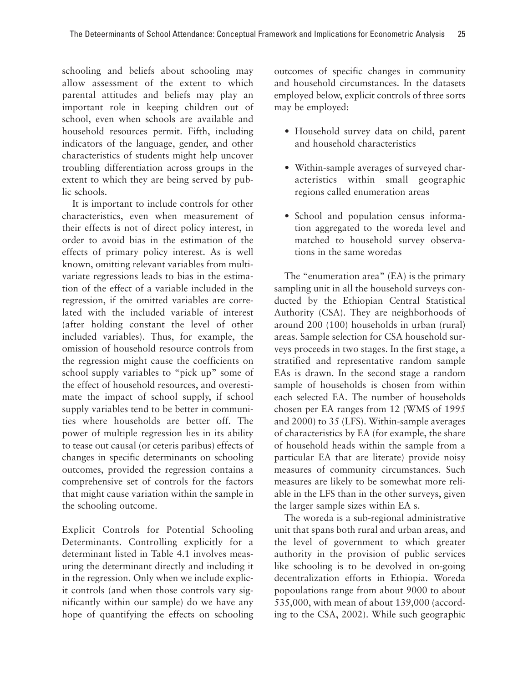schooling and beliefs about schooling may allow assessment of the extent to which parental attitudes and beliefs may play an important role in keeping children out of school, even when schools are available and household resources permit. Fifth, including indicators of the language, gender, and other characteristics of students might help uncover troubling differentiation across groups in the extent to which they are being served by public schools.

It is important to include controls for other characteristics, even when measurement of their effects is not of direct policy interest, in order to avoid bias in the estimation of the effects of primary policy interest. As is well known, omitting relevant variables from multivariate regressions leads to bias in the estimation of the effect of a variable included in the regression, if the omitted variables are correlated with the included variable of interest (after holding constant the level of other included variables). Thus, for example, the omission of household resource controls from the regression might cause the coefficients on school supply variables to "pick up" some of the effect of household resources, and overestimate the impact of school supply, if school supply variables tend to be better in communities where households are better off. The power of multiple regression lies in its ability to tease out causal (or ceteris paribus) effects of changes in specific determinants on schooling outcomes, provided the regression contains a comprehensive set of controls for the factors that might cause variation within the sample in the schooling outcome.

Explicit Controls for Potential Schooling Determinants. Controlling explicitly for a determinant listed in Table 4.1 involves measuring the determinant directly and including it in the regression. Only when we include explicit controls (and when those controls vary significantly within our sample) do we have any hope of quantifying the effects on schooling outcomes of specific changes in community and household circumstances. In the datasets employed below, explicit controls of three sorts may be employed:

- Household survey data on child, parent and household characteristics
- Within-sample averages of surveyed characteristics within small geographic regions called enumeration areas
- School and population census information aggregated to the woreda level and matched to household survey observations in the same woredas

The "enumeration area" (EA) is the primary sampling unit in all the household surveys conducted by the Ethiopian Central Statistical Authority (CSA). They are neighborhoods of around 200 (100) households in urban (rural) areas. Sample selection for CSA household surveys proceeds in two stages. In the first stage, a stratified and representative random sample EAs is drawn. In the second stage a random sample of households is chosen from within each selected EA. The number of households chosen per EA ranges from 12 (WMS of 1995 and 2000) to 35 (LFS). Within-sample averages of characteristics by EA (for example, the share of household heads within the sample from a particular EA that are literate) provide noisy measures of community circumstances. Such measures are likely to be somewhat more reliable in the LFS than in the other surveys, given the larger sample sizes within EA s.

The woreda is a sub-regional administrative unit that spans both rural and urban areas, and the level of government to which greater authority in the provision of public services like schooling is to be devolved in on-going decentralization efforts in Ethiopia. Woreda popoulations range from about 9000 to about 535,000, with mean of about 139,000 (according to the CSA, 2002). While such geographic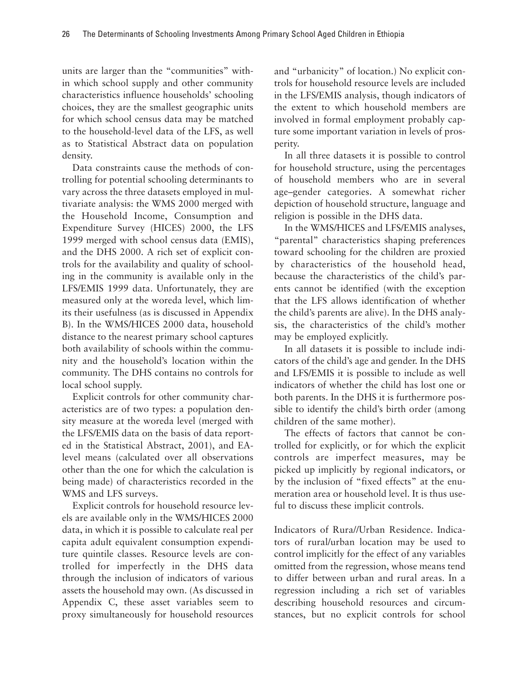units are larger than the "communities" within which school supply and other community characteristics influence households' schooling choices, they are the smallest geographic units for which school census data may be matched to the household-level data of the LFS, as well as to Statistical Abstract data on population density.

Data constraints cause the methods of controlling for potential schooling determinants to vary across the three datasets employed in multivariate analysis: the WMS 2000 merged with the Household Income, Consumption and Expenditure Survey (HICES) 2000, the LFS 1999 merged with school census data (EMIS), and the DHS 2000. A rich set of explicit controls for the availability and quality of schooling in the community is available only in the LFS/EMIS 1999 data. Unfortunately, they are measured only at the woreda level, which limits their usefulness (as is discussed in Appendix B). In the WMS/HICES 2000 data, household distance to the nearest primary school captures both availability of schools within the community and the household's location within the community. The DHS contains no controls for local school supply.

Explicit controls for other community characteristics are of two types: a population density measure at the woreda level (merged with the LFS/EMIS data on the basis of data reported in the Statistical Abstract, 2001), and EAlevel means (calculated over all observations other than the one for which the calculation is being made) of characteristics recorded in the WMS and LFS surveys.

Explicit controls for household resource levels are available only in the WMS/HICES 2000 data, in which it is possible to calculate real per capita adult equivalent consumption expenditure quintile classes. Resource levels are controlled for imperfectly in the DHS data through the inclusion of indicators of various assets the household may own. (As discussed in Appendix C, these asset variables seem to proxy simultaneously for household resources and "urbanicity" of location.) No explicit controls for household resource levels are included in the LFS/EMIS analysis, though indicators of the extent to which household members are involved in formal employment probably capture some important variation in levels of prosperity.

In all three datasets it is possible to control for household structure, using the percentages of household members who are in several age–gender categories. A somewhat richer depiction of household structure, language and religion is possible in the DHS data.

In the WMS/HICES and LFS/EMIS analyses, "parental" characteristics shaping preferences toward schooling for the children are proxied by characteristics of the household head, because the characteristics of the child's parents cannot be identified (with the exception that the LFS allows identification of whether the child's parents are alive). In the DHS analysis, the characteristics of the child's mother may be employed explicitly.

In all datasets it is possible to include indicators of the child's age and gender. In the DHS and LFS/EMIS it is possible to include as well indicators of whether the child has lost one or both parents. In the DHS it is furthermore possible to identify the child's birth order (among children of the same mother).

The effects of factors that cannot be controlled for explicitly, or for which the explicit controls are imperfect measures, may be picked up implicitly by regional indicators, or by the inclusion of "fixed effects" at the enumeration area or household level. It is thus useful to discuss these implicit controls.

Indicators of Rura//Urban Residence. Indicators of rural/urban location may be used to control implicitly for the effect of any variables omitted from the regression, whose means tend to differ between urban and rural areas. In a regression including a rich set of variables describing household resources and circumstances, but no explicit controls for school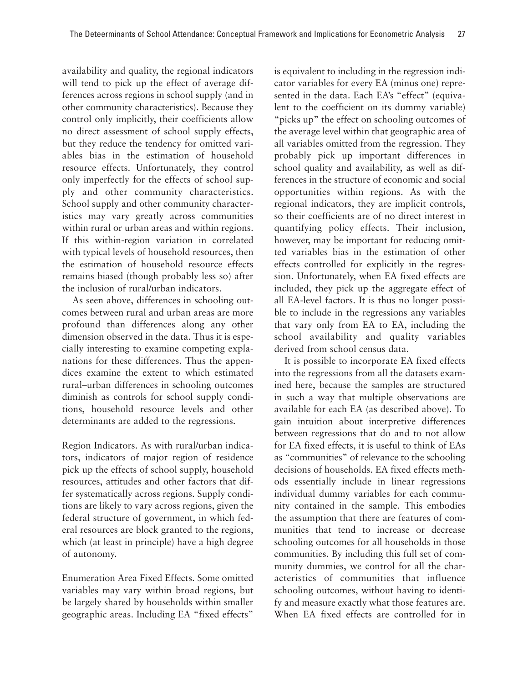availability and quality, the regional indicators will tend to pick up the effect of average differences across regions in school supply (and in other community characteristics). Because they control only implicitly, their coefficients allow no direct assessment of school supply effects, but they reduce the tendency for omitted variables bias in the estimation of household resource effects. Unfortunately, they control only imperfectly for the effects of school supply and other community characteristics. School supply and other community characteristics may vary greatly across communities within rural or urban areas and within regions. If this within-region variation in correlated with typical levels of household resources, then the estimation of household resource effects remains biased (though probably less so) after the inclusion of rural/urban indicators.

As seen above, differences in schooling outcomes between rural and urban areas are more profound than differences along any other dimension observed in the data. Thus it is especially interesting to examine competing explanations for these differences. Thus the appendices examine the extent to which estimated rural–urban differences in schooling outcomes diminish as controls for school supply conditions, household resource levels and other determinants are added to the regressions.

Region Indicators. As with rural/urban indicators, indicators of major region of residence pick up the effects of school supply, household resources, attitudes and other factors that differ systematically across regions. Supply conditions are likely to vary across regions, given the federal structure of government, in which federal resources are block granted to the regions, which (at least in principle) have a high degree of autonomy.

Enumeration Area Fixed Effects. Some omitted variables may vary within broad regions, but be largely shared by households within smaller geographic areas. Including EA "fixed effects" is equivalent to including in the regression indicator variables for every EA (minus one) represented in the data. Each EA's "effect" (equivalent to the coefficient on its dummy variable) "picks up" the effect on schooling outcomes of the average level within that geographic area of all variables omitted from the regression. They probably pick up important differences in school quality and availability, as well as differences in the structure of economic and social opportunities within regions. As with the regional indicators, they are implicit controls, so their coefficients are of no direct interest in quantifying policy effects. Their inclusion, however, may be important for reducing omitted variables bias in the estimation of other effects controlled for explicitly in the regression. Unfortunately, when EA fixed effects are included, they pick up the aggregate effect of all EA-level factors. It is thus no longer possible to include in the regressions any variables that vary only from EA to EA, including the school availability and quality variables derived from school census data.

It is possible to incorporate EA fixed effects into the regressions from all the datasets examined here, because the samples are structured in such a way that multiple observations are available for each EA (as described above). To gain intuition about interpretive differences between regressions that do and to not allow for EA fixed effects, it is useful to think of EAs as "communities" of relevance to the schooling decisions of households. EA fixed effects methods essentially include in linear regressions individual dummy variables for each community contained in the sample. This embodies the assumption that there are features of communities that tend to increase or decrease schooling outcomes for all households in those communities. By including this full set of community dummies, we control for all the characteristics of communities that influence schooling outcomes, without having to identify and measure exactly what those features are. When EA fixed effects are controlled for in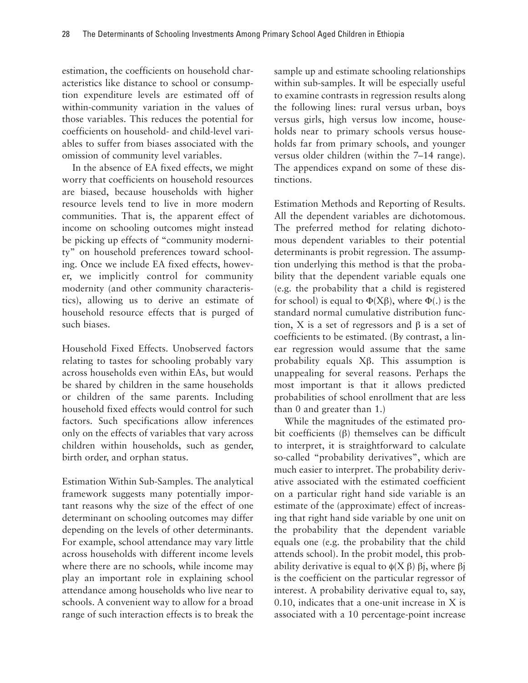estimation, the coefficients on household characteristics like distance to school or consumption expenditure levels are estimated off of within-community variation in the values of those variables. This reduces the potential for coefficients on household- and child-level variables to suffer from biases associated with the omission of community level variables.

In the absence of EA fixed effects, we might worry that coefficients on household resources are biased, because households with higher resource levels tend to live in more modern communities. That is, the apparent effect of income on schooling outcomes might instead be picking up effects of "community modernity" on household preferences toward schooling. Once we include EA fixed effects, however, we implicitly control for community modernity (and other community characteristics), allowing us to derive an estimate of household resource effects that is purged of such biases.

Household Fixed Effects. Unobserved factors relating to tastes for schooling probably vary across households even within EAs, but would be shared by children in the same households or children of the same parents. Including household fixed effects would control for such factors. Such specifications allow inferences only on the effects of variables that vary across children within households, such as gender, birth order, and orphan status.

Estimation Within Sub-Samples. The analytical framework suggests many potentially important reasons why the size of the effect of one determinant on schooling outcomes may differ depending on the levels of other determinants. For example, school attendance may vary little across households with different income levels where there are no schools, while income may play an important role in explaining school attendance among households who live near to schools. A convenient way to allow for a broad range of such interaction effects is to break the sample up and estimate schooling relationships within sub-samples. It will be especially useful to examine contrasts in regression results along the following lines: rural versus urban, boys versus girls, high versus low income, households near to primary schools versus households far from primary schools, and younger versus older children (within the 7–14 range). The appendices expand on some of these distinctions.

Estimation Methods and Reporting of Results. All the dependent variables are dichotomous. The preferred method for relating dichotomous dependent variables to their potential determinants is probit regression. The assumption underlying this method is that the probability that the dependent variable equals one (e.g. the probability that a child is registered for school) is equal to Φ(Xβ), where Φ(.) is the standard normal cumulative distribution function, X is a set of regressors and  $β$  is a set of coefficients to be estimated. (By contrast, a linear regression would assume that the same probability equals Xβ. This assumption is unappealing for several reasons. Perhaps the most important is that it allows predicted probabilities of school enrollment that are less than 0 and greater than 1.)

While the magnitudes of the estimated probit coefficients (β) themselves can be difficult to interpret, it is straightforward to calculate so-called "probability derivatives", which are much easier to interpret. The probability derivative associated with the estimated coefficient on a particular right hand side variable is an estimate of the (approximate) effect of increasing that right hand side variable by one unit on the probability that the dependent variable equals one (e.g. the probability that the child attends school). In the probit model, this probability derivative is equal to  $\phi(X \beta)$   $\beta$ j, where  $\beta$ j is the coefficient on the particular regressor of interest. A probability derivative equal to, say, 0.10, indicates that a one-unit increase in X is associated with a 10 percentage-point increase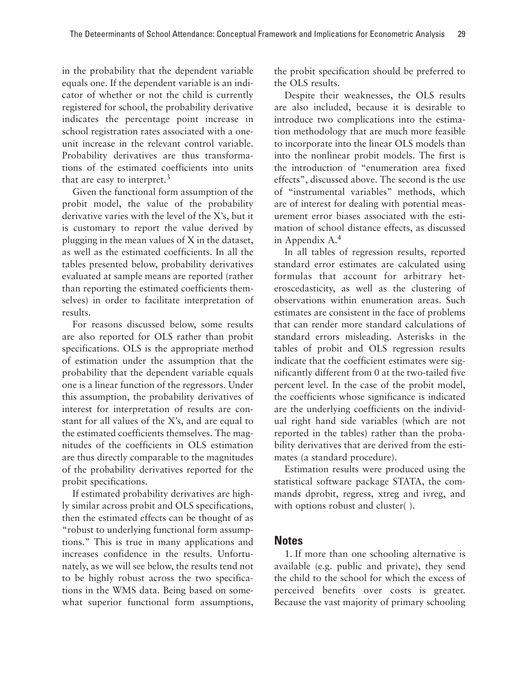in the probability that the dependent variable equals one. If the dependent variable is an indicator of whether or not the child is currently registered for school, the probability derivative indicates the percentage point increase in school registration rates associated with a oneunit increase in the relevant control variable. Probability derivatives are thus transformations of the estimated coefficients into units that are easy to interpret.<sup>3</sup>

Given the functional form assumption of the probit model, the value of the probability derivative varies with the level of the X's, but it is customary to report the value derived by plugging in the mean values of X in the dataset, as well as the estimated coefficients. In all the tables presented below, probability derivatives evaluated at sample means are reported (rather than reporting the estimated coefficients themselves) in order to facilitate interpretation of results.

For reasons discussed below, some results are also reported for OLS rather than probit specifications. OLS is the appropriate method of estimation under the assumption that the probability that the dependent variable equals one is a linear function of the regressors. Under this assumption, the probability derivatives of interest for interpretation of results are constant for all values of the X's, and are equal to the estimated coefficients themselves. The magnitudes of the coefficients in OLS estimation are thus directly comparable to the magnitudes of the probability derivatives reported for the probit specifications.

If estimated probability derivatives are highly similar across probit and OLS specifications, then the estimated effects can be thought of as "robust to underlying functional form assumptions." This is true in many applications and increases confidence in the results. Unfortunately, as we will see below, the results tend not to be highly robust across the two specifications in the WMS data. Being based on somewhat superior functional form assumptions, the probit specification should be preferred to the OLS results.

Despite their weaknesses, the OLS results are also included, because it is desirable to introduce two complications into the estimation methodology that are much more feasible to incorporate into the linear OLS models than into the nonlinear probit models. The first is the introduction of "enumeration area fixed effects", discussed above. The second is the use of "instrumental variables" methods, which are of interest for dealing with potential measurement error biases associated with the estimation of school distance effects, as discussed in Appendix A.4

In all tables of regression results, reported standard error estimates are calculated using formulas that account for arbitrary heteroscedasticity, as well as the clustering of observations within enumeration areas. Such estimates are consistent in the face of problems that can render more standard calculations of standard errors misleading. Asterisks in the tables of probit and OLS regression results indicate that the coefficient estimates were significantly different from 0 at the two-tailed five percent level. In the case of the probit model, the coefficients whose significance is indicated are the underlying coefficients on the individual right hand side variables (which are not reported in the tables) rather than the probability derivatives that are derived from the estimates (a standard procedure).

Estimation results were produced using the statistical software package STATA, the commands dprobit, regress, xtreg and ivreg, and with options robust and cluster().

### **Notes**

1. If more than one schooling alternative is available (e.g. public and private), they send the child to the school for which the excess of perceived benefits over costs is greater. Because the vast majority of primary schooling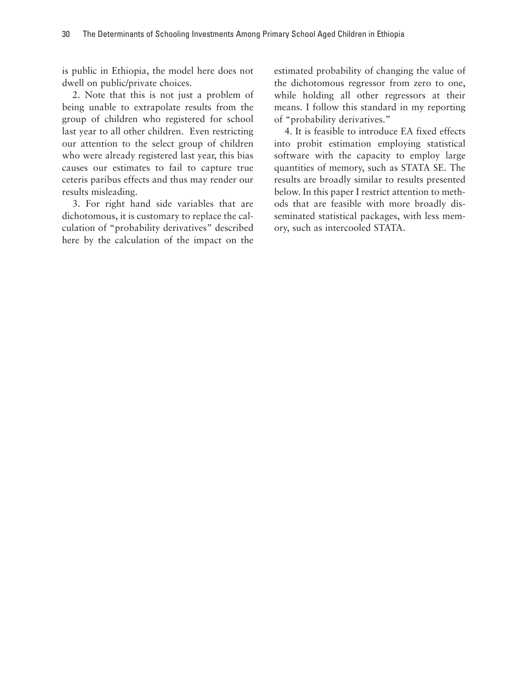is public in Ethiopia, the model here does not dwell on public/private choices.

2. Note that this is not just a problem of being unable to extrapolate results from the group of children who registered for school last year to all other children. Even restricting our attention to the select group of children who were already registered last year, this bias causes our estimates to fail to capture true ceteris paribus effects and thus may render our results misleading.

3. For right hand side variables that are dichotomous, it is customary to replace the calculation of "probability derivatives" described here by the calculation of the impact on the estimated probability of changing the value of the dichotomous regressor from zero to one, while holding all other regressors at their means. I follow this standard in my reporting of "probability derivatives."

4. It is feasible to introduce EA fixed effects into probit estimation employing statistical software with the capacity to employ large quantities of memory, such as STATA SE. The results are broadly similar to results presented below. In this paper I restrict attention to methods that are feasible with more broadly disseminated statistical packages, with less memory, such as intercooled STATA.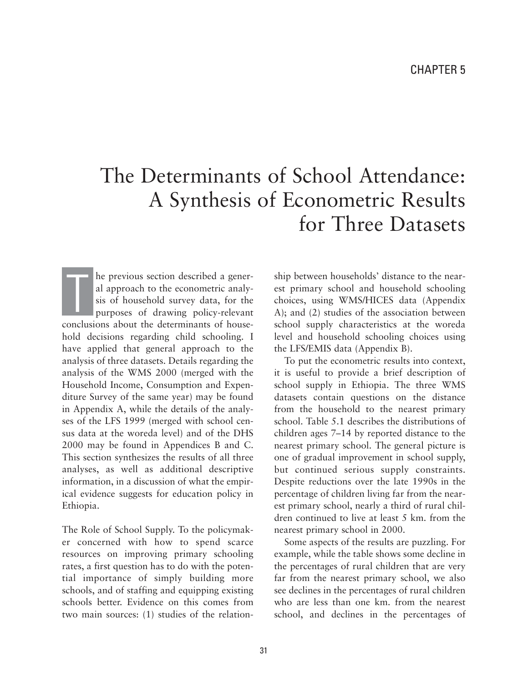# The Determinants of School Attendance: A Synthesis of Econometric Results for Three Datasets

he previous section described a general approach to the econometric analysis of household survey data, for the purposes of drawing policy-relevant conclusions about the determinants of household decisions regarding child schooling. I have applied that general approach to the analysis of three datasets. Details regarding the analysis of the WMS 2000 (merged with the Household Income, Consumption and Expenditure Survey of the same year) may be found in Appendix A, while the details of the analyses of the LFS 1999 (merged with school census data at the woreda level) and of the DHS 2000 may be found in Appendices B and C. This section synthesizes the results of all three analyses, as well as additional descriptive information, in a discussion of what the empirical evidence suggests for education policy in Ethiopia. T<br>T

The Role of School Supply. To the policymaker concerned with how to spend scarce resources on improving primary schooling rates, a first question has to do with the potential importance of simply building more schools, and of staffing and equipping existing schools better. Evidence on this comes from two main sources: (1) studies of the relationship between households' distance to the nearest primary school and household schooling choices, using WMS/HICES data (Appendix A); and (2) studies of the association between school supply characteristics at the woreda level and household schooling choices using the LFS/EMIS data (Appendix B).

To put the econometric results into context, it is useful to provide a brief description of school supply in Ethiopia. The three WMS datasets contain questions on the distance from the household to the nearest primary school. Table 5.1 describes the distributions of children ages 7–14 by reported distance to the nearest primary school. The general picture is one of gradual improvement in school supply, but continued serious supply constraints. Despite reductions over the late 1990s in the percentage of children living far from the nearest primary school, nearly a third of rural children continued to live at least 5 km. from the nearest primary school in 2000.

Some aspects of the results are puzzling. For example, while the table shows some decline in the percentages of rural children that are very far from the nearest primary school, we also see declines in the percentages of rural children who are less than one km. from the nearest school, and declines in the percentages of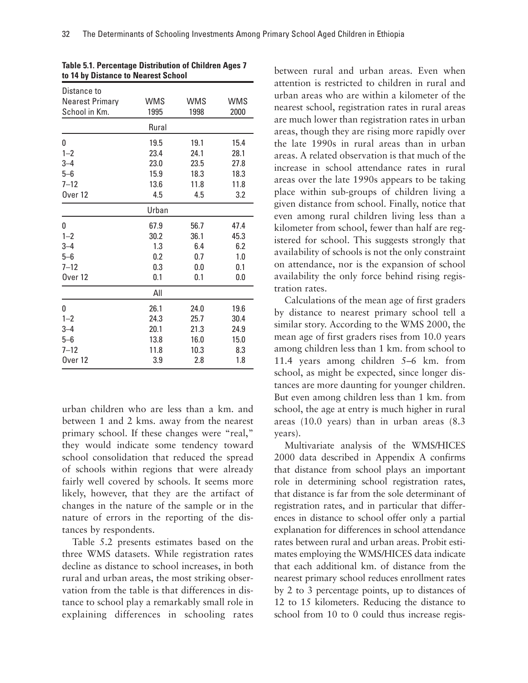|       |                    | <b>WMS</b>         |
|-------|--------------------|--------------------|
|       |                    | 2000               |
| Rural |                    |                    |
| 19.5  | 19.1               | 15.4               |
| 23.4  | 24.1               | 28.1               |
| 23.0  | 23.5               | 27.8               |
| 15.9  | 18.3               | 18.3               |
| 13.6  | 11.8               | 11.8               |
| 4.5   | 4.5                | 3.2                |
| Urban |                    |                    |
| 67.9  | 56.7               | 47.4               |
| 30.2  | 36.1               | 45.3               |
| 1.3   | 6.4                | 6.2                |
| 0.2   | 0.7                | 1.0                |
| 0.3   | 0.0                | 0.1                |
| 0.1   | 0.1                | 0.0                |
| All   |                    |                    |
| 26.1  | 24.0               | 19.6               |
| 24.3  | 25.7               | 30.4               |
| 20.1  | 21.3               | 24.9               |
| 13.8  | 16.0               | 15.0               |
| 11.8  | 10.3               | 8.3                |
| 3.9   | 2.8                | 1.8                |
|       | <b>WMS</b><br>1995 | <b>WMS</b><br>1998 |

**Table 5.1. Percentage Distribution of Children Ages 7 to 14 by Distance to Nearest School**

urban children who are less than a km. and between 1 and 2 kms. away from the nearest primary school. If these changes were "real," they would indicate some tendency toward school consolidation that reduced the spread of schools within regions that were already fairly well covered by schools. It seems more likely, however, that they are the artifact of changes in the nature of the sample or in the nature of errors in the reporting of the distances by respondents.

Table 5.2 presents estimates based on the three WMS datasets. While registration rates decline as distance to school increases, in both rural and urban areas, the most striking observation from the table is that differences in distance to school play a remarkably small role in explaining differences in schooling rates

between rural and urban areas. Even when attention is restricted to children in rural and urban areas who are within a kilometer of the nearest school, registration rates in rural areas are much lower than registration rates in urban areas, though they are rising more rapidly over the late 1990s in rural areas than in urban areas. A related observation is that much of the increase in school attendance rates in rural areas over the late 1990s appears to be taking place within sub-groups of children living a given distance from school. Finally, notice that even among rural children living less than a kilometer from school, fewer than half are registered for school. This suggests strongly that availability of schools is not the only constraint on attendance, nor is the expansion of school availability the only force behind rising registration rates.

Calculations of the mean age of first graders by distance to nearest primary school tell a similar story. According to the WMS 2000, the mean age of first graders rises from 10.0 years among children less than 1 km. from school to 11.4 years among children 5–6 km. from school, as might be expected, since longer distances are more daunting for younger children. But even among children less than 1 km. from school, the age at entry is much higher in rural areas (10.0 years) than in urban areas (8.3 years).

Multivariate analysis of the WMS/HICES 2000 data described in Appendix A confirms that distance from school plays an important role in determining school registration rates, that distance is far from the sole determinant of registration rates, and in particular that differences in distance to school offer only a partial explanation for differences in school attendance rates between rural and urban areas. Probit estimates employing the WMS/HICES data indicate that each additional km. of distance from the nearest primary school reduces enrollment rates by 2 to 3 percentage points, up to distances of 12 to 15 kilometers. Reducing the distance to school from 10 to 0 could thus increase regis-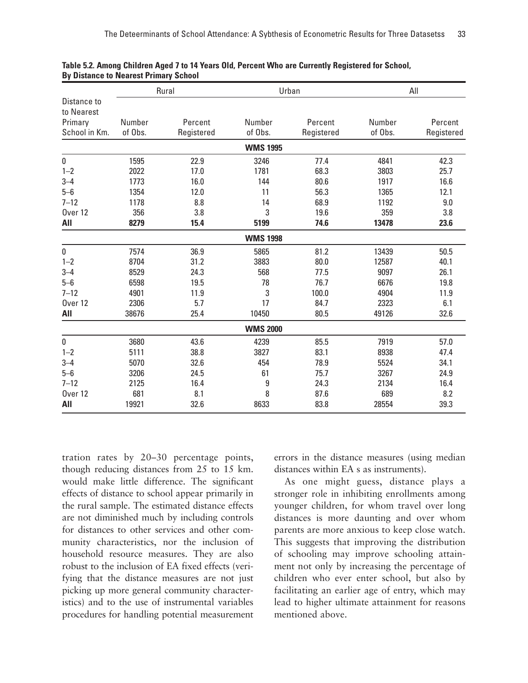|                           |         |            |                 | Rural<br>Urban |         | All        |  |  |
|---------------------------|---------|------------|-----------------|----------------|---------|------------|--|--|
| Distance to<br>to Nearest |         |            |                 |                |         |            |  |  |
| Primary                   | Number  | Percent    | Number          | Percent        | Number  | Percent    |  |  |
| School in Km.             | of Obs. | Registered | of Obs.         | Registered     | of Obs. | Registered |  |  |
|                           |         |            | <b>WMS 1995</b> |                |         |            |  |  |
| 0                         | 1595    | 22.9       | 3246            | 77.4           | 4841    | 42.3       |  |  |
| $1 - 2$                   | 2022    | 17.0       | 1781            | 68.3           | 3803    | 25.7       |  |  |
| $3 - 4$                   | 1773    | 16.0       | 144             | 80.6           | 1917    | 16.6       |  |  |
| $5 - 6$                   | 1354    | 12.0       | 11              | 56.3           | 1365    | 12.1       |  |  |
| $7 - 12$                  | 1178    | 8.8        | 14              | 68.9           | 1192    | 9.0        |  |  |
| Over <sub>12</sub>        | 356     | 3.8        | 3               | 19.6           | 359     | 3.8        |  |  |
| All                       | 8279    | 15.4       | 5199            | 74.6           | 13478   | 23.6       |  |  |
| <b>WMS 1998</b>           |         |            |                 |                |         |            |  |  |
| 0                         | 7574    | 36.9       | 5865            | 81.2           | 13439   | 50.5       |  |  |
| $1 - 2$                   | 8704    | 31.2       | 3883            | 80.0           | 12587   | 40.1       |  |  |
| $3 - 4$                   | 8529    | 24.3       | 568             | 77.5           | 9097    | 26.1       |  |  |
| $5 - 6$                   | 6598    | 19.5       | 78              | 76.7           | 6676    | 19.8       |  |  |
| $7 - 12$                  | 4901    | 11.9       | 3               | 100.0          | 4904    | 11.9       |  |  |
| Over <sub>12</sub>        | 2306    | 5.7        | 17              | 84.7           | 2323    | 6.1        |  |  |
| All                       | 38676   | 25.4       | 10450           | 80.5           | 49126   | 32.6       |  |  |
|                           |         |            | <b>WMS 2000</b> |                |         |            |  |  |
| 0                         | 3680    | 43.6       | 4239            | 85.5           | 7919    | 57.0       |  |  |
| $1 - 2$                   | 5111    | 38.8       | 3827            | 83.1           | 8938    | 47.4       |  |  |
| $3 - 4$                   | 5070    | 32.6       | 454             | 78.9           | 5524    | 34.1       |  |  |
| $5-6$                     | 3206    | 24.5       | 61              | 75.7           | 3267    | 24.9       |  |  |
| $7 - 12$                  | 2125    | 16.4       | 9               | 24.3           | 2134    | 16.4       |  |  |
| Over <sub>12</sub>        | 681     | 8.1        | 8               | 87.6           | 689     | 8.2        |  |  |
| AII                       | 19921   | 32.6       | 8633            | 83.8           | 28554   | 39.3       |  |  |

#### **Table 5.2. Among Children Aged 7 to 14 Years Old, Percent Who are Currently Registered for School, By Distance to Nearest Primary School**

tration rates by 20–30 percentage points, though reducing distances from 25 to 15 km. would make little difference. The significant effects of distance to school appear primarily in the rural sample. The estimated distance effects are not diminished much by including controls for distances to other services and other community characteristics, nor the inclusion of household resource measures. They are also robust to the inclusion of EA fixed effects (verifying that the distance measures are not just picking up more general community characteristics) and to the use of instrumental variables procedures for handling potential measurement errors in the distance measures (using median distances within EA s as instruments).

As one might guess, distance plays a stronger role in inhibiting enrollments among younger children, for whom travel over long distances is more daunting and over whom parents are more anxious to keep close watch. This suggests that improving the distribution of schooling may improve schooling attainment not only by increasing the percentage of children who ever enter school, but also by facilitating an earlier age of entry, which may lead to higher ultimate attainment for reasons mentioned above.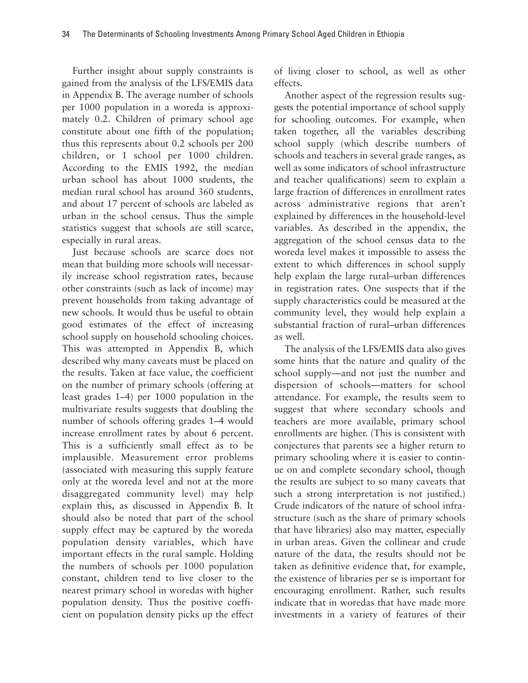Further insight about supply constraints is gained from the analysis of the LFS/EMIS data in Appendix B. The average number of schools per 1000 population in a woreda is approximately 0.2. Children of primary school age constitute about one fifth of the population; thus this represents about 0.2 schools per 200 children, or 1 school per 1000 children. According to the EMIS 1992, the median urban school has about 1000 students, the median rural school has around 360 students, and about 17 percent of schools are labeled as urban in the school census. Thus the simple statistics suggest that schools are still scarce, especially in rural areas.

Just because schools are scarce does not mean that building more schools will necessarily increase school registration rates, because other constraints (such as lack of income) may prevent households from taking advantage of new schools. It would thus be useful to obtain good estimates of the effect of increasing school supply on household schooling choices. This was attempted in Appendix B, which described why many caveats must be placed on the results. Taken at face value, the coefficient on the number of primary schools (offering at least grades 1–4) per 1000 population in the multivariate results suggests that doubling the number of schools offering grades 1–4 would increase enrollment rates by about 6 percent. This is a sufficiently small effect as to be implausible. Measurement error problems (associated with measuring this supply feature only at the woreda level and not at the more disaggregated community level) may help explain this, as discussed in Appendix B. It should also be noted that part of the school supply effect may be captured by the woreda population density variables, which have important effects in the rural sample. Holding the numbers of schools per 1000 population constant, children tend to live closer to the nearest primary school in woredas with higher population density. Thus the positive coefficient on population density picks up the effect of living closer to school, as well as other effects.

Another aspect of the regression results suggests the potential importance of school supply for schooling outcomes. For example, when taken together, all the variables describing school supply (which describe numbers of schools and teachers in several grade ranges, as well as some indicators of school infrastructure and teacher qualifications) seem to explain a large fraction of differences in enrollment rates across administrative regions that aren't explained by differences in the household-level variables. As described in the appendix, the aggregation of the school census data to the woreda level makes it impossible to assess the extent to which differences in school supply help explain the large rural–urban differences in registration rates. One suspects that if the supply characteristics could be measured at the community level, they would help explain a substantial fraction of rural–urban differences as well.

The analysis of the LFS/EMIS data also gives some hints that the nature and quality of the school supply—and not just the number and dispersion of schools—matters for school attendance. For example, the results seem to suggest that where secondary schools and teachers are more available, primary school enrollments are higher. (This is consistent with conjectures that parents see a higher return to primary schooling where it is easier to continue on and complete secondary school, though the results are subject to so many caveats that such a strong interpretation is not justified.) Crude indicators of the nature of school infrastructure (such as the share of primary schools that have libraries) also may matter, especially in urban areas. Given the collinear and crude nature of the data, the results should not be taken as definitive evidence that, for example, the existence of libraries per se is important for encouraging enrollment. Rather, such results indicate that in woredas that have made more investments in a variety of features of their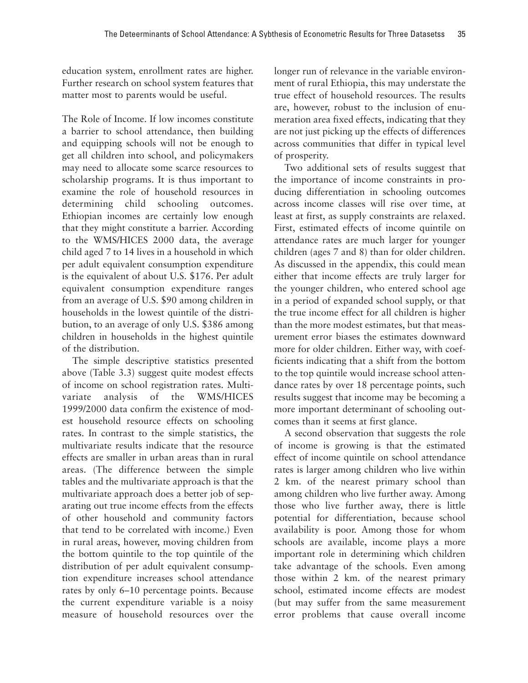education system, enrollment rates are higher. Further research on school system features that matter most to parents would be useful.

The Role of Income. If low incomes constitute a barrier to school attendance, then building and equipping schools will not be enough to get all children into school, and policymakers may need to allocate some scarce resources to scholarship programs. It is thus important to examine the role of household resources in determining child schooling outcomes. Ethiopian incomes are certainly low enough that they might constitute a barrier. According to the WMS/HICES 2000 data, the average child aged 7 to 14 lives in a household in which per adult equivalent consumption expenditure is the equivalent of about U.S. \$176. Per adult equivalent consumption expenditure ranges from an average of U.S. \$90 among children in households in the lowest quintile of the distribution, to an average of only U.S. \$386 among children in households in the highest quintile of the distribution.

The simple descriptive statistics presented above (Table 3.3) suggest quite modest effects of income on school registration rates. Multivariate analysis of the WMS/HICES 1999/2000 data confirm the existence of modest household resource effects on schooling rates. In contrast to the simple statistics, the multivariate results indicate that the resource effects are smaller in urban areas than in rural areas. (The difference between the simple tables and the multivariate approach is that the multivariate approach does a better job of separating out true income effects from the effects of other household and community factors that tend to be correlated with income.) Even in rural areas, however, moving children from the bottom quintile to the top quintile of the distribution of per adult equivalent consumption expenditure increases school attendance rates by only 6–10 percentage points. Because the current expenditure variable is a noisy measure of household resources over the longer run of relevance in the variable environment of rural Ethiopia, this may understate the true effect of household resources. The results are, however, robust to the inclusion of enumeration area fixed effects, indicating that they are not just picking up the effects of differences across communities that differ in typical level of prosperity.

Two additional sets of results suggest that the importance of income constraints in producing differentiation in schooling outcomes across income classes will rise over time, at least at first, as supply constraints are relaxed. First, estimated effects of income quintile on attendance rates are much larger for younger children (ages 7 and 8) than for older children. As discussed in the appendix, this could mean either that income effects are truly larger for the younger children, who entered school age in a period of expanded school supply, or that the true income effect for all children is higher than the more modest estimates, but that measurement error biases the estimates downward more for older children. Either way, with coefficients indicating that a shift from the bottom to the top quintile would increase school attendance rates by over 18 percentage points, such results suggest that income may be becoming a more important determinant of schooling outcomes than it seems at first glance.

A second observation that suggests the role of income is growing is that the estimated effect of income quintile on school attendance rates is larger among children who live within 2 km. of the nearest primary school than among children who live further away. Among those who live further away, there is little potential for differentiation, because school availability is poor. Among those for whom schools are available, income plays a more important role in determining which children take advantage of the schools. Even among those within 2 km. of the nearest primary school, estimated income effects are modest (but may suffer from the same measurement error problems that cause overall income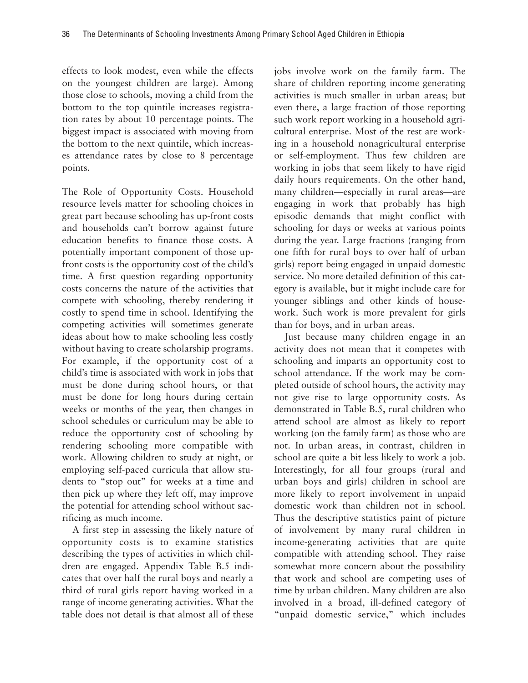effects to look modest, even while the effects on the youngest children are large). Among those close to schools, moving a child from the bottom to the top quintile increases registration rates by about 10 percentage points. The biggest impact is associated with moving from the bottom to the next quintile, which increases attendance rates by close to 8 percentage points.

The Role of Opportunity Costs. Household resource levels matter for schooling choices in great part because schooling has up-front costs and households can't borrow against future education benefits to finance those costs. A potentially important component of those upfront costs is the opportunity cost of the child's time. A first question regarding opportunity costs concerns the nature of the activities that compete with schooling, thereby rendering it costly to spend time in school. Identifying the competing activities will sometimes generate ideas about how to make schooling less costly without having to create scholarship programs. For example, if the opportunity cost of a child's time is associated with work in jobs that must be done during school hours, or that must be done for long hours during certain weeks or months of the year, then changes in school schedules or curriculum may be able to reduce the opportunity cost of schooling by rendering schooling more compatible with work. Allowing children to study at night, or employing self-paced curricula that allow students to "stop out" for weeks at a time and then pick up where they left off, may improve the potential for attending school without sacrificing as much income.

A first step in assessing the likely nature of opportunity costs is to examine statistics describing the types of activities in which children are engaged. Appendix Table B.5 indicates that over half the rural boys and nearly a third of rural girls report having worked in a range of income generating activities. What the table does not detail is that almost all of these

jobs involve work on the family farm. The share of children reporting income generating activities is much smaller in urban areas; but even there, a large fraction of those reporting such work report working in a household agricultural enterprise. Most of the rest are working in a household nonagricultural enterprise or self-employment. Thus few children are working in jobs that seem likely to have rigid daily hours requirements. On the other hand, many children—especially in rural areas—are engaging in work that probably has high episodic demands that might conflict with schooling for days or weeks at various points during the year. Large fractions (ranging from one fifth for rural boys to over half of urban girls) report being engaged in unpaid domestic service. No more detailed definition of this category is available, but it might include care for younger siblings and other kinds of housework. Such work is more prevalent for girls than for boys, and in urban areas.

Just because many children engage in an activity does not mean that it competes with schooling and imparts an opportunity cost to school attendance. If the work may be completed outside of school hours, the activity may not give rise to large opportunity costs. As demonstrated in Table B.5, rural children who attend school are almost as likely to report working (on the family farm) as those who are not. In urban areas, in contrast, children in school are quite a bit less likely to work a job. Interestingly, for all four groups (rural and urban boys and girls) children in school are more likely to report involvement in unpaid domestic work than children not in school. Thus the descriptive statistics paint of picture of involvement by many rural children in income-generating activities that are quite compatible with attending school. They raise somewhat more concern about the possibility that work and school are competing uses of time by urban children. Many children are also involved in a broad, ill-defined category of "unpaid domestic service," which includes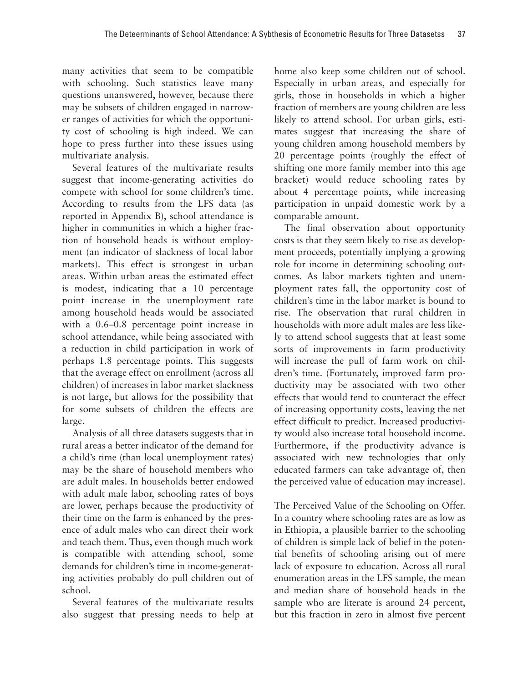many activities that seem to be compatible with schooling. Such statistics leave many questions unanswered, however, because there may be subsets of children engaged in narrower ranges of activities for which the opportunity cost of schooling is high indeed. We can hope to press further into these issues using multivariate analysis.

Several features of the multivariate results suggest that income-generating activities do compete with school for some children's time. According to results from the LFS data (as reported in Appendix B), school attendance is higher in communities in which a higher fraction of household heads is without employment (an indicator of slackness of local labor markets). This effect is strongest in urban areas. Within urban areas the estimated effect is modest, indicating that a 10 percentage point increase in the unemployment rate among household heads would be associated with a 0.6–0.8 percentage point increase in school attendance, while being associated with a reduction in child participation in work of perhaps 1.8 percentage points. This suggests that the average effect on enrollment (across all children) of increases in labor market slackness is not large, but allows for the possibility that for some subsets of children the effects are large.

Analysis of all three datasets suggests that in rural areas a better indicator of the demand for a child's time (than local unemployment rates) may be the share of household members who are adult males. In households better endowed with adult male labor, schooling rates of boys are lower, perhaps because the productivity of their time on the farm is enhanced by the presence of adult males who can direct their work and teach them. Thus, even though much work is compatible with attending school, some demands for children's time in income-generating activities probably do pull children out of school.

Several features of the multivariate results also suggest that pressing needs to help at home also keep some children out of school. Especially in urban areas, and especially for girls, those in households in which a higher fraction of members are young children are less likely to attend school. For urban girls, estimates suggest that increasing the share of young children among household members by 20 percentage points (roughly the effect of shifting one more family member into this age bracket) would reduce schooling rates by about 4 percentage points, while increasing participation in unpaid domestic work by a comparable amount.

The final observation about opportunity costs is that they seem likely to rise as development proceeds, potentially implying a growing role for income in determining schooling outcomes. As labor markets tighten and unemployment rates fall, the opportunity cost of children's time in the labor market is bound to rise. The observation that rural children in households with more adult males are less likely to attend school suggests that at least some sorts of improvements in farm productivity will increase the pull of farm work on children's time. (Fortunately, improved farm productivity may be associated with two other effects that would tend to counteract the effect of increasing opportunity costs, leaving the net effect difficult to predict. Increased productivity would also increase total household income. Furthermore, if the productivity advance is associated with new technologies that only educated farmers can take advantage of, then the perceived value of education may increase).

The Perceived Value of the Schooling on Offer. In a country where schooling rates are as low as in Ethiopia, a plausible barrier to the schooling of children is simple lack of belief in the potential benefits of schooling arising out of mere lack of exposure to education. Across all rural enumeration areas in the LFS sample, the mean and median share of household heads in the sample who are literate is around 24 percent, but this fraction in zero in almost five percent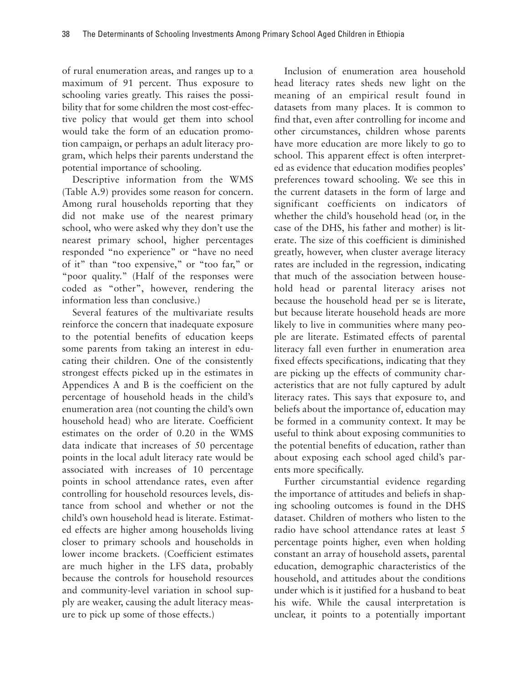of rural enumeration areas, and ranges up to a maximum of 91 percent. Thus exposure to schooling varies greatly. This raises the possibility that for some children the most cost-effective policy that would get them into school would take the form of an education promotion campaign, or perhaps an adult literacy program, which helps their parents understand the potential importance of schooling.

Descriptive information from the WMS (Table A.9) provides some reason for concern. Among rural households reporting that they did not make use of the nearest primary school, who were asked why they don't use the nearest primary school, higher percentages responded "no experience" or "have no need of it" than "too expensive," or "too far," or "poor quality." (Half of the responses were coded as "other", however, rendering the information less than conclusive.)

Several features of the multivariate results reinforce the concern that inadequate exposure to the potential benefits of education keeps some parents from taking an interest in educating their children. One of the consistently strongest effects picked up in the estimates in Appendices A and B is the coefficient on the percentage of household heads in the child's enumeration area (not counting the child's own household head) who are literate. Coefficient estimates on the order of 0.20 in the WMS data indicate that increases of 50 percentage points in the local adult literacy rate would be associated with increases of 10 percentage points in school attendance rates, even after controlling for household resources levels, distance from school and whether or not the child's own household head is literate. Estimated effects are higher among households living closer to primary schools and households in lower income brackets. (Coefficient estimates are much higher in the LFS data, probably because the controls for household resources and community-level variation in school supply are weaker, causing the adult literacy measure to pick up some of those effects.)

Inclusion of enumeration area household head literacy rates sheds new light on the meaning of an empirical result found in datasets from many places. It is common to find that, even after controlling for income and other circumstances, children whose parents have more education are more likely to go to school. This apparent effect is often interpreted as evidence that education modifies peoples' preferences toward schooling. We see this in the current datasets in the form of large and significant coefficients on indicators of whether the child's household head (or, in the case of the DHS, his father and mother) is literate. The size of this coefficient is diminished greatly, however, when cluster average literacy rates are included in the regression, indicating that much of the association between household head or parental literacy arises not because the household head per se is literate, but because literate household heads are more likely to live in communities where many people are literate. Estimated effects of parental literacy fall even further in enumeration area fixed effects specifications, indicating that they are picking up the effects of community characteristics that are not fully captured by adult literacy rates. This says that exposure to, and beliefs about the importance of, education may be formed in a community context. It may be useful to think about exposing communities to the potential benefits of education, rather than about exposing each school aged child's parents more specifically.

Further circumstantial evidence regarding the importance of attitudes and beliefs in shaping schooling outcomes is found in the DHS dataset. Children of mothers who listen to the radio have school attendance rates at least 5 percentage points higher, even when holding constant an array of household assets, parental education, demographic characteristics of the household, and attitudes about the conditions under which is it justified for a husband to beat his wife. While the causal interpretation is unclear, it points to a potentially important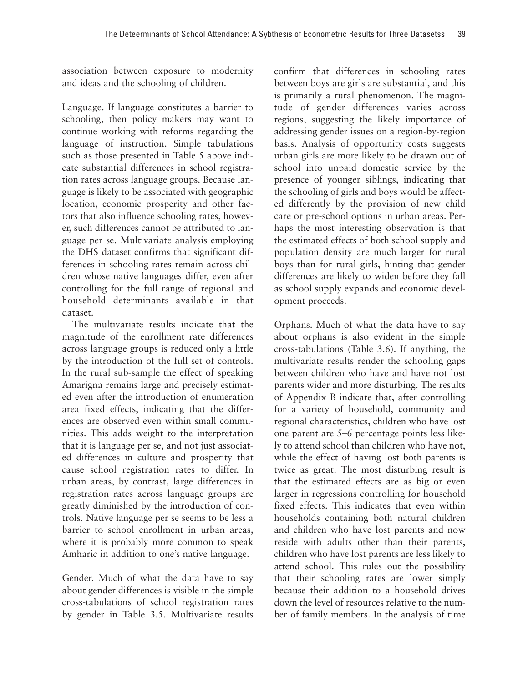association between exposure to modernity and ideas and the schooling of children.

Language. If language constitutes a barrier to schooling, then policy makers may want to continue working with reforms regarding the language of instruction. Simple tabulations such as those presented in Table 5 above indicate substantial differences in school registration rates across language groups. Because language is likely to be associated with geographic location, economic prosperity and other factors that also influence schooling rates, however, such differences cannot be attributed to language per se. Multivariate analysis employing the DHS dataset confirms that significant differences in schooling rates remain across children whose native languages differ, even after controlling for the full range of regional and household determinants available in that dataset.

The multivariate results indicate that the magnitude of the enrollment rate differences across language groups is reduced only a little by the introduction of the full set of controls. In the rural sub-sample the effect of speaking Amarigna remains large and precisely estimated even after the introduction of enumeration area fixed effects, indicating that the differences are observed even within small communities. This adds weight to the interpretation that it is language per se, and not just associated differences in culture and prosperity that cause school registration rates to differ. In urban areas, by contrast, large differences in registration rates across language groups are greatly diminished by the introduction of controls. Native language per se seems to be less a barrier to school enrollment in urban areas, where it is probably more common to speak Amharic in addition to one's native language.

Gender. Much of what the data have to say about gender differences is visible in the simple cross-tabulations of school registration rates by gender in Table 3.5. Multivariate results confirm that differences in schooling rates between boys are girls are substantial, and this is primarily a rural phenomenon. The magnitude of gender differences varies across regions, suggesting the likely importance of addressing gender issues on a region-by-region basis. Analysis of opportunity costs suggests urban girls are more likely to be drawn out of school into unpaid domestic service by the presence of younger siblings, indicating that the schooling of girls and boys would be affected differently by the provision of new child care or pre-school options in urban areas. Perhaps the most interesting observation is that the estimated effects of both school supply and population density are much larger for rural boys than for rural girls, hinting that gender differences are likely to widen before they fall as school supply expands and economic development proceeds.

Orphans. Much of what the data have to say about orphans is also evident in the simple cross-tabulations (Table 3.6). If anything, the multivariate results render the schooling gaps between children who have and have not lost parents wider and more disturbing. The results of Appendix B indicate that, after controlling for a variety of household, community and regional characteristics, children who have lost one parent are 5–6 percentage points less likely to attend school than children who have not, while the effect of having lost both parents is twice as great. The most disturbing result is that the estimated effects are as big or even larger in regressions controlling for household fixed effects. This indicates that even within households containing both natural children and children who have lost parents and now reside with adults other than their parents, children who have lost parents are less likely to attend school. This rules out the possibility that their schooling rates are lower simply because their addition to a household drives down the level of resources relative to the number of family members. In the analysis of time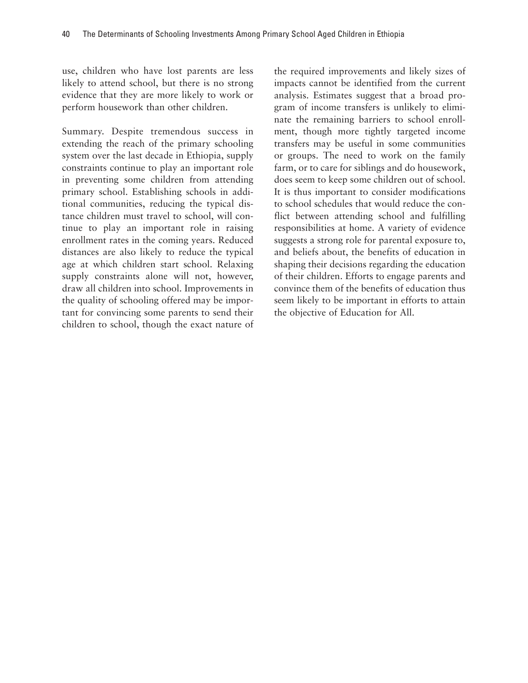use, children who have lost parents are less likely to attend school, but there is no strong evidence that they are more likely to work or perform housework than other children.

Summary. Despite tremendous success in extending the reach of the primary schooling system over the last decade in Ethiopia, supply constraints continue to play an important role in preventing some children from attending primary school. Establishing schools in additional communities, reducing the typical distance children must travel to school, will continue to play an important role in raising enrollment rates in the coming years. Reduced distances are also likely to reduce the typical age at which children start school. Relaxing supply constraints alone will not, however, draw all children into school. Improvements in the quality of schooling offered may be important for convincing some parents to send their children to school, though the exact nature of the required improvements and likely sizes of impacts cannot be identified from the current analysis. Estimates suggest that a broad program of income transfers is unlikely to eliminate the remaining barriers to school enrollment, though more tightly targeted income transfers may be useful in some communities or groups. The need to work on the family farm, or to care for siblings and do housework, does seem to keep some children out of school. It is thus important to consider modifications to school schedules that would reduce the conflict between attending school and fulfilling responsibilities at home. A variety of evidence suggests a strong role for parental exposure to, and beliefs about, the benefits of education in shaping their decisions regarding the education of their children. Efforts to engage parents and convince them of the benefits of education thus seem likely to be important in efforts to attain the objective of Education for All.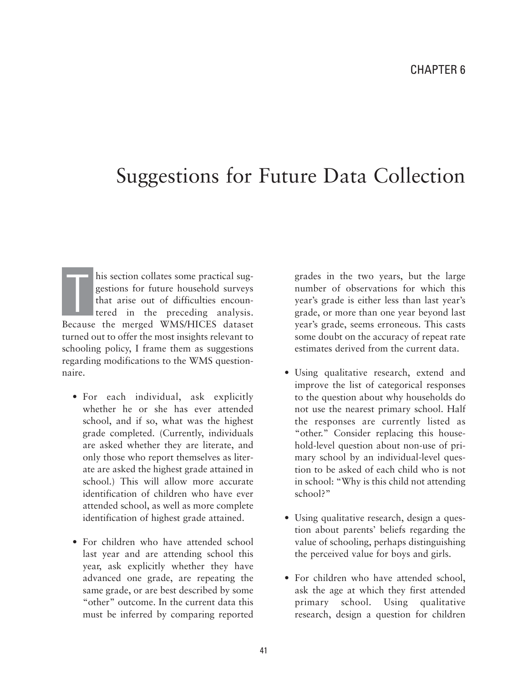## Suggestions for Future Data Collection

his section collates some practical suggestions for future household surveys that arise out of difficulties encountered in the preceding analysis. Because the merged WMS/HICES dataset turned out to offer the most insights relevant to schooling policy, I frame them as suggestions regarding modifications to the WMS questionnaire. T

- For each individual, ask explicitly whether he or she has ever attended school, and if so, what was the highest grade completed. (Currently, individuals are asked whether they are literate, and only those who report themselves as literate are asked the highest grade attained in school.) This will allow more accurate identification of children who have ever attended school, as well as more complete identification of highest grade attained.
- For children who have attended school last year and are attending school this year, ask explicitly whether they have advanced one grade, are repeating the same grade, or are best described by some "other" outcome. In the current data this must be inferred by comparing reported

grades in the two years, but the large number of observations for which this year's grade is either less than last year's grade, or more than one year beyond last year's grade, seems erroneous. This casts some doubt on the accuracy of repeat rate estimates derived from the current data.

- Using qualitative research, extend and improve the list of categorical responses to the question about why households do not use the nearest primary school. Half the responses are currently listed as "other." Consider replacing this household-level question about non-use of primary school by an individual-level question to be asked of each child who is not in school: "Why is this child not attending school?"
- Using qualitative research, design a question about parents' beliefs regarding the value of schooling, perhaps distinguishing the perceived value for boys and girls.
- For children who have attended school, ask the age at which they first attended primary school. Using qualitative research, design a question for children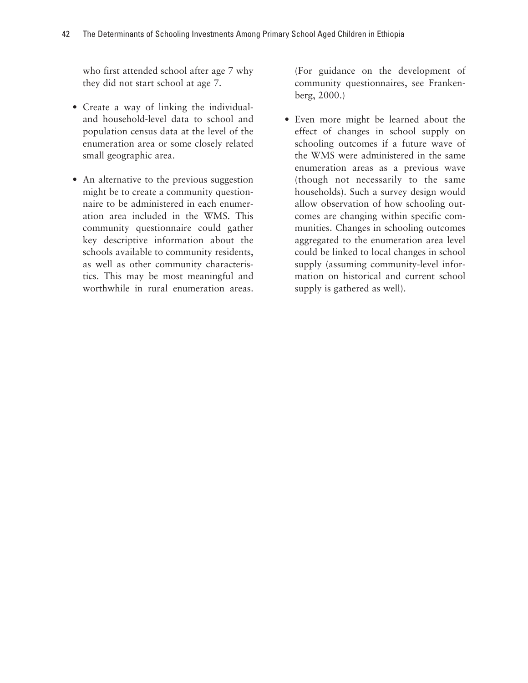who first attended school after age 7 why they did not start school at age 7.

- Create a way of linking the individualand household-level data to school and population census data at the level of the enumeration area or some closely related small geographic area.
- An alternative to the previous suggestion might be to create a community questionnaire to be administered in each enumeration area included in the WMS. This community questionnaire could gather key descriptive information about the schools available to community residents, as well as other community characteristics. This may be most meaningful and worthwhile in rural enumeration areas.

(For guidance on the development of community questionnaires, see Frankenberg, 2000.)

• Even more might be learned about the effect of changes in school supply on schooling outcomes if a future wave of the WMS were administered in the same enumeration areas as a previous wave (though not necessarily to the same households). Such a survey design would allow observation of how schooling outcomes are changing within specific communities. Changes in schooling outcomes aggregated to the enumeration area level could be linked to local changes in school supply (assuming community-level information on historical and current school supply is gathered as well).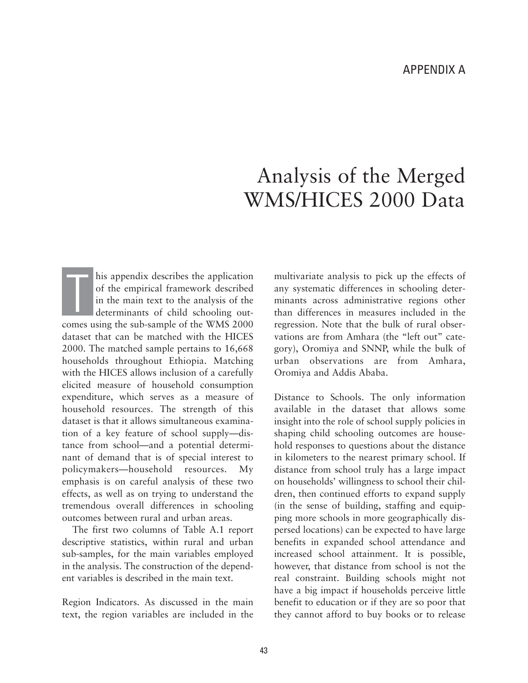# Analysis of the Merged WMS/HICES 2000 Data

his appendix describes the application of the empirical framework described in the main text to the analysis of the determinants of child schooling outcomes using the sub-sample of the WMS 2000 dataset that can be matched with the HICES 2000. The matched sample pertains to 16,668 households throughout Ethiopia. Matching with the HICES allows inclusion of a carefully elicited measure of household consumption expenditure, which serves as a measure of household resources. The strength of this dataset is that it allows simultaneous examination of a key feature of school supply—distance from school—and a potential determinant of demand that is of special interest to policymakers—household resources. My emphasis is on careful analysis of these two effects, as well as on trying to understand the tremendous overall differences in schooling outcomes between rural and urban areas. T

The first two columns of Table A.1 report descriptive statistics, within rural and urban sub-samples, for the main variables employed in the analysis. The construction of the dependent variables is described in the main text.

Region Indicators. As discussed in the main text, the region variables are included in the multivariate analysis to pick up the effects of any systematic differences in schooling determinants across administrative regions other than differences in measures included in the regression. Note that the bulk of rural observations are from Amhara (the "left out" category), Oromiya and SNNP, while the bulk of urban observations are from Amhara, Oromiya and Addis Ababa.

Distance to Schools. The only information available in the dataset that allows some insight into the role of school supply policies in shaping child schooling outcomes are household responses to questions about the distance in kilometers to the nearest primary school. If distance from school truly has a large impact on households' willingness to school their children, then continued efforts to expand supply (in the sense of building, staffing and equipping more schools in more geographically dispersed locations) can be expected to have large benefits in expanded school attendance and increased school attainment. It is possible, however, that distance from school is not the real constraint. Building schools might not have a big impact if households perceive little benefit to education or if they are so poor that they cannot afford to buy books or to release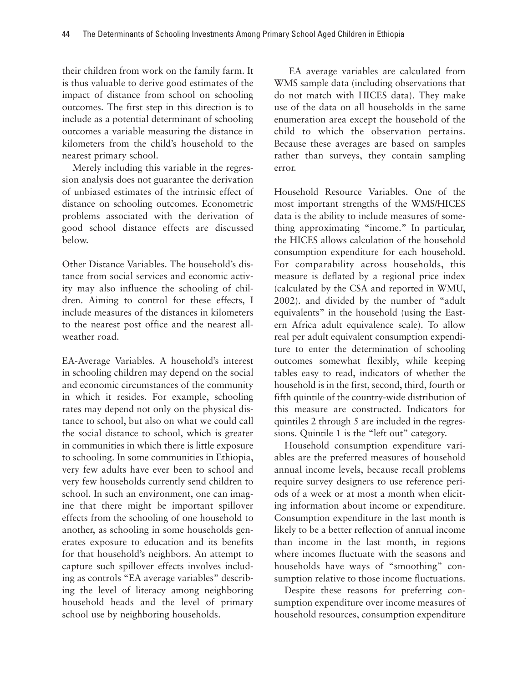their children from work on the family farm. It is thus valuable to derive good estimates of the impact of distance from school on schooling outcomes. The first step in this direction is to include as a potential determinant of schooling outcomes a variable measuring the distance in kilometers from the child's household to the nearest primary school.

Merely including this variable in the regression analysis does not guarantee the derivation of unbiased estimates of the intrinsic effect of distance on schooling outcomes. Econometric problems associated with the derivation of good school distance effects are discussed below.

Other Distance Variables. The household's distance from social services and economic activity may also influence the schooling of children. Aiming to control for these effects, I include measures of the distances in kilometers to the nearest post office and the nearest allweather road.

EA-Average Variables. A household's interest in schooling children may depend on the social and economic circumstances of the community in which it resides. For example, schooling rates may depend not only on the physical distance to school, but also on what we could call the social distance to school, which is greater in communities in which there is little exposure to schooling. In some communities in Ethiopia, very few adults have ever been to school and very few households currently send children to school. In such an environment, one can imagine that there might be important spillover effects from the schooling of one household to another, as schooling in some households generates exposure to education and its benefits for that household's neighbors. An attempt to capture such spillover effects involves including as controls "EA average variables" describing the level of literacy among neighboring household heads and the level of primary school use by neighboring households.

EA average variables are calculated from WMS sample data (including observations that do not match with HICES data). They make use of the data on all households in the same enumeration area except the household of the child to which the observation pertains. Because these averages are based on samples rather than surveys, they contain sampling error.

Household Resource Variables. One of the most important strengths of the WMS/HICES data is the ability to include measures of something approximating "income." In particular, the HICES allows calculation of the household consumption expenditure for each household. For comparability across households, this measure is deflated by a regional price index (calculated by the CSA and reported in WMU, 2002). and divided by the number of "adult equivalents" in the household (using the Eastern Africa adult equivalence scale). To allow real per adult equivalent consumption expenditure to enter the determination of schooling outcomes somewhat flexibly, while keeping tables easy to read, indicators of whether the household is in the first, second, third, fourth or fifth quintile of the country-wide distribution of this measure are constructed. Indicators for quintiles 2 through 5 are included in the regressions. Quintile 1 is the "left out" category.

Household consumption expenditure variables are the preferred measures of household annual income levels, because recall problems require survey designers to use reference periods of a week or at most a month when eliciting information about income or expenditure. Consumption expenditure in the last month is likely to be a better reflection of annual income than income in the last month, in regions where incomes fluctuate with the seasons and households have ways of "smoothing" consumption relative to those income fluctuations.

Despite these reasons for preferring consumption expenditure over income measures of household resources, consumption expenditure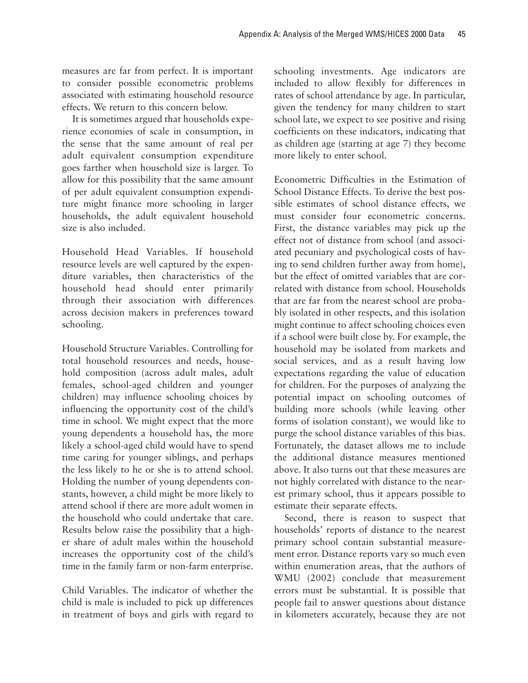measures are far from perfect. It is important to consider possible econometric problems associated with estimating household resource effects. We return to this concern below.

It is sometimes argued that households experience economies of scale in consumption, in the sense that the same amount of real per adult equivalent consumption expenditure goes farther when household size is larger. To allow for this possibility that the same amount of per adult equivalent consumption expenditure might finance more schooling in larger households, the adult equivalent household size is also included.

Household Head Variables. If household resource levels are well captured by the expenditure variables, then characteristics of the household head should enter primarily through their association with differences across decision makers in preferences toward schooling.

Household Structure Variables. Controlling for total household resources and needs, household composition (across adult males, adult females, school-aged children and younger children) may influence schooling choices by influencing the opportunity cost of the child's time in school. We might expect that the more young dependents a household has, the more likely a school-aged child would have to spend time caring for younger siblings, and perhaps the less likely to he or she is to attend school. Holding the number of young dependents constants, however, a child might be more likely to attend school if there are more adult women in the household who could undertake that care. Results below raise the possibility that a higher share of adult males within the household increases the opportunity cost of the child's time in the family farm or non-farm enterprise.

Child Variables. The indicator of whether the child is male is included to pick up differences in treatment of boys and girls with regard to schooling investments. Age indicators are included to allow flexibly for differences in rates of school attendance by age. In particular, given the tendency for many children to start school late, we expect to see positive and rising coefficients on these indicators, indicating that as children age (starting at age 7) they become more likely to enter school.

Econometric Difficulties in the Estimation of School Distance Effects. To derive the best possible estimates of school distance effects, we must consider four econometric concerns. First, the distance variables may pick up the effect not of distance from school (and associated pecuniary and psychological costs of having to send children further away from home), but the effect of omitted variables that are correlated with distance from school. Households that are far from the nearest school are probably isolated in other respects, and this isolation might continue to affect schooling choices even if a school were built close by. For example, the household may be isolated from markets and social services, and as a result having low expectations regarding the value of education for children. For the purposes of analyzing the potential impact on schooling outcomes of building more schools (while leaving other forms of isolation constant), we would like to purge the school distance variables of this bias. Fortunately, the dataset allows me to include the additional distance measures mentioned above. It also turns out that these measures are not highly correlated with distance to the nearest primary school, thus it appears possible to estimate their separate effects.

Second, there is reason to suspect that households' reports of distance to the nearest primary school contain substantial measurement error. Distance reports vary so much even within enumeration areas, that the authors of WMU (2002) conclude that measurement errors must be substantial. It is possible that people fail to answer questions about distance in kilometers accurately, because they are not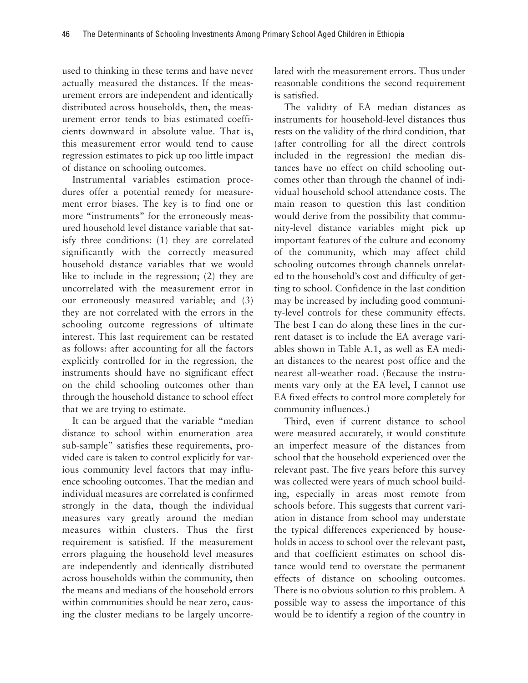used to thinking in these terms and have never actually measured the distances. If the measurement errors are independent and identically distributed across households, then, the measurement error tends to bias estimated coefficients downward in absolute value. That is, this measurement error would tend to cause regression estimates to pick up too little impact of distance on schooling outcomes.

Instrumental variables estimation procedures offer a potential remedy for measurement error biases. The key is to find one or more "instruments" for the erroneously measured household level distance variable that satisfy three conditions: (1) they are correlated significantly with the correctly measured household distance variables that we would like to include in the regression; (2) they are uncorrelated with the measurement error in our erroneously measured variable; and (3) they are not correlated with the errors in the schooling outcome regressions of ultimate interest. This last requirement can be restated as follows: after accounting for all the factors explicitly controlled for in the regression, the instruments should have no significant effect on the child schooling outcomes other than through the household distance to school effect that we are trying to estimate.

It can be argued that the variable "median distance to school within enumeration area sub-sample" satisfies these requirements, provided care is taken to control explicitly for various community level factors that may influence schooling outcomes. That the median and individual measures are correlated is confirmed strongly in the data, though the individual measures vary greatly around the median measures within clusters. Thus the first requirement is satisfied. If the measurement errors plaguing the household level measures are independently and identically distributed across households within the community, then the means and medians of the household errors within communities should be near zero, causing the cluster medians to be largely uncorrelated with the measurement errors. Thus under reasonable conditions the second requirement is satisfied.

The validity of EA median distances as instruments for household-level distances thus rests on the validity of the third condition, that (after controlling for all the direct controls included in the regression) the median distances have no effect on child schooling outcomes other than through the channel of individual household school attendance costs. The main reason to question this last condition would derive from the possibility that community-level distance variables might pick up important features of the culture and economy of the community, which may affect child schooling outcomes through channels unrelated to the household's cost and difficulty of getting to school. Confidence in the last condition may be increased by including good community-level controls for these community effects. The best I can do along these lines in the current dataset is to include the EA average variables shown in Table A.1, as well as EA median distances to the nearest post office and the nearest all-weather road. (Because the instruments vary only at the EA level, I cannot use EA fixed effects to control more completely for community influences.)

Third, even if current distance to school were measured accurately, it would constitute an imperfect measure of the distances from school that the household experienced over the relevant past. The five years before this survey was collected were years of much school building, especially in areas most remote from schools before. This suggests that current variation in distance from school may understate the typical differences experienced by households in access to school over the relevant past, and that coefficient estimates on school distance would tend to overstate the permanent effects of distance on schooling outcomes. There is no obvious solution to this problem. A possible way to assess the importance of this would be to identify a region of the country in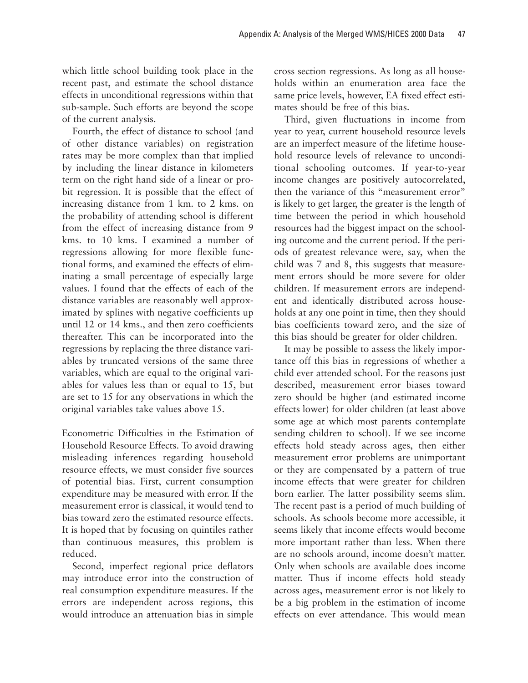which little school building took place in the recent past, and estimate the school distance effects in unconditional regressions within that sub-sample. Such efforts are beyond the scope of the current analysis.

Fourth, the effect of distance to school (and of other distance variables) on registration rates may be more complex than that implied by including the linear distance in kilometers term on the right hand side of a linear or probit regression. It is possible that the effect of increasing distance from 1 km. to 2 kms. on the probability of attending school is different from the effect of increasing distance from 9 kms. to 10 kms. I examined a number of regressions allowing for more flexible functional forms, and examined the effects of eliminating a small percentage of especially large values. I found that the effects of each of the distance variables are reasonably well approximated by splines with negative coefficients up until 12 or 14 kms., and then zero coefficients thereafter. This can be incorporated into the regressions by replacing the three distance variables by truncated versions of the same three variables, which are equal to the original variables for values less than or equal to 15, but are set to 15 for any observations in which the original variables take values above 15.

Econometric Difficulties in the Estimation of Household Resource Effects. To avoid drawing misleading inferences regarding household resource effects, we must consider five sources of potential bias. First, current consumption expenditure may be measured with error. If the measurement error is classical, it would tend to bias toward zero the estimated resource effects. It is hoped that by focusing on quintiles rather than continuous measures, this problem is reduced.

Second, imperfect regional price deflators may introduce error into the construction of real consumption expenditure measures. If the errors are independent across regions, this would introduce an attenuation bias in simple cross section regressions. As long as all households within an enumeration area face the same price levels, however, EA fixed effect estimates should be free of this bias.

Third, given fluctuations in income from year to year, current household resource levels are an imperfect measure of the lifetime household resource levels of relevance to unconditional schooling outcomes. If year-to-year income changes are positively autocorrelated, then the variance of this "measurement error" is likely to get larger, the greater is the length of time between the period in which household resources had the biggest impact on the schooling outcome and the current period. If the periods of greatest relevance were, say, when the child was 7 and 8, this suggests that measurement errors should be more severe for older children. If measurement errors are independent and identically distributed across households at any one point in time, then they should bias coefficients toward zero, and the size of this bias should be greater for older children.

It may be possible to assess the likely importance off this bias in regressions of whether a child ever attended school. For the reasons just described, measurement error biases toward zero should be higher (and estimated income effects lower) for older children (at least above some age at which most parents contemplate sending children to school). If we see income effects hold steady across ages, then either measurement error problems are unimportant or they are compensated by a pattern of true income effects that were greater for children born earlier. The latter possibility seems slim. The recent past is a period of much building of schools. As schools become more accessible, it seems likely that income effects would become more important rather than less. When there are no schools around, income doesn't matter. Only when schools are available does income matter. Thus if income effects hold steady across ages, measurement error is not likely to be a big problem in the estimation of income effects on ever attendance. This would mean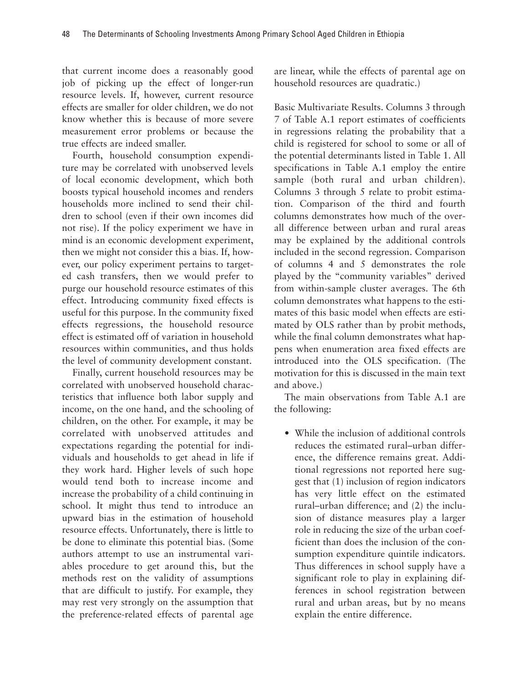that current income does a reasonably good job of picking up the effect of longer-run resource levels. If, however, current resource effects are smaller for older children, we do not know whether this is because of more severe measurement error problems or because the true effects are indeed smaller.

Fourth, household consumption expenditure may be correlated with unobserved levels of local economic development, which both boosts typical household incomes and renders households more inclined to send their children to school (even if their own incomes did not rise). If the policy experiment we have in mind is an economic development experiment, then we might not consider this a bias. If, however, our policy experiment pertains to targeted cash transfers, then we would prefer to purge our household resource estimates of this effect. Introducing community fixed effects is useful for this purpose. In the community fixed effects regressions, the household resource effect is estimated off of variation in household resources within communities, and thus holds the level of community development constant.

Finally, current household resources may be correlated with unobserved household characteristics that influence both labor supply and income, on the one hand, and the schooling of children, on the other. For example, it may be correlated with unobserved attitudes and expectations regarding the potential for individuals and households to get ahead in life if they work hard. Higher levels of such hope would tend both to increase income and increase the probability of a child continuing in school. It might thus tend to introduce an upward bias in the estimation of household resource effects. Unfortunately, there is little to be done to eliminate this potential bias. (Some authors attempt to use an instrumental variables procedure to get around this, but the methods rest on the validity of assumptions that are difficult to justify. For example, they may rest very strongly on the assumption that the preference-related effects of parental age

are linear, while the effects of parental age on household resources are quadratic.)

Basic Multivariate Results. Columns 3 through 7 of Table A.1 report estimates of coefficients in regressions relating the probability that a child is registered for school to some or all of the potential determinants listed in Table 1. All specifications in Table A.1 employ the entire sample (both rural and urban children). Columns 3 through 5 relate to probit estimation. Comparison of the third and fourth columns demonstrates how much of the overall difference between urban and rural areas may be explained by the additional controls included in the second regression. Comparison of columns 4 and 5 demonstrates the role played by the "community variables" derived from within-sample cluster averages. The 6th column demonstrates what happens to the estimates of this basic model when effects are estimated by OLS rather than by probit methods, while the final column demonstrates what happens when enumeration area fixed effects are introduced into the OLS specification. (The motivation for this is discussed in the main text and above.)

The main observations from Table A.1 are the following:

• While the inclusion of additional controls reduces the estimated rural–urban difference, the difference remains great. Additional regressions not reported here suggest that (1) inclusion of region indicators has very little effect on the estimated rural–urban difference; and (2) the inclusion of distance measures play a larger role in reducing the size of the urban coefficient than does the inclusion of the consumption expenditure quintile indicators. Thus differences in school supply have a significant role to play in explaining differences in school registration between rural and urban areas, but by no means explain the entire difference.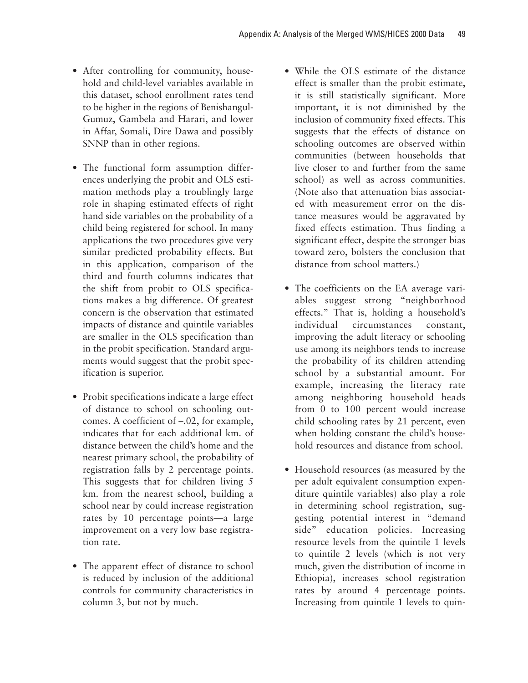- After controlling for community, household and child-level variables available in this dataset, school enrollment rates tend to be higher in the regions of Benishangul-Gumuz, Gambela and Harari, and lower in Affar, Somali, Dire Dawa and possibly SNNP than in other regions.
- The functional form assumption differences underlying the probit and OLS estimation methods play a troublingly large role in shaping estimated effects of right hand side variables on the probability of a child being registered for school. In many applications the two procedures give very similar predicted probability effects. But in this application, comparison of the third and fourth columns indicates that the shift from probit to OLS specifications makes a big difference. Of greatest concern is the observation that estimated impacts of distance and quintile variables are smaller in the OLS specification than in the probit specification. Standard arguments would suggest that the probit specification is superior.
- Probit specifications indicate a large effect of distance to school on schooling outcomes. A coefficient of –.02, for example, indicates that for each additional km. of distance between the child's home and the nearest primary school, the probability of registration falls by 2 percentage points. This suggests that for children living 5 km. from the nearest school, building a school near by could increase registration rates by 10 percentage points—a large improvement on a very low base registration rate.
- The apparent effect of distance to school is reduced by inclusion of the additional controls for community characteristics in column 3, but not by much.
- While the OLS estimate of the distance effect is smaller than the probit estimate, it is still statistically significant. More important, it is not diminished by the inclusion of community fixed effects. This suggests that the effects of distance on schooling outcomes are observed within communities (between households that live closer to and further from the same school) as well as across communities. (Note also that attenuation bias associated with measurement error on the distance measures would be aggravated by fixed effects estimation. Thus finding a significant effect, despite the stronger bias toward zero, bolsters the conclusion that distance from school matters.)
- The coefficients on the EA average variables suggest strong "neighborhood effects." That is, holding a household's individual circumstances constant, improving the adult literacy or schooling use among its neighbors tends to increase the probability of its children attending school by a substantial amount. For example, increasing the literacy rate among neighboring household heads from 0 to 100 percent would increase child schooling rates by 21 percent, even when holding constant the child's household resources and distance from school.
- Household resources (as measured by the per adult equivalent consumption expenditure quintile variables) also play a role in determining school registration, suggesting potential interest in "demand side" education policies. Increasing resource levels from the quintile 1 levels to quintile 2 levels (which is not very much, given the distribution of income in Ethiopia), increases school registration rates by around 4 percentage points. Increasing from quintile 1 levels to quin-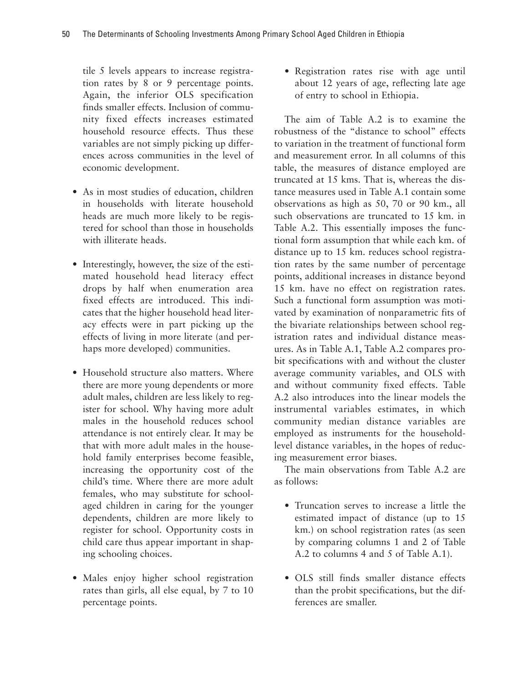tile 5 levels appears to increase registration rates by 8 or 9 percentage points. Again, the inferior OLS specification finds smaller effects. Inclusion of community fixed effects increases estimated household resource effects. Thus these variables are not simply picking up differences across communities in the level of economic development.

- As in most studies of education, children in households with literate household heads are much more likely to be registered for school than those in households with illiterate heads.
- Interestingly, however, the size of the estimated household head literacy effect drops by half when enumeration area fixed effects are introduced. This indicates that the higher household head literacy effects were in part picking up the effects of living in more literate (and perhaps more developed) communities.
- Household structure also matters. Where there are more young dependents or more adult males, children are less likely to register for school. Why having more adult males in the household reduces school attendance is not entirely clear. It may be that with more adult males in the household family enterprises become feasible, increasing the opportunity cost of the child's time. Where there are more adult females, who may substitute for schoolaged children in caring for the younger dependents, children are more likely to register for school. Opportunity costs in child care thus appear important in shaping schooling choices.
- Males enjoy higher school registration rates than girls, all else equal, by 7 to 10 percentage points.

• Registration rates rise with age until about 12 years of age, reflecting late age of entry to school in Ethiopia.

The aim of Table A.2 is to examine the robustness of the "distance to school" effects to variation in the treatment of functional form and measurement error. In all columns of this table, the measures of distance employed are truncated at 15 kms. That is, whereas the distance measures used in Table A.1 contain some observations as high as 50, 70 or 90 km., all such observations are truncated to 15 km. in Table A.2. This essentially imposes the functional form assumption that while each km. of distance up to 15 km. reduces school registration rates by the same number of percentage points, additional increases in distance beyond 15 km. have no effect on registration rates. Such a functional form assumption was motivated by examination of nonparametric fits of the bivariate relationships between school registration rates and individual distance measures. As in Table A.1, Table A.2 compares probit specifications with and without the cluster average community variables, and OLS with and without community fixed effects. Table A.2 also introduces into the linear models the instrumental variables estimates, in which community median distance variables are employed as instruments for the householdlevel distance variables, in the hopes of reducing measurement error biases.

The main observations from Table A.2 are as follows:

- Truncation serves to increase a little the estimated impact of distance (up to 15 km.) on school registration rates (as seen by comparing columns 1 and 2 of Table A.2 to columns 4 and 5 of Table A.1).
- OLS still finds smaller distance effects than the probit specifications, but the differences are smaller.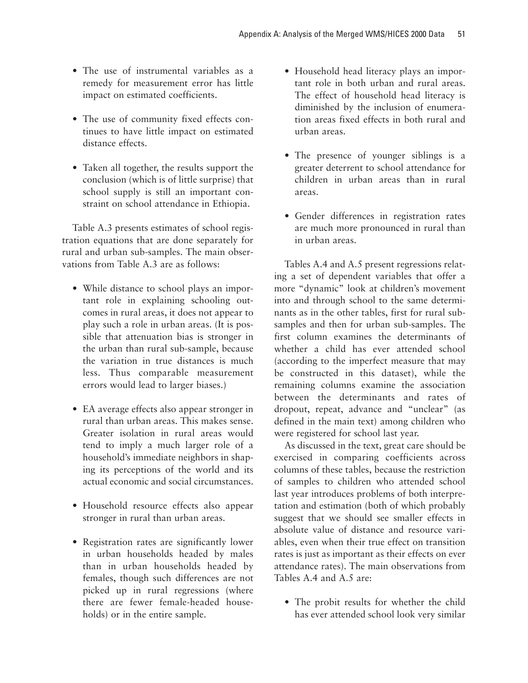- The use of instrumental variables as a remedy for measurement error has little impact on estimated coefficients.
- The use of community fixed effects continues to have little impact on estimated distance effects.
- Taken all together, the results support the conclusion (which is of little surprise) that school supply is still an important constraint on school attendance in Ethiopia.

Table A.3 presents estimates of school registration equations that are done separately for rural and urban sub-samples. The main observations from Table A.3 are as follows:

- While distance to school plays an important role in explaining schooling outcomes in rural areas, it does not appear to play such a role in urban areas. (It is possible that attenuation bias is stronger in the urban than rural sub-sample, because the variation in true distances is much less. Thus comparable measurement errors would lead to larger biases.)
- EA average effects also appear stronger in rural than urban areas. This makes sense. Greater isolation in rural areas would tend to imply a much larger role of a household's immediate neighbors in shaping its perceptions of the world and its actual economic and social circumstances.
- Household resource effects also appear stronger in rural than urban areas.
- Registration rates are significantly lower in urban households headed by males than in urban households headed by females, though such differences are not picked up in rural regressions (where there are fewer female-headed households) or in the entire sample.
- Household head literacy plays an important role in both urban and rural areas. The effect of household head literacy is diminished by the inclusion of enumeration areas fixed effects in both rural and urban areas.
- The presence of younger siblings is a greater deterrent to school attendance for children in urban areas than in rural areas.
- Gender differences in registration rates are much more pronounced in rural than in urban areas.

Tables A.4 and A.5 present regressions relating a set of dependent variables that offer a more "dynamic" look at children's movement into and through school to the same determinants as in the other tables, first for rural subsamples and then for urban sub-samples. The first column examines the determinants of whether a child has ever attended school (according to the imperfect measure that may be constructed in this dataset), while the remaining columns examine the association between the determinants and rates of dropout, repeat, advance and "unclear" (as defined in the main text) among children who were registered for school last year.

As discussed in the text, great care should be exercised in comparing coefficients across columns of these tables, because the restriction of samples to children who attended school last year introduces problems of both interpretation and estimation (both of which probably suggest that we should see smaller effects in absolute value of distance and resource variables, even when their true effect on transition rates is just as important as their effects on ever attendance rates). The main observations from Tables A.4 and A.5 are:

• The probit results for whether the child has ever attended school look very similar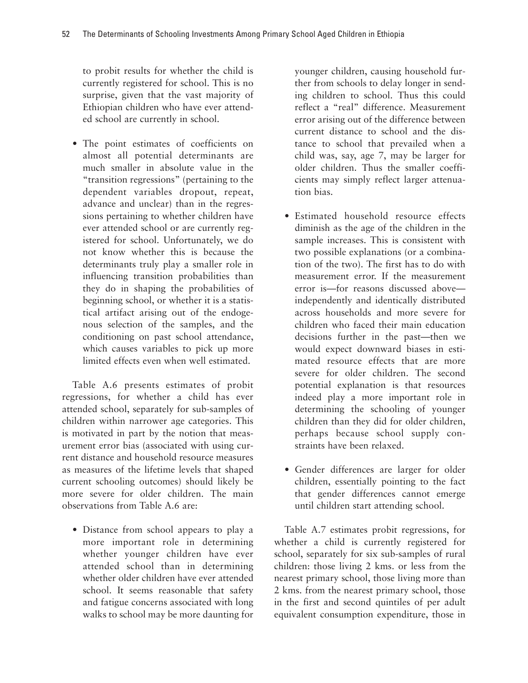to probit results for whether the child is currently registered for school. This is no surprise, given that the vast majority of Ethiopian children who have ever attended school are currently in school.

• The point estimates of coefficients on almost all potential determinants are much smaller in absolute value in the "transition regressions" (pertaining to the dependent variables dropout, repeat, advance and unclear) than in the regressions pertaining to whether children have ever attended school or are currently registered for school. Unfortunately, we do not know whether this is because the determinants truly play a smaller role in influencing transition probabilities than they do in shaping the probabilities of beginning school, or whether it is a statistical artifact arising out of the endogenous selection of the samples, and the conditioning on past school attendance, which causes variables to pick up more limited effects even when well estimated.

Table A.6 presents estimates of probit regressions, for whether a child has ever attended school, separately for sub-samples of children within narrower age categories. This is motivated in part by the notion that measurement error bias (associated with using current distance and household resource measures as measures of the lifetime levels that shaped current schooling outcomes) should likely be more severe for older children. The main observations from Table A.6 are:

• Distance from school appears to play a more important role in determining whether younger children have ever attended school than in determining whether older children have ever attended school. It seems reasonable that safety and fatigue concerns associated with long walks to school may be more daunting for

younger children, causing household further from schools to delay longer in sending children to school. Thus this could reflect a "real" difference. Measurement error arising out of the difference between current distance to school and the distance to school that prevailed when a child was, say, age 7, may be larger for older children. Thus the smaller coefficients may simply reflect larger attenuation bias.

- Estimated household resource effects diminish as the age of the children in the sample increases. This is consistent with two possible explanations (or a combination of the two). The first has to do with measurement error. If the measurement error is—for reasons discussed above independently and identically distributed across households and more severe for children who faced their main education decisions further in the past—then we would expect downward biases in estimated resource effects that are more severe for older children. The second potential explanation is that resources indeed play a more important role in determining the schooling of younger children than they did for older children, perhaps because school supply constraints have been relaxed.
- Gender differences are larger for older children, essentially pointing to the fact that gender differences cannot emerge until children start attending school.

Table A.7 estimates probit regressions, for whether a child is currently registered for school, separately for six sub-samples of rural children: those living 2 kms. or less from the nearest primary school, those living more than 2 kms. from the nearest primary school, those in the first and second quintiles of per adult equivalent consumption expenditure, those in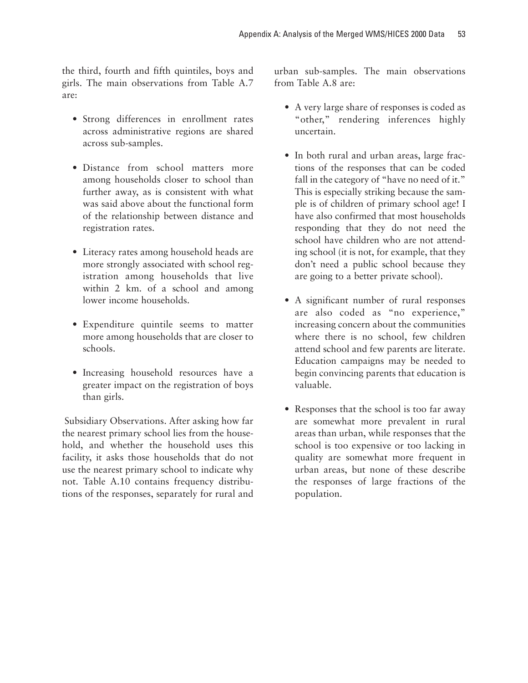the third, fourth and fifth quintiles, boys and girls. The main observations from Table A.7 are:

- Strong differences in enrollment rates across administrative regions are shared across sub-samples.
- Distance from school matters more among households closer to school than further away, as is consistent with what was said above about the functional form of the relationship between distance and registration rates.
- Literacy rates among household heads are more strongly associated with school registration among households that live within 2 km. of a school and among lower income households.
- Expenditure quintile seems to matter more among households that are closer to schools.
- Increasing household resources have a greater impact on the registration of boys than girls.

Subsidiary Observations. After asking how far the nearest primary school lies from the household, and whether the household uses this facility, it asks those households that do not use the nearest primary school to indicate why not. Table A.10 contains frequency distributions of the responses, separately for rural and

urban sub-samples. The main observations from Table A.8 are:

- A very large share of responses is coded as "other," rendering inferences highly uncertain.
- In both rural and urban areas, large fractions of the responses that can be coded fall in the category of "have no need of it." This is especially striking because the sample is of children of primary school age! I have also confirmed that most households responding that they do not need the school have children who are not attending school (it is not, for example, that they don't need a public school because they are going to a better private school).
- A significant number of rural responses are also coded as "no experience," increasing concern about the communities where there is no school, few children attend school and few parents are literate. Education campaigns may be needed to begin convincing parents that education is valuable.
- Responses that the school is too far away are somewhat more prevalent in rural areas than urban, while responses that the school is too expensive or too lacking in quality are somewhat more frequent in urban areas, but none of these describe the responses of large fractions of the population.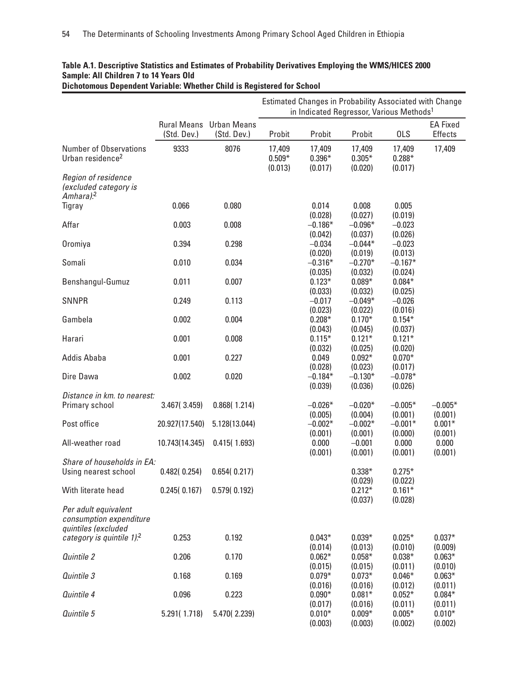|                                                                        |                                   |                                   | Estimated Changes in Probability Associated with Change<br>in Indicated Regressor, Various Methods <sup>1</sup> |                      |                                 |                                |                                   |
|------------------------------------------------------------------------|-----------------------------------|-----------------------------------|-----------------------------------------------------------------------------------------------------------------|----------------------|---------------------------------|--------------------------------|-----------------------------------|
|                                                                        | <b>Rural Means</b><br>(Std. Dev.) | <b>Urban Means</b><br>(Std. Dev.) | Probit                                                                                                          | Probit               | Probit                          | <b>OLS</b>                     | <b>EA Fixed</b><br><b>Effects</b> |
| <b>Number of Observations</b><br>Urban residence <sup>2</sup>          | 9333                              | 8076                              | 17,409<br>$0.509*$                                                                                              | 17,409<br>$0.396*$   | 17,409<br>$0.305*$              | 17,409<br>$0.288*$             | 17,409                            |
| Region of residence<br>(excluded category is<br>Amhara). <sup>2</sup>  |                                   |                                   | (0.013)                                                                                                         | (0.017)              | (0.020)                         | (0.017)                        |                                   |
| Tigray                                                                 | 0.066                             | 0.080                             |                                                                                                                 | 0.014<br>(0.028)     | 0.008                           | 0.005                          |                                   |
| Affar                                                                  | 0.003                             | 0.008                             |                                                                                                                 | $-0.186*$<br>(0.042) | (0.027)<br>$-0.096*$<br>(0.037) | (0.019)<br>$-0.023$<br>(0.026) |                                   |
| Oromiya                                                                | 0.394                             | 0.298                             |                                                                                                                 | $-0.034$<br>(0.020)  | $-0.044*$<br>(0.019)            | $-0.023$<br>(0.013)            |                                   |
| Somali                                                                 | 0.010                             | 0.034                             |                                                                                                                 | $-0.316*$<br>(0.035) | $-0.270*$<br>(0.032)            | $-0.167*$<br>(0.024)           |                                   |
| Benshangul-Gumuz                                                       | 0.011                             | 0.007                             |                                                                                                                 | $0.123*$<br>(0.033)  | $0.089*$<br>(0.032)             | $0.084*$<br>(0.025)            |                                   |
| <b>SNNPR</b>                                                           | 0.249                             | 0.113                             |                                                                                                                 | $-0.017$<br>(0.023)  | $-0.049*$<br>(0.022)            | $-0.026$<br>(0.016)            |                                   |
| Gambela                                                                | 0.002                             | 0.004                             |                                                                                                                 | $0.208*$<br>(0.043)  | $0.170*$<br>(0.045)             | $0.154*$<br>(0.037)            |                                   |
| Harari                                                                 | 0.001                             | 0.008                             |                                                                                                                 | $0.115*$<br>(0.032)  | $0.121*$<br>(0.025)             | $0.121*$<br>(0.020)            |                                   |
| Addis Ababa                                                            | 0.001                             | 0.227                             |                                                                                                                 | 0.049<br>(0.028)     | $0.092*$<br>(0.023)             | $0.070*$<br>(0.017)            |                                   |
| Dire Dawa                                                              | 0.002                             | 0.020                             |                                                                                                                 | $-0.184*$<br>(0.039) | $-0.130*$<br>(0.036)            | $-0.078*$<br>(0.026)           |                                   |
| Distance in km. to nearest:<br>Primary school                          | 3.467(3.459)                      | 0.868(1.214)                      |                                                                                                                 | $-0.026*$<br>(0.005) | $-0.020*$<br>(0.004)            | $-0.005*$<br>(0.001)           | $-0.005*$<br>(0.001)              |
| Post office                                                            | 20.927(17.540)                    | 5.128(13.044)                     |                                                                                                                 | $-0.002*$<br>(0.001) | $-0.002*$<br>(0.001)            | $-0.001*$<br>(0.000)           | $0.001*$<br>(0.001)               |
| All-weather road                                                       | 10.743(14.345)                    | 0.415(1.693)                      |                                                                                                                 | 0.000<br>(0.001)     | $-0.001$<br>(0.001)             | 0.000<br>(0.001)               | 0.000<br>(0.001)                  |
| Share of households in EA:<br>Using nearest school                     | 0.482(0.254)                      | 0.654(0.217)                      |                                                                                                                 |                      | $0.338*$<br>(0.029)             | $0.275*$<br>(0.022)            |                                   |
| With literate head                                                     | 0.245(0.167)                      | 0.579(0.192)                      |                                                                                                                 |                      | $0.212*$<br>(0.037)             | $0.161*$<br>(0.028)            |                                   |
| Per adult equivalent<br>consumption expenditure<br>quintiles (excluded |                                   |                                   |                                                                                                                 |                      |                                 |                                |                                   |
| category is quintile 1). <sup>2</sup>                                  | 0.253                             | 0.192                             |                                                                                                                 | $0.043*$<br>(0.014)  | $0.039*$<br>(0.013)             | $0.025*$<br>(0.010)            | $0.037*$<br>(0.009)               |
| Quintile 2                                                             | 0.206                             | 0.170                             |                                                                                                                 | $0.062*$<br>(0.015)  | $0.058*$<br>(0.015)             | $0.038*$<br>(0.011)            | $0.063*$<br>(0.010)               |
| Quintile 3                                                             | 0.168                             | 0.169                             |                                                                                                                 | $0.079*$<br>(0.016)  | $0.073*$<br>(0.016)             | $0.046*$<br>(0.012)            | $0.063*$<br>(0.011)               |
| Quintile 4                                                             | 0.096                             | 0.223                             |                                                                                                                 | $0.090*$<br>(0.017)  | $0.081*$<br>(0.016)             | $0.052*$<br>(0.011)            | $0.084*$<br>(0.011)               |
| Quintile 5                                                             | 5.291(1.718)                      | 5.470(2.239)                      |                                                                                                                 | $0.010*$<br>(0.003)  | $0.009*$<br>(0.003)             | $0.005*$<br>(0.002)            | $0.010*$<br>(0.002)               |

### **Table A.1. Descriptive Statistics and Estimates of Probability Derivatives Employing the WMS/HICES 2000 Sample: All Children 7 to 14 Years Old Dichotomous Dependent Variable: Whether Child is Registered for School**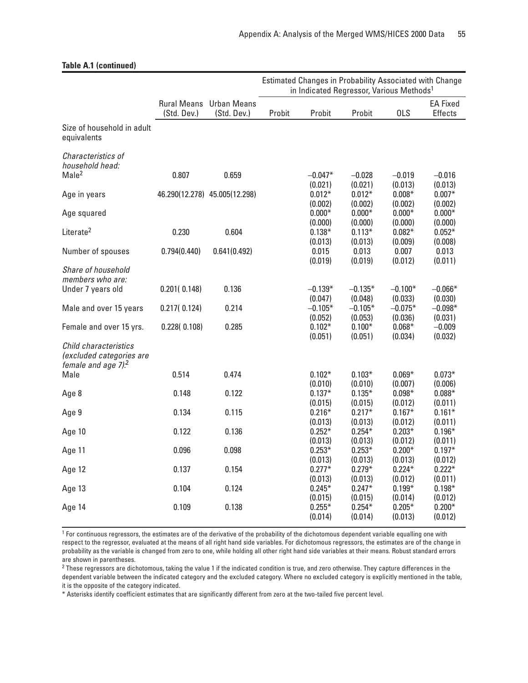|                                                                                      |              |                                               | Estimated Changes in Probability Associated with Change<br>in Indicated Regressor, Various Methods <sup>1</sup> |                                |                                |                                |                                   |
|--------------------------------------------------------------------------------------|--------------|-----------------------------------------------|-----------------------------------------------------------------------------------------------------------------|--------------------------------|--------------------------------|--------------------------------|-----------------------------------|
|                                                                                      | (Std. Dev.)  | <b>Rural Means</b> Urban Means<br>(Std. Dev.) | Probit                                                                                                          | Probit                         | Probit                         | <b>OLS</b>                     | <b>EA Fixed</b><br><b>Effects</b> |
| Size of household in adult<br>equivalents                                            |              |                                               |                                                                                                                 |                                |                                |                                |                                   |
| Characteristics of<br>household head:<br>Male <sup>2</sup>                           | 0.807        | 0.659                                         |                                                                                                                 | $-0.047*$                      | $-0.028$                       | $-0.019$                       | $-0.016$                          |
| Age in years                                                                         |              | 46.290(12.278) 45.005(12.298)                 |                                                                                                                 | (0.021)<br>$0.012*$<br>(0.002) | (0.021)<br>$0.012*$<br>(0.002) | (0.013)<br>$0.008*$<br>(0.002) | (0.013)<br>$0.007*$<br>(0.002)    |
| Age squared                                                                          |              |                                               |                                                                                                                 | $0.000*$<br>(0.000)            | $0.000*$<br>(0.000)            | $0.000*$<br>(0.000)            | $0.000*$<br>(0.000)               |
| Literate <sup>2</sup>                                                                | 0.230        | 0.604                                         |                                                                                                                 | $0.138*$<br>(0.013)            | $0.113*$<br>(0.013)            | $0.082*$<br>(0.009)            | $0.052*$<br>(0.008)               |
| Number of spouses                                                                    | 0.794(0.440) | 0.641(0.492)                                  |                                                                                                                 | 0.015<br>(0.019)               | 0.013<br>(0.019)               | 0.007<br>(0.012)               | 0.013<br>(0.011)                  |
| Share of household<br>members who are:<br>Under 7 years old                          | 0.201(0.148) | 0.136                                         |                                                                                                                 | $-0.139*$                      | $-0.135*$                      | $-0.100*$                      | $-0.066*$                         |
| Male and over 15 years                                                               | 0.217(0.124) | 0.214                                         |                                                                                                                 | (0.047)<br>$-0.105*$           | (0.048)<br>$-0.105*$           | (0.033)<br>$-0.075*$           | (0.030)<br>$-0.098*$              |
| Female and over 15 yrs.                                                              | 0.228(0.108) | 0.285                                         |                                                                                                                 | (0.052)<br>$0.102*$<br>(0.051) | (0.053)<br>$0.100*$<br>(0.051) | (0.036)<br>$0.068*$<br>(0.034) | (0.031)<br>$-0.009$<br>(0.032)    |
| Child characteristics<br>(excluded categories are<br>female and age 7). <sup>2</sup> |              |                                               |                                                                                                                 |                                |                                |                                |                                   |
| Male                                                                                 | 0.514        | 0.474                                         |                                                                                                                 | $0.102*$<br>(0.010)            | $0.103*$<br>(0.010)            | $0.069*$<br>(0.007)            | $0.073*$<br>(0.006)               |
| Age 8                                                                                | 0.148        | 0.122                                         |                                                                                                                 | $0.137*$<br>(0.015)            | $0.135*$<br>(0.015)            | $0.098*$<br>(0.012)            | $0.088*$<br>(0.011)               |
| Age 9                                                                                | 0.134        | 0.115                                         |                                                                                                                 | $0.216*$<br>(0.013)            | $0.217*$<br>(0.013)            | $0.167*$<br>(0.012)            | $0.161*$<br>(0.011)               |
| Age 10                                                                               | 0.122        | 0.136                                         |                                                                                                                 | $0.252*$<br>(0.013)            | $0.254*$<br>(0.013)            | $0.203*$<br>(0.012)            | $0.196*$<br>(0.011)               |
| Age 11                                                                               | 0.096        | 0.098                                         |                                                                                                                 | $0.253*$<br>(0.013)            | $0.253*$<br>(0.013)            | $0.200*$<br>(0.013)            | $0.197*$<br>(0.012)               |
| Age 12                                                                               | 0.137        | 0.154                                         |                                                                                                                 | $0.277*$<br>(0.013)            | $0.279*$<br>(0.013)            | $0.224*$<br>(0.012)            | $0.222*$<br>(0.011)               |
| Age 13                                                                               | 0.104        | 0.124                                         |                                                                                                                 | $0.245*$<br>(0.015)            | $0.247*$<br>(0.015)            | $0.199*$<br>(0.014)            | $0.198*$<br>(0.012)               |
| Age 14                                                                               | 0.109        | 0.138                                         |                                                                                                                 | $0.255*$<br>(0.014)            | $0.254*$<br>(0.014)            | $0.205*$<br>(0.013)            | $0.200*$<br>(0.012)               |

#### **Table A.1 (continued)**

<sup>1</sup> For continuous regressors, the estimates are of the derivative of the probability of the dichotomous dependent variable equalling one with respect to the regressor, evaluated at the means of all right hand side variables. For dichotomous regressors, the estimates are of the change in probability as the variable is changed from zero to one, while holding all other right hand side variables at their means. Robust standard errors are shown in parentheses.

<sup>2</sup> These regressors are dichotomous, taking the value 1 if the indicated condition is true, and zero otherwise. They capture differences in the dependent variable between the indicated category and the excluded category. Where no excluded category is explicitly mentioned in the table, it is the opposite of the category indicated.

\* Asterisks identify coefficient estimates that are significantly different from zero at the two-tailed five percent level.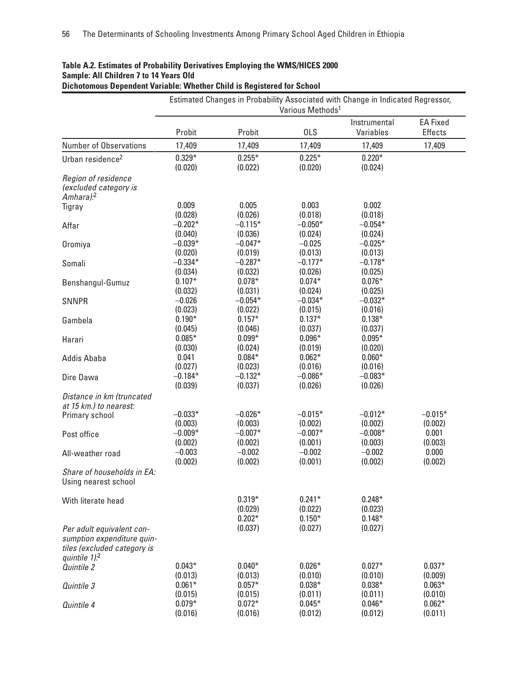|                                                                                                                       | Estimated Changes in Probability Associated with Change in Indicated Regressor,<br>Various Methods <sup>1</sup> |                                 |                                 |                                 |                      |  |  |
|-----------------------------------------------------------------------------------------------------------------------|-----------------------------------------------------------------------------------------------------------------|---------------------------------|---------------------------------|---------------------------------|----------------------|--|--|
|                                                                                                                       |                                                                                                                 |                                 |                                 | Instrumental                    | <b>EA Fixed</b>      |  |  |
|                                                                                                                       | Probit                                                                                                          | Probit                          | <b>OLS</b>                      | Variables                       | <b>Effects</b>       |  |  |
| <b>Number of Observations</b>                                                                                         | 17,409                                                                                                          | 17,409                          | 17,409                          | 17,409                          | 17,409               |  |  |
| Urban residence <sup>2</sup>                                                                                          | $0.329*$                                                                                                        | $0.255*$                        | $0.225*$                        | $0.220*$                        |                      |  |  |
| Region of residence<br>(excluded category is<br>Amhara). <sup>2</sup>                                                 | (0.020)                                                                                                         | (0.022)                         | (0.020)                         | (0.024)                         |                      |  |  |
| Tigray                                                                                                                | 0.009<br>(0.028)                                                                                                | 0.005<br>(0.026)                | 0.003<br>(0.018)                | 0.002<br>(0.018)                |                      |  |  |
| Affar                                                                                                                 | $-0.202*$<br>(0.040)                                                                                            | $-0.115*$<br>(0.036)            | $-0.050*$<br>(0.024)            | $-0.054*$<br>(0.024)            |                      |  |  |
| Oromiya                                                                                                               | $-0.039*$<br>(0.020)                                                                                            | $-0.047*$<br>(0.019)            | $-0.025$<br>(0.013)             | $-0.025*$<br>(0.013)            |                      |  |  |
| Somali                                                                                                                | $-0.334*$<br>(0.034)                                                                                            | $-0.287*$<br>(0.032)            | $-0.177*$<br>(0.026)            | $-0.178*$<br>(0.025)            |                      |  |  |
| Benshangul-Gumuz                                                                                                      | $0.107*$<br>(0.032)                                                                                             | $0.078*$<br>(0.031)             | $0.074*$<br>(0.024)             | $0.076*$<br>(0.025)             |                      |  |  |
| <b>SNNPR</b>                                                                                                          | $-0.026$<br>(0.023)                                                                                             | $-0.054*$<br>(0.022)            | $-0.034*$<br>(0.015)            | $-0.032*$<br>(0.016)            |                      |  |  |
| Gambela                                                                                                               | $0.190*$<br>(0.045)                                                                                             | $0.157*$<br>(0.046)             | $0.137*$<br>(0.037)             | $0.138*$<br>(0.037)             |                      |  |  |
| Harari                                                                                                                | $0.085*$<br>(0.030)                                                                                             | $0.099*$<br>(0.024)             | $0.096*$<br>(0.019)             | $0.095*$<br>(0.020)             |                      |  |  |
| <b>Addis Ababa</b>                                                                                                    | 0.041<br>(0.027)                                                                                                | $0.084*$<br>(0.023)             | $0.062*$<br>(0.016)             | $0.060*$<br>(0.016)             |                      |  |  |
| Dire Dawa                                                                                                             | $-0.184*$<br>(0.039)                                                                                            | $-0.132*$<br>(0.037)            | $-0.086*$<br>(0.026)            | $-0.083*$<br>(0.026)            |                      |  |  |
| Distance in km (truncated<br>at 15 km.) to nearest:                                                                   |                                                                                                                 |                                 |                                 |                                 |                      |  |  |
| Primary school                                                                                                        | $-0.033*$<br>(0.003)                                                                                            | $-0.026*$<br>(0.003)            | $-0.015*$<br>(0.002)            | $-0.012*$<br>(0.002)            | $-0.015*$<br>(0.002) |  |  |
| Post office                                                                                                           | $-0.009*$<br>(0.002)                                                                                            | $-0.007*$<br>(0.002)            | $-0.007*$<br>(0.001)            | $-0.008*$<br>(0.003)            | 0.001<br>(0.003)     |  |  |
| All-weather road                                                                                                      | $-0.003$<br>(0.002)                                                                                             | $-0.002$<br>(0.002)             | $-0.002$<br>(0.001)             | $-0.002$<br>(0.002)             | 0.000<br>(0.002)     |  |  |
| Share of households in EA:<br>Using nearest school                                                                    |                                                                                                                 |                                 |                                 |                                 |                      |  |  |
| With literate head                                                                                                    |                                                                                                                 | $0.319*$<br>(0.029)<br>$0.202*$ | $0.241*$<br>(0.022)<br>$0.150*$ | $0.248*$<br>(0.023)<br>$0.148*$ |                      |  |  |
| Per adult equivalent con-<br>sumption expenditure quin-<br>tiles (excluded category is<br>quintile $1$ . <sup>2</sup> |                                                                                                                 | (0.037)                         | (0.027)                         | (0.027)                         |                      |  |  |
| Quintile 2                                                                                                            | $0.043*$<br>(0.013)                                                                                             | $0.040*$<br>(0.013)             | $0.026*$<br>(0.010)             | $0.027*$<br>(0.010)             | $0.037*$<br>(0.009)  |  |  |
| Quintile 3                                                                                                            | $0.061*$<br>(0.015)                                                                                             | $0.057*$<br>(0.015)             | $0.038*$<br>(0.011)             | $0.038*$<br>(0.011)             | $0.063*$<br>(0.010)  |  |  |
| Quintile 4                                                                                                            | $0.079*$<br>(0.016)                                                                                             | $0.072*$<br>(0.016)             | $0.045*$<br>(0.012)             | $0.046*$<br>(0.012)             | $0.062*$<br>(0.011)  |  |  |

#### **Table A.2. Estimates of Probability Derivatives Employing the WMS/HICES 2000 Sample: All Children 7 to 14 Years Old Dichotomous Dependent Variable: Whether Child is Registered for School**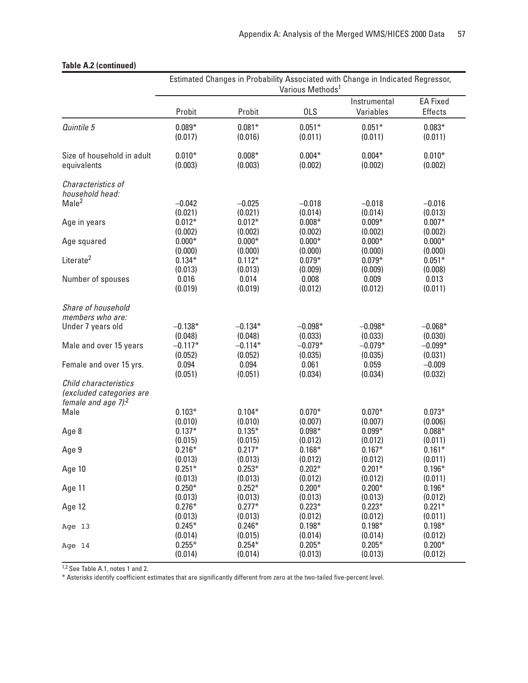|                                                                                         | Estimated Changes in Probability Associated with Change in Indicated Regressor,<br>Various Methods <sup>1</sup> |                                 |                                 |                                 |                                   |  |
|-----------------------------------------------------------------------------------------|-----------------------------------------------------------------------------------------------------------------|---------------------------------|---------------------------------|---------------------------------|-----------------------------------|--|
|                                                                                         | Probit                                                                                                          | Probit                          | <b>OLS</b>                      | Instrumental<br>Variables       | <b>EA Fixed</b><br><b>Effects</b> |  |
| Quintile 5                                                                              | $0.089*$                                                                                                        | $0.081*$                        | $0.051*$                        | $0.051*$                        | $0.083*$                          |  |
|                                                                                         | (0.017)                                                                                                         | (0.016)                         | (0.011)                         | (0.011)                         | (0.011)                           |  |
| Size of household in adult                                                              | $0.010*$                                                                                                        | $0.008*$                        | $0.004*$                        | $0.004*$                        | $0.010*$                          |  |
| equivalents                                                                             | (0.003)                                                                                                         | (0.003)                         | (0.002)                         | (0.002)                         | (0.002)                           |  |
| Characteristics of<br>household head:                                                   |                                                                                                                 |                                 |                                 |                                 |                                   |  |
| Male <sup>2</sup>                                                                       | $-0.042$                                                                                                        | $-0.025$                        | $-0.018$                        | $-0.018$                        | $-0.016$                          |  |
|                                                                                         | (0.021)                                                                                                         | (0.021)                         | (0.014)                         | (0.014)                         | (0.013)                           |  |
| Age in years                                                                            | $0.012*$                                                                                                        | $0.012*$                        | $0.008*$                        | $0.009*$                        | $0.007*$                          |  |
|                                                                                         | (0.002)                                                                                                         | (0.002)                         | (0.002)                         | (0.002)                         | (0.002)                           |  |
| Age squared<br>Literate <sup>2</sup>                                                    | $0.000*$<br>(0.000)<br>$0.134*$                                                                                 | $0.000*$<br>(0.000)<br>$0.112*$ | $0.000*$<br>(0.000)<br>$0.079*$ | $0.000*$<br>(0.000)<br>$0.079*$ | $0.000*$<br>(0.000)<br>$0.051*$   |  |
| Number of spouses                                                                       | (0.013)                                                                                                         | (0.013)                         | (0.009)                         | (0.009)                         | (0.008)                           |  |
|                                                                                         | 0.016                                                                                                           | 0.014                           | 0.008                           | 0.009                           | 0.013                             |  |
|                                                                                         | (0.019)                                                                                                         | (0.019)                         | (0.012)                         | (0.012)                         | (0.011)                           |  |
| Share of household                                                                      |                                                                                                                 |                                 |                                 |                                 |                                   |  |
| members who are:                                                                        |                                                                                                                 |                                 |                                 |                                 |                                   |  |
| Under 7 years old                                                                       | $-0.138*$                                                                                                       | $-0.134*$                       | $-0.098*$                       | $-0.098*$                       | $-0.068*$                         |  |
|                                                                                         | (0.048)                                                                                                         | (0.048)                         | (0.033)                         | (0.033)                         | (0.030)                           |  |
| Male and over 15 years                                                                  | $-0.117*$                                                                                                       | $-0.114*$                       | $-0.079*$                       | $-0.079*$                       | $-0.099*$                         |  |
|                                                                                         | (0.052)                                                                                                         | (0.052)                         | (0.035)                         | (0.035)                         | (0.031)                           |  |
| Female and over 15 yrs.                                                                 | 0.094                                                                                                           | 0.094                           | 0.061                           | 0.059                           | $-0.009$                          |  |
|                                                                                         | (0.051)                                                                                                         | (0.051)                         | (0.034)                         | (0.034)                         | (0.032)                           |  |
| Child characteristics<br>(excluded categories are<br>female and age $7$ ). <sup>2</sup> |                                                                                                                 |                                 |                                 |                                 |                                   |  |
| Male                                                                                    | $0.103*$                                                                                                        | $0.104*$                        | $0.070*$                        | $0.070*$                        | $0.073*$                          |  |
|                                                                                         | (0.010)                                                                                                         | (0.010)                         | (0.007)                         | (0.007)                         | (0.006)                           |  |
| Age 8                                                                                   | $0.137*$                                                                                                        | $0.135*$                        | $0.098*$                        | $0.099*$                        | $0.088*$                          |  |
|                                                                                         | (0.015)                                                                                                         | (0.015)                         | (0.012)                         | (0.012)                         | (0.011)                           |  |
| Age 9                                                                                   | $0.216*$                                                                                                        | $0.217*$                        | $0.168*$                        | $0.167*$                        | $0.161*$                          |  |
|                                                                                         | (0.013)                                                                                                         | (0.013)                         | (0.012)                         | (0.012)                         | (0.011)                           |  |
| Age 10                                                                                  | $0.251*$                                                                                                        | $0.253*$                        | $0.202*$                        | $0.201*$                        | $0.196*$                          |  |
|                                                                                         | (0.013)                                                                                                         | (0.013)                         | (0.012)                         | (0.012)                         | (0.011)                           |  |
| Age 11                                                                                  | $0.250*$                                                                                                        | $0.252*$                        | $0.200*$                        | $0.200*$                        | $0.196*$                          |  |
|                                                                                         | (0.013)                                                                                                         | (0.013)                         | (0.013)                         | (0.013)                         | (0.012)                           |  |
| Age 12                                                                                  | $0.276*$<br>(0.013)                                                                                             | $0.277*$<br>(0.013)<br>$0.246*$ | $0.223*$<br>(0.012)<br>$0.198*$ | $0.223*$<br>(0.012)<br>$0.198*$ | $0.221*$<br>(0.011)<br>$0.198*$   |  |
| Age 13                                                                                  | $0.245*$<br>(0.014)                                                                                             | (0.015)<br>$0.254*$             | (0.014)<br>$0.205*$             | (0.014)<br>$0.205*$             | (0.012)                           |  |
| Age 14                                                                                  | $0.255*$<br>(0.014)                                                                                             | (0.014)                         | (0.013)                         | (0.013)                         | $0.200*$<br>(0.012)               |  |

## **Table A.2 (continued)**

1,2 See Table A.1, notes 1 and 2.

\* Asterisks identify coefficient estimates that are significantly different from zero at the two-tailed five-percent level.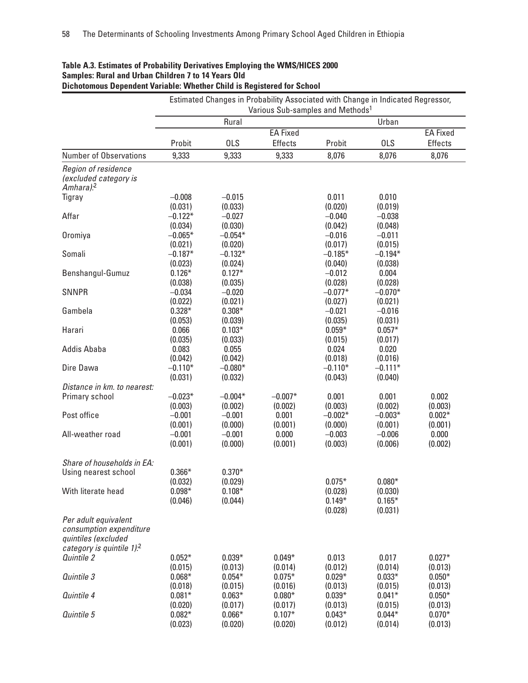| Various Sub-samples and Methods <sup>1</sup><br>Rural<br>Urban<br><b>EA Fixed</b><br><b>OLS</b><br><b>OLS</b><br>Probit<br><b>Effects</b><br>Probit<br><b>Number of Observations</b><br>9,333<br>9,333<br>8,076<br>9,333<br>8,076<br>Region of residence<br>(excluded category is<br>Amhara). <sup>2</sup><br>$-0.008$<br>0.011<br>0.010<br>Tigray<br>$-0.015$<br>(0.031)<br>(0.020)<br>(0.033)<br>(0.019)<br>$-0.122*$<br>Affar<br>$-0.027$<br>$-0.040$<br>$-0.038$<br>(0.034)<br>(0.030)<br>(0.042)<br>(0.048)<br>$-0.065*$<br>$-0.054*$<br>$-0.011$<br>Oromiya<br>$-0.016$<br>(0.021)<br>(0.017)<br>(0.015)<br>(0.020)<br>Somali<br>$-0.187*$<br>$-0.132*$<br>$-0.185*$<br>$-0.194*$<br>(0.023)<br>(0.024)<br>(0.040)<br>(0.038)<br>$0.127*$<br>$0.126*$<br>0.004<br>Benshangul-Gumuz<br>$-0.012$<br>(0.038)<br>(0.035)<br>(0.028)<br>(0.028)<br><b>SNNPR</b><br>$-0.034$<br>$-0.020$<br>$-0.077*$<br>$-0.070*$<br>(0.022)<br>(0.021)<br>(0.027)<br>(0.021)<br>Gambela<br>$0.328*$<br>$0.308*$<br>$-0.021$<br>$-0.016$<br>(0.053)<br>(0.039)<br>(0.035)<br>(0.031)<br>0.066<br>$0.103*$<br>$0.059*$<br>$0.057*$<br>Harari<br>(0.035)<br>(0.033)<br>(0.015)<br>(0.017)<br><b>Addis Ababa</b><br>0.083<br>0.055<br>0.024<br>0.020<br>(0.042)<br>(0.042)<br>(0.018)<br>(0.016)<br>$-0.110*$<br>$-0.080^{\ast}$<br>$-0.110*$<br>$-0.111*$<br>Dire Dawa<br>(0.031)<br>(0.032)<br>(0.043)<br>(0.040)<br>Distance in km. to nearest: | <b>EA Fixed</b>     |
|----------------------------------------------------------------------------------------------------------------------------------------------------------------------------------------------------------------------------------------------------------------------------------------------------------------------------------------------------------------------------------------------------------------------------------------------------------------------------------------------------------------------------------------------------------------------------------------------------------------------------------------------------------------------------------------------------------------------------------------------------------------------------------------------------------------------------------------------------------------------------------------------------------------------------------------------------------------------------------------------------------------------------------------------------------------------------------------------------------------------------------------------------------------------------------------------------------------------------------------------------------------------------------------------------------------------------------------------------------------------------------------------------------------------------------|---------------------|
|                                                                                                                                                                                                                                                                                                                                                                                                                                                                                                                                                                                                                                                                                                                                                                                                                                                                                                                                                                                                                                                                                                                                                                                                                                                                                                                                                                                                                                  |                     |
|                                                                                                                                                                                                                                                                                                                                                                                                                                                                                                                                                                                                                                                                                                                                                                                                                                                                                                                                                                                                                                                                                                                                                                                                                                                                                                                                                                                                                                  |                     |
|                                                                                                                                                                                                                                                                                                                                                                                                                                                                                                                                                                                                                                                                                                                                                                                                                                                                                                                                                                                                                                                                                                                                                                                                                                                                                                                                                                                                                                  | Effects             |
|                                                                                                                                                                                                                                                                                                                                                                                                                                                                                                                                                                                                                                                                                                                                                                                                                                                                                                                                                                                                                                                                                                                                                                                                                                                                                                                                                                                                                                  | 8,076               |
|                                                                                                                                                                                                                                                                                                                                                                                                                                                                                                                                                                                                                                                                                                                                                                                                                                                                                                                                                                                                                                                                                                                                                                                                                                                                                                                                                                                                                                  |                     |
|                                                                                                                                                                                                                                                                                                                                                                                                                                                                                                                                                                                                                                                                                                                                                                                                                                                                                                                                                                                                                                                                                                                                                                                                                                                                                                                                                                                                                                  |                     |
|                                                                                                                                                                                                                                                                                                                                                                                                                                                                                                                                                                                                                                                                                                                                                                                                                                                                                                                                                                                                                                                                                                                                                                                                                                                                                                                                                                                                                                  |                     |
|                                                                                                                                                                                                                                                                                                                                                                                                                                                                                                                                                                                                                                                                                                                                                                                                                                                                                                                                                                                                                                                                                                                                                                                                                                                                                                                                                                                                                                  |                     |
|                                                                                                                                                                                                                                                                                                                                                                                                                                                                                                                                                                                                                                                                                                                                                                                                                                                                                                                                                                                                                                                                                                                                                                                                                                                                                                                                                                                                                                  |                     |
|                                                                                                                                                                                                                                                                                                                                                                                                                                                                                                                                                                                                                                                                                                                                                                                                                                                                                                                                                                                                                                                                                                                                                                                                                                                                                                                                                                                                                                  |                     |
|                                                                                                                                                                                                                                                                                                                                                                                                                                                                                                                                                                                                                                                                                                                                                                                                                                                                                                                                                                                                                                                                                                                                                                                                                                                                                                                                                                                                                                  |                     |
|                                                                                                                                                                                                                                                                                                                                                                                                                                                                                                                                                                                                                                                                                                                                                                                                                                                                                                                                                                                                                                                                                                                                                                                                                                                                                                                                                                                                                                  |                     |
|                                                                                                                                                                                                                                                                                                                                                                                                                                                                                                                                                                                                                                                                                                                                                                                                                                                                                                                                                                                                                                                                                                                                                                                                                                                                                                                                                                                                                                  |                     |
|                                                                                                                                                                                                                                                                                                                                                                                                                                                                                                                                                                                                                                                                                                                                                                                                                                                                                                                                                                                                                                                                                                                                                                                                                                                                                                                                                                                                                                  |                     |
|                                                                                                                                                                                                                                                                                                                                                                                                                                                                                                                                                                                                                                                                                                                                                                                                                                                                                                                                                                                                                                                                                                                                                                                                                                                                                                                                                                                                                                  |                     |
|                                                                                                                                                                                                                                                                                                                                                                                                                                                                                                                                                                                                                                                                                                                                                                                                                                                                                                                                                                                                                                                                                                                                                                                                                                                                                                                                                                                                                                  |                     |
|                                                                                                                                                                                                                                                                                                                                                                                                                                                                                                                                                                                                                                                                                                                                                                                                                                                                                                                                                                                                                                                                                                                                                                                                                                                                                                                                                                                                                                  |                     |
|                                                                                                                                                                                                                                                                                                                                                                                                                                                                                                                                                                                                                                                                                                                                                                                                                                                                                                                                                                                                                                                                                                                                                                                                                                                                                                                                                                                                                                  |                     |
|                                                                                                                                                                                                                                                                                                                                                                                                                                                                                                                                                                                                                                                                                                                                                                                                                                                                                                                                                                                                                                                                                                                                                                                                                                                                                                                                                                                                                                  |                     |
|                                                                                                                                                                                                                                                                                                                                                                                                                                                                                                                                                                                                                                                                                                                                                                                                                                                                                                                                                                                                                                                                                                                                                                                                                                                                                                                                                                                                                                  |                     |
|                                                                                                                                                                                                                                                                                                                                                                                                                                                                                                                                                                                                                                                                                                                                                                                                                                                                                                                                                                                                                                                                                                                                                                                                                                                                                                                                                                                                                                  |                     |
|                                                                                                                                                                                                                                                                                                                                                                                                                                                                                                                                                                                                                                                                                                                                                                                                                                                                                                                                                                                                                                                                                                                                                                                                                                                                                                                                                                                                                                  |                     |
|                                                                                                                                                                                                                                                                                                                                                                                                                                                                                                                                                                                                                                                                                                                                                                                                                                                                                                                                                                                                                                                                                                                                                                                                                                                                                                                                                                                                                                  |                     |
|                                                                                                                                                                                                                                                                                                                                                                                                                                                                                                                                                                                                                                                                                                                                                                                                                                                                                                                                                                                                                                                                                                                                                                                                                                                                                                                                                                                                                                  |                     |
|                                                                                                                                                                                                                                                                                                                                                                                                                                                                                                                                                                                                                                                                                                                                                                                                                                                                                                                                                                                                                                                                                                                                                                                                                                                                                                                                                                                                                                  |                     |
|                                                                                                                                                                                                                                                                                                                                                                                                                                                                                                                                                                                                                                                                                                                                                                                                                                                                                                                                                                                                                                                                                                                                                                                                                                                                                                                                                                                                                                  |                     |
| Primary school<br>$-0.023*$<br>$-0.004*$<br>$-0.007*$<br>0.001<br>0.001                                                                                                                                                                                                                                                                                                                                                                                                                                                                                                                                                                                                                                                                                                                                                                                                                                                                                                                                                                                                                                                                                                                                                                                                                                                                                                                                                          | 0.002               |
| (0.003)<br>(0.002)<br>(0.003)<br>(0.002)<br>(0.002)                                                                                                                                                                                                                                                                                                                                                                                                                                                                                                                                                                                                                                                                                                                                                                                                                                                                                                                                                                                                                                                                                                                                                                                                                                                                                                                                                                              | (0.003)             |
| Post office<br>$-0.001$<br>$-0.001$<br>0.001<br>$-0.002*$<br>$-0.003*$                                                                                                                                                                                                                                                                                                                                                                                                                                                                                                                                                                                                                                                                                                                                                                                                                                                                                                                                                                                                                                                                                                                                                                                                                                                                                                                                                           | $0.002*$            |
| (0.001)<br>(0.000)<br>(0.001)<br>(0.000)<br>(0.001)                                                                                                                                                                                                                                                                                                                                                                                                                                                                                                                                                                                                                                                                                                                                                                                                                                                                                                                                                                                                                                                                                                                                                                                                                                                                                                                                                                              | (0.001)             |
| All-weather road<br>$-0.001$<br>$-0.001$<br>0.000<br>$-0.003$<br>$-0.006$                                                                                                                                                                                                                                                                                                                                                                                                                                                                                                                                                                                                                                                                                                                                                                                                                                                                                                                                                                                                                                                                                                                                                                                                                                                                                                                                                        | 0.000               |
| (0.001)<br>(0.000)<br>(0.001)<br>(0.003)<br>(0.006)                                                                                                                                                                                                                                                                                                                                                                                                                                                                                                                                                                                                                                                                                                                                                                                                                                                                                                                                                                                                                                                                                                                                                                                                                                                                                                                                                                              | (0.002)             |
| Share of households in EA:                                                                                                                                                                                                                                                                                                                                                                                                                                                                                                                                                                                                                                                                                                                                                                                                                                                                                                                                                                                                                                                                                                                                                                                                                                                                                                                                                                                                       |                     |
|                                                                                                                                                                                                                                                                                                                                                                                                                                                                                                                                                                                                                                                                                                                                                                                                                                                                                                                                                                                                                                                                                                                                                                                                                                                                                                                                                                                                                                  |                     |
| $0.370*$<br>Using nearest school<br>$0.366*$<br>$0.075*$<br>$0.080*$                                                                                                                                                                                                                                                                                                                                                                                                                                                                                                                                                                                                                                                                                                                                                                                                                                                                                                                                                                                                                                                                                                                                                                                                                                                                                                                                                             |                     |
| (0.032)<br>(0.029)<br>$0.098*$<br>$0.108*$<br>With literate head<br>(0.028)<br>(0.030)                                                                                                                                                                                                                                                                                                                                                                                                                                                                                                                                                                                                                                                                                                                                                                                                                                                                                                                                                                                                                                                                                                                                                                                                                                                                                                                                           |                     |
| $0.149*$<br>$0.165*$<br>(0.046)<br>(0.044)                                                                                                                                                                                                                                                                                                                                                                                                                                                                                                                                                                                                                                                                                                                                                                                                                                                                                                                                                                                                                                                                                                                                                                                                                                                                                                                                                                                       |                     |
| (0.028)<br>(0.031)                                                                                                                                                                                                                                                                                                                                                                                                                                                                                                                                                                                                                                                                                                                                                                                                                                                                                                                                                                                                                                                                                                                                                                                                                                                                                                                                                                                                               |                     |
| Per adult equivalent                                                                                                                                                                                                                                                                                                                                                                                                                                                                                                                                                                                                                                                                                                                                                                                                                                                                                                                                                                                                                                                                                                                                                                                                                                                                                                                                                                                                             |                     |
| consumption expenditure                                                                                                                                                                                                                                                                                                                                                                                                                                                                                                                                                                                                                                                                                                                                                                                                                                                                                                                                                                                                                                                                                                                                                                                                                                                                                                                                                                                                          |                     |
| quintiles (excluded                                                                                                                                                                                                                                                                                                                                                                                                                                                                                                                                                                                                                                                                                                                                                                                                                                                                                                                                                                                                                                                                                                                                                                                                                                                                                                                                                                                                              |                     |
| category is quintile $1$ . <sup>2</sup>                                                                                                                                                                                                                                                                                                                                                                                                                                                                                                                                                                                                                                                                                                                                                                                                                                                                                                                                                                                                                                                                                                                                                                                                                                                                                                                                                                                          |                     |
| $0.052*$<br>$0.039*$<br>0.013<br>0.017<br>Quintile 2<br>$0.049*$                                                                                                                                                                                                                                                                                                                                                                                                                                                                                                                                                                                                                                                                                                                                                                                                                                                                                                                                                                                                                                                                                                                                                                                                                                                                                                                                                                 | $0.027*$            |
| (0.015)<br>(0.012)<br>(0.014)<br>(0.013)<br>(0.014)                                                                                                                                                                                                                                                                                                                                                                                                                                                                                                                                                                                                                                                                                                                                                                                                                                                                                                                                                                                                                                                                                                                                                                                                                                                                                                                                                                              | (0.013)             |
| Quintile 3<br>$0.068*$<br>$0.054*$<br>$0.075*$<br>$0.029*$<br>$0.033*$                                                                                                                                                                                                                                                                                                                                                                                                                                                                                                                                                                                                                                                                                                                                                                                                                                                                                                                                                                                                                                                                                                                                                                                                                                                                                                                                                           | $0.050*$            |
|                                                                                                                                                                                                                                                                                                                                                                                                                                                                                                                                                                                                                                                                                                                                                                                                                                                                                                                                                                                                                                                                                                                                                                                                                                                                                                                                                                                                                                  |                     |
| (0.018)<br>(0.015)<br>(0.016)<br>(0.013)<br>(0.015)<br>Quintile 4<br>$0.081*$                                                                                                                                                                                                                                                                                                                                                                                                                                                                                                                                                                                                                                                                                                                                                                                                                                                                                                                                                                                                                                                                                                                                                                                                                                                                                                                                                    | (0.013)             |
| $0.063*$<br>$0.080*$<br>$0.039*$<br>$0.041*$                                                                                                                                                                                                                                                                                                                                                                                                                                                                                                                                                                                                                                                                                                                                                                                                                                                                                                                                                                                                                                                                                                                                                                                                                                                                                                                                                                                     | $0.050*$            |
| (0.020)<br>(0.017)<br>(0.017)<br>(0.013)<br>(0.015)                                                                                                                                                                                                                                                                                                                                                                                                                                                                                                                                                                                                                                                                                                                                                                                                                                                                                                                                                                                                                                                                                                                                                                                                                                                                                                                                                                              |                     |
| $0.082*$<br>$0.066*$<br>$0.107*$<br>$0.044*$<br>Quintile 5<br>$0.043*$<br>(0.023)<br>(0.020)<br>(0.020)<br>(0.012)<br>(0.014)                                                                                                                                                                                                                                                                                                                                                                                                                                                                                                                                                                                                                                                                                                                                                                                                                                                                                                                                                                                                                                                                                                                                                                                                                                                                                                    | (0.013)<br>$0.070*$ |

## **Table A.3. Estimates of Probability Derivatives Employing the WMS/HICES 2000 Samples: Rural and Urban Children 7 to 14 Years Old**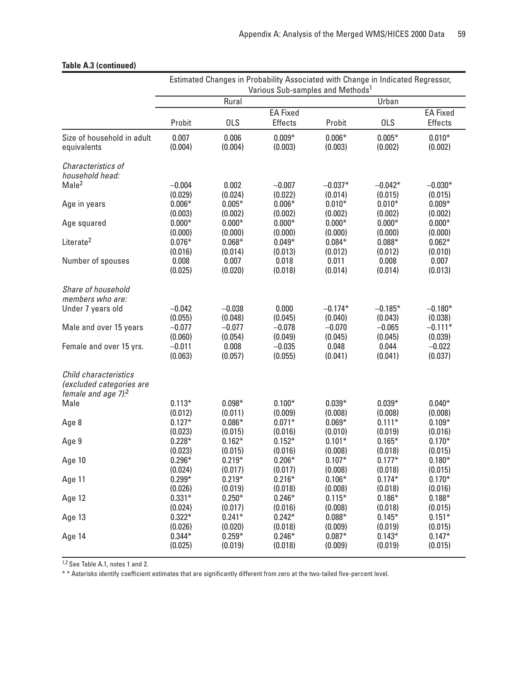|                                                                                         | Estimated Changes in Probability Associated with Change in Indicated Regressor,<br>Various Sub-samples and Methods <sup>1</sup> |            |                 |           |            |                 |  |
|-----------------------------------------------------------------------------------------|---------------------------------------------------------------------------------------------------------------------------------|------------|-----------------|-----------|------------|-----------------|--|
|                                                                                         | Rural                                                                                                                           |            |                 |           | Urban      |                 |  |
|                                                                                         |                                                                                                                                 |            | <b>EA Fixed</b> |           |            | <b>EA Fixed</b> |  |
|                                                                                         | Probit                                                                                                                          | <b>OLS</b> | <b>Effects</b>  | Probit    | <b>OLS</b> | Effects         |  |
| Size of household in adult                                                              | 0.007                                                                                                                           | 0.006      | $0.009*$        | $0.006*$  | $0.005*$   | $0.010*$        |  |
| equivalents                                                                             | (0.004)                                                                                                                         | (0.004)    | (0.003)         | (0.003)   | (0.002)    | (0.002)         |  |
| Characteristics of<br>household head:                                                   |                                                                                                                                 |            |                 |           |            |                 |  |
| Male <sup>2</sup>                                                                       | $-0.004$                                                                                                                        | 0.002      | $-0.007$        | $-0.037*$ | $-0.042*$  | $-0.030*$       |  |
|                                                                                         | (0.029)                                                                                                                         | (0.024)    | (0.022)         | (0.014)   | (0.015)    | (0.015)         |  |
| Age in years                                                                            | $0.006*$                                                                                                                        | $0.005*$   | $0.006*$        | $0.010*$  | $0.010*$   | $0.009*$        |  |
|                                                                                         | (0.003)                                                                                                                         | (0.002)    | (0.002)         | (0.002)   | (0.002)    | (0.002)         |  |
| Age squared                                                                             | $0.000*$                                                                                                                        | $0.000*$   | $0.000*$        | $0.000*$  | $0.000*$   | $0.000*$        |  |
|                                                                                         | (0.000)                                                                                                                         | (0.000)    | (0.000)         | (0.000)   | (0.000)    | (0.000)         |  |
| Literate <sup>2</sup>                                                                   | $0.076*$                                                                                                                        | $0.068*$   | $0.049*$        | $0.084*$  | $0.088*$   | $0.062*$        |  |
|                                                                                         | (0.016)                                                                                                                         | (0.014)    | (0.013)         | (0.012)   | (0.012)    | (0.010)         |  |
| Number of spouses                                                                       | 0.008                                                                                                                           | 0.007      | 0.018           | 0.011     | 0.008      | 0.007           |  |
|                                                                                         | (0.025)                                                                                                                         | (0.020)    | (0.018)         | (0.014)   | (0.014)    | (0.013)         |  |
| Share of household<br>members who are:                                                  |                                                                                                                                 |            |                 |           |            |                 |  |
| Under 7 years old                                                                       | $-0.042$                                                                                                                        | $-0.038$   | 0.000           | $-0.174*$ | $-0.185*$  | $-0.180*$       |  |
|                                                                                         | (0.055)                                                                                                                         | (0.048)    | (0.045)         | (0.040)   | (0.043)    | (0.038)         |  |
| Male and over 15 years                                                                  | $-0.077$                                                                                                                        | $-0.077$   | $-0.078$        | $-0.070$  | $-0.065$   | $-0.111*$       |  |
|                                                                                         | (0.060)                                                                                                                         | (0.054)    | (0.049)         | (0.045)   | (0.045)    | (0.039)         |  |
| Female and over 15 yrs.                                                                 | $-0.011$                                                                                                                        | 0.008      | $-0.035$        | 0.048     | 0.044      | $-0.022$        |  |
|                                                                                         | (0.063)                                                                                                                         | (0.057)    | (0.055)         | (0.041)   | (0.041)    | (0.037)         |  |
| Child characteristics<br>(excluded categories are<br>female and age $7$ ). <sup>2</sup> |                                                                                                                                 |            |                 |           |            |                 |  |
| Male                                                                                    | $0.113*$                                                                                                                        | $0.098*$   | $0.100*$        | $0.039*$  | $0.039*$   | $0.040*$        |  |
|                                                                                         | (0.012)                                                                                                                         | (0.011)    | (0.009)         | (0.008)   | (0.008)    | (0.008)         |  |
| Age 8                                                                                   | $0.127*$                                                                                                                        | $0.086*$   | $0.071*$        | $0.069*$  | $0.111*$   | $0.109*$        |  |
|                                                                                         | (0.023)                                                                                                                         | (0.015)    | (0.016)         | (0.010)   | (0.019)    | (0.016)         |  |
| Age 9                                                                                   | $0.228*$                                                                                                                        | $0.162*$   | $0.152*$        | $0.101*$  | $0.165*$   | $0.170*$        |  |
|                                                                                         | (0.023)                                                                                                                         | (0.015)    | (0.016)         | (0.008)   | (0.018)    | (0.015)         |  |
| Age 10                                                                                  | $0.296*$                                                                                                                        | $0.219*$   | $0.206*$        | $0.107*$  | $0.177*$   | $0.180*$        |  |
|                                                                                         | (0.024)                                                                                                                         | (0.017)    | (0.017)         | (0.008)   | (0.018)    | (0.015)         |  |
| Age 11                                                                                  | $0.299*$                                                                                                                        | $0.219*$   | $0.216*$        | $0.106*$  | $0.174*$   | $0.170*$        |  |
|                                                                                         | (0.026)                                                                                                                         | (0.019)    | (0.018)         | (0.008)   | (0.018)    | (0.016)         |  |
| Age 12                                                                                  | $0.331*$                                                                                                                        | $0.250*$   | $0.246*$        | $0.115*$  | $0.186*$   | $0.188*$        |  |
|                                                                                         | (0.024)                                                                                                                         | (0.017)    | (0.016)         | (0.008)   | (0.018)    | (0.015)         |  |
| Age 13                                                                                  | $0.322*$                                                                                                                        | $0.241*$   | $0.242*$        | $0.088*$  | $0.145*$   | $0.151*$        |  |
|                                                                                         | (0.026)                                                                                                                         | (0.020)    | (0.018)         | (0.009)   | (0.019)    | (0.015)         |  |
| Age 14                                                                                  | $0.344*$                                                                                                                        | $0.259*$   | $0.246*$        | $0.087*$  | $0.143*$   | $0.147*$        |  |
|                                                                                         | (0.025)                                                                                                                         | (0.019)    | (0.018)         | (0.009)   | (0.019)    | (0.015)         |  |

### **Table A.3 (continued)**

1,2 See Table A.1, notes 1 and 2.

\* \* Asterisks identify coefficient estimates that are significantly different from zero at the two-tailed five-percent level.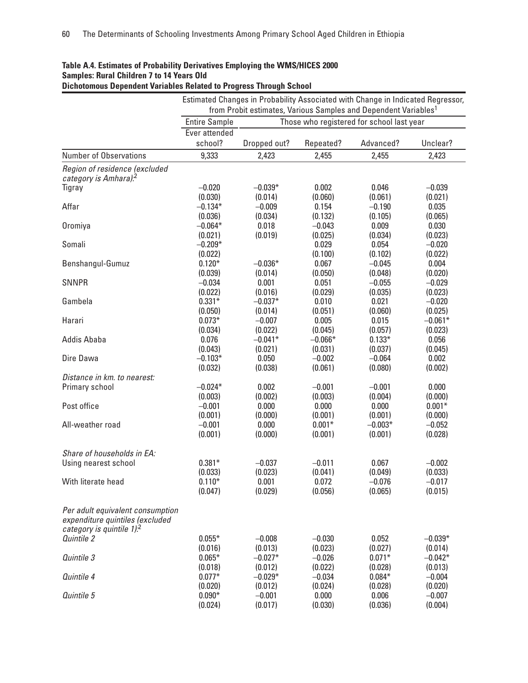|                                                                     |                      |                  |                  | Estimated Changes in Probability Associated with Change in Indicated Regressor, |                     |
|---------------------------------------------------------------------|----------------------|------------------|------------------|---------------------------------------------------------------------------------|---------------------|
|                                                                     |                      |                  |                  | from Probit estimates, Various Samples and Dependent Variables <sup>1</sup>     |                     |
|                                                                     | <b>Entire Sample</b> |                  |                  | Those who registered for school last year                                       |                     |
|                                                                     | Ever attended        |                  |                  |                                                                                 |                     |
|                                                                     | school?              | Dropped out?     | Repeated?        | Advanced?                                                                       | Unclear?            |
| <b>Number of Observations</b>                                       | 9,333                | 2,423            | 2,455            | 2,455                                                                           | 2,423               |
| Region of residence (excluded<br>category is Amhara). <sup>2</sup>  |                      |                  |                  |                                                                                 |                     |
| Tigray                                                              | $-0.020$             | $-0.039*$        | 0.002            | 0.046                                                                           | $-0.039$            |
|                                                                     | (0.030)              | (0.014)          | (0.060)          | (0.061)                                                                         | (0.021)             |
| Affar                                                               | $-0.134*$            | $-0.009$         | 0.154            | $-0.190$                                                                        | 0.035               |
|                                                                     | (0.036)              | (0.034)          | (0.132)          | (0.105)                                                                         | (0.065)             |
| Oromiya                                                             | $-0.064*$            | 0.018            | $-0.043$         | 0.009                                                                           | 0.030               |
|                                                                     | (0.021)              | (0.019)          | (0.025)          | (0.034)                                                                         | (0.023)             |
| Somali                                                              | $-0.209*$            |                  | 0.029            | 0.054                                                                           | $-0.020$            |
|                                                                     | (0.022)              |                  | (0.100)          | (0.102)                                                                         | (0.022)             |
| Benshangul-Gumuz                                                    | $0.120*$             | $-0.036*$        | 0.067            | $-0.045$                                                                        | 0.004               |
| <b>SNNPR</b>                                                        | (0.039)<br>$-0.034$  | (0.014)<br>0.001 | (0.050)<br>0.051 | (0.048)<br>$-0.055$                                                             | (0.020)             |
|                                                                     | (0.022)              | (0.016)          | (0.029)          | (0.035)                                                                         | $-0.029$<br>(0.023) |
| Gambela                                                             | $0.331*$             | $-0.037*$        | 0.010            | 0.021                                                                           | $-0.020$            |
|                                                                     | (0.050)              | (0.014)          | (0.051)          | (0.060)                                                                         | (0.025)             |
| Harari                                                              | $0.073*$             | $-0.007$         | 0.005            | 0.015                                                                           | $-0.061*$           |
|                                                                     | (0.034)              | (0.022)          | (0.045)          | (0.057)                                                                         | (0.023)             |
| <b>Addis Ababa</b>                                                  | 0.076                | $-0.041*$        | $-0.066*$        | $0.133*$                                                                        | 0.056               |
|                                                                     | (0.043)              | (0.021)          | (0.031)          | (0.037)                                                                         | (0.045)             |
| Dire Dawa                                                           | $-0.103*$            | 0.050            | $-0.002$         | $-0.064$                                                                        | 0.002               |
|                                                                     | (0.032)              | (0.038)          | (0.061)          | (0.080)                                                                         | (0.002)             |
| Distance in km. to nearest:                                         |                      |                  |                  |                                                                                 |                     |
| Primary school                                                      | $-0.024*$            | 0.002            | $-0.001$         | $-0.001$                                                                        | 0.000               |
|                                                                     | (0.003)              | (0.002)          | (0.003)          | (0.004)                                                                         | (0.000)             |
| Post office                                                         | $-0.001$             | 0.000            | 0.000            | 0.000                                                                           | $0.001*$            |
|                                                                     | (0.001)              | (0.000)          | (0.001)          | (0.001)                                                                         | (0.000)             |
| All-weather road                                                    | $-0.001$             | 0.000            | $0.001*$         | $-0.003*$                                                                       | $-0.052$            |
|                                                                     | (0.001)              | (0.000)          | (0.001)          | (0.001)                                                                         | (0.028)             |
| Share of households in EA:                                          |                      |                  |                  |                                                                                 |                     |
|                                                                     | $0.381*$             | $-0.037$         | $-0.011$         | 0.067                                                                           | $-0.002$            |
| Using nearest school                                                |                      |                  |                  |                                                                                 |                     |
| With literate head                                                  | (0.033)<br>$0.110*$  | (0.023)<br>0.001 | (0.041)<br>0.072 | (0.049)<br>$-0.076$                                                             | (0.033)<br>$-0.017$ |
|                                                                     | (0.047)              | (0.029)          | (0.056)          | (0.065)                                                                         | (0.015)             |
| Per adult equivalent consumption<br>expenditure quintiles (excluded |                      |                  |                  |                                                                                 |                     |
| category is quintile $1$ . <sup>2</sup>                             |                      |                  |                  |                                                                                 |                     |
| Quintile 2                                                          | $0.055*$             | $-0.008$         | $-0.030$         | 0.052                                                                           | $-0.039*$           |
|                                                                     | (0.016)              | (0.013)          | (0.023)          | (0.027)                                                                         | (0.014)             |
| Quintile 3                                                          | $0.065*$             | $-0.027*$        | $-0.026$         | $0.071*$                                                                        | $-0.042*$           |
|                                                                     | (0.018)              | (0.012)          | (0.022)          | (0.028)                                                                         | (0.013)             |
| Quintile 4                                                          | $0.077*$             | $-0.029*$        | $-0.034$         | $0.084*$                                                                        | $-0.004$            |
|                                                                     | (0.020)              | (0.012)          | (0.024)          | (0.028)                                                                         | (0.020)             |
| Quintile 5                                                          | $0.090*$             | $-0.001$         | 0.000            | 0.006                                                                           | $-0.007$            |
|                                                                     | (0.024)              | (0.017)          | (0.030)          | (0.036)                                                                         | (0.004)             |

## **Table A.4. Estimates of Probability Derivatives Employing the WMS/HICES 2000 Samples: Rural Children 7 to 14 Years Old**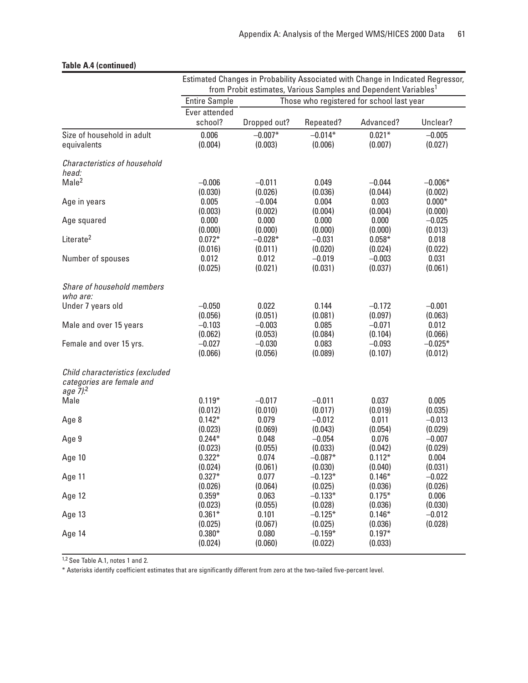|                                                                                      | Estimated Changes in Probability Associated with Change in Indicated Regressor,<br>from Probit estimates, Various Samples and Dependent Variables <sup>1</sup> |                  |                      |                                           |           |  |
|--------------------------------------------------------------------------------------|----------------------------------------------------------------------------------------------------------------------------------------------------------------|------------------|----------------------|-------------------------------------------|-----------|--|
|                                                                                      | <b>Entire Sample</b>                                                                                                                                           |                  |                      | Those who registered for school last year |           |  |
|                                                                                      | Ever attended                                                                                                                                                  |                  |                      |                                           |           |  |
|                                                                                      | school?                                                                                                                                                        | Dropped out?     | Repeated?            | Advanced?                                 | Unclear?  |  |
| Size of household in adult                                                           | 0.006                                                                                                                                                          | $-0.007*$        | $-0.014*$            | $0.021*$                                  | $-0.005$  |  |
| equivalents                                                                          | (0.004)                                                                                                                                                        | (0.003)          | (0.006)              | (0.007)                                   | (0.027)   |  |
| Characteristics of household<br>head:                                                |                                                                                                                                                                |                  |                      |                                           |           |  |
| Male <sup>2</sup>                                                                    | $-0.006$                                                                                                                                                       | $-0.011$         | 0.049                | $-0.044$                                  | $-0.006*$ |  |
|                                                                                      | (0.030)                                                                                                                                                        | (0.026)          | (0.036)              | (0.044)                                   | (0.002)   |  |
| Age in years                                                                         | 0.005                                                                                                                                                          | $-0.004$         | 0.004                | 0.003                                     | $0.000*$  |  |
|                                                                                      | (0.003)                                                                                                                                                        | (0.002)          | (0.004)              | (0.004)                                   | (0.000)   |  |
| Age squared                                                                          | 0.000                                                                                                                                                          | 0.000            | 0.000                | 0.000                                     | $-0.025$  |  |
|                                                                                      | (0.000)                                                                                                                                                        | (0.000)          | (0.000)              | (0.000)                                   | (0.013)   |  |
| Literate <sup>2</sup>                                                                | $0.072*$                                                                                                                                                       | $-0.028*$        | $-0.031$             | $0.058*$                                  | 0.018     |  |
|                                                                                      | (0.016)                                                                                                                                                        | (0.011)          | (0.020)              | (0.024)                                   | (0.022)   |  |
| Number of spouses                                                                    | 0.012                                                                                                                                                          | 0.012            | $-0.019$             | $-0.003$                                  | 0.031     |  |
|                                                                                      | (0.025)                                                                                                                                                        | (0.021)          | (0.031)              | (0.037)                                   | (0.061)   |  |
| Share of household members<br>who are:                                               |                                                                                                                                                                |                  |                      |                                           |           |  |
| Under 7 years old                                                                    | $-0.050$                                                                                                                                                       | 0.022            | 0.144                | $-0.172$                                  | $-0.001$  |  |
|                                                                                      | (0.056)                                                                                                                                                        | (0.051)          | (0.081)              | (0.097)                                   | (0.063)   |  |
| Male and over 15 years                                                               | $-0.103$                                                                                                                                                       | $-0.003$         | 0.085                | $-0.071$                                  | 0.012     |  |
|                                                                                      | (0.062)                                                                                                                                                        | (0.053)          | (0.084)              | (0.104)                                   | (0.066)   |  |
| Female and over 15 yrs.                                                              | $-0.027$                                                                                                                                                       | $-0.030$         | 0.083                | $-0.093$                                  | $-0.025*$ |  |
|                                                                                      | (0.066)                                                                                                                                                        | (0.056)          | (0.089)              | (0.107)                                   | (0.012)   |  |
| Child characteristics (excluded<br>categories are female and<br>age 7). <sup>2</sup> |                                                                                                                                                                |                  |                      |                                           |           |  |
| Male                                                                                 | $0.119*$                                                                                                                                                       | $-0.017$         | $-0.011$             | 0.037                                     | 0.005     |  |
|                                                                                      | (0.012)                                                                                                                                                        | (0.010)          | (0.017)              | (0.019)                                   | (0.035)   |  |
| Age 8                                                                                | $0.142*$                                                                                                                                                       | 0.079            | $-0.012$             | 0.011                                     | $-0.013$  |  |
|                                                                                      | (0.023)                                                                                                                                                        | (0.069)          | (0.043)              | (0.054)                                   | (0.029)   |  |
| Age 9                                                                                | $0.244*$                                                                                                                                                       | 0.048            | $-0.054$             | 0.076                                     | $-0.007$  |  |
|                                                                                      | (0.023)                                                                                                                                                        | (0.055)          | (0.033)              | (0.042)                                   | (0.029)   |  |
| Age 10                                                                               | $0.322*$                                                                                                                                                       | 0.074            | $-0.087*$            | $0.112*$                                  | 0.004     |  |
|                                                                                      | (0.024)                                                                                                                                                        | (0.061)          | (0.030)              | (0.040)                                   | (0.031)   |  |
| Age 11                                                                               | $0.327*$                                                                                                                                                       | 0.077            | $-0.123*$            | $0.146*$                                  | $-0.022$  |  |
|                                                                                      | (0.026)                                                                                                                                                        | (0.064)          | (0.025)              | (0.036)                                   | (0.026)   |  |
| Age 12                                                                               | $0.359*$                                                                                                                                                       | 0.063            | $-0.133*$            | $0.175*$                                  | 0.006     |  |
|                                                                                      | (0.023)                                                                                                                                                        | (0.055)          | (0.028)              | (0.036)                                   | (0.030)   |  |
| Age 13                                                                               | $0.361*$                                                                                                                                                       | 0.101            | $-0.125*$            | $0.146*$                                  | $-0.012$  |  |
|                                                                                      | (0.025)                                                                                                                                                        | (0.067)          | (0.025)              | (0.036)                                   | (0.028)   |  |
| Age 14                                                                               | $0.380*$<br>(0.024)                                                                                                                                            | 0.080<br>(0.060) | $-0.159*$<br>(0.022) | $0.197*$<br>(0.033)                       |           |  |

## **Table A.4 (continued)**

1,2 See Table A.1, notes 1 and 2.

\* Asterisks identify coefficient estimates that are significantly different from zero at the two-tailed five-percent level.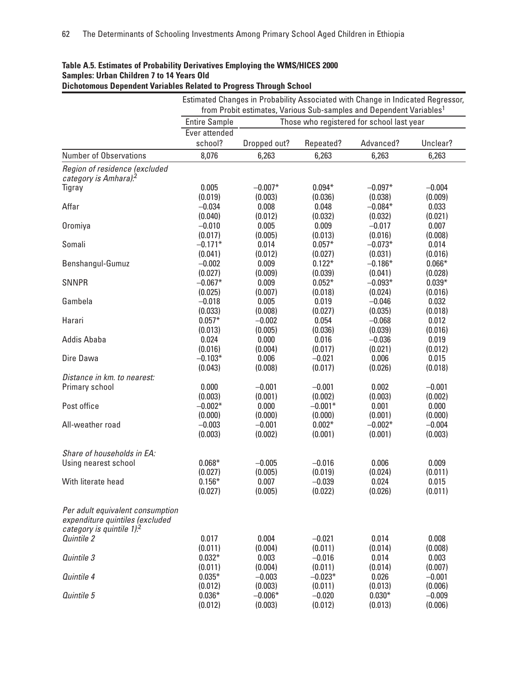| notomogo poponuom variabios noiatoa to i rogrossi mroagn oonool                                                |                          |                      |                     | Estimated Changes in Probability Associated with Change in Indicated Regressor, |                     |
|----------------------------------------------------------------------------------------------------------------|--------------------------|----------------------|---------------------|---------------------------------------------------------------------------------|---------------------|
|                                                                                                                |                          |                      |                     | from Probit estimates, Various Sub-samples and Dependent Variables <sup>1</sup> |                     |
|                                                                                                                | <b>Entire Sample</b>     |                      |                     | Those who registered for school last year                                       |                     |
|                                                                                                                | Ever attended<br>school? | Dropped out?         | Repeated?           | Advanced?                                                                       | Unclear?            |
| Number of Observations                                                                                         | 8,076                    | 6,263                | 6,263               | 6,263                                                                           | 6,263               |
| Region of residence (excluded                                                                                  |                          |                      |                     |                                                                                 |                     |
| category is Amhara). <sup>2</sup>                                                                              |                          |                      |                     |                                                                                 |                     |
| Tigray                                                                                                         | 0.005                    | $-0.007*$            | $0.094*$            | $-0.097*$                                                                       | $-0.004$            |
|                                                                                                                | (0.019)                  | (0.003)              | (0.036)             | (0.038)                                                                         | (0.009)             |
| Affar                                                                                                          | $-0.034$                 | 0.008                | 0.048               | $-0.084*$                                                                       | 0.033               |
|                                                                                                                | (0.040)                  | (0.012)              | (0.032)             | (0.032)                                                                         | (0.021)             |
| Oromiya                                                                                                        | $-0.010$                 | 0.005                | 0.009               | $-0.017$                                                                        | 0.007               |
| Somali                                                                                                         | (0.017)<br>$-0.171*$     | (0.005)<br>0.014     | (0.013)<br>$0.057*$ | (0.016)<br>$-0.073*$                                                            | (0.008)<br>0.014    |
|                                                                                                                | (0.041)                  | (0.012)              | (0.027)             | (0.031)                                                                         | (0.016)             |
| Benshangul-Gumuz                                                                                               | $-0.002$                 | 0.009                | $0.122*$            | $-0.186*$                                                                       | $0.066*$            |
|                                                                                                                | (0.027)                  | (0.009)              | (0.039)             | (0.041)                                                                         | (0.028)             |
| <b>SNNPR</b>                                                                                                   | $-0.067*$                | 0.009                | $0.052*$            | $-0.093*$                                                                       | $0.039*$            |
|                                                                                                                | (0.025)                  | (0.007)              | (0.018)             | (0.024)                                                                         | (0.016)             |
| Gambela<br>Harari                                                                                              | $-0.018$                 | 0.005                | 0.019               | $-0.046$                                                                        | 0.032               |
|                                                                                                                | (0.033)                  | (0.008)              | (0.027)             | (0.035)                                                                         | (0.018)             |
|                                                                                                                | $0.057*$                 | $-0.002$             | 0.054               | $-0.068$                                                                        | 0.012               |
| <b>Addis Ababa</b>                                                                                             | (0.013)                  | (0.005)              | (0.036)             | (0.039)                                                                         | (0.016)             |
|                                                                                                                | 0.024                    | 0.000                | 0.016               | $-0.036$                                                                        | 0.019               |
| Dire Dawa                                                                                                      | (0.016)<br>$-0.103*$     | (0.004)<br>0.006     | (0.017)<br>$-0.021$ | (0.021)<br>0.006                                                                | (0.012)<br>0.015    |
|                                                                                                                | (0.043)                  | (0.008)              | (0.017)             | (0.026)                                                                         | (0.018)             |
| Distance in km. to nearest:                                                                                    |                          |                      |                     |                                                                                 |                     |
| Primary school                                                                                                 | 0.000                    | $-0.001$             | $-0.001$            | 0.002                                                                           | $-0.001$            |
|                                                                                                                | (0.003)                  | (0.001)              | (0.002)             | (0.003)                                                                         | (0.002)             |
| Post office                                                                                                    | $-0.002*$                | 0.000                | $-0.001*$           | 0.001                                                                           | 0.000               |
|                                                                                                                | (0.000)                  | (0.000)              | (0.000)             | (0.001)                                                                         | (0.000)             |
| All-weather road                                                                                               | $-0.003$                 | $-0.001$             | $0.002*$            | $-0.002*$                                                                       | $-0.004$            |
|                                                                                                                | (0.003)                  | (0.002)              | (0.001)             | (0.001)                                                                         | (0.003)             |
| Share of households in EA:                                                                                     |                          |                      |                     |                                                                                 |                     |
| Using nearest school                                                                                           | $0.068*$                 | $-0.005$             | $-0.016$            | 0.006                                                                           | 0.009               |
|                                                                                                                | (0.027)                  | (0.005)              | (0.019)             | (0.024)                                                                         | (0.011)             |
| With literate head                                                                                             | $0.156*$                 | 0.007                | $-0.039$            | 0.024                                                                           | 0.015               |
|                                                                                                                | (0.027)                  | (0.005)              | (0.022)             | (0.026)                                                                         | (0.011)             |
| Per adult equivalent consumption<br>expenditure quintiles (excluded<br>category is quintile $1$ . <sup>2</sup> |                          |                      |                     |                                                                                 |                     |
| Quintile 2                                                                                                     | 0.017                    | 0.004                | $-0.021$            | 0.014                                                                           | 0.008               |
|                                                                                                                | (0.011)                  | (0.004)              | (0.011)             | (0.014)                                                                         | (0.008)             |
| Quintile 3                                                                                                     | $0.032*$                 | 0.003                | $-0.016$            | 0.014                                                                           | 0.003               |
|                                                                                                                | (0.011)                  | (0.004)              | (0.011)             | (0.014)                                                                         | (0.007)             |
| Quintile 4                                                                                                     | $0.035*$                 | $-0.003$             | $-0.023*$           | 0.026                                                                           | $-0.001$            |
| Quintile 5                                                                                                     | (0.012)<br>$0.036*$      | (0.003)<br>$-0.006*$ | (0.011)<br>$-0.020$ | (0.013)<br>$0.030*$                                                             | (0.006)<br>$-0.009$ |
|                                                                                                                | (0.012)                  | (0.003)              | (0.012)             | (0.013)                                                                         | (0.006)             |

#### **Table A.5. Estimates of Probability Derivatives Employing the WMS/HICES 2000 Samples: Urban Children 7 to 14 Years Old Dichotomous Dependent Variables Related to Progress Through School**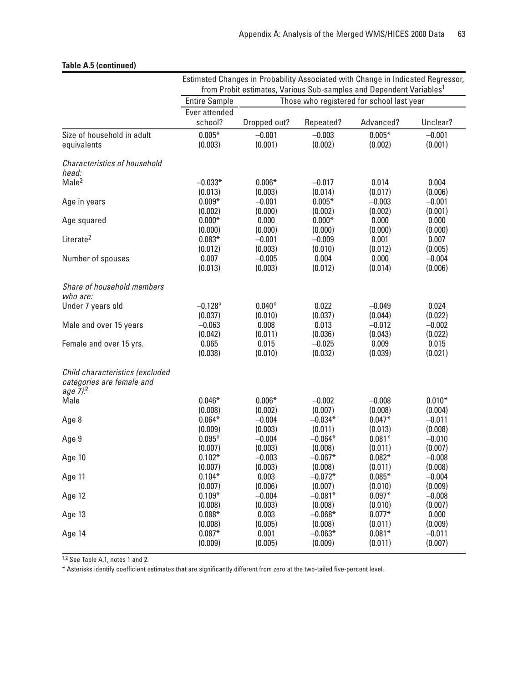|                                                                                      | Estimated Changes in Probability Associated with Change in Indicated Regressor, |                  |                      |                     |                     |  |  |  |
|--------------------------------------------------------------------------------------|---------------------------------------------------------------------------------|------------------|----------------------|---------------------|---------------------|--|--|--|
|                                                                                      | from Probit estimates, Various Sub-samples and Dependent Variables <sup>1</sup> |                  |                      |                     |                     |  |  |  |
|                                                                                      | Those who registered for school last year<br><b>Entire Sample</b>               |                  |                      |                     |                     |  |  |  |
|                                                                                      | Ever attended                                                                   |                  |                      |                     |                     |  |  |  |
|                                                                                      | school?                                                                         | Dropped out?     | Repeated?            | Advanced?           | Unclear?            |  |  |  |
| Size of household in adult                                                           | $0.005*$                                                                        | $-0.001$         | $-0.003$             | $0.005*$            | $-0.001$            |  |  |  |
| equivalents                                                                          | (0.003)                                                                         | (0.001)          | (0.002)              | (0.002)             | (0.001)             |  |  |  |
| <b>Characteristics of household</b><br>head:                                         |                                                                                 |                  |                      |                     |                     |  |  |  |
| Male <sup>2</sup>                                                                    | $-0.033*$                                                                       | $0.006*$         | $-0.017$             | 0.014               | 0.004               |  |  |  |
|                                                                                      | (0.013)                                                                         | (0.003)          | (0.014)              | (0.017)             | (0.006)             |  |  |  |
| Age in years                                                                         | $0.009*$                                                                        | $-0.001$         | $0.005*$             | $-0.003$            | $-0.001$            |  |  |  |
|                                                                                      | (0.002)                                                                         | (0.000)          | (0.002)              | (0.002)             | (0.001)             |  |  |  |
| Age squared                                                                          | $0.000*$                                                                        | 0.000            | $0.000*$             | 0.000               | 0.000               |  |  |  |
|                                                                                      | (0.000)                                                                         | (0.000)          | (0.000)              | (0.000)             | (0.000)             |  |  |  |
| Literate <sup>2</sup>                                                                | $0.083*$                                                                        | $-0.001$         | $-0.009$             | 0.001               | 0.007               |  |  |  |
|                                                                                      | (0.012)                                                                         | (0.003)          | (0.010)              | (0.012)             | (0.005)             |  |  |  |
| Number of spouses                                                                    | 0.007                                                                           | $-0.005$         | 0.004                | 0.000               | $-0.004$            |  |  |  |
|                                                                                      | (0.013)                                                                         | (0.003)          | (0.012)              | (0.014)             | (0.006)             |  |  |  |
| Share of household members<br>who are:                                               |                                                                                 |                  |                      |                     |                     |  |  |  |
| Under 7 years old                                                                    | $-0.128*$                                                                       | $0.040*$         | 0.022                | $-0.049$            | 0.024               |  |  |  |
|                                                                                      | (0.037)                                                                         | (0.010)          | (0.037)              | (0.044)             | (0.022)             |  |  |  |
| Male and over 15 years                                                               | $-0.063$                                                                        | 0.008            | 0.013                | $-0.012$            | $-0.002$            |  |  |  |
|                                                                                      | (0.042)                                                                         | (0.011)          | (0.036)              | (0.043)             | (0.022)             |  |  |  |
| Female and over 15 yrs.                                                              | 0.065                                                                           | 0.015            | $-0.025$             | 0.009               | 0.015               |  |  |  |
|                                                                                      | (0.038)                                                                         | (0.010)          | (0.032)              | (0.039)             | (0.021)             |  |  |  |
| Child characteristics (excluded<br>categories are female and<br>age 7). <sup>2</sup> |                                                                                 |                  |                      |                     |                     |  |  |  |
| Male                                                                                 | $0.046*$                                                                        | $0.006*$         | $-0.002$             | $-0.008$            | $0.010*$            |  |  |  |
|                                                                                      | (0.008)                                                                         | (0.002)          | (0.007)              | (0.008)             | (0.004)             |  |  |  |
| Age 8                                                                                | $0.064*$                                                                        | $-0.004$         | $-0.034*$            | $0.047*$            | $-0.011$            |  |  |  |
|                                                                                      | (0.009)                                                                         | (0.003)          | (0.011)              | (0.013)             | (0.008)             |  |  |  |
| Age 9                                                                                | $0.095*$                                                                        | $-0.004$         | $-0.064*$            | $0.081*$            | $-0.010$            |  |  |  |
|                                                                                      | (0.007)                                                                         | (0.003)          | (0.008)              | (0.011)             | (0.007)             |  |  |  |
| Age 10                                                                               | $0.102*$                                                                        | $-0.003$         | $-0.067*$            | $0.082*$            | $-0.008$            |  |  |  |
|                                                                                      | (0.007)                                                                         | (0.003)          | (0.008)              | (0.011)             | (0.008)             |  |  |  |
| Age 11                                                                               | $0.104*$                                                                        | 0.003            | $-0.072*$            | $0.085*$            | $-0.004$            |  |  |  |
|                                                                                      | (0.007)                                                                         | (0.006)          | (0.007)              | (0.010)             | (0.009)             |  |  |  |
| Age 12                                                                               | $0.109*$                                                                        | $-0.004$         | $-0.081*$            | $0.097*$            | $-0.008$            |  |  |  |
|                                                                                      | (0.008)                                                                         | (0.003)          | (0.008)              | (0.010)             | (0.007)             |  |  |  |
| Age 13                                                                               | $0.088*$                                                                        | 0.003            | $-0.068*$            | $0.077*$            | 0.000               |  |  |  |
|                                                                                      | (0.008)<br>$0.087*$                                                             | (0.005)<br>0.001 | (0.008)<br>$-0.063*$ | (0.011)<br>$0.081*$ | (0.009)<br>$-0.011$ |  |  |  |
| Age 14                                                                               | (0.009)                                                                         | (0.005)          | (0.009)              | (0.011)             | (0.007)             |  |  |  |
|                                                                                      |                                                                                 |                  |                      |                     |                     |  |  |  |

## **Table A.5 (continued)**

1,2 See Table A.1, notes 1 and 2.

\* Asterisks identify coefficient estimates that are significantly different from zero at the two-tailed five-percent level.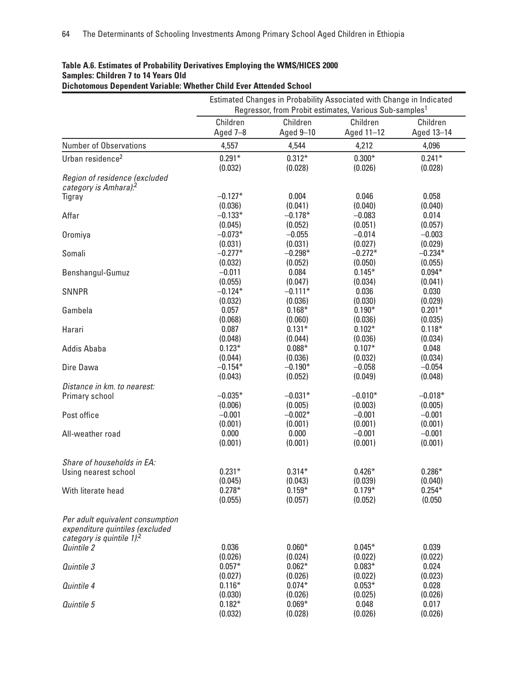|                                                                                                              | Estimated Changes in Probability Associated with Change in Indicated<br>Regressor, from Probit estimates, Various Sub-samples <sup>1</sup> |           |            |            |  |  |
|--------------------------------------------------------------------------------------------------------------|--------------------------------------------------------------------------------------------------------------------------------------------|-----------|------------|------------|--|--|
|                                                                                                              | Children                                                                                                                                   | Children  | Children   | Children   |  |  |
|                                                                                                              | Aged 7-8                                                                                                                                   | Aged 9-10 | Aged 11-12 | Aged 13-14 |  |  |
| <b>Number of Observations</b>                                                                                | 4,557                                                                                                                                      | 4,544     | 4,212      | 4,096      |  |  |
| Urban residence <sup>2</sup>                                                                                 | $0.291*$                                                                                                                                   | $0.312*$  | $0.300*$   | $0.241*$   |  |  |
|                                                                                                              | (0.032)                                                                                                                                    | (0.028)   | (0.026)    | (0.028)    |  |  |
| Region of residence (excluded<br>category is Amhara). <sup>2</sup>                                           |                                                                                                                                            |           |            |            |  |  |
| Tigray                                                                                                       | $-0.127*$                                                                                                                                  | 0.004     | 0.046      | 0.058      |  |  |
|                                                                                                              | (0.036)                                                                                                                                    | (0.041)   | (0.040)    | (0.040)    |  |  |
| Affar                                                                                                        | $-0.133*$                                                                                                                                  | $-0.178*$ | $-0.083$   | 0.014      |  |  |
|                                                                                                              | (0.045)                                                                                                                                    | (0.052)   | (0.051)    | (0.057)    |  |  |
| Oromiya                                                                                                      | $-0.073*$                                                                                                                                  | $-0.055$  | $-0.014$   | $-0.003$   |  |  |
|                                                                                                              | (0.031)                                                                                                                                    | (0.031)   | (0.027)    | (0.029)    |  |  |
| Somali                                                                                                       | $-0.277*$                                                                                                                                  | $-0.298*$ | $-0.272*$  | $-0.234*$  |  |  |
|                                                                                                              | (0.032)                                                                                                                                    | (0.052)   | (0.050)    | (0.055)    |  |  |
| Benshangul-Gumuz                                                                                             | $-0.011$                                                                                                                                   | 0.084     | $0.145*$   | $0.094*$   |  |  |
|                                                                                                              | (0.055)                                                                                                                                    | (0.047)   | (0.034)    | (0.041)    |  |  |
| <b>SNNPR</b>                                                                                                 | $-0.124*$                                                                                                                                  | $-0.111*$ | 0.036      | 0.030      |  |  |
|                                                                                                              | (0.032)                                                                                                                                    | (0.036)   | (0.030)    | (0.029)    |  |  |
| Gambela                                                                                                      | 0.057                                                                                                                                      | $0.168*$  | $0.190*$   | $0.201*$   |  |  |
|                                                                                                              | (0.068)                                                                                                                                    | (0.060)   | (0.036)    | (0.035)    |  |  |
| Harari                                                                                                       | 0.087                                                                                                                                      | $0.131*$  | $0.102*$   | $0.118*$   |  |  |
|                                                                                                              | (0.048)                                                                                                                                    | (0.044)   | (0.036)    | (0.034)    |  |  |
| Addis Ababa                                                                                                  | $0.123*$                                                                                                                                   | $0.088*$  | $0.107*$   | 0.048      |  |  |
|                                                                                                              | (0.044)                                                                                                                                    | (0.036)   | (0.032)    | (0.034)    |  |  |
| Dire Dawa                                                                                                    | $-0.154*$                                                                                                                                  | $-0.190*$ | $-0.058$   | $-0.054$   |  |  |
|                                                                                                              | (0.043)                                                                                                                                    | (0.052)   | (0.049)    | (0.048)    |  |  |
| Distance in km. to nearest:                                                                                  | $-0.035*$                                                                                                                                  | $-0.031*$ | $-0.010*$  | $-0.018*$  |  |  |
| Primary school                                                                                               | (0.006)                                                                                                                                    | (0.005)   | (0.003)    | (0.005)    |  |  |
| Post office                                                                                                  | $-0.001$                                                                                                                                   | $-0.002*$ | $-0.001$   | $-0.001$   |  |  |
|                                                                                                              | (0.001)                                                                                                                                    | (0.001)   | (0.001)    | (0.001)    |  |  |
| All-weather road                                                                                             | 0.000                                                                                                                                      | 0.000     | $-0.001$   | $-0.001$   |  |  |
|                                                                                                              | (0.001)                                                                                                                                    | (0.001)   | (0.001)    | (0.001)    |  |  |
| Share of households in EA:                                                                                   |                                                                                                                                            |           |            |            |  |  |
| Using nearest school                                                                                         | $0.231*$                                                                                                                                   | $0.314*$  | $0.426*$   | $0.286*$   |  |  |
|                                                                                                              | (0.045)                                                                                                                                    | (0.043)   | (0.039)    | (0.040)    |  |  |
| With literate head                                                                                           | $0.278*$                                                                                                                                   | $0.159*$  | $0.179*$   | $0.254*$   |  |  |
|                                                                                                              | (0.055)                                                                                                                                    | (0.057)   | (0.052)    | (0.050)    |  |  |
| Per adult equivalent consumption<br>expenditure quintiles (excluded<br>category is quintile 1). <sup>2</sup> |                                                                                                                                            |           |            |            |  |  |
| Quintile 2                                                                                                   | 0.036                                                                                                                                      | $0.060*$  | $0.045*$   | 0.039      |  |  |
|                                                                                                              | (0.026)                                                                                                                                    | (0.024)   | (0.022)    | (0.022)    |  |  |
| Quintile 3                                                                                                   | $0.057*$                                                                                                                                   | $0.062*$  | $0.083*$   | 0.024      |  |  |
|                                                                                                              | (0.027)                                                                                                                                    | (0.026)   | (0.022)    | (0.023)    |  |  |
| Quintile 4                                                                                                   | $0.116*$                                                                                                                                   | $0.074*$  | $0.053*$   | 0.028      |  |  |
|                                                                                                              | (0.030)                                                                                                                                    | (0.026)   | (0.025)    | (0.026)    |  |  |
| Quintile 5                                                                                                   | $0.182*$                                                                                                                                   | $0.069*$  | 0.048      | 0.017      |  |  |
|                                                                                                              | (0.032)                                                                                                                                    | (0.028)   | (0.026)    | (0.026)    |  |  |

## **Table A.6. Estimates of Probability Derivatives Employing the WMS/HICES 2000 Samples: Children 7 to 14 Years Old**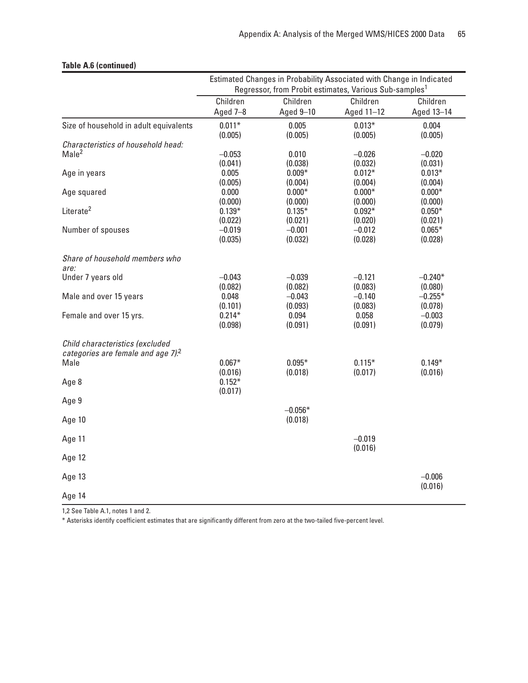|                                                                                   | Estimated Changes in Probability Associated with Change in Indicated |                  |                                                                    |                     |  |  |
|-----------------------------------------------------------------------------------|----------------------------------------------------------------------|------------------|--------------------------------------------------------------------|---------------------|--|--|
|                                                                                   |                                                                      |                  | Regressor, from Probit estimates, Various Sub-samples <sup>1</sup> |                     |  |  |
|                                                                                   | Children                                                             | Children         | Children                                                           | Children            |  |  |
|                                                                                   | Aged 7-8                                                             | Aged 9-10        | Aged 11-12                                                         | Aged 13-14          |  |  |
| Size of household in adult equivalents                                            | $0.011*$<br>(0.005)                                                  | 0.005<br>(0.005) | $0.013*$<br>(0.005)                                                | 0.004<br>(0.005)    |  |  |
| Characteristics of household head:                                                |                                                                      |                  |                                                                    |                     |  |  |
| Male <sup>2</sup>                                                                 | $-0.053$                                                             | 0.010            | $-0.026$                                                           | $-0.020$            |  |  |
|                                                                                   | (0.041)                                                              | (0.038)          | (0.032)                                                            | (0.031)             |  |  |
| Age in years                                                                      | 0.005                                                                | $0.009*$         | $0.012*$                                                           | $0.013*$            |  |  |
|                                                                                   | (0.005)                                                              | (0.004)          | (0.004)                                                            | (0.004)             |  |  |
| Age squared                                                                       | 0.000                                                                | $0.000*$         | $0.000*$                                                           | $0.000*$            |  |  |
|                                                                                   | (0.000)                                                              | (0.000)          | (0.000)                                                            | (0.000)             |  |  |
| Literate <sup>2</sup>                                                             | $0.139*$                                                             | $0.135*$         | $0.092*$                                                           | $0.050*$            |  |  |
|                                                                                   | (0.022)                                                              | (0.021)          | (0.020)                                                            | (0.021)             |  |  |
| Number of spouses                                                                 | $-0.019$                                                             | $-0.001$         | $-0.012$                                                           | $0.065*$            |  |  |
|                                                                                   | (0.035)                                                              | (0.032)          | (0.028)                                                            | (0.028)             |  |  |
| Share of household members who<br>are:                                            |                                                                      |                  |                                                                    |                     |  |  |
| Under 7 years old                                                                 | $-0.043$                                                             | $-0.039$         | $-0.121$                                                           | $-0.240*$           |  |  |
|                                                                                   | (0.082)                                                              | (0.082)          | (0.083)                                                            | (0.080)             |  |  |
| Male and over 15 years                                                            | 0.048                                                                | $-0.043$         | $-0.140$                                                           | $-0.255*$           |  |  |
|                                                                                   | (0.101)                                                              | (0.093)          | (0.083)                                                            | (0.078)             |  |  |
| Female and over 15 yrs.                                                           | $0.214*$                                                             | 0.094            | 0.058                                                              | $-0.003$            |  |  |
|                                                                                   | (0.098)                                                              | (0.091)          | (0.091)                                                            | (0.079)             |  |  |
| Child characteristics (excluded<br>categories are female and age 7). <sup>2</sup> |                                                                      |                  |                                                                    |                     |  |  |
| Male                                                                              | $0.067*$                                                             | $0.095*$         | $0.115*$                                                           | $0.149*$            |  |  |
|                                                                                   | (0.016)                                                              | (0.018)          | (0.017)                                                            | (0.016)             |  |  |
| Age 8                                                                             | $0.152*$                                                             |                  |                                                                    |                     |  |  |
|                                                                                   | (0.017)                                                              |                  |                                                                    |                     |  |  |
| Age 9                                                                             |                                                                      | $-0.056*$        |                                                                    |                     |  |  |
| Age 10                                                                            |                                                                      | (0.018)          |                                                                    |                     |  |  |
| Age 11                                                                            |                                                                      |                  | $-0.019$<br>(0.016)                                                |                     |  |  |
| Age 12                                                                            |                                                                      |                  |                                                                    |                     |  |  |
| Age 13                                                                            |                                                                      |                  |                                                                    | $-0.006$<br>(0.016) |  |  |
| Age 14                                                                            |                                                                      |                  |                                                                    |                     |  |  |

## **Table A.6 (continued)**

1,2 See Table A.1, notes 1 and 2.

\* Asterisks identify coefficient estimates that are significantly different from zero at the two-tailed five-percent level.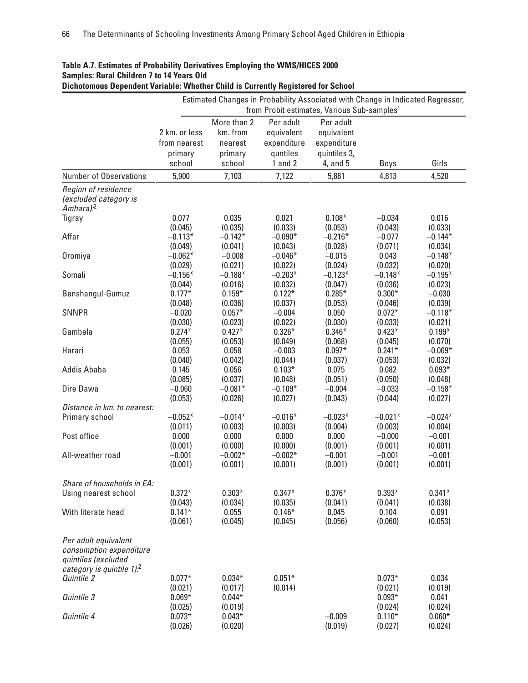| Dichotomous Dependent Variable: Whether Child is Currently Registered for School                                  |                     |                     |                     |                                                                                                                                            |                     |                      |
|-------------------------------------------------------------------------------------------------------------------|---------------------|---------------------|---------------------|--------------------------------------------------------------------------------------------------------------------------------------------|---------------------|----------------------|
|                                                                                                                   |                     |                     |                     | Estimated Changes in Probability Associated with Change in Indicated Regressor,<br>from Probit estimates, Various Sub-samples <sup>1</sup> |                     |                      |
|                                                                                                                   |                     | More than 2         | Per adult           | Per adult                                                                                                                                  |                     |                      |
|                                                                                                                   | 2 km. or less       | km. from            | equivalent          | equivalent                                                                                                                                 |                     |                      |
|                                                                                                                   |                     |                     |                     |                                                                                                                                            |                     |                      |
|                                                                                                                   | from nearest        | nearest             | expenditure         | expenditure                                                                                                                                |                     |                      |
|                                                                                                                   | primary             | primary             | quntiles            | quintiles 3,                                                                                                                               |                     |                      |
|                                                                                                                   | school              | school              | $1$ and $2$         | 4, and 5                                                                                                                                   | Boys                | Girls                |
| <b>Number of Observations</b>                                                                                     | 5,900               | 7,103               | 7,122               | 5,881                                                                                                                                      | 4,813               | 4,520                |
| Region of residence<br>(excluded category is<br>Amhara). <sup>2</sup>                                             |                     |                     |                     |                                                                                                                                            |                     |                      |
| Tigray                                                                                                            | 0.077               | 0.035               | 0.021               | $0.108*$                                                                                                                                   | $-0.034$            | 0.016                |
|                                                                                                                   | (0.045)             | (0.035)             | (0.033)             | (0.053)                                                                                                                                    | (0.043)             | (0.033)              |
| Affar                                                                                                             | $-0.113*$           | $-0.142*$           | $-0.090*$           | $-0.216*$                                                                                                                                  | $-0.077$            | $-0.144*$            |
|                                                                                                                   | (0.049)             | (0.041)             | (0.043)             | (0.028)                                                                                                                                    | (0.071)             | (0.034)              |
| Oromiya                                                                                                           | $-0.062*$           | $-0.008$            | $-0.046*$           | $-0.015$                                                                                                                                   | 0.043               | $-0.148*$            |
|                                                                                                                   | (0.029)             | (0.021)             | (0.022)             | (0.024)                                                                                                                                    | (0.032)             | (0.020)              |
| Somali                                                                                                            | $-0.156*$           | $-0.188*$           | $-0.203*$           | $-0.123*$                                                                                                                                  | $-0.148*$           | $-0.195*$            |
|                                                                                                                   | (0.044)             | (0.016)             | (0.032)             | (0.047)                                                                                                                                    | (0.036)             | (0.023)              |
| Benshangul-Gumuz                                                                                                  | $0.177*$            | $0.159*$            | $0.122*$            | $0.285*$                                                                                                                                   | $0.300*$            | $-0.030$             |
| <b>SNNPR</b>                                                                                                      | (0.048)<br>$-0.020$ | (0.036)<br>$0.057*$ | (0.037)<br>$-0.004$ | (0.053)<br>0.050                                                                                                                           | (0.046)<br>$0.072*$ | (0.039)<br>$-0.118*$ |
|                                                                                                                   | (0.030)             | (0.023)             | (0.022)             | (0.030)                                                                                                                                    | (0.033)             | (0.021)              |
| Gambela                                                                                                           | $0.274*$            | $0.427*$            | $0.326*$            | $0.346*$                                                                                                                                   | $0.423*$            | $0.199*$             |
|                                                                                                                   | (0.055)             | (0.053)             | (0.049)             | (0.068)                                                                                                                                    | (0.045)             | (0.070)              |
| Harari                                                                                                            | 0.053               | 0.058               | $-0.003$            | $0.097*$                                                                                                                                   | $0.241*$            | $-0.069*$            |
|                                                                                                                   | (0.040)             | (0.042)             | (0.044)             | (0.037)                                                                                                                                    | (0.053)             | (0.032)              |
| <b>Addis Ababa</b>                                                                                                | 0.145               | 0.056               | $0.103*$            | 0.075                                                                                                                                      | 0.082               | $0.093*$             |
|                                                                                                                   | (0.085)             | (0.037)             | (0.048)             | (0.051)                                                                                                                                    | (0.050)             | (0.048)              |
| Dire Dawa                                                                                                         | $-0.060$            | $-0.081*$           | $-0.109*$           | $-0.004$                                                                                                                                   | $-0.033$            | $-0.158*$            |
|                                                                                                                   | (0.053)             | (0.026)             | (0.027)             | (0.043)                                                                                                                                    | (0.044)             | (0.027)              |
| Distance in km. to nearest:                                                                                       |                     |                     |                     |                                                                                                                                            |                     |                      |
| Primary school                                                                                                    | $-0.052*$           | $-0.014*$           | $-0.016*$           | $-0.023*$                                                                                                                                  | $-0.021*$           | $-0.024*$            |
|                                                                                                                   | (0.011)             | (0.003)             | (0.003)             | (0.004)                                                                                                                                    | (0.003)             | (0.004)              |
| Post office                                                                                                       | 0.000               | 0.000               | 0.000               | 0.000                                                                                                                                      | $-0.000$            | $-0.001$             |
|                                                                                                                   | (0.001)             | (0.000)             | (0.000)             | (0.001)                                                                                                                                    | (0.001)             | (0.001)              |
| All-weather road                                                                                                  | $-0.001$            | $-0.002*$           | $-0.002*$           | $-0.001$                                                                                                                                   | $-0.001$            | $-0.001$             |
|                                                                                                                   | (0.001)             | (0.001)             | (0.001)             | (0.001)                                                                                                                                    | (0.001)             | (0.001)              |
| Share of households in EA:                                                                                        |                     |                     |                     |                                                                                                                                            |                     |                      |
| Using nearest school                                                                                              | $0.372*$            | $0.303*$            | $0.347*$            | $0.376*$                                                                                                                                   | $0.393*$            | $0.341*$             |
|                                                                                                                   | (0.043)             | (0.034)             | (0.035)             | (0.041)                                                                                                                                    | (0.041)             | (0.038)              |
| With literate head                                                                                                | $0.141*$            | 0.055               | $0.146*$            | 0.045                                                                                                                                      | 0.104               | 0.091                |
|                                                                                                                   | (0.061)             | (0.045)             | (0.045)             | (0.056)                                                                                                                                    | (0.060)             | (0.053)              |
| Per adult equivalent<br>consumption expenditure<br>quintiles (excluded<br>category is quintile $1$ . <sup>2</sup> |                     |                     |                     |                                                                                                                                            |                     |                      |
| Quintile 2                                                                                                        | $0.077*$            | $0.034*$            | $0.051*$            |                                                                                                                                            | $0.073*$            | 0.034                |
|                                                                                                                   | (0.021)             | (0.017)             | (0.014)             |                                                                                                                                            | (0.021)             | (0.019)              |
| Quintile 3                                                                                                        | $0.069*$            | $0.044*$            |                     |                                                                                                                                            | $0.093*$            | 0.041                |
|                                                                                                                   | (0.025)             | (0.019)             |                     |                                                                                                                                            | (0.024)             | (0.024)              |
| Quintile 4                                                                                                        | $0.073*$<br>(0.026) | $0.043*$<br>(0.020) |                     | $-0.009$<br>(0.019)                                                                                                                        | $0.110*$<br>(0.027) | $0.060*$<br>(0.024)  |

## **Table A.7. Estimates of Probability Derivatives Employing the WMS/HICES 2000 Samples: Rural Children 7 to 14 Years Old**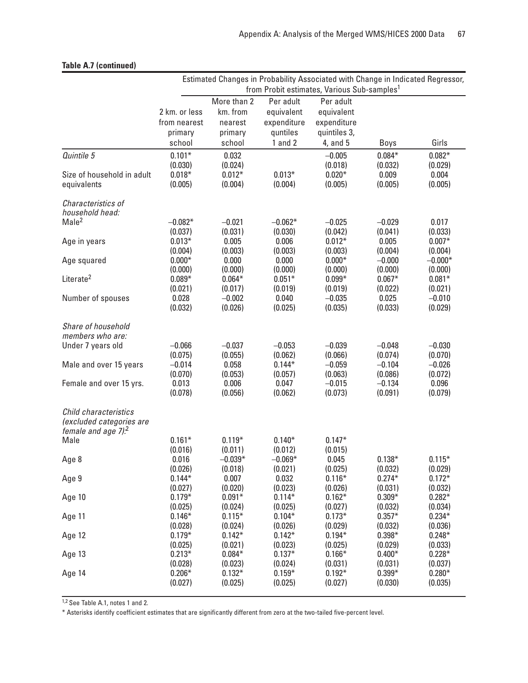|  | <b>Table A.7 (continued)</b> |  |
|--|------------------------------|--|
|  |                              |  |
|  |                              |  |
|  |                              |  |

|                                       | Estimated Changes in Probability Associated with Change in Indicated Regressor, |                      |                      |                     |                     |                     |  |
|---------------------------------------|---------------------------------------------------------------------------------|----------------------|----------------------|---------------------|---------------------|---------------------|--|
|                                       | from Probit estimates, Various Sub-samples <sup>1</sup>                         |                      |                      |                     |                     |                     |  |
|                                       |                                                                                 | More than 2          | Per adult            | Per adult           |                     |                     |  |
|                                       | 2 km. or less                                                                   | km. from             | equivalent           | equivalent          |                     |                     |  |
|                                       | from nearest                                                                    | nearest              | expenditure          | expenditure         |                     |                     |  |
|                                       | primary                                                                         | primary              | quntiles             | quintiles 3,        |                     |                     |  |
|                                       | school                                                                          | school               | $1$ and $2$          | 4, and 5            | Boys                | Girls               |  |
| Quintile 5                            | $0.101*$                                                                        | 0.032                |                      | $-0.005$            | $0.084*$            | $0.082*$            |  |
|                                       | (0.030)                                                                         | (0.024)              |                      | (0.018)             | (0.032)             | (0.029)             |  |
| Size of household in adult            | $0.018*$                                                                        | $0.012*$             | $0.013*$             | $0.020*$            | 0.009               | 0.004               |  |
| equivalents                           | (0.005)                                                                         | (0.004)              | (0.004)              | (0.005)             | (0.005)             | (0.005)             |  |
| Characteristics of<br>household head: |                                                                                 |                      |                      |                     |                     |                     |  |
| Male <sup>2</sup>                     | $-0.082*$                                                                       | $-0.021$             | $-0.062*$            | $-0.025$            | $-0.029$            | 0.017               |  |
|                                       | (0.037)                                                                         | (0.031)              | (0.030)              | (0.042)             | (0.041)             | (0.033)             |  |
| Age in years                          | $0.013*$                                                                        | 0.005                | 0.006                | $0.012*$            | 0.005               | $0.007*$            |  |
|                                       | (0.004)                                                                         | (0.003)              | (0.003)              | (0.003)             | (0.004)             | (0.004)             |  |
| Age squared                           | $0.000*$                                                                        | 0.000                | 0.000                | $0.000*$            | $-0.000$            | $-0.000*$           |  |
|                                       | (0.000)                                                                         | (0.000)              | (0.000)              | (0.000)             | (0.000)             | (0.000)             |  |
| Literate <sup>2</sup>                 | $0.089*$                                                                        | $0.064*$             | $0.051*$             | $0.099*$            | $0.067*$            | $0.081*$            |  |
|                                       | (0.021)                                                                         | (0.017)              | (0.019)              | (0.019)             | (0.022)             | (0.021)             |  |
| Number of spouses                     | 0.028                                                                           | $-0.002$             | 0.040                | $-0.035$            | 0.025<br>(0.033)    | $-0.010$            |  |
|                                       | (0.032)                                                                         | (0.026)              | (0.025)              | (0.035)             |                     | (0.029)             |  |
| Share of household                    |                                                                                 |                      |                      |                     |                     |                     |  |
| members who are:                      |                                                                                 |                      |                      |                     |                     |                     |  |
| Under 7 years old                     | $-0.066$                                                                        | $-0.037$             | $-0.053$             | $-0.039$            | $-0.048$            | $-0.030$            |  |
|                                       | (0.075)                                                                         | (0.055)              | (0.062)              | (0.066)             | (0.074)             | (0.070)             |  |
| Male and over 15 years                | $-0.014$                                                                        | 0.058                | $0.144*$             | $-0.059$            | $-0.104$            | $-0.026$            |  |
|                                       | (0.070)                                                                         | (0.053)              | (0.057)              | (0.063)             | (0.086)             | (0.072)             |  |
| Female and over 15 yrs.               | 0.013<br>(0.078)                                                                | 0.006<br>(0.056)     | 0.047<br>(0.062)     | $-0.015$<br>(0.073) | $-0.134$<br>(0.091) | 0.096<br>(0.079)    |  |
|                                       |                                                                                 |                      |                      |                     |                     |                     |  |
| Child characteristics                 |                                                                                 |                      |                      |                     |                     |                     |  |
| (excluded categories are              |                                                                                 |                      |                      |                     |                     |                     |  |
| female and age $7$ ). <sup>2</sup>    |                                                                                 |                      |                      |                     |                     |                     |  |
| Male                                  | $0.161*$                                                                        | $0.119*$             | $0.140*$             | $0.147*$            |                     |                     |  |
|                                       | (0.016)                                                                         | (0.011)              | (0.012)              | (0.015)             |                     |                     |  |
| Age 8                                 | 0.016<br>(0.026)                                                                | $-0.039*$<br>(0.018) | $-0.069*$<br>(0.021) | 0.045<br>(0.025)    | $0.138*$<br>(0.032) | $0.115*$<br>(0.029) |  |
| Age 9                                 | $0.144*$                                                                        | 0.007                | 0.032                | $0.116*$            | $0.274*$            | $0.172*$            |  |
|                                       | (0.027)                                                                         | (0.020)              | (0.023)              | (0.026)             | (0.031)             | (0.032)             |  |
| Age 10                                | $0.179*$                                                                        | $0.091*$             | $0.114*$             | $0.162*$            | $0.309*$            | $0.282*$            |  |
|                                       | (0.025)                                                                         | (0.024)              | (0.025)              | (0.027)             | (0.032)             | (0.034)             |  |
| Age 11                                | $0.146*$                                                                        | $0.115*$             | $0.104*$             | $0.173*$            | $0.357*$            | $0.234*$            |  |
|                                       | (0.028)                                                                         | (0.024)              | (0.026)              | (0.029)             | (0.032)             | (0.036)             |  |
| Age 12                                | $0.179*$                                                                        | $0.142*$             | $0.142*$             | $0.194*$            | $0.398*$            | $0.248*$            |  |
|                                       | (0.025)                                                                         | (0.021)              | (0.023)              | (0.025)             | (0.029)             | (0.033)             |  |
| Age 13                                | $0.213*$<br>(0.028)                                                             | $0.084*$<br>(0.023)  | $0.137*$<br>(0.024)  | $0.166*$<br>(0.031) | $0.400*$<br>(0.031) | $0.228*$<br>(0.037) |  |
| Age 14                                | $0.206*$                                                                        | $0.132*$             | $0.159*$             | $0.192*$            | $0.399*$            | $0.280*$            |  |
|                                       | (0.027)                                                                         | (0.025)              | (0.025)              | (0.027)             | (0.030)             | (0.035)             |  |
|                                       |                                                                                 |                      |                      |                     |                     |                     |  |

1,2 See Table A.1, notes 1 and 2.

\* Asterisks identify coefficient estimates that are significantly different from zero at the two-tailed five-percent level.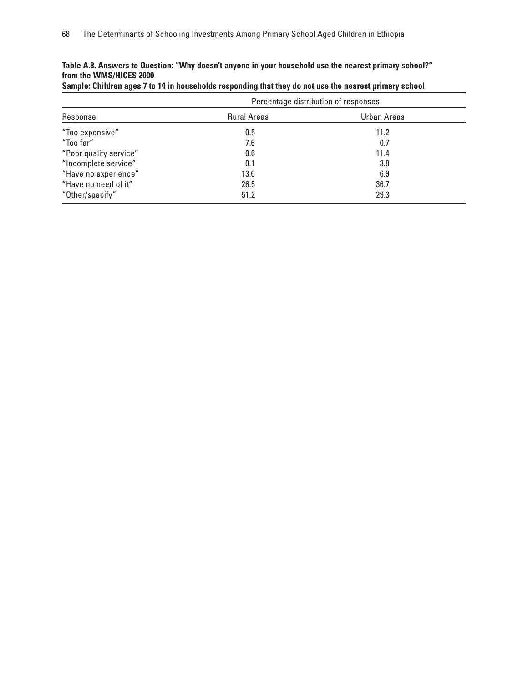|                        | Percentage distribution of responses |             |  |  |  |
|------------------------|--------------------------------------|-------------|--|--|--|
| Response               | <b>Rural Areas</b>                   | Urban Areas |  |  |  |
| "Too expensive"        | 0.5                                  | 11.2        |  |  |  |
| "Too far"              | 7.6                                  | 0.7         |  |  |  |
| "Poor quality service" | 0.6                                  | 11.4        |  |  |  |
| "Incomplete service"   | 0.1                                  | 3.8         |  |  |  |
| "Have no experience"   | 13.6                                 | 6.9         |  |  |  |
| "Have no need of it"   | 26.5                                 | 36.7        |  |  |  |
| "Other/specify"        | 51.2                                 | 29.3        |  |  |  |

### **Table A.8. Answers to Question: "Why doesn't anyone in your household use the nearest primary school?" from the WMS/HICES 2000**

|  | Sample: Children ages 7 to 14 in households responding that they do not use the nearest primary school |  |  |  |
|--|--------------------------------------------------------------------------------------------------------|--|--|--|
|--|--------------------------------------------------------------------------------------------------------|--|--|--|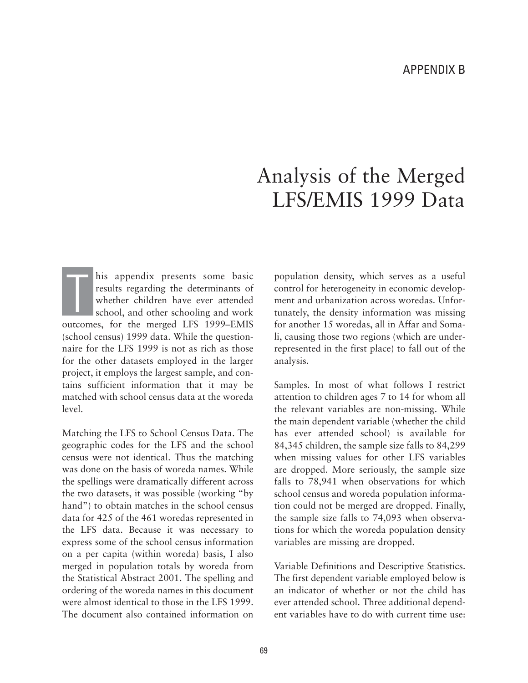# Analysis of the Merged LFS/EMIS 1999 Data

his appendix presents some basic results regarding the determinants of whether children have ever attended school, and other schooling and work outcomes, for the merged LFS 1999–EMIS (school census) 1999 data. While the questionnaire for the LFS 1999 is not as rich as those for the other datasets employed in the larger project, it employs the largest sample, and contains sufficient information that it may be matched with school census data at the woreda level. T<sub>1</sub>

Matching the LFS to School Census Data. The geographic codes for the LFS and the school census were not identical. Thus the matching was done on the basis of woreda names. While the spellings were dramatically different across the two datasets, it was possible (working "by hand") to obtain matches in the school census data for 425 of the 461 woredas represented in the LFS data. Because it was necessary to express some of the school census information on a per capita (within woreda) basis, I also merged in population totals by woreda from the Statistical Abstract 2001. The spelling and ordering of the woreda names in this document were almost identical to those in the LFS 1999. The document also contained information on

population density, which serves as a useful control for heterogeneity in economic development and urbanization across woredas. Unfortunately, the density information was missing for another 15 woredas, all in Affar and Somali, causing those two regions (which are underrepresented in the first place) to fall out of the analysis.

Samples. In most of what follows I restrict attention to children ages 7 to 14 for whom all the relevant variables are non-missing. While the main dependent variable (whether the child has ever attended school) is available for 84,345 children, the sample size falls to 84,299 when missing values for other LFS variables are dropped. More seriously, the sample size falls to 78,941 when observations for which school census and woreda population information could not be merged are dropped. Finally, the sample size falls to 74,093 when observations for which the woreda population density variables are missing are dropped.

Variable Definitions and Descriptive Statistics. The first dependent variable employed below is an indicator of whether or not the child has ever attended school. Three additional dependent variables have to do with current time use: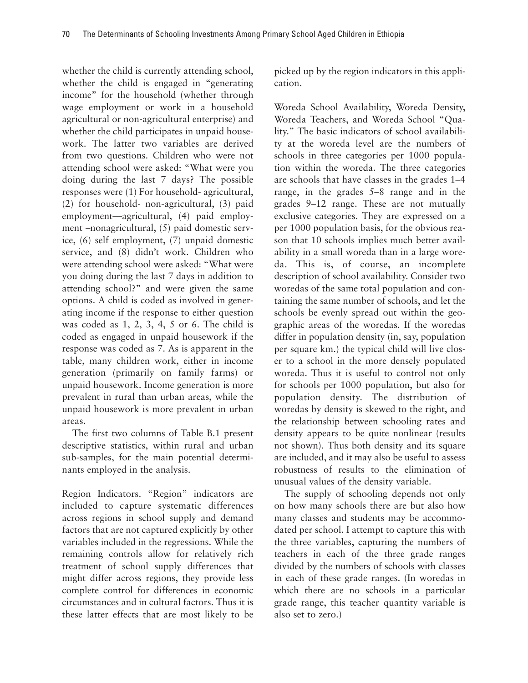whether the child is currently attending school, whether the child is engaged in "generating income" for the household (whether through wage employment or work in a household agricultural or non-agricultural enterprise) and whether the child participates in unpaid housework. The latter two variables are derived from two questions. Children who were not attending school were asked: "What were you doing during the last 7 days? The possible responses were (1) For household- agricultural, (2) for household- non-agricultural, (3) paid employment—agricultural, (4) paid employment –nonagricultural, (5) paid domestic service, (6) self employment, (7) unpaid domestic service, and (8) didn't work. Children who were attending school were asked: "What were you doing during the last 7 days in addition to attending school?" and were given the same options. A child is coded as involved in generating income if the response to either question was coded as 1, 2, 3, 4, 5 or 6. The child is coded as engaged in unpaid housework if the response was coded as 7. As is apparent in the table, many children work, either in income generation (primarily on family farms) or unpaid housework. Income generation is more prevalent in rural than urban areas, while the unpaid housework is more prevalent in urban areas.

The first two columns of Table B.1 present descriptive statistics, within rural and urban sub-samples, for the main potential determinants employed in the analysis.

Region Indicators. "Region" indicators are included to capture systematic differences across regions in school supply and demand factors that are not captured explicitly by other variables included in the regressions. While the remaining controls allow for relatively rich treatment of school supply differences that might differ across regions, they provide less complete control for differences in economic circumstances and in cultural factors. Thus it is these latter effects that are most likely to be picked up by the region indicators in this application.

Woreda School Availability, Woreda Density, Woreda Teachers, and Woreda School "Quality." The basic indicators of school availability at the woreda level are the numbers of schools in three categories per 1000 population within the woreda. The three categories are schools that have classes in the grades 1–4 range, in the grades 5–8 range and in the grades 9–12 range. These are not mutually exclusive categories. They are expressed on a per 1000 population basis, for the obvious reason that 10 schools implies much better availability in a small woreda than in a large woreda. This is, of course, an incomplete description of school availability. Consider two woredas of the same total population and containing the same number of schools, and let the schools be evenly spread out within the geographic areas of the woredas. If the woredas differ in population density (in, say, population per square km.) the typical child will live closer to a school in the more densely populated woreda. Thus it is useful to control not only for schools per 1000 population, but also for population density. The distribution of woredas by density is skewed to the right, and the relationship between schooling rates and density appears to be quite nonlinear (results not shown). Thus both density and its square are included, and it may also be useful to assess robustness of results to the elimination of unusual values of the density variable.

The supply of schooling depends not only on how many schools there are but also how many classes and students may be accommodated per school. I attempt to capture this with the three variables, capturing the numbers of teachers in each of the three grade ranges divided by the numbers of schools with classes in each of these grade ranges. (In woredas in which there are no schools in a particular grade range, this teacher quantity variable is also set to zero.)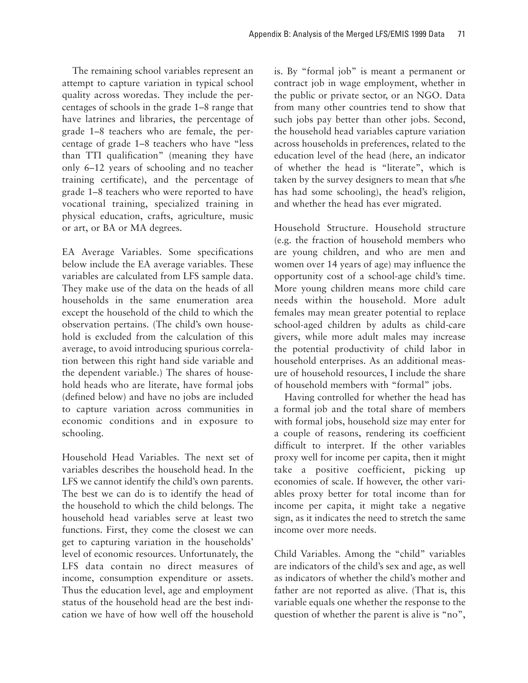The remaining school variables represent an attempt to capture variation in typical school quality across woredas. They include the percentages of schools in the grade 1–8 range that have latrines and libraries, the percentage of grade 1–8 teachers who are female, the percentage of grade 1–8 teachers who have "less than TTI qualification" (meaning they have only 6–12 years of schooling and no teacher training certificate), and the percentage of grade 1–8 teachers who were reported to have vocational training, specialized training in physical education, crafts, agriculture, music or art, or BA or MA degrees.

EA Average Variables. Some specifications below include the EA average variables. These variables are calculated from LFS sample data. They make use of the data on the heads of all households in the same enumeration area except the household of the child to which the observation pertains. (The child's own household is excluded from the calculation of this average, to avoid introducing spurious correlation between this right hand side variable and the dependent variable.) The shares of household heads who are literate, have formal jobs (defined below) and have no jobs are included to capture variation across communities in economic conditions and in exposure to schooling.

Household Head Variables. The next set of variables describes the household head. In the LFS we cannot identify the child's own parents. The best we can do is to identify the head of the household to which the child belongs. The household head variables serve at least two functions. First, they come the closest we can get to capturing variation in the households' level of economic resources. Unfortunately, the LFS data contain no direct measures of income, consumption expenditure or assets. Thus the education level, age and employment status of the household head are the best indication we have of how well off the household

is. By "formal job" is meant a permanent or contract job in wage employment, whether in the public or private sector, or an NGO. Data from many other countries tend to show that such jobs pay better than other jobs. Second, the household head variables capture variation across households in preferences, related to the education level of the head (here, an indicator of whether the head is "literate", which is taken by the survey designers to mean that s/he has had some schooling), the head's religion, and whether the head has ever migrated.

Household Structure. Household structure (e.g. the fraction of household members who are young children, and who are men and women over 14 years of age) may influence the opportunity cost of a school-age child's time. More young children means more child care needs within the household. More adult females may mean greater potential to replace school-aged children by adults as child-care givers, while more adult males may increase the potential productivity of child labor in household enterprises. As an additional measure of household resources, I include the share of household members with "formal" jobs.

Having controlled for whether the head has a formal job and the total share of members with formal jobs, household size may enter for a couple of reasons, rendering its coefficient difficult to interpret. If the other variables proxy well for income per capita, then it might take a positive coefficient, picking up economies of scale. If however, the other variables proxy better for total income than for income per capita, it might take a negative sign, as it indicates the need to stretch the same income over more needs.

Child Variables. Among the "child" variables are indicators of the child's sex and age, as well as indicators of whether the child's mother and father are not reported as alive. (That is, this variable equals one whether the response to the question of whether the parent is alive is "no",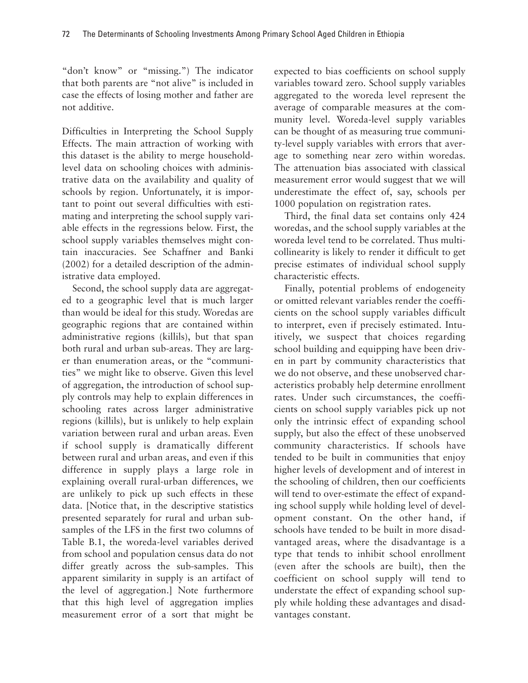"don't know" or "missing.") The indicator that both parents are "not alive" is included in case the effects of losing mother and father are not additive.

Difficulties in Interpreting the School Supply Effects. The main attraction of working with this dataset is the ability to merge householdlevel data on schooling choices with administrative data on the availability and quality of schools by region. Unfortunately, it is important to point out several difficulties with estimating and interpreting the school supply variable effects in the regressions below. First, the school supply variables themselves might contain inaccuracies. See Schaffner and Banki (2002) for a detailed description of the administrative data employed.

Second, the school supply data are aggregated to a geographic level that is much larger than would be ideal for this study. Woredas are geographic regions that are contained within administrative regions (killils), but that span both rural and urban sub-areas. They are larger than enumeration areas, or the "communities" we might like to observe. Given this level of aggregation, the introduction of school supply controls may help to explain differences in schooling rates across larger administrative regions (killils), but is unlikely to help explain variation between rural and urban areas. Even if school supply is dramatically different between rural and urban areas, and even if this difference in supply plays a large role in explaining overall rural-urban differences, we are unlikely to pick up such effects in these data. [Notice that, in the descriptive statistics presented separately for rural and urban subsamples of the LFS in the first two columns of Table B.1, the woreda-level variables derived from school and population census data do not differ greatly across the sub-samples. This apparent similarity in supply is an artifact of the level of aggregation.] Note furthermore that this high level of aggregation implies measurement error of a sort that might be

expected to bias coefficients on school supply variables toward zero. School supply variables aggregated to the woreda level represent the average of comparable measures at the community level. Woreda-level supply variables can be thought of as measuring true community-level supply variables with errors that average to something near zero within woredas. The attenuation bias associated with classical measurement error would suggest that we will underestimate the effect of, say, schools per 1000 population on registration rates.

Third, the final data set contains only 424 woredas, and the school supply variables at the woreda level tend to be correlated. Thus multicollinearity is likely to render it difficult to get precise estimates of individual school supply characteristic effects.

Finally, potential problems of endogeneity or omitted relevant variables render the coefficients on the school supply variables difficult to interpret, even if precisely estimated. Intuitively, we suspect that choices regarding school building and equipping have been driven in part by community characteristics that we do not observe, and these unobserved characteristics probably help determine enrollment rates. Under such circumstances, the coefficients on school supply variables pick up not only the intrinsic effect of expanding school supply, but also the effect of these unobserved community characteristics. If schools have tended to be built in communities that enjoy higher levels of development and of interest in the schooling of children, then our coefficients will tend to over-estimate the effect of expanding school supply while holding level of development constant. On the other hand, if schools have tended to be built in more disadvantaged areas, where the disadvantage is a type that tends to inhibit school enrollment (even after the schools are built), then the coefficient on school supply will tend to understate the effect of expanding school supply while holding these advantages and disadvantages constant.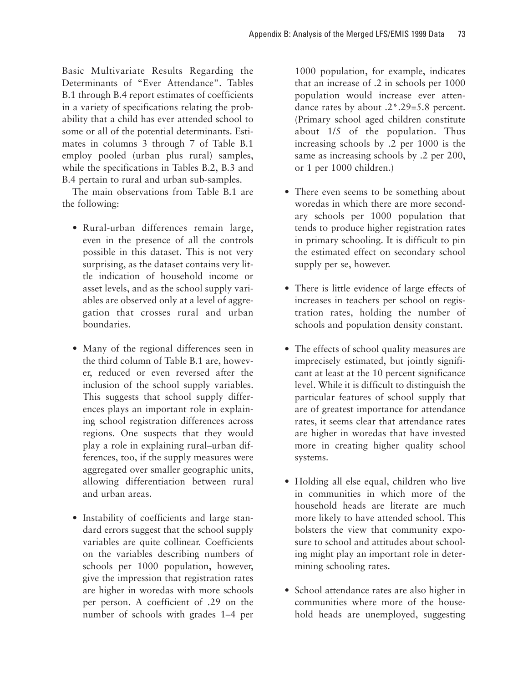Basic Multivariate Results Regarding the Determinants of "Ever Attendance". Tables B.1 through B.4 report estimates of coefficients in a variety of specifications relating the probability that a child has ever attended school to some or all of the potential determinants. Estimates in columns 3 through 7 of Table B.1 employ pooled (urban plus rural) samples, while the specifications in Tables B.2, B.3 and B.4 pertain to rural and urban sub-samples.

The main observations from Table B.1 are the following:

- Rural-urban differences remain large, even in the presence of all the controls possible in this dataset. This is not very surprising, as the dataset contains very little indication of household income or asset levels, and as the school supply variables are observed only at a level of aggregation that crosses rural and urban boundaries.
- Many of the regional differences seen in the third column of Table B.1 are, however, reduced or even reversed after the inclusion of the school supply variables. This suggests that school supply differences plays an important role in explaining school registration differences across regions. One suspects that they would play a role in explaining rural–urban differences, too, if the supply measures were aggregated over smaller geographic units, allowing differentiation between rural and urban areas.
- Instability of coefficients and large standard errors suggest that the school supply variables are quite collinear. Coefficients on the variables describing numbers of schools per 1000 population, however, give the impression that registration rates are higher in woredas with more schools per person. A coefficient of .29 on the number of schools with grades 1–4 per

1000 population, for example, indicates that an increase of .2 in schools per 1000 population would increase ever attendance rates by about .2\*.29=5.8 percent. (Primary school aged children constitute about 1/5 of the population. Thus increasing schools by .2 per 1000 is the same as increasing schools by .2 per 200, or 1 per 1000 children.)

- There even seems to be something about woredas in which there are more secondary schools per 1000 population that tends to produce higher registration rates in primary schooling. It is difficult to pin the estimated effect on secondary school supply per se, however.
- There is little evidence of large effects of increases in teachers per school on registration rates, holding the number of schools and population density constant.
- The effects of school quality measures are imprecisely estimated, but jointly significant at least at the 10 percent significance level. While it is difficult to distinguish the particular features of school supply that are of greatest importance for attendance rates, it seems clear that attendance rates are higher in woredas that have invested more in creating higher quality school systems.
- Holding all else equal, children who live in communities in which more of the household heads are literate are much more likely to have attended school. This bolsters the view that community exposure to school and attitudes about schooling might play an important role in determining schooling rates.
- School attendance rates are also higher in communities where more of the household heads are unemployed, suggesting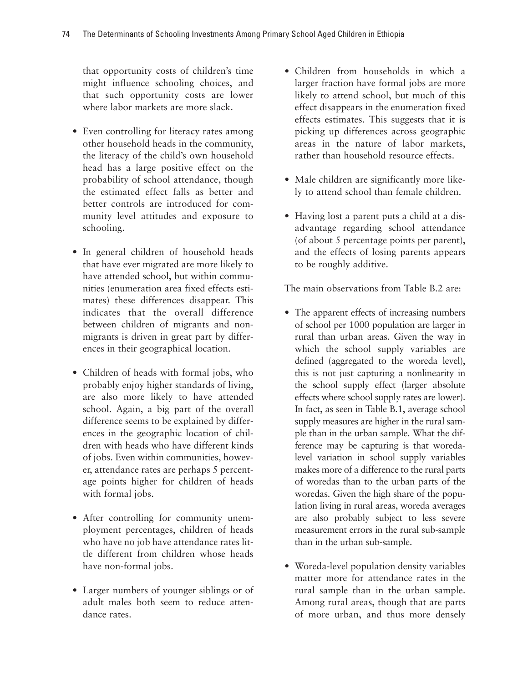that opportunity costs of children's time might influence schooling choices, and that such opportunity costs are lower where labor markets are more slack.

- Even controlling for literacy rates among other household heads in the community, the literacy of the child's own household head has a large positive effect on the probability of school attendance, though the estimated effect falls as better and better controls are introduced for community level attitudes and exposure to schooling.
- In general children of household heads that have ever migrated are more likely to have attended school, but within communities (enumeration area fixed effects estimates) these differences disappear. This indicates that the overall difference between children of migrants and nonmigrants is driven in great part by differences in their geographical location.
- Children of heads with formal jobs, who probably enjoy higher standards of living, are also more likely to have attended school. Again, a big part of the overall difference seems to be explained by differences in the geographic location of children with heads who have different kinds of jobs. Even within communities, however, attendance rates are perhaps 5 percentage points higher for children of heads with formal jobs.
- After controlling for community unemployment percentages, children of heads who have no job have attendance rates little different from children whose heads have non-formal jobs.
- Larger numbers of younger siblings or of adult males both seem to reduce attendance rates.
- Children from households in which a larger fraction have formal jobs are more likely to attend school, but much of this effect disappears in the enumeration fixed effects estimates. This suggests that it is picking up differences across geographic areas in the nature of labor markets, rather than household resource effects.
- Male children are significantly more likely to attend school than female children.
- Having lost a parent puts a child at a disadvantage regarding school attendance (of about 5 percentage points per parent), and the effects of losing parents appears to be roughly additive.

The main observations from Table B.2 are:

- The apparent effects of increasing numbers of school per 1000 population are larger in rural than urban areas. Given the way in which the school supply variables are defined (aggregated to the woreda level), this is not just capturing a nonlinearity in the school supply effect (larger absolute effects where school supply rates are lower). In fact, as seen in Table B.1, average school supply measures are higher in the rural sample than in the urban sample. What the difference may be capturing is that woredalevel variation in school supply variables makes more of a difference to the rural parts of woredas than to the urban parts of the woredas. Given the high share of the population living in rural areas, woreda averages are also probably subject to less severe measurement errors in the rural sub-sample than in the urban sub-sample.
- Woreda-level population density variables matter more for attendance rates in the rural sample than in the urban sample. Among rural areas, though that are parts of more urban, and thus more densely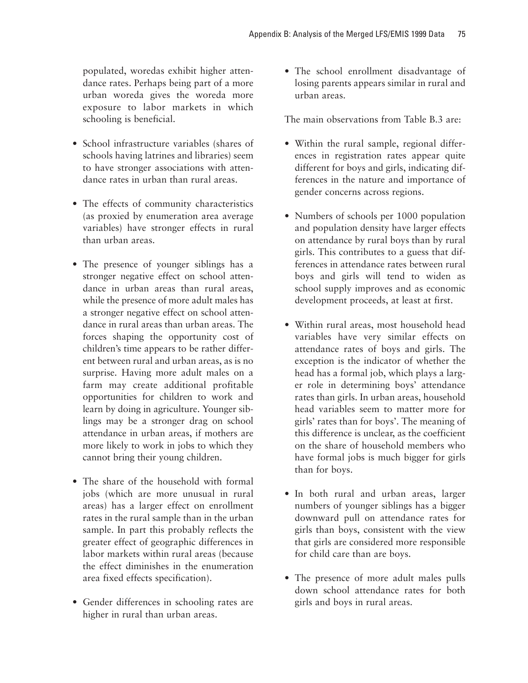populated, woredas exhibit higher attendance rates. Perhaps being part of a more urban woreda gives the woreda more exposure to labor markets in which schooling is beneficial.

- School infrastructure variables (shares of schools having latrines and libraries) seem to have stronger associations with attendance rates in urban than rural areas.
- The effects of community characteristics (as proxied by enumeration area average variables) have stronger effects in rural than urban areas.
- The presence of younger siblings has a stronger negative effect on school attendance in urban areas than rural areas, while the presence of more adult males has a stronger negative effect on school attendance in rural areas than urban areas. The forces shaping the opportunity cost of children's time appears to be rather different between rural and urban areas, as is no surprise. Having more adult males on a farm may create additional profitable opportunities for children to work and learn by doing in agriculture. Younger siblings may be a stronger drag on school attendance in urban areas, if mothers are more likely to work in jobs to which they cannot bring their young children.
- The share of the household with formal jobs (which are more unusual in rural areas) has a larger effect on enrollment rates in the rural sample than in the urban sample. In part this probably reflects the greater effect of geographic differences in labor markets within rural areas (because the effect diminishes in the enumeration area fixed effects specification).
- Gender differences in schooling rates are higher in rural than urban areas.

• The school enrollment disadvantage of losing parents appears similar in rural and urban areas.

The main observations from Table B.3 are:

- Within the rural sample, regional differences in registration rates appear quite different for boys and girls, indicating differences in the nature and importance of gender concerns across regions.
- Numbers of schools per 1000 population and population density have larger effects on attendance by rural boys than by rural girls. This contributes to a guess that differences in attendance rates between rural boys and girls will tend to widen as school supply improves and as economic development proceeds, at least at first.
- Within rural areas, most household head variables have very similar effects on attendance rates of boys and girls. The exception is the indicator of whether the head has a formal job, which plays a larger role in determining boys' attendance rates than girls. In urban areas, household head variables seem to matter more for girls' rates than for boys'. The meaning of this difference is unclear, as the coefficient on the share of household members who have formal jobs is much bigger for girls than for boys.
- In both rural and urban areas, larger numbers of younger siblings has a bigger downward pull on attendance rates for girls than boys, consistent with the view that girls are considered more responsible for child care than are boys.
- The presence of more adult males pulls down school attendance rates for both girls and boys in rural areas.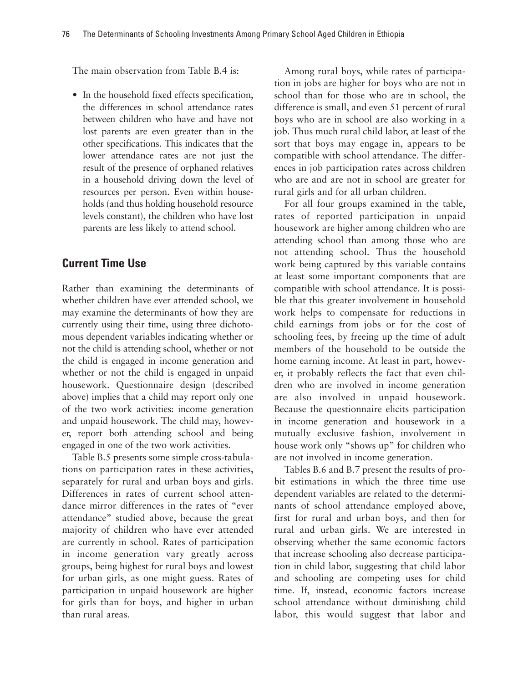The main observation from Table B.4 is:

• In the household fixed effects specification, the differences in school attendance rates between children who have and have not lost parents are even greater than in the other specifications. This indicates that the lower attendance rates are not just the result of the presence of orphaned relatives in a household driving down the level of resources per person. Even within households (and thus holding household resource levels constant), the children who have lost parents are less likely to attend school.

# **Current Time Use**

Rather than examining the determinants of whether children have ever attended school, we may examine the determinants of how they are currently using their time, using three dichotomous dependent variables indicating whether or not the child is attending school, whether or not the child is engaged in income generation and whether or not the child is engaged in unpaid housework. Questionnaire design (described above) implies that a child may report only one of the two work activities: income generation and unpaid housework. The child may, however, report both attending school and being engaged in one of the two work activities.

Table B.5 presents some simple cross-tabulations on participation rates in these activities, separately for rural and urban boys and girls. Differences in rates of current school attendance mirror differences in the rates of "ever attendance" studied above, because the great majority of children who have ever attended are currently in school. Rates of participation in income generation vary greatly across groups, being highest for rural boys and lowest for urban girls, as one might guess. Rates of participation in unpaid housework are higher for girls than for boys, and higher in urban than rural areas.

Among rural boys, while rates of participation in jobs are higher for boys who are not in school than for those who are in school, the difference is small, and even 51 percent of rural boys who are in school are also working in a job. Thus much rural child labor, at least of the sort that boys may engage in, appears to be compatible with school attendance. The differences in job participation rates across children who are and are not in school are greater for rural girls and for all urban children.

For all four groups examined in the table, rates of reported participation in unpaid housework are higher among children who are attending school than among those who are not attending school. Thus the household work being captured by this variable contains at least some important components that are compatible with school attendance. It is possible that this greater involvement in household work helps to compensate for reductions in child earnings from jobs or for the cost of schooling fees, by freeing up the time of adult members of the household to be outside the home earning income. At least in part, however, it probably reflects the fact that even children who are involved in income generation are also involved in unpaid housework. Because the questionnaire elicits participation in income generation and housework in a mutually exclusive fashion, involvement in house work only "shows up" for children who are not involved in income generation.

Tables B.6 and B.7 present the results of probit estimations in which the three time use dependent variables are related to the determinants of school attendance employed above, first for rural and urban boys, and then for rural and urban girls. We are interested in observing whether the same economic factors that increase schooling also decrease participation in child labor, suggesting that child labor and schooling are competing uses for child time. If, instead, economic factors increase school attendance without diminishing child labor, this would suggest that labor and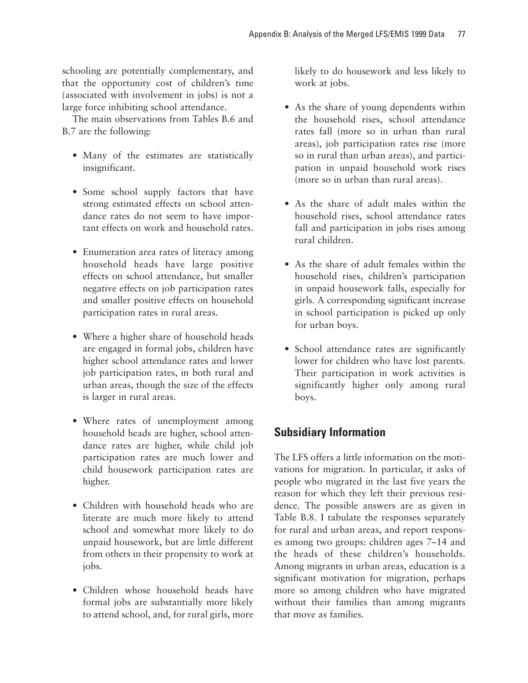schooling are potentially complementary, and that the opportunity cost of children's time (associated with involvement in jobs) is not a large force inhibiting school attendance.

The main observations from Tables B.6 and B.7 are the following:

- Many of the estimates are statistically insignificant.
- Some school supply factors that have strong estimated effects on school attendance rates do not seem to have important effects on work and household rates.
- Enumeration area rates of literacy among household heads have large positive effects on school attendance, but smaller negative effects on job participation rates and smaller positive effects on household participation rates in rural areas.
- Where a higher share of household heads are engaged in formal jobs, children have higher school attendance rates and lower job participation rates, in both rural and urban areas, though the size of the effects is larger in rural areas.
- Where rates of unemployment among household heads are higher, school attendance rates are higher, while child job participation rates are much lower and child housework participation rates are higher.
- Children with household heads who are literate are much more likely to attend school and somewhat more likely to do unpaid housework, but are little different from others in their propensity to work at jobs.
- Children whose household heads have formal jobs are substantially more likely to attend school, and, for rural girls, more

likely to do housework and less likely to work at jobs.

- As the share of young dependents within the household rises, school attendance rates fall (more so in urban than rural areas), job participation rates rise (more so in rural than urban areas), and participation in unpaid household work rises (more so in urban than rural areas).
- As the share of adult males within the household rises, school attendance rates fall and participation in jobs rises among rural children.
- As the share of adult females within the household rises, children's participation in unpaid housework falls, especially for girls. A corresponding significant increase in school participation is picked up only for urban boys.
- School attendance rates are significantly lower for children who have lost parents. Their participation in work activities is significantly higher only among rural boys.

# **Subsidiary Information**

The LFS offers a little information on the motivations for migration. In particular, it asks of people who migrated in the last five years the reason for which they left their previous residence. The possible answers are as given in Table B.8. I tabulate the responses separately for rural and urban areas, and report responses among two groups: children ages 7–14 and the heads of these children's households. Among migrants in urban areas, education is a significant motivation for migration, perhaps more so among children who have migrated without their families than among migrants that move as families.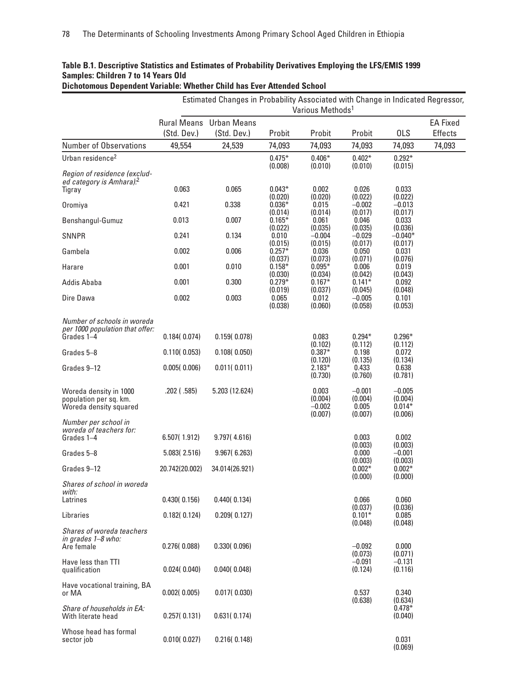|                                                                                | Estimated Changes in Probability Associated with Change in Indicated Regressor,<br>Various Methods <sup>1</sup> |                                               |                                |                                         |                                         |                                            |                                   |
|--------------------------------------------------------------------------------|-----------------------------------------------------------------------------------------------------------------|-----------------------------------------------|--------------------------------|-----------------------------------------|-----------------------------------------|--------------------------------------------|-----------------------------------|
|                                                                                | (Std. Dev.)                                                                                                     | <b>Rural Means</b> Urban Means<br>(Std. Dev.) | Probit                         | Probit                                  | Probit                                  | <b>OLS</b>                                 | <b>EA Fixed</b><br><b>Effects</b> |
| Number of Observations                                                         | 49,554                                                                                                          | 24,539                                        | 74,093                         | 74,093                                  | 74,093                                  | 74,093                                     | 74,093                            |
| Urban residence <sup>2</sup>                                                   |                                                                                                                 |                                               | $0.475*$                       | $0.406*$                                | $0.402*$                                | $0.292*$                                   |                                   |
| Region of residence (exclud-<br>ed category is Amhara). <sup>2</sup><br>Tigray | 0.063                                                                                                           | 0.065                                         | (0.008)<br>$0.043*$            | (0.010)<br>0.002                        | (0.010)<br>0.026                        | (0.015)<br>0.033                           |                                   |
| Oromiya                                                                        | 0.421                                                                                                           | 0.338                                         | (0.020)<br>$0.036*$            | (0.020)<br>0.015                        | (0.022)<br>$-0.002$                     | (0.022)<br>$-0.013$                        |                                   |
| Benshangul-Gumuz                                                               | 0.013                                                                                                           | 0.007                                         | (0.014)<br>$0.165*$            | (0.014)<br>0.061                        | (0.017)<br>0.046                        | (0.017)<br>0.033                           |                                   |
| <b>SNNPR</b>                                                                   | 0.241                                                                                                           | 0.134                                         | (0.022)<br>0.010               | (0.035)<br>$-0.004$                     | (0.035)<br>$-0.029$                     | (0.036)<br>$-0.040*$                       |                                   |
| Gambela                                                                        | 0.002                                                                                                           | 0.006                                         | (0.015)<br>$0.257*$<br>(0.037) | (0.015)<br>0.036<br>(0.073)             | (0.017)<br>0.050<br>(0.071)             | (0.017)<br>0.031<br>(0.076)                |                                   |
| Harare                                                                         | 0.001                                                                                                           | 0.010                                         | $0.158*$<br>(0.030)            | $0.095*$<br>(0.034)                     | 0.006<br>(0.042)                        | 0.019<br>(0.043)                           |                                   |
| Addis Ababa                                                                    | 0.001                                                                                                           | 0.300                                         | $0.279*$<br>(0.019)            | $0.167*$<br>(0.037)                     | $0.141*$<br>(0.045)                     | 0.092<br>(0.048)                           |                                   |
| Dire Dawa                                                                      | 0.002                                                                                                           | 0.003                                         | 0.065<br>(0.038)               | 0.012<br>(0.060)                        | $-0.005$<br>(0.058)                     | 0.101<br>(0.053)                           |                                   |
| Number of schools in woreda<br>per 1000 population that offer:<br>Grades 1-4   | 0.184(0.074)                                                                                                    | 0.159(0.078)                                  |                                | 0.083                                   | $0.294*$                                | $0.296*$                                   |                                   |
| Grades 5-8                                                                     | 0.110(0.053)                                                                                                    | 0.108(0.050)                                  |                                | (0.102)<br>$0.387*$                     | (0.112)<br>0.198                        | (0.112)<br>0.072                           |                                   |
| Grades 9-12                                                                    | 0.005(0.006)                                                                                                    | 0.011(0.011)                                  |                                | (0.120)<br>$2.183*$<br>(0.730)          | (0.135)<br>0.433<br>(0.760)             | (0.134)<br>0.638<br>(0.781)                |                                   |
| Woreda density in 1000<br>population per sq. km.<br>Woreda density squared     | $.202$ ( $.585$ )                                                                                               | 5.203 (12.624)                                |                                | 0.003<br>(0.004)<br>$-0.002$<br>(0.007) | $-0.001$<br>(0.004)<br>0.005<br>(0.007) | $-0.005$<br>(0.004)<br>$0.014*$<br>(0.006) |                                   |
| Number per school in<br>woreda of teachers for:<br>Grades 1-4                  | 6.507(1.912)                                                                                                    | 9.797(4.616)                                  |                                |                                         | 0.003<br>(0.003)                        | 0.002<br>(0.003)                           |                                   |
| Grades 5-8                                                                     | 5.083(2.516)                                                                                                    | 9.967(6.263)                                  |                                |                                         | 0.000                                   | $-0.001$                                   |                                   |
| Grades 9-12                                                                    | 20.742(20.002)                                                                                                  | 34.014(26.921)                                |                                |                                         | (0.003)<br>$0.002*$<br>(0.000)          | (0.003)<br>$0.002*$<br>(0.000)             |                                   |
| Shares of school in woreda<br>with:<br>Latrines                                | 0.430(0.156)                                                                                                    | 0.440(0.134)                                  |                                |                                         | 0.066                                   | 0.060                                      |                                   |
| Libraries                                                                      | 0.182(0.124)                                                                                                    | 0.209(0.127)                                  |                                |                                         | (0.037)<br>$0.101*$                     | (0.036)<br>0.085                           |                                   |
| Shares of woreda teachers<br>in grades 1-8 who:<br>Are female                  | 0.276(0.088)                                                                                                    | 0.330(0.096)                                  |                                |                                         | (0.048)<br>$-0.092$                     | (0.048)<br>0.000                           |                                   |
| Have less than TTI<br>qualification                                            | 0.024(0.040)                                                                                                    | 0.040(0.048)                                  |                                |                                         | (0.073)<br>$-0.091$<br>(0.124)          | (0.071)<br>$-0.131$<br>(0.116)             |                                   |
| Have vocational training, BA<br>or MA                                          | 0.002(0.005)                                                                                                    | 0.017(0.030)                                  |                                |                                         | 0.537<br>(0.638)                        | 0.340<br>(0.634)                           |                                   |
| Share of households in EA:<br>With literate head                               | 0.257(0.131)                                                                                                    | 0.631(0.174)                                  |                                |                                         |                                         | $0.478*$<br>(0.040)                        |                                   |
| Whose head has formal<br>sector job                                            | 0.010(0.027)                                                                                                    | 0.216(0.148)                                  |                                |                                         |                                         | 0.031                                      |                                   |

(0.069)

#### **Table B.1. Descriptive Statistics and Estimates of Probability Derivatives Employing the LFS/EMIS 1999 Samples: Children 7 to 14 Years Old Dichotomous Dependent Variable: Whether Child has Ever Attended School**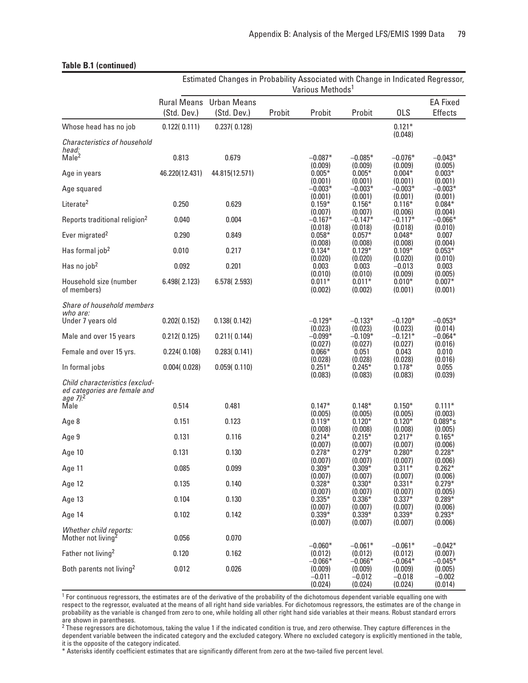|                                                                                                | Estimated Changes in Probability Associated with Change in Indicated Regressor,<br>Various Methods <sup>1</sup> |                                               |        |                                                        |                                                        |                                             |                                             |
|------------------------------------------------------------------------------------------------|-----------------------------------------------------------------------------------------------------------------|-----------------------------------------------|--------|--------------------------------------------------------|--------------------------------------------------------|---------------------------------------------|---------------------------------------------|
|                                                                                                | (Std. Dev.)                                                                                                     | <b>Rural Means</b> Urban Means<br>(Std. Dev.) | Probit | Probit                                                 | Probit                                                 | <b>OLS</b>                                  | <b>EA Fixed</b><br>Effects                  |
| Whose head has no job                                                                          | 0.122(0.111)                                                                                                    | 0.237(0.128)                                  |        |                                                        |                                                        | $0.121*$                                    |                                             |
| Characteristics of household<br>head:<br>Male <sup>2</sup>                                     | 0.813                                                                                                           | 0.679                                         |        | $-0.087*$                                              | $-0.085*$                                              | (0.048)<br>$-0.076*$                        | $-0.043*$                                   |
| Age in years                                                                                   | 46.220(12.431)                                                                                                  | 44.815(12.571)                                |        | (0.009)<br>$0.005*$                                    | (0.009)<br>$0.005*$                                    | (0.009)<br>$0.004*$                         | (0.005)<br>$0.003*$                         |
| Age squared                                                                                    |                                                                                                                 |                                               |        | (0.001)<br>$-0.003*$                                   | (0.001)<br>$-0.003*$                                   | (0.001)<br>$-0.003*$                        | (0.001)<br>$-0.003*$                        |
| Literate <sup>2</sup>                                                                          | 0.250                                                                                                           | 0.629                                         |        | (0.001)<br>$0.159*$                                    | (0.001)<br>$0.156*$                                    | (0.001)<br>$0.116*$                         | (0.001)<br>$0.084*$                         |
| Reports traditional religion <sup>2</sup>                                                      | 0.040                                                                                                           | 0.004                                         |        | (0.007)<br>$-0.167*$                                   | (0.007)<br>$-0.147*$                                   | (0.006)<br>$-0.117*$                        | (0.004)<br>$-0.066*$                        |
| Ever migrated <sup>2</sup>                                                                     | 0.290                                                                                                           | 0.849                                         |        | (0.018)<br>$0.058*$<br>(0.008)                         | (0.018)<br>$0.057*$<br>(0.008)                         | (0.018)<br>$0.048*$<br>(0.008)              | (0.010)<br>0.007<br>(0.004)                 |
| Has formal job <sup>2</sup>                                                                    | 0.010                                                                                                           | 0.217                                         |        | $0.134*$                                               | $0.129*$                                               | $0.109*$                                    | $0.053*$                                    |
| Has no job <sup>2</sup>                                                                        | 0.092                                                                                                           | 0.201                                         |        | (0.020)<br>0.003                                       | (0.020)<br>0.003                                       | (0.020)<br>$-0.013$                         | (0.010)<br>0.003                            |
| Household size (number<br>of members)                                                          | 6.498 (2.123)                                                                                                   | 6.578 (2.593)                                 |        | (0.010)<br>$0.011*$<br>(0.002)                         | (0.010)<br>$0.011*$<br>(0.002)                         | (0.009)<br>$0.010*$<br>(0.001)              | (0.005)<br>$0.007*$<br>(0.001)              |
| Share of household members<br>who are:<br>Under 7 years old                                    | 0.202(0.152)                                                                                                    | 0.138(0.142)                                  |        | $-0.129*$                                              | $-0.133*$                                              | $-0.120*$                                   | $-0.053*$                                   |
| Male and over 15 years                                                                         | 0.212(0.125)                                                                                                    | 0.211(0.144)                                  |        | (0.023)<br>$-0.099*$                                   | (0.023)<br>$-0.109*$                                   | (0.023)<br>$-0.121*$                        | (0.014)<br>$-0.064*$                        |
| Female and over 15 yrs.                                                                        | 0.224(0.108)                                                                                                    | 0.283(0.141)                                  |        | (0.027)<br>$0.066*$                                    | (0.027)<br>0.051                                       | (0.027)<br>0.043                            | (0.016)<br>0.010                            |
| In formal jobs                                                                                 | 0.004(0.028)                                                                                                    | 0.059(0.110)                                  |        | (0.028)<br>$0.251*$                                    | (0.028)<br>$0.245*$                                    | (0.028)<br>$0.178*$                         | (0.016)<br>0.055                            |
| Child characteristics (exclud-<br>ed categories are female and<br>age 7). <sup>2</sup><br>Male | 0.514                                                                                                           | 0.481                                         |        | (0.083)<br>$0.147*$                                    | (0.083)<br>$0.148*$                                    | (0.083)<br>$0.150*$                         | (0.039)<br>$0.111*$                         |
|                                                                                                | 0.151                                                                                                           |                                               |        | (0.005)                                                | (0.005)                                                | (0.005)                                     | (0.003)                                     |
| Age 8<br>Age 9                                                                                 | 0.131                                                                                                           | 0.123<br>0.116                                |        | $0.119*$<br>(0.008)<br>$0.214*$                        | $0.120*$<br>(0.008)<br>$0.215*$                        | $0.120*$<br>(0.008)<br>$0.217*$             | $0.089*$ s<br>(0.005)<br>$0.165*$           |
| Age 10                                                                                         | 0.131                                                                                                           | 0.130                                         |        | (0.007)<br>$0.278*$                                    | (0.007)<br>$0.279*$                                    | (0.007)<br>$0.280*$                         | (0.006)<br>$0.228*$                         |
| Age 11                                                                                         | 0.085                                                                                                           | 0.099                                         |        | (0.007)<br>$0.309*$                                    | (0.007)<br>$0.309*$                                    | (0.007)<br>$0.311*$                         | (0.006)<br>$0.262*$                         |
| Age 12                                                                                         | 0.135                                                                                                           | 0.140                                         |        | (0.007)<br>$0.328*$                                    | (0.007)<br>$0.330*$                                    | (0.007)<br>$0.331*$                         | (0.006)<br>$0.279*$                         |
| Age 13                                                                                         | 0.104                                                                                                           | 0.130                                         |        | (0.007)<br>$0.335*$                                    | (0.007)<br>$0.336*$                                    | (0.007)<br>$0.337*$                         | (0.005)<br>$0.289*$                         |
| Age 14                                                                                         | 0.102                                                                                                           | 0.142                                         |        | (0.007)<br>$0.339*$                                    | (0.007)<br>$0.339*$                                    | (0.007)<br>$0.339*$                         | (0.006)<br>$0.293*$                         |
| Whether child reports:<br>Mother not living <sup>2</sup>                                       | 0.056                                                                                                           | 0.070                                         |        | (0.007)                                                | (0.007)                                                | (0.007)                                     | (0.006)                                     |
| Father not living <sup>2</sup>                                                                 | 0.120                                                                                                           | 0.162                                         |        | $-0.060*$                                              | $-0.061*$                                              | $-0.061*$<br>(0.012)                        | $-0.042^*$<br>(0.007)                       |
| Both parents not living <sup>2</sup>                                                           | 0.012                                                                                                           | 0.026                                         |        | (0.012)<br>$-0.066*$<br>(0.009)<br>$-0.011$<br>(0.024) | (0.012)<br>$-0.066*$<br>(0.009)<br>$-0.012$<br>(0.024) | $-0.064*$<br>(0.009)<br>$-0.018$<br>(0.024) | $-0.045*$<br>(0.005)<br>$-0.002$<br>(0.014) |

#### **Table B.1 (continued)**

<sup>1</sup> For continuous regressors, the estimates are of the derivative of the probability of the dichotomous dependent variable equalling one with respect to the regressor, evaluated at the means of all right hand side variables. For dichotomous regressors, the estimates are of the change in probability as the variable is changed from zero to one, while holding all other right hand side variables at their means. Robust standard errors are shown in parentheses.<br><sup>2</sup> These regressors are dichotomous, taking the value 1 if the indicated condition is true, and zero otherwise. They capture differences in the

dependent variable between the indicated category and the excluded category. Where no excluded category is explicitly mentioned in the table, it is the opposite of the category indicated.

\* Asterisks identify coefficient estimates that are significantly different from zero at the two-tailed five percent level.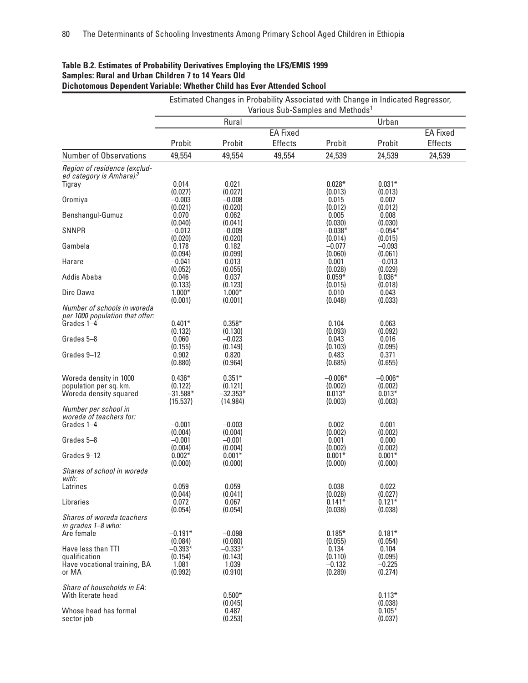| Rural<br>Urban<br><b>EA Fixed</b><br><b>EA Fixed</b><br>Probit<br>Probit<br>Effects<br>Probit<br>Probit<br><b>Effects</b><br><b>Number of Observations</b><br>49,554<br>49,554<br>49,554<br>24,539<br>24,539<br>24,539<br>Region of residence (exclud-<br>ed category is Amhara). <sup>2</sup><br>$0.028*$<br>$0.031*$<br>0.014<br>0.021<br>Tigray<br>(0.027)<br>(0.027)<br>(0.013)<br>(0.013)<br>Oromiya<br>$-0.003$<br>$-0.008$<br>0.015<br>0.007<br>(0.021)<br>(0.020)<br>(0.012)<br>(0.012)<br>Benshangul-Gumuz<br>0.070<br>0.062<br>0.005<br>0.008<br>(0.040)<br>(0.041)<br>(0.030)<br>(0.030)<br><b>SNNPR</b><br>$-0.012$<br>$-0.009$<br>$-0.038*$<br>$-0.054*$<br>(0.020)<br>(0.020)<br>(0.014)<br>(0.015)<br>Gambela<br>0.178<br>0.182<br>$-0.077$<br>$-0.093$<br>(0.094)<br>(0.099)<br>(0.060)<br>(0.061)<br>$-0.041$<br>Harare<br>0.013<br>0.001<br>$-0.013$<br>(0.052)<br>(0.055)<br>(0.028)<br>(0.029)<br>Addis Ababa<br>0.046<br>$0.036*$<br>0.037<br>$0.059*$<br>(0.133)<br>(0.123)<br>(0.015)<br>(0.018)<br>$1.000*$<br>$1.000*$<br>Dire Dawa<br>0.010<br>0.043<br>(0.001)<br>(0.001)<br>(0.048)<br>(0.033)<br>Number of schools in woreda<br>per 1000 population that offer:<br>Grades 1-4<br>$0.401*$<br>$0.358*$<br>0.104<br>0.063<br>(0.132)<br>(0.130)<br>(0.093)<br>(0.092)<br>Grades 5-8<br>0.060<br>$-0.023$<br>0.043<br>0.016<br>(0.155)<br>(0.149)<br>(0.103)<br>(0.095)<br>0.902<br>0.820<br>Grades 9-12<br>0.483<br>0.371<br>(0.880)<br>(0.964)<br>(0.655)<br>(0.685)<br>Woreda density in 1000<br>$0.436*$<br>$0.351*$<br>$-0.006^*$<br>$-0.006*$<br>population per sq. km.<br>(0.121)<br>(0.002)<br>(0.122)<br>(0.002)<br>$0.013*$<br>Woreda density squared<br>$-31.588*$<br>$-32.353*$<br>$0.013*$<br>(15.537)<br>(14.984)<br>(0.003)<br>(0.003)<br>Number per school in<br>woreda of teachers for:<br>Grades 1-4<br>$-0.001$<br>$-0.003$<br>0.002<br>0.001<br>(0.004)<br>(0.002)<br>(0.004)<br>(0.002)<br>$-0.001$<br>Grades 5-8<br>$-0.001$<br>0.001<br>0.000<br>(0.004)<br>(0.004)<br>(0.002)<br>(0.002)<br>$0.002*$<br>$0.001*$<br>$0.001*$<br>$0.001*$<br>(0.000)<br>(0.000)<br>(0.000)<br>(0.000)<br>Shares of school in woreda<br>with:<br>Latrines<br>0.059<br>0.059<br>0.038<br>0.022<br>(0.044)<br>(0.041)<br>(0.027)<br>(0.028)<br>0.072<br>0.067<br>$0.141*$<br>Libraries<br>$0.121*$<br>(0.054)<br>(0.054)<br>(0.038)<br>(0.038)<br>Shares of woreda teachers<br>$0.181*$<br>Are female<br>$-0.191*$<br>$-0.098$<br>$0.185*$<br>(0.084)<br>(0.080)<br>(0.055)<br>(0.054)<br>Have less than TTI<br>$-0.393*$<br>$-0.333*$<br>0.134<br>0.104<br>qualification<br>(0.154)<br>(0.143)<br>(0.110)<br>(0.095)<br>Have vocational training, BA<br>1.039<br>1.081<br>$-0.132$<br>$-0.225$<br>or MA<br>(0.992)<br>(0.910)<br>(0.289)<br>(0.274)<br>Share of households in EA:<br>$0.500*$<br>$0.113*$<br>(0.045)<br>(0.038)<br>Whose head has formal<br>0.487<br>$0.105*$<br>(0.253)<br>(0.037)<br>sector job |                        | Estimated Changes in Probability Associated with Change in Indicated Regressor, |  |  |  |  |  |  |  |
|--------------------------------------------------------------------------------------------------------------------------------------------------------------------------------------------------------------------------------------------------------------------------------------------------------------------------------------------------------------------------------------------------------------------------------------------------------------------------------------------------------------------------------------------------------------------------------------------------------------------------------------------------------------------------------------------------------------------------------------------------------------------------------------------------------------------------------------------------------------------------------------------------------------------------------------------------------------------------------------------------------------------------------------------------------------------------------------------------------------------------------------------------------------------------------------------------------------------------------------------------------------------------------------------------------------------------------------------------------------------------------------------------------------------------------------------------------------------------------------------------------------------------------------------------------------------------------------------------------------------------------------------------------------------------------------------------------------------------------------------------------------------------------------------------------------------------------------------------------------------------------------------------------------------------------------------------------------------------------------------------------------------------------------------------------------------------------------------------------------------------------------------------------------------------------------------------------------------------------------------------------------------------------------------------------------------------------------------------------------------------------------------------------------------------------------------------------------------------------------------------------------------------------------------------------------------------------------------------------------------------------------------------------------------------------------------------------------------------------------------------------------------------------------------------------------------------------------------------------------------------------------------------------------------------------------------------|------------------------|---------------------------------------------------------------------------------|--|--|--|--|--|--|--|
|                                                                                                                                                                                                                                                                                                                                                                                                                                                                                                                                                                                                                                                                                                                                                                                                                                                                                                                                                                                                                                                                                                                                                                                                                                                                                                                                                                                                                                                                                                                                                                                                                                                                                                                                                                                                                                                                                                                                                                                                                                                                                                                                                                                                                                                                                                                                                                                                                                                                                                                                                                                                                                                                                                                                                                                                                                                                                                                                                  |                        | Various Sub-Samples and Methods <sup>1</sup>                                    |  |  |  |  |  |  |  |
|                                                                                                                                                                                                                                                                                                                                                                                                                                                                                                                                                                                                                                                                                                                                                                                                                                                                                                                                                                                                                                                                                                                                                                                                                                                                                                                                                                                                                                                                                                                                                                                                                                                                                                                                                                                                                                                                                                                                                                                                                                                                                                                                                                                                                                                                                                                                                                                                                                                                                                                                                                                                                                                                                                                                                                                                                                                                                                                                                  |                        |                                                                                 |  |  |  |  |  |  |  |
|                                                                                                                                                                                                                                                                                                                                                                                                                                                                                                                                                                                                                                                                                                                                                                                                                                                                                                                                                                                                                                                                                                                                                                                                                                                                                                                                                                                                                                                                                                                                                                                                                                                                                                                                                                                                                                                                                                                                                                                                                                                                                                                                                                                                                                                                                                                                                                                                                                                                                                                                                                                                                                                                                                                                                                                                                                                                                                                                                  |                        |                                                                                 |  |  |  |  |  |  |  |
|                                                                                                                                                                                                                                                                                                                                                                                                                                                                                                                                                                                                                                                                                                                                                                                                                                                                                                                                                                                                                                                                                                                                                                                                                                                                                                                                                                                                                                                                                                                                                                                                                                                                                                                                                                                                                                                                                                                                                                                                                                                                                                                                                                                                                                                                                                                                                                                                                                                                                                                                                                                                                                                                                                                                                                                                                                                                                                                                                  |                        |                                                                                 |  |  |  |  |  |  |  |
|                                                                                                                                                                                                                                                                                                                                                                                                                                                                                                                                                                                                                                                                                                                                                                                                                                                                                                                                                                                                                                                                                                                                                                                                                                                                                                                                                                                                                                                                                                                                                                                                                                                                                                                                                                                                                                                                                                                                                                                                                                                                                                                                                                                                                                                                                                                                                                                                                                                                                                                                                                                                                                                                                                                                                                                                                                                                                                                                                  |                        |                                                                                 |  |  |  |  |  |  |  |
|                                                                                                                                                                                                                                                                                                                                                                                                                                                                                                                                                                                                                                                                                                                                                                                                                                                                                                                                                                                                                                                                                                                                                                                                                                                                                                                                                                                                                                                                                                                                                                                                                                                                                                                                                                                                                                                                                                                                                                                                                                                                                                                                                                                                                                                                                                                                                                                                                                                                                                                                                                                                                                                                                                                                                                                                                                                                                                                                                  |                        |                                                                                 |  |  |  |  |  |  |  |
|                                                                                                                                                                                                                                                                                                                                                                                                                                                                                                                                                                                                                                                                                                                                                                                                                                                                                                                                                                                                                                                                                                                                                                                                                                                                                                                                                                                                                                                                                                                                                                                                                                                                                                                                                                                                                                                                                                                                                                                                                                                                                                                                                                                                                                                                                                                                                                                                                                                                                                                                                                                                                                                                                                                                                                                                                                                                                                                                                  |                        |                                                                                 |  |  |  |  |  |  |  |
|                                                                                                                                                                                                                                                                                                                                                                                                                                                                                                                                                                                                                                                                                                                                                                                                                                                                                                                                                                                                                                                                                                                                                                                                                                                                                                                                                                                                                                                                                                                                                                                                                                                                                                                                                                                                                                                                                                                                                                                                                                                                                                                                                                                                                                                                                                                                                                                                                                                                                                                                                                                                                                                                                                                                                                                                                                                                                                                                                  |                        |                                                                                 |  |  |  |  |  |  |  |
|                                                                                                                                                                                                                                                                                                                                                                                                                                                                                                                                                                                                                                                                                                                                                                                                                                                                                                                                                                                                                                                                                                                                                                                                                                                                                                                                                                                                                                                                                                                                                                                                                                                                                                                                                                                                                                                                                                                                                                                                                                                                                                                                                                                                                                                                                                                                                                                                                                                                                                                                                                                                                                                                                                                                                                                                                                                                                                                                                  |                        |                                                                                 |  |  |  |  |  |  |  |
|                                                                                                                                                                                                                                                                                                                                                                                                                                                                                                                                                                                                                                                                                                                                                                                                                                                                                                                                                                                                                                                                                                                                                                                                                                                                                                                                                                                                                                                                                                                                                                                                                                                                                                                                                                                                                                                                                                                                                                                                                                                                                                                                                                                                                                                                                                                                                                                                                                                                                                                                                                                                                                                                                                                                                                                                                                                                                                                                                  |                        |                                                                                 |  |  |  |  |  |  |  |
|                                                                                                                                                                                                                                                                                                                                                                                                                                                                                                                                                                                                                                                                                                                                                                                                                                                                                                                                                                                                                                                                                                                                                                                                                                                                                                                                                                                                                                                                                                                                                                                                                                                                                                                                                                                                                                                                                                                                                                                                                                                                                                                                                                                                                                                                                                                                                                                                                                                                                                                                                                                                                                                                                                                                                                                                                                                                                                                                                  |                        |                                                                                 |  |  |  |  |  |  |  |
|                                                                                                                                                                                                                                                                                                                                                                                                                                                                                                                                                                                                                                                                                                                                                                                                                                                                                                                                                                                                                                                                                                                                                                                                                                                                                                                                                                                                                                                                                                                                                                                                                                                                                                                                                                                                                                                                                                                                                                                                                                                                                                                                                                                                                                                                                                                                                                                                                                                                                                                                                                                                                                                                                                                                                                                                                                                                                                                                                  |                        |                                                                                 |  |  |  |  |  |  |  |
|                                                                                                                                                                                                                                                                                                                                                                                                                                                                                                                                                                                                                                                                                                                                                                                                                                                                                                                                                                                                                                                                                                                                                                                                                                                                                                                                                                                                                                                                                                                                                                                                                                                                                                                                                                                                                                                                                                                                                                                                                                                                                                                                                                                                                                                                                                                                                                                                                                                                                                                                                                                                                                                                                                                                                                                                                                                                                                                                                  |                        |                                                                                 |  |  |  |  |  |  |  |
|                                                                                                                                                                                                                                                                                                                                                                                                                                                                                                                                                                                                                                                                                                                                                                                                                                                                                                                                                                                                                                                                                                                                                                                                                                                                                                                                                                                                                                                                                                                                                                                                                                                                                                                                                                                                                                                                                                                                                                                                                                                                                                                                                                                                                                                                                                                                                                                                                                                                                                                                                                                                                                                                                                                                                                                                                                                                                                                                                  |                        |                                                                                 |  |  |  |  |  |  |  |
|                                                                                                                                                                                                                                                                                                                                                                                                                                                                                                                                                                                                                                                                                                                                                                                                                                                                                                                                                                                                                                                                                                                                                                                                                                                                                                                                                                                                                                                                                                                                                                                                                                                                                                                                                                                                                                                                                                                                                                                                                                                                                                                                                                                                                                                                                                                                                                                                                                                                                                                                                                                                                                                                                                                                                                                                                                                                                                                                                  |                        |                                                                                 |  |  |  |  |  |  |  |
|                                                                                                                                                                                                                                                                                                                                                                                                                                                                                                                                                                                                                                                                                                                                                                                                                                                                                                                                                                                                                                                                                                                                                                                                                                                                                                                                                                                                                                                                                                                                                                                                                                                                                                                                                                                                                                                                                                                                                                                                                                                                                                                                                                                                                                                                                                                                                                                                                                                                                                                                                                                                                                                                                                                                                                                                                                                                                                                                                  |                        |                                                                                 |  |  |  |  |  |  |  |
|                                                                                                                                                                                                                                                                                                                                                                                                                                                                                                                                                                                                                                                                                                                                                                                                                                                                                                                                                                                                                                                                                                                                                                                                                                                                                                                                                                                                                                                                                                                                                                                                                                                                                                                                                                                                                                                                                                                                                                                                                                                                                                                                                                                                                                                                                                                                                                                                                                                                                                                                                                                                                                                                                                                                                                                                                                                                                                                                                  |                        |                                                                                 |  |  |  |  |  |  |  |
|                                                                                                                                                                                                                                                                                                                                                                                                                                                                                                                                                                                                                                                                                                                                                                                                                                                                                                                                                                                                                                                                                                                                                                                                                                                                                                                                                                                                                                                                                                                                                                                                                                                                                                                                                                                                                                                                                                                                                                                                                                                                                                                                                                                                                                                                                                                                                                                                                                                                                                                                                                                                                                                                                                                                                                                                                                                                                                                                                  |                        |                                                                                 |  |  |  |  |  |  |  |
|                                                                                                                                                                                                                                                                                                                                                                                                                                                                                                                                                                                                                                                                                                                                                                                                                                                                                                                                                                                                                                                                                                                                                                                                                                                                                                                                                                                                                                                                                                                                                                                                                                                                                                                                                                                                                                                                                                                                                                                                                                                                                                                                                                                                                                                                                                                                                                                                                                                                                                                                                                                                                                                                                                                                                                                                                                                                                                                                                  |                        |                                                                                 |  |  |  |  |  |  |  |
|                                                                                                                                                                                                                                                                                                                                                                                                                                                                                                                                                                                                                                                                                                                                                                                                                                                                                                                                                                                                                                                                                                                                                                                                                                                                                                                                                                                                                                                                                                                                                                                                                                                                                                                                                                                                                                                                                                                                                                                                                                                                                                                                                                                                                                                                                                                                                                                                                                                                                                                                                                                                                                                                                                                                                                                                                                                                                                                                                  |                        |                                                                                 |  |  |  |  |  |  |  |
|                                                                                                                                                                                                                                                                                                                                                                                                                                                                                                                                                                                                                                                                                                                                                                                                                                                                                                                                                                                                                                                                                                                                                                                                                                                                                                                                                                                                                                                                                                                                                                                                                                                                                                                                                                                                                                                                                                                                                                                                                                                                                                                                                                                                                                                                                                                                                                                                                                                                                                                                                                                                                                                                                                                                                                                                                                                                                                                                                  |                        |                                                                                 |  |  |  |  |  |  |  |
|                                                                                                                                                                                                                                                                                                                                                                                                                                                                                                                                                                                                                                                                                                                                                                                                                                                                                                                                                                                                                                                                                                                                                                                                                                                                                                                                                                                                                                                                                                                                                                                                                                                                                                                                                                                                                                                                                                                                                                                                                                                                                                                                                                                                                                                                                                                                                                                                                                                                                                                                                                                                                                                                                                                                                                                                                                                                                                                                                  |                        |                                                                                 |  |  |  |  |  |  |  |
|                                                                                                                                                                                                                                                                                                                                                                                                                                                                                                                                                                                                                                                                                                                                                                                                                                                                                                                                                                                                                                                                                                                                                                                                                                                                                                                                                                                                                                                                                                                                                                                                                                                                                                                                                                                                                                                                                                                                                                                                                                                                                                                                                                                                                                                                                                                                                                                                                                                                                                                                                                                                                                                                                                                                                                                                                                                                                                                                                  |                        |                                                                                 |  |  |  |  |  |  |  |
|                                                                                                                                                                                                                                                                                                                                                                                                                                                                                                                                                                                                                                                                                                                                                                                                                                                                                                                                                                                                                                                                                                                                                                                                                                                                                                                                                                                                                                                                                                                                                                                                                                                                                                                                                                                                                                                                                                                                                                                                                                                                                                                                                                                                                                                                                                                                                                                                                                                                                                                                                                                                                                                                                                                                                                                                                                                                                                                                                  |                        |                                                                                 |  |  |  |  |  |  |  |
|                                                                                                                                                                                                                                                                                                                                                                                                                                                                                                                                                                                                                                                                                                                                                                                                                                                                                                                                                                                                                                                                                                                                                                                                                                                                                                                                                                                                                                                                                                                                                                                                                                                                                                                                                                                                                                                                                                                                                                                                                                                                                                                                                                                                                                                                                                                                                                                                                                                                                                                                                                                                                                                                                                                                                                                                                                                                                                                                                  |                        |                                                                                 |  |  |  |  |  |  |  |
|                                                                                                                                                                                                                                                                                                                                                                                                                                                                                                                                                                                                                                                                                                                                                                                                                                                                                                                                                                                                                                                                                                                                                                                                                                                                                                                                                                                                                                                                                                                                                                                                                                                                                                                                                                                                                                                                                                                                                                                                                                                                                                                                                                                                                                                                                                                                                                                                                                                                                                                                                                                                                                                                                                                                                                                                                                                                                                                                                  |                        |                                                                                 |  |  |  |  |  |  |  |
|                                                                                                                                                                                                                                                                                                                                                                                                                                                                                                                                                                                                                                                                                                                                                                                                                                                                                                                                                                                                                                                                                                                                                                                                                                                                                                                                                                                                                                                                                                                                                                                                                                                                                                                                                                                                                                                                                                                                                                                                                                                                                                                                                                                                                                                                                                                                                                                                                                                                                                                                                                                                                                                                                                                                                                                                                                                                                                                                                  |                        |                                                                                 |  |  |  |  |  |  |  |
|                                                                                                                                                                                                                                                                                                                                                                                                                                                                                                                                                                                                                                                                                                                                                                                                                                                                                                                                                                                                                                                                                                                                                                                                                                                                                                                                                                                                                                                                                                                                                                                                                                                                                                                                                                                                                                                                                                                                                                                                                                                                                                                                                                                                                                                                                                                                                                                                                                                                                                                                                                                                                                                                                                                                                                                                                                                                                                                                                  |                        |                                                                                 |  |  |  |  |  |  |  |
|                                                                                                                                                                                                                                                                                                                                                                                                                                                                                                                                                                                                                                                                                                                                                                                                                                                                                                                                                                                                                                                                                                                                                                                                                                                                                                                                                                                                                                                                                                                                                                                                                                                                                                                                                                                                                                                                                                                                                                                                                                                                                                                                                                                                                                                                                                                                                                                                                                                                                                                                                                                                                                                                                                                                                                                                                                                                                                                                                  |                        |                                                                                 |  |  |  |  |  |  |  |
|                                                                                                                                                                                                                                                                                                                                                                                                                                                                                                                                                                                                                                                                                                                                                                                                                                                                                                                                                                                                                                                                                                                                                                                                                                                                                                                                                                                                                                                                                                                                                                                                                                                                                                                                                                                                                                                                                                                                                                                                                                                                                                                                                                                                                                                                                                                                                                                                                                                                                                                                                                                                                                                                                                                                                                                                                                                                                                                                                  |                        |                                                                                 |  |  |  |  |  |  |  |
|                                                                                                                                                                                                                                                                                                                                                                                                                                                                                                                                                                                                                                                                                                                                                                                                                                                                                                                                                                                                                                                                                                                                                                                                                                                                                                                                                                                                                                                                                                                                                                                                                                                                                                                                                                                                                                                                                                                                                                                                                                                                                                                                                                                                                                                                                                                                                                                                                                                                                                                                                                                                                                                                                                                                                                                                                                                                                                                                                  |                        |                                                                                 |  |  |  |  |  |  |  |
|                                                                                                                                                                                                                                                                                                                                                                                                                                                                                                                                                                                                                                                                                                                                                                                                                                                                                                                                                                                                                                                                                                                                                                                                                                                                                                                                                                                                                                                                                                                                                                                                                                                                                                                                                                                                                                                                                                                                                                                                                                                                                                                                                                                                                                                                                                                                                                                                                                                                                                                                                                                                                                                                                                                                                                                                                                                                                                                                                  |                        |                                                                                 |  |  |  |  |  |  |  |
|                                                                                                                                                                                                                                                                                                                                                                                                                                                                                                                                                                                                                                                                                                                                                                                                                                                                                                                                                                                                                                                                                                                                                                                                                                                                                                                                                                                                                                                                                                                                                                                                                                                                                                                                                                                                                                                                                                                                                                                                                                                                                                                                                                                                                                                                                                                                                                                                                                                                                                                                                                                                                                                                                                                                                                                                                                                                                                                                                  | Grades 9-12            |                                                                                 |  |  |  |  |  |  |  |
|                                                                                                                                                                                                                                                                                                                                                                                                                                                                                                                                                                                                                                                                                                                                                                                                                                                                                                                                                                                                                                                                                                                                                                                                                                                                                                                                                                                                                                                                                                                                                                                                                                                                                                                                                                                                                                                                                                                                                                                                                                                                                                                                                                                                                                                                                                                                                                                                                                                                                                                                                                                                                                                                                                                                                                                                                                                                                                                                                  |                        |                                                                                 |  |  |  |  |  |  |  |
|                                                                                                                                                                                                                                                                                                                                                                                                                                                                                                                                                                                                                                                                                                                                                                                                                                                                                                                                                                                                                                                                                                                                                                                                                                                                                                                                                                                                                                                                                                                                                                                                                                                                                                                                                                                                                                                                                                                                                                                                                                                                                                                                                                                                                                                                                                                                                                                                                                                                                                                                                                                                                                                                                                                                                                                                                                                                                                                                                  |                        |                                                                                 |  |  |  |  |  |  |  |
|                                                                                                                                                                                                                                                                                                                                                                                                                                                                                                                                                                                                                                                                                                                                                                                                                                                                                                                                                                                                                                                                                                                                                                                                                                                                                                                                                                                                                                                                                                                                                                                                                                                                                                                                                                                                                                                                                                                                                                                                                                                                                                                                                                                                                                                                                                                                                                                                                                                                                                                                                                                                                                                                                                                                                                                                                                                                                                                                                  |                        |                                                                                 |  |  |  |  |  |  |  |
|                                                                                                                                                                                                                                                                                                                                                                                                                                                                                                                                                                                                                                                                                                                                                                                                                                                                                                                                                                                                                                                                                                                                                                                                                                                                                                                                                                                                                                                                                                                                                                                                                                                                                                                                                                                                                                                                                                                                                                                                                                                                                                                                                                                                                                                                                                                                                                                                                                                                                                                                                                                                                                                                                                                                                                                                                                                                                                                                                  |                        |                                                                                 |  |  |  |  |  |  |  |
|                                                                                                                                                                                                                                                                                                                                                                                                                                                                                                                                                                                                                                                                                                                                                                                                                                                                                                                                                                                                                                                                                                                                                                                                                                                                                                                                                                                                                                                                                                                                                                                                                                                                                                                                                                                                                                                                                                                                                                                                                                                                                                                                                                                                                                                                                                                                                                                                                                                                                                                                                                                                                                                                                                                                                                                                                                                                                                                                                  |                        |                                                                                 |  |  |  |  |  |  |  |
|                                                                                                                                                                                                                                                                                                                                                                                                                                                                                                                                                                                                                                                                                                                                                                                                                                                                                                                                                                                                                                                                                                                                                                                                                                                                                                                                                                                                                                                                                                                                                                                                                                                                                                                                                                                                                                                                                                                                                                                                                                                                                                                                                                                                                                                                                                                                                                                                                                                                                                                                                                                                                                                                                                                                                                                                                                                                                                                                                  |                        |                                                                                 |  |  |  |  |  |  |  |
|                                                                                                                                                                                                                                                                                                                                                                                                                                                                                                                                                                                                                                                                                                                                                                                                                                                                                                                                                                                                                                                                                                                                                                                                                                                                                                                                                                                                                                                                                                                                                                                                                                                                                                                                                                                                                                                                                                                                                                                                                                                                                                                                                                                                                                                                                                                                                                                                                                                                                                                                                                                                                                                                                                                                                                                                                                                                                                                                                  | in grades $1 - 8$ who: |                                                                                 |  |  |  |  |  |  |  |
|                                                                                                                                                                                                                                                                                                                                                                                                                                                                                                                                                                                                                                                                                                                                                                                                                                                                                                                                                                                                                                                                                                                                                                                                                                                                                                                                                                                                                                                                                                                                                                                                                                                                                                                                                                                                                                                                                                                                                                                                                                                                                                                                                                                                                                                                                                                                                                                                                                                                                                                                                                                                                                                                                                                                                                                                                                                                                                                                                  |                        |                                                                                 |  |  |  |  |  |  |  |
|                                                                                                                                                                                                                                                                                                                                                                                                                                                                                                                                                                                                                                                                                                                                                                                                                                                                                                                                                                                                                                                                                                                                                                                                                                                                                                                                                                                                                                                                                                                                                                                                                                                                                                                                                                                                                                                                                                                                                                                                                                                                                                                                                                                                                                                                                                                                                                                                                                                                                                                                                                                                                                                                                                                                                                                                                                                                                                                                                  |                        |                                                                                 |  |  |  |  |  |  |  |
|                                                                                                                                                                                                                                                                                                                                                                                                                                                                                                                                                                                                                                                                                                                                                                                                                                                                                                                                                                                                                                                                                                                                                                                                                                                                                                                                                                                                                                                                                                                                                                                                                                                                                                                                                                                                                                                                                                                                                                                                                                                                                                                                                                                                                                                                                                                                                                                                                                                                                                                                                                                                                                                                                                                                                                                                                                                                                                                                                  |                        |                                                                                 |  |  |  |  |  |  |  |
|                                                                                                                                                                                                                                                                                                                                                                                                                                                                                                                                                                                                                                                                                                                                                                                                                                                                                                                                                                                                                                                                                                                                                                                                                                                                                                                                                                                                                                                                                                                                                                                                                                                                                                                                                                                                                                                                                                                                                                                                                                                                                                                                                                                                                                                                                                                                                                                                                                                                                                                                                                                                                                                                                                                                                                                                                                                                                                                                                  |                        |                                                                                 |  |  |  |  |  |  |  |
|                                                                                                                                                                                                                                                                                                                                                                                                                                                                                                                                                                                                                                                                                                                                                                                                                                                                                                                                                                                                                                                                                                                                                                                                                                                                                                                                                                                                                                                                                                                                                                                                                                                                                                                                                                                                                                                                                                                                                                                                                                                                                                                                                                                                                                                                                                                                                                                                                                                                                                                                                                                                                                                                                                                                                                                                                                                                                                                                                  |                        |                                                                                 |  |  |  |  |  |  |  |
|                                                                                                                                                                                                                                                                                                                                                                                                                                                                                                                                                                                                                                                                                                                                                                                                                                                                                                                                                                                                                                                                                                                                                                                                                                                                                                                                                                                                                                                                                                                                                                                                                                                                                                                                                                                                                                                                                                                                                                                                                                                                                                                                                                                                                                                                                                                                                                                                                                                                                                                                                                                                                                                                                                                                                                                                                                                                                                                                                  |                        |                                                                                 |  |  |  |  |  |  |  |
|                                                                                                                                                                                                                                                                                                                                                                                                                                                                                                                                                                                                                                                                                                                                                                                                                                                                                                                                                                                                                                                                                                                                                                                                                                                                                                                                                                                                                                                                                                                                                                                                                                                                                                                                                                                                                                                                                                                                                                                                                                                                                                                                                                                                                                                                                                                                                                                                                                                                                                                                                                                                                                                                                                                                                                                                                                                                                                                                                  | With literate head     |                                                                                 |  |  |  |  |  |  |  |
|                                                                                                                                                                                                                                                                                                                                                                                                                                                                                                                                                                                                                                                                                                                                                                                                                                                                                                                                                                                                                                                                                                                                                                                                                                                                                                                                                                                                                                                                                                                                                                                                                                                                                                                                                                                                                                                                                                                                                                                                                                                                                                                                                                                                                                                                                                                                                                                                                                                                                                                                                                                                                                                                                                                                                                                                                                                                                                                                                  |                        |                                                                                 |  |  |  |  |  |  |  |
|                                                                                                                                                                                                                                                                                                                                                                                                                                                                                                                                                                                                                                                                                                                                                                                                                                                                                                                                                                                                                                                                                                                                                                                                                                                                                                                                                                                                                                                                                                                                                                                                                                                                                                                                                                                                                                                                                                                                                                                                                                                                                                                                                                                                                                                                                                                                                                                                                                                                                                                                                                                                                                                                                                                                                                                                                                                                                                                                                  |                        |                                                                                 |  |  |  |  |  |  |  |

# **Table B.2. Estimates of Probability Derivatives Employing the LFS/EMIS 1999 Samples: Rural and Urban Children 7 to 14 Years Old**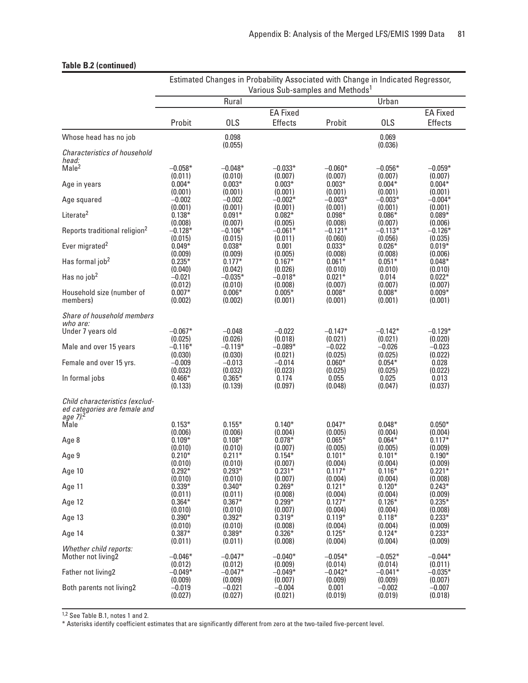## **Table B.2 (continued)**

|                                                                                        | Estimated Changes in Probability Associated with Change in Indicated Regressor,<br>Various Sub-samples and Methods <sup>1</sup> |                                |                                |                                |                                |                                |  |  |
|----------------------------------------------------------------------------------------|---------------------------------------------------------------------------------------------------------------------------------|--------------------------------|--------------------------------|--------------------------------|--------------------------------|--------------------------------|--|--|
|                                                                                        | Rural<br>Urban                                                                                                                  |                                |                                |                                |                                |                                |  |  |
|                                                                                        |                                                                                                                                 |                                | <b>EA Fixed</b>                |                                | <b>EA Fixed</b>                |                                |  |  |
|                                                                                        | Probit                                                                                                                          | <b>OLS</b>                     | <b>Effects</b>                 | Probit                         | <b>OLS</b>                     | <b>Effects</b>                 |  |  |
| Whose head has no job                                                                  |                                                                                                                                 | 0.098<br>(0.055)               |                                |                                | 0.069<br>(0.036)               |                                |  |  |
| Characteristics of household<br>head:                                                  |                                                                                                                                 |                                |                                |                                |                                |                                |  |  |
| Male <sup>2</sup>                                                                      | $-0.058*$                                                                                                                       | $-0.048*$                      | $-0.033*$                      | $-0.060*$                      | $-0.056*$                      | $-0.059*$                      |  |  |
|                                                                                        | (0.011)                                                                                                                         | (0.010)                        | (0.007)                        | (0.007)                        | (0.007)                        | (0.007)                        |  |  |
| Age in years                                                                           | $0.004*$                                                                                                                        | $0.003*$                       | $0.003*$                       | $0.003*$                       | $0.004*$                       | $0.004*$                       |  |  |
|                                                                                        | (0.001)                                                                                                                         | (0.001)                        | (0.001)                        | (0.001)                        | (0.001)                        | (0.001)                        |  |  |
| Age squared                                                                            | $-0.002$                                                                                                                        | $-0.002$                       | $-0.002*$                      | $-0.003*$                      | $-0.003*$                      | $-0.004*$                      |  |  |
| Literate <sup>2</sup>                                                                  | (0.001)                                                                                                                         | (0.001)                        | (0.001)                        | (0.001)                        | (0.001)                        | (0.001)                        |  |  |
|                                                                                        | $0.138*$                                                                                                                        | $0.091*$                       | $0.082*$                       | $0.098*$                       | $0.086*$                       | $0.089*$                       |  |  |
|                                                                                        | (0.008)                                                                                                                         | (0.007)                        | (0.005)                        | (0.008)                        | (0.007)                        | (0.006)                        |  |  |
| Reports traditional religion <sup>2</sup>                                              | $-0.128*$                                                                                                                       | $-0.106*$                      | $-0.061*$                      | $-0.121*$                      | $-0.113*$                      | $-0.126*$                      |  |  |
|                                                                                        | (0.015)                                                                                                                         | (0.015)                        | (0.011)                        | (0.060)                        | (0.056)                        | (0.035)                        |  |  |
| Ever migrated <sup>2</sup>                                                             | $0.049*$                                                                                                                        | $0.038*$                       | 0.001                          | $0.033*$                       | $0.026*$                       | $0.019*$                       |  |  |
| Has formal job <sup>2</sup>                                                            | (0.009)                                                                                                                         | (0.009)                        | (0.005)                        | (0.008)                        | (0.008)                        | (0.006)                        |  |  |
|                                                                                        | $0.235*$                                                                                                                        | $0.177*$                       | $0.167*$                       | $0.061*$                       | $0.051*$                       | $0.048*$                       |  |  |
|                                                                                        | (0.040)                                                                                                                         | (0.042)                        | (0.026)                        | (0.010)                        | (0.010)                        | (0.010)                        |  |  |
| Has no job <sup>2</sup>                                                                | $-0.021$                                                                                                                        | $-0.035*$                      | $-0.018*$                      | $0.021*$                       | 0.014                          | $0.022*$                       |  |  |
| Household size (number of<br>members)                                                  | (0.012)<br>$0.007*$<br>(0.002)                                                                                                  | (0.010)<br>$0.006*$<br>(0.002) | (0.008)<br>$0.005*$<br>(0.001) | (0.007)<br>$0.008*$<br>(0.001) | (0.007)<br>$0.008*$<br>(0.001) | (0.007)<br>$0.009*$<br>(0.001) |  |  |
| Share of household members<br>who are:                                                 |                                                                                                                                 |                                |                                |                                |                                |                                |  |  |
| Under 7 years old                                                                      | $-0.067*$                                                                                                                       | $-0.048$                       | $-0.022$                       | $-0.147*$                      | $-0.142*$                      | $-0.129*$                      |  |  |
| Male and over 15 years                                                                 | (0.025)                                                                                                                         | (0.026)                        | (0.018)                        | (0.021)                        | (0.021)                        | (0.020)                        |  |  |
|                                                                                        | $-0.116*$                                                                                                                       | $-0.119*$                      | $-0.089*$                      | $-0.022$                       | $-0.026$                       | $-0.023$                       |  |  |
|                                                                                        | (0.030)                                                                                                                         | (0.030)                        | (0.021)                        | (0.025)                        | (0.025)                        | (0.022)                        |  |  |
| Female and over 15 yrs.                                                                | $-0.009$                                                                                                                        | $-0.013$                       | $-0.014$                       | $0.060*$                       | $0.054*$                       | 0.028                          |  |  |
|                                                                                        | (0.032)                                                                                                                         | (0.032)                        | (0.023)                        | (0.025)                        | (0.025)                        | (0.022)                        |  |  |
| In formal jobs                                                                         | $0.466*$                                                                                                                        | $0.365*$                       | 0.174                          | 0.055                          | 0.025                          | 0.013                          |  |  |
|                                                                                        | (0.133)                                                                                                                         | (0.139)                        | (0.097)                        | (0.048)                        | (0.047)                        | (0.037)                        |  |  |
| Child characteristics (exclud-<br>ed categories are female and<br>age 7). <sup>2</sup> |                                                                                                                                 |                                |                                |                                |                                |                                |  |  |
| Male                                                                                   | $0.153*$                                                                                                                        | $0.155*$                       | $0.140*$                       | $0.047*$                       | $0.048*$                       | $0.050*$                       |  |  |
| Age 8                                                                                  | (0.006)                                                                                                                         | (0.006)                        | (0.004)                        | (0.005)                        | (0.004)                        | (0.004)                        |  |  |
|                                                                                        | $0.109*$                                                                                                                        | $0.108*$                       | $0.078*$                       | $0.065*$                       | $0.064*$                       | $0.117*$                       |  |  |
|                                                                                        | (0.010)                                                                                                                         | (0.010)                        | (0.007)                        | (0.005)                        | (0.005)                        | (0.009)                        |  |  |
| Age 9                                                                                  | $0.210*$                                                                                                                        | $0.211*$                       | $0.154*$                       | $0.101*$                       | $0.101*$                       | $0.190*$                       |  |  |
|                                                                                        | (0.010)                                                                                                                         | (0.010)                        | (0.007)                        | (0.004)                        | (0.004)                        | (0.009)                        |  |  |
| Age 10                                                                                 | $0.292*$                                                                                                                        | $0.293*$                       | $0.231*$                       | $0.117*$                       | $0.116*$                       | $0.221*$                       |  |  |
|                                                                                        | (0.010)                                                                                                                         | (0.010)                        | (0.007)                        | (0.004)                        | (0.004)                        | (0.008)                        |  |  |
| Age 11                                                                                 | $0.339*$                                                                                                                        | $0.340*$                       | $0.269*$                       | $0.121*$                       | $0.120*$                       | $0.243*$                       |  |  |
| Age 12                                                                                 | (0.011)                                                                                                                         | (0.011)                        | (0.008)                        | (0.004)                        | (0.004)                        | (0.009)                        |  |  |
|                                                                                        | $0.364*$                                                                                                                        | $0.367*$                       | $0.299*$                       | $0.127*$                       | $0.126*$                       | $0.235*$                       |  |  |
|                                                                                        | (0.010)                                                                                                                         | (0.010)                        | (0.007)                        | (0.004)                        | (0.004)                        | (0.008)                        |  |  |
| Age 13                                                                                 | $0.390*$                                                                                                                        | $0.392*$                       | $0.319*$                       | $0.119*$                       | $0.118*$                       | $0.233*$                       |  |  |
|                                                                                        | (0.010)                                                                                                                         | (0.010)                        | (0.008)                        | (0.004)                        | (0.004)                        | (0.009)                        |  |  |
| Age 14                                                                                 | $0.387*$                                                                                                                        | $0.389*$                       | $0.326*$                       | $0.125*$                       | $0.124*$                       | $0.233*$                       |  |  |
|                                                                                        | (0.011)                                                                                                                         | (0.011)                        | (0.008)                        | (0.004)                        | (0.004)                        | (0.009)                        |  |  |
| Whether child reports:<br>Mother not living2                                           | $-0.046*$                                                                                                                       | $-0.047*$                      | $-0.040*$                      | $-0.054*$                      | $-0.052*$                      | $-0.044*$                      |  |  |
| Father not living2                                                                     | (0.012)                                                                                                                         | (0.012)                        | (0.009)                        | (0.014)                        | (0.014)                        | (0.011)                        |  |  |
|                                                                                        | $-0.049*$                                                                                                                       | $-0.047*$                      | $-0.049*$                      | $-0.042*$                      | $-0.041*$                      | $-0.035*$                      |  |  |
|                                                                                        | (0.009)                                                                                                                         | (0.009)                        | (0.007)                        | (0.009)                        | (0.009)                        | (0.007)                        |  |  |
| Both parents not living2                                                               | $-0.019$                                                                                                                        | $-0.021$                       | $-0.004$                       | 0.001                          | $-0.002$                       | $-0.007$                       |  |  |
|                                                                                        | (0.027)                                                                                                                         | (0.027)                        | (0.021)                        | (0.019)                        | (0.019)                        | (0.018)                        |  |  |

1,2 See Table B.1, notes 1 and 2.

\* Asterisks identify coefficient estimates that are significantly different from zero at the two-tailed five-percent level.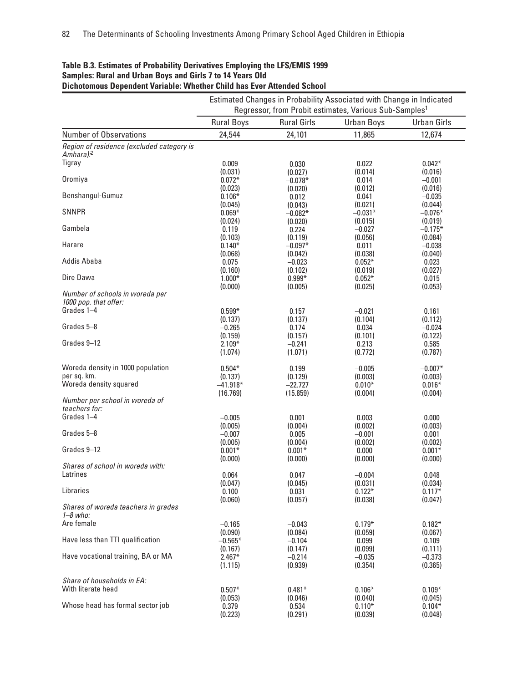|                                                     | Estimated Changes in Probability Associated with Change in Indicated<br>Regressor, from Probit estimates, Various Sub-Samples <sup>1</sup> |                      |                     |                      |  |
|-----------------------------------------------------|--------------------------------------------------------------------------------------------------------------------------------------------|----------------------|---------------------|----------------------|--|
|                                                     | <b>Rural Boys</b>                                                                                                                          | <b>Rural Girls</b>   | <b>Urban Boys</b>   | <b>Urban Girls</b>   |  |
| <b>Number of Observations</b>                       | 24,544                                                                                                                                     | 24,101               | 11,865              | 12,674               |  |
| Region of residence (excluded category is           |                                                                                                                                            |                      |                     |                      |  |
| Amhara). <sup>2</sup><br>Tigray                     |                                                                                                                                            |                      |                     |                      |  |
|                                                     | 0.009<br>(0.031)                                                                                                                           | 0.030                | 0.022<br>(0.014)    | $0.042*$<br>(0.016)  |  |
| Oromiya                                             | $0.072*$                                                                                                                                   | (0.027)<br>$-0.078*$ | 0.014               | $-0.001$             |  |
|                                                     | (0.023)                                                                                                                                    | (0.020)              | (0.012)             | (0.016)              |  |
| Benshangul-Gumuz                                    | $0.106*$                                                                                                                                   | 0.012                | 0.041               | $-0.035$             |  |
|                                                     | (0.045)                                                                                                                                    | (0.043)              | (0.021)             | (0.044)              |  |
| <b>SNNPR</b>                                        | $0.069*$                                                                                                                                   | $-0.082*$            | $-0.031*$           | $-0.076*$            |  |
| Gambela                                             | (0.024)                                                                                                                                    | (0.020)              | (0.015)             | (0.019)              |  |
|                                                     | 0.119<br>(0.103)                                                                                                                           | 0.224                | $-0.027$<br>(0.056) | $-0.175*$<br>(0.084) |  |
| Harare                                              | $0.140*$                                                                                                                                   | (0.119)<br>$-0.097*$ | 0.011               | $-0.038$             |  |
|                                                     | (0.068)                                                                                                                                    | (0.042)              | (0.038)             | (0.040)              |  |
| Addis Ababa                                         | 0.075                                                                                                                                      | $-0.023$             | $0.052*$            | 0.023                |  |
|                                                     | (0.160)                                                                                                                                    | (0.102)              | (0.019)             | (0.027)              |  |
| Dire Dawa                                           | $1.000*$                                                                                                                                   | $0.999*$             | $0.052*$            | 0.015                |  |
|                                                     | (0.000)                                                                                                                                    | (0.005)              | (0.025)             | (0.053)              |  |
| Number of schools in woreda per                     |                                                                                                                                            |                      |                     |                      |  |
| 1000 pop. that offer:<br>Grades 1-4                 |                                                                                                                                            |                      |                     |                      |  |
|                                                     | $0.599*$                                                                                                                                   | 0.157<br>(0.137)     | $-0.021$            | 0.161                |  |
| Grades 5-8                                          | (0.137)<br>$-0.265$                                                                                                                        | 0.174                | (0.104)<br>0.034    | (0.112)<br>$-0.024$  |  |
|                                                     | (0.159)                                                                                                                                    | (0.157)              | (0.101)             | (0.122)              |  |
| Grades 9-12                                         | $2.109*$                                                                                                                                   | $-0.241$             | 0.213               | 0.585                |  |
|                                                     | (1.074)                                                                                                                                    | (1.071)              | (0.772)             | (0.787)              |  |
|                                                     |                                                                                                                                            |                      |                     |                      |  |
| Woreda density in 1000 population<br>per sq. km.    | $0.504*$                                                                                                                                   | 0.199                | $-0.005$            | $-0.007*$            |  |
| Woreda density squared                              | (0.137)<br>$-41.918*$                                                                                                                      | (0.129)<br>$-22.727$ | (0.003)<br>$0.010*$ | (0.003)<br>$0.016*$  |  |
|                                                     | (16.769)                                                                                                                                   | (15.859)             | (0.004)             | (0.004)              |  |
| Number per school in woreda of                      |                                                                                                                                            |                      |                     |                      |  |
| teachers for:                                       |                                                                                                                                            |                      |                     |                      |  |
| Grades 1-4                                          | $-0.005$                                                                                                                                   | 0.001                | 0.003               | 0.000                |  |
|                                                     | (0.005)                                                                                                                                    | (0.004)              | (0.002)             | (0.003)              |  |
| Grades 5-8                                          | $-0.007$                                                                                                                                   | 0.005                | $-0.001$            | 0.001                |  |
|                                                     | (0.005)                                                                                                                                    | (0.004)              | (0.002)             | (0.002)              |  |
| Grades 9-12                                         | $0.001*$                                                                                                                                   | $0.001*$             | 0.000               | $0.001*$             |  |
| Shares of school in woreda with:                    | (0.000)                                                                                                                                    | (0.000)              | (0.000)             | (0.000)              |  |
| Latrines                                            | 0.064                                                                                                                                      | 0.047                | $-0.004$            | 0.048                |  |
|                                                     | (0.047)                                                                                                                                    | (0.045)              | (0.031)             | (0.034)              |  |
| Libraries                                           | 0.100                                                                                                                                      | 0.031                | $0.122*$            | $0.117*$             |  |
|                                                     | (0.060)                                                                                                                                    | (0.057)              | (0.038)             | (0.047)              |  |
| Shares of woreda teachers in grades<br>$1 - 8$ who: |                                                                                                                                            |                      |                     |                      |  |
| Are female                                          | $-0.165$                                                                                                                                   | $-0.043$             | $0.179*$            | $0.182*$             |  |
|                                                     | (0.090)                                                                                                                                    | (0.084)              | (0.059)             | (0.067)              |  |
| Have less than TTI qualification                    | $-0.565*$                                                                                                                                  | $-0.104$             | 0.099               | 0.109                |  |
|                                                     | (0.167)                                                                                                                                    | (0.147)              | (0.099)             | (0.111)              |  |
| Have vocational training, BA or MA                  | $2.467*$                                                                                                                                   | $-0.214$             | $-0.035$            | $-0.373$             |  |
|                                                     | (1.115)                                                                                                                                    | (0.939)              | (0.354)             | (0.365)              |  |
| Share of households in EA:                          |                                                                                                                                            |                      |                     |                      |  |
| With literate head                                  | $0.507*$                                                                                                                                   | $0.481*$             | $0.106*$            | $0.109*$             |  |
|                                                     | (0.053)                                                                                                                                    | (0.046)              | (0.040)             | (0.045)              |  |
| Whose head has formal sector job                    | 0.379                                                                                                                                      | 0.534                | $0.110*$            | $0.104*$             |  |
|                                                     | (0.223)                                                                                                                                    | (0.291)              | (0.039)             | (0.048)              |  |

#### **Table B.3. Estimates of Probability Derivatives Employing the LFS/EMIS 1999 Samples: Rural and Urban Boys and Girls 7 to 14 Years Old Dichotomous Dependent Variable: Whether Child has Ever Attended School**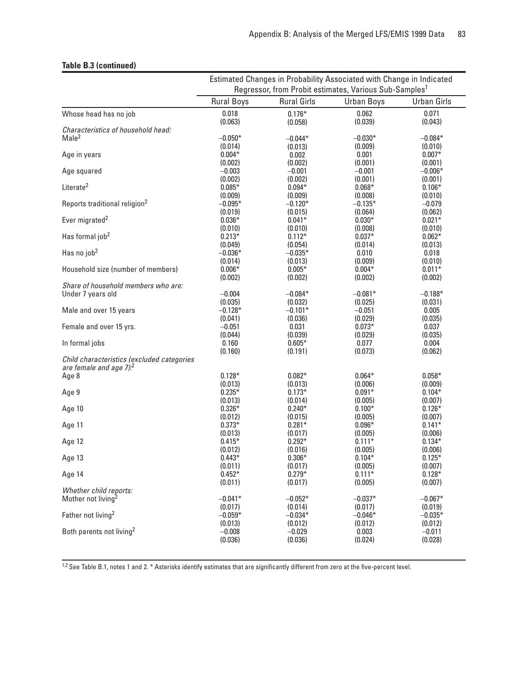#### **Table B.3 (continued)**

|                                                                                   | Estimated Changes in Probability Associated with Change in Indicated |                     |                                                                    |                     |  |
|-----------------------------------------------------------------------------------|----------------------------------------------------------------------|---------------------|--------------------------------------------------------------------|---------------------|--|
|                                                                                   |                                                                      |                     | Regressor, from Probit estimates, Various Sub-Samples <sup>1</sup> |                     |  |
|                                                                                   | <b>Rural Boys</b>                                                    | <b>Rural Girls</b>  | <b>Urban Boys</b>                                                  | <b>Urban Girls</b>  |  |
| Whose head has no job                                                             | 0.018                                                                | $0.176*$            | 0.062                                                              | 0.071               |  |
|                                                                                   | (0.063)                                                              | (0.058)             | (0.039)                                                            | (0.043)             |  |
| Characteristics of household head:                                                |                                                                      |                     |                                                                    |                     |  |
| Male <sup>2</sup>                                                                 | $-0.050*$                                                            | $-0.044*$           | $-0.030*$                                                          | $-0.084*$           |  |
|                                                                                   | (0.014)                                                              | (0.013)             | (0.009)                                                            | (0.010)             |  |
| Age in years                                                                      | $0.004*$                                                             | 0.002               | 0.001                                                              | $0.007*$            |  |
|                                                                                   | (0.002)                                                              | (0.002)             | (0.001)                                                            | (0.001)             |  |
| Age squared                                                                       | $-0.003$                                                             | $-0.001$            | $-0.001$                                                           | $-0.006*$           |  |
| Literate <sup>2</sup>                                                             | (0.002)<br>$0.085*$                                                  | (0.002)<br>$0.094*$ | (0.001)<br>$0.068*$                                                | (0.001)<br>$0.106*$ |  |
|                                                                                   | (0.009)                                                              | (0.009)             | (0.008)                                                            | (0.010)             |  |
| Reports traditional religion <sup>2</sup>                                         | $-0.095*$                                                            | $-0.120*$           | $-0.135*$                                                          | $-0.079$            |  |
|                                                                                   | (0.019)                                                              | (0.015)             | (0.064)                                                            | (0.062)             |  |
| Ever migrated <sup>2</sup>                                                        | $0.036*$                                                             | $0.041*$            | $0.030*$                                                           | $0.021*$            |  |
|                                                                                   | (0.010)                                                              | (0.010)             | (0.008)                                                            | (0.010)             |  |
| Has formal job <sup>2</sup>                                                       | $0.213*$                                                             | $0.112*$            | $0.037*$                                                           | $0.062*$            |  |
|                                                                                   | (0.049)                                                              | (0.054)             | (0.014)                                                            | (0.013)             |  |
| Has no job <sup>2</sup>                                                           | $-0.036*$                                                            | $-0.035*$           | 0.010                                                              | 0.018               |  |
|                                                                                   | (0.014)                                                              | (0.013)             | (0.009)                                                            | (0.010)             |  |
| Household size (number of members)                                                | $0.006*$                                                             | $0.005*$            | $0.004*$                                                           | $0.011*$            |  |
|                                                                                   | (0.002)                                                              | (0.002)             | (0.002)                                                            | (0.002)             |  |
| Share of household members who are:                                               |                                                                      |                     |                                                                    |                     |  |
| Under 7 years old                                                                 | $-0.004$                                                             | $-0.084*$           | $-0.081*$                                                          | $-0.188*$           |  |
|                                                                                   | (0.035)                                                              | (0.032)             | (0.025)                                                            | (0.031)             |  |
| Male and over 15 years                                                            | $-0.128*$                                                            | $-0.101*$           | $-0.051$                                                           | 0.005               |  |
|                                                                                   | (0.041)                                                              | (0.036)             | (0.029)                                                            | (0.035)             |  |
| Female and over 15 yrs.                                                           | $-0.051$                                                             | 0.031               | $0.073*$                                                           | 0.037               |  |
|                                                                                   | (0.044)                                                              | (0.039)             | (0.029)                                                            | (0.035)             |  |
| In formal jobs                                                                    | 0.160                                                                | $0.605*$            | 0.077                                                              | 0.004               |  |
|                                                                                   | (0.160)                                                              | (0.191)             | (0.073)                                                            | (0.062)             |  |
| Child characteristics (excluded categories<br>are female and age 7). <sup>2</sup> |                                                                      |                     |                                                                    |                     |  |
| Age 8                                                                             | $0.128*$                                                             | $0.082*$            | $0.064*$                                                           | $0.058*$            |  |
|                                                                                   | (0.013)                                                              | (0.013)             | (0.006)                                                            | (0.009)             |  |
| Age 9                                                                             | $0.235*$                                                             | $0.173*$            | $0.091*$                                                           | $0.104*$            |  |
|                                                                                   | (0.013)                                                              | (0.014)             | (0.005)                                                            | (0.007)             |  |
| Age 10                                                                            | $0.326*$                                                             | $0.240*$            | $0.100*$                                                           | $0.126*$            |  |
|                                                                                   | (0.012)                                                              | (0.015)             | (0.005)                                                            | (0.007)             |  |
| Age 11                                                                            | $0.373*$                                                             | $0.281*$            | $0.096*$                                                           | $0.141*$            |  |
| Age 12                                                                            | (0.013)                                                              | (0.017)<br>$0.292*$ | (0.005)<br>$0.111*$                                                | (0.006)<br>$0.134*$ |  |
|                                                                                   | $0.415*$<br>(0.012)                                                  | (0.016)             | (0.005)                                                            | (0.006)             |  |
| Age 13                                                                            | $0.443*$                                                             | $0.306*$            | $0.104*$                                                           | $0.125*$            |  |
|                                                                                   | (0.011)                                                              | (0.017)             | (0.005)                                                            | (0.007)             |  |
| Age 14                                                                            | $0.452*$                                                             | $0.279*$            | $0.111*$                                                           | $0.128*$            |  |
|                                                                                   | (0.011)                                                              | (0.017)             | (0.005)                                                            | (0.007)             |  |
| Whether child reports:                                                            |                                                                      |                     |                                                                    |                     |  |
| Mother not living <sup>2</sup>                                                    | $-0.041*$                                                            | $-0.052*$           | $-0.037*$                                                          | $-0.067*$           |  |
|                                                                                   | (0.017)                                                              | (0.014)             | (0.017)                                                            | (0.019)             |  |
| Father not living <sup>2</sup>                                                    | $-0.059*$                                                            | $-0.034*$           | $-0.046*$                                                          | $-0.035*$           |  |
|                                                                                   | (0.013)                                                              | (0.012)             | (0.012)                                                            | (0.012)             |  |
| Both parents not living <sup>2</sup>                                              | $-0.008$                                                             | $-0.029$            | 0.003                                                              | $-0.011$            |  |
|                                                                                   | (0.036)                                                              | (0.036)             | (0.024)                                                            | (0.028)             |  |

1,2 See Table B.1, notes 1 and 2. \* Asterisks identify estimates that are significantly different from zero at the five-percent level.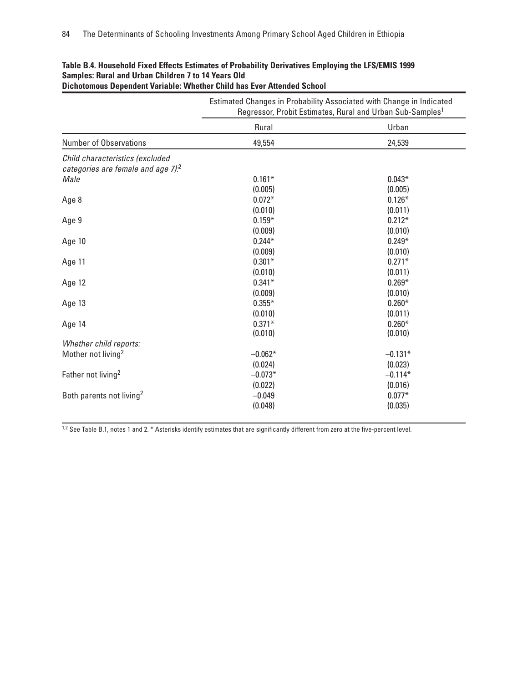|                                                                                      | Estimated Changes in Probability Associated with Change in Indicated<br>Regressor, Probit Estimates, Rural and Urban Sub-Samples <sup>1</sup> |           |  |  |  |
|--------------------------------------------------------------------------------------|-----------------------------------------------------------------------------------------------------------------------------------------------|-----------|--|--|--|
|                                                                                      | Rural                                                                                                                                         | Urban     |  |  |  |
| <b>Number of Observations</b>                                                        | 49,554                                                                                                                                        | 24,539    |  |  |  |
| Child characteristics (excluded<br>categories are female and age $7$ ). <sup>2</sup> |                                                                                                                                               |           |  |  |  |
| Male                                                                                 | $0.161*$                                                                                                                                      | $0.043*$  |  |  |  |
|                                                                                      | (0.005)                                                                                                                                       | (0.005)   |  |  |  |
| Age 8                                                                                | $0.072*$                                                                                                                                      | $0.126*$  |  |  |  |
|                                                                                      | (0.010)                                                                                                                                       | (0.011)   |  |  |  |
| Age 9                                                                                | $0.159*$                                                                                                                                      | $0.212*$  |  |  |  |
|                                                                                      | (0.009)                                                                                                                                       | (0.010)   |  |  |  |
| Age 10                                                                               | $0.244*$                                                                                                                                      | $0.249*$  |  |  |  |
|                                                                                      | (0.009)                                                                                                                                       | (0.010)   |  |  |  |
| Age 11                                                                               | $0.301*$                                                                                                                                      | $0.271*$  |  |  |  |
|                                                                                      | (0.010)                                                                                                                                       | (0.011)   |  |  |  |
| Age 12                                                                               | $0.341*$                                                                                                                                      | $0.269*$  |  |  |  |
|                                                                                      | (0.009)                                                                                                                                       | (0.010)   |  |  |  |
| Age 13                                                                               | $0.355*$                                                                                                                                      | $0.260*$  |  |  |  |
|                                                                                      | (0.010)                                                                                                                                       | (0.011)   |  |  |  |
| Age 14                                                                               | $0.371*$                                                                                                                                      | $0.260*$  |  |  |  |
|                                                                                      | (0.010)                                                                                                                                       | (0.010)   |  |  |  |
| Whether child reports:                                                               |                                                                                                                                               |           |  |  |  |
| Mother not living <sup>2</sup>                                                       | $-0.062*$                                                                                                                                     | $-0.131*$ |  |  |  |
|                                                                                      | (0.024)                                                                                                                                       | (0.023)   |  |  |  |
| Father not living <sup>2</sup>                                                       | $-0.073*$                                                                                                                                     | $-0.114*$ |  |  |  |
|                                                                                      | (0.022)                                                                                                                                       | (0.016)   |  |  |  |
| Both parents not living <sup>2</sup>                                                 | $-0.049$                                                                                                                                      | $0.077*$  |  |  |  |
|                                                                                      | (0.048)                                                                                                                                       | (0.035)   |  |  |  |

#### **Table B.4. Household Fixed Effects Estimates of Probability Derivatives Employing the LFS/EMIS 1999 Samples: Rural and Urban Children 7 to 14 Years Old Dichotomous Dependent Variable: Whether Child has Ever Attended School**

1,2 See Table B.1, notes 1 and 2. \* Asterisks identify estimates that are significantly different from zero at the five-percent level.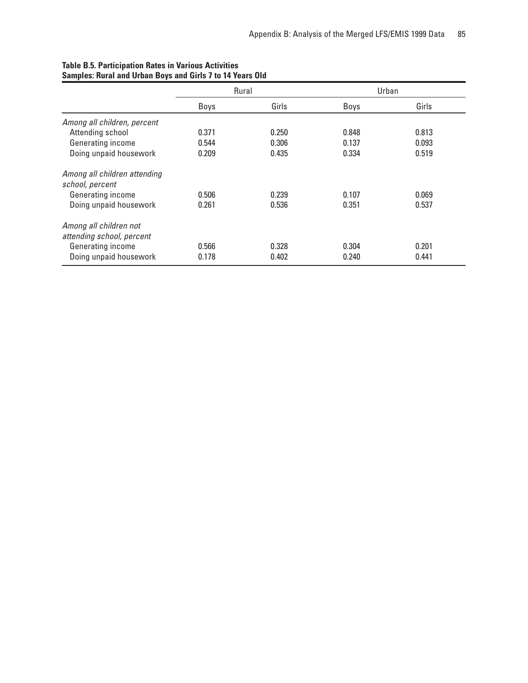|                              |       | Rural |       | Urban |
|------------------------------|-------|-------|-------|-------|
|                              | Boys  | Girls | Boys  | Girls |
| Among all children, percent  |       |       |       |       |
| Attending school             | 0.371 | 0.250 | 0.848 | 0.813 |
| Generating income            | 0.544 | 0.306 | 0.137 | 0.093 |
| Doing unpaid housework       | 0.209 | 0.435 | 0.334 | 0.519 |
| Among all children attending |       |       |       |       |
| school, percent              |       |       |       |       |
| Generating income            | 0.506 | 0.239 | 0.107 | 0.069 |
| Doing unpaid housework       | 0.261 | 0.536 | 0.351 | 0.537 |
| Among all children not       |       |       |       |       |
| attending school, percent    |       |       |       |       |
| Generating income            | 0.566 | 0.328 | 0.304 | 0.201 |
| Doing unpaid housework       | 0.178 | 0.402 | 0.240 | 0.441 |

#### **Table B.5. Participation Rates in Various Activities Samples: Rural and Urban Boys and Girls 7 to 14 Years Old**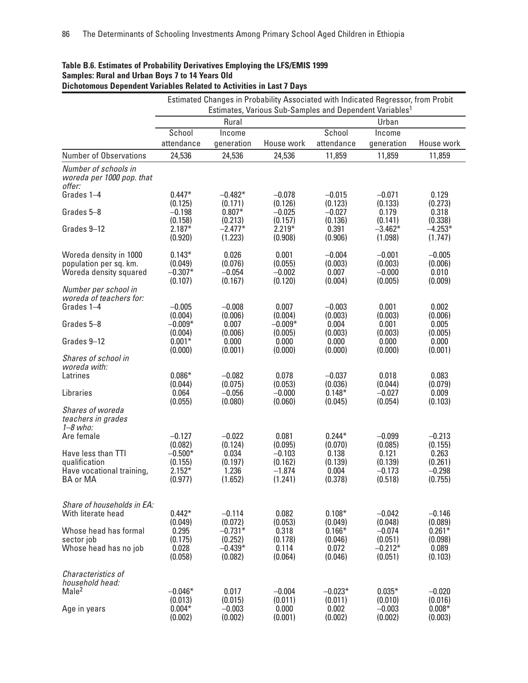|                                                             |                                |                                | Estimated Changes in Probability Associated with Indicated Regressor, from Probit |                             |                                |                                |
|-------------------------------------------------------------|--------------------------------|--------------------------------|-----------------------------------------------------------------------------------|-----------------------------|--------------------------------|--------------------------------|
|                                                             |                                |                                | Estimates, Various Sub-Samples and Dependent Variables <sup>1</sup>               |                             |                                |                                |
|                                                             |                                | Rural                          |                                                                                   |                             | Urban                          |                                |
|                                                             | School<br>attendance           | Income<br>generation           | House work                                                                        | School<br>attendance        | Income<br>generation           | House work                     |
| <b>Number of Observations</b>                               | 24,536                         | 24,536                         | 24,536                                                                            | 11,859                      | 11,859                         | 11,859                         |
| Number of schools in<br>woreda per 1000 pop. that<br>offer: |                                |                                |                                                                                   |                             |                                |                                |
| Grades 1-4                                                  | $0.447*$<br>(0.125)            | $-0.482*$<br>(0.171)           | $-0.078$<br>(0.126)                                                               | $-0.015$<br>(0.123)         | $-0.071$<br>(0.133)            | 0.129<br>(0.273)               |
| Grades 5-8                                                  | $-0.198$                       | $0.807*$                       | $-0.025$                                                                          | $-0.027$                    | 0.179                          | 0.318                          |
| Grades 9-12                                                 | (0.158)<br>$2.187*$            | (0.213)<br>$-2.477*$           | (0.157)<br>$2.219*$                                                               | (0.136)<br>0.391            | (0.141)<br>$-3.462*$           | (0.338)<br>$-4.253*$           |
|                                                             | (0.920)                        | (1.223)                        | (0.908)                                                                           | (0.906)                     | (1.098)                        | (1.747)                        |
| Woreda density in 1000                                      | $0.143*$                       | 0.026                          | 0.001                                                                             | $-0.004$                    | $-0.001$                       | $-0.005$                       |
| population per sq. km.<br>Woreda density squared            | (0.049)<br>$-0.307*$           | (0.076)<br>$-0.054$            | (0.055)<br>$-0.002$                                                               | (0.003)<br>0.007            | (0.003)<br>$-0.000$            | (0.006)<br>0.010               |
|                                                             | (0.107)                        | (0.167)                        | (0.120)                                                                           | (0.004)                     | (0.005)                        | (0.009)                        |
| Number per school in<br>woreda of teachers for:             |                                |                                |                                                                                   |                             |                                |                                |
| Grades 1-4                                                  | $-0.005$<br>(0.004)            | $-0.008$<br>(0.006)            | 0.007<br>(0.004)                                                                  | $-0.003$<br>(0.003)         | 0.001<br>(0.003)               | 0.002<br>(0.006)               |
| Grades 5-8                                                  | $-0.009*$                      | 0.007                          | $-0.009*$                                                                         | 0.004                       | 0.001                          | 0.005                          |
| Grades 9-12                                                 | (0.004)<br>$0.001*$            | (0.006)<br>0.000               | (0.005)<br>0.000                                                                  | (0.003)<br>0.000            | (0.003)<br>0.000               | (0.005)<br>0.000               |
|                                                             | (0.000)                        | (0.001)                        | (0.000)                                                                           | (0.000)                     | (0.000)                        | (0.001)                        |
| Shares of school in<br>woreda with:                         |                                |                                |                                                                                   |                             |                                |                                |
| Latrines                                                    | $0.086*$<br>(0.044)            | $-0.082$<br>(0.075)            | 0.078<br>(0.053)                                                                  | $-0.037$<br>(0.036)         | 0.018<br>(0.044)               | 0.083<br>(0.079)               |
| Libraries                                                   | 0.064<br>(0.055)               | $-0.056$<br>(0.080)            | $-0.000$<br>(0.060)                                                               | $0.148*$<br>(0.045)         | $-0.027$<br>(0.054)            | 0.009<br>(0.103)               |
| Shares of woreda<br>teachers in grades<br>$1 - 8$ who:      |                                |                                |                                                                                   |                             |                                |                                |
| Are female                                                  | $-0.127$                       | $-0.022$                       | 0.081                                                                             | $0.244*$                    | $-0.099$                       | $-0.213$                       |
| Have less than TTI                                          | (0.082)<br>$-0.500*$           | (0.124)<br>0.034               | (0.095)<br>$-0.103$                                                               | (0.070)<br>0.138            | (0.085)<br>0.121               | (0.155)<br>0.263               |
| qualification                                               | (0.155)                        | (0.197)                        | (0.162)                                                                           | (0.139)                     | (0.139)                        | (0.261)                        |
| Have vocational training,<br>BA or MA                       | $2.152*$<br>(0.977)            | 1.236<br>(1.652)               | $-1.874$<br>(1.241)                                                               | 0.004<br>(0.378)            | $-0.173$<br>(0.518)            | $-0.298$<br>(0.755)            |
| Share of households in EA:                                  |                                |                                |                                                                                   |                             |                                |                                |
| With literate head                                          | $0.442*$<br>(0.049)            | $-0.114$<br>(0.072)            | 0.082<br>(0.053)                                                                  | $0.108*$<br>(0.049)         | $-0.042$<br>(0.048)            | $-0.146$<br>(0.089)            |
| Whose head has formal                                       | 0.295                          | $-0.731*$                      | 0.318                                                                             | $0.166*$                    | $-0.074$                       | $0.261*$                       |
| sector job<br>Whose head has no job                         | (0.175)<br>0.028               | (0.252)<br>$-0.439*$           | (0.178)<br>0.114                                                                  | (0.046)<br>0.072            | (0.051)<br>$-0.212*$           | (0.098)<br>0.089               |
|                                                             | (0.058)                        | (0.082)                        | (0.064)                                                                           | (0.046)                     | (0.051)                        | (0.103)                        |
| Characteristics of<br>household head:                       |                                |                                |                                                                                   |                             |                                |                                |
| Male <sup>2</sup>                                           | $-0.046*$                      | 0.017                          | $-0.004$                                                                          | $-0.023*$                   | $0.035*$                       | $-0.020$                       |
| Age in years                                                | (0.013)<br>$0.004*$<br>(0.002) | (0.015)<br>$-0.003$<br>(0.002) | (0.011)<br>0.000<br>(0.001)                                                       | (0.011)<br>0.002<br>(0.002) | (0.010)<br>$-0.003$<br>(0.002) | (0.016)<br>$0.008*$<br>(0.003) |

## **Table B.6. Estimates of Probability Derivatives Employing the LFS/EMIS 1999 Samples: Rural and Urban Boys 7 to 14 Years Old**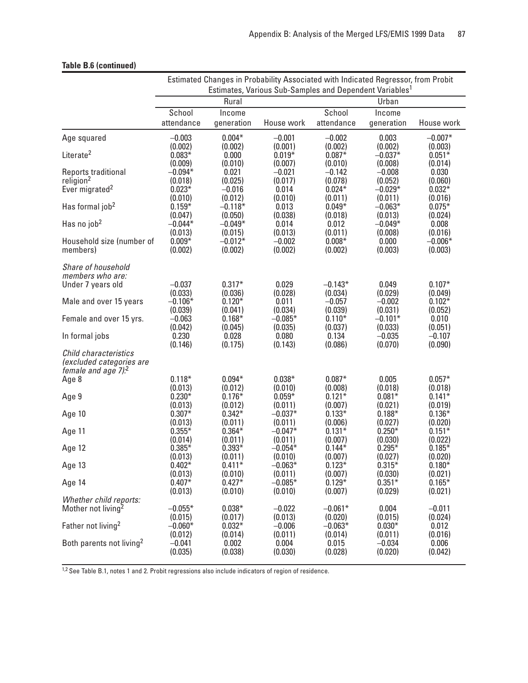|                                                                                         | Estimated Changes in Probability Associated with Indicated Regressor, from Probit<br>Estimates, Various Sub-Samples and Dependent Variables <sup>1</sup> |                                |                                |                                 |                                 |                                |
|-----------------------------------------------------------------------------------------|----------------------------------------------------------------------------------------------------------------------------------------------------------|--------------------------------|--------------------------------|---------------------------------|---------------------------------|--------------------------------|
|                                                                                         |                                                                                                                                                          | Rural                          |                                |                                 | Urban                           |                                |
|                                                                                         | School                                                                                                                                                   | Income                         |                                | School                          | Income                          |                                |
|                                                                                         | attendance                                                                                                                                               | generation                     | House work                     | attendance                      | generation                      | House work                     |
| Age squared                                                                             | $-0.003$                                                                                                                                                 | $0.004*$                       | $-0.001$                       | $-0.002$                        | 0.003                           | $-0.007*$                      |
| Literate <sup>2</sup>                                                                   | (0.002)<br>$0.083*$<br>(0.009)                                                                                                                           | (0.002)<br>0.000               | (0.001)<br>$0.019*$            | (0.002)<br>$0.087*$             | (0.002)<br>$-0.037*$            | (0.003)<br>$0.051*$            |
| Reports traditional                                                                     | $-0.094*$                                                                                                                                                | (0.010)<br>0.021               | (0.007)<br>$-0.021$            | (0.010)<br>$-0.142$             | (0.008)<br>$-0.008$             | (0.014)<br>0.030               |
| religion <sup>2</sup><br>Ever migrated <sup>2</sup>                                     | (0.018)<br>$0.023*$                                                                                                                                      | (0.025)<br>$-0.016$<br>(0.012) | (0.017)<br>0.014               | (0.078)<br>$0.024*$             | (0.052)<br>$-0.029*$            | (0.060)<br>$0.032*$            |
| Has formal job <sup>2</sup>                                                             | (0.010)<br>$0.159*$<br>(0.047)                                                                                                                           | $-0.118*$<br>(0.050)           | (0.010)<br>0.013<br>(0.038)    | (0.011)<br>$0.049*$<br>(0.018)  | (0.011)<br>$-0.063*$<br>(0.013) | (0.016)<br>$0.075*$<br>(0.024) |
| Has no job <sup>2</sup>                                                                 | $-0.044*$                                                                                                                                                | $-0.049*$                      | 0.014                          | 0.012                           | $-0.049*$                       | 0.008                          |
|                                                                                         | (0.013)                                                                                                                                                  | (0.015)                        | (0.013)                        | (0.011)                         | (0.008)                         | (0.016)                        |
| Household size (number of                                                               | $0.009*$                                                                                                                                                 | $-0.012*$                      | $-0.002$                       | $0.008*$                        | 0.000                           | $-0.006*$                      |
| members)                                                                                | (0.002)                                                                                                                                                  | (0.002)                        | (0.002)                        | (0.002)                         | (0.003)                         | (0.003)                        |
| Share of household<br>members who are:                                                  |                                                                                                                                                          |                                |                                |                                 |                                 |                                |
| Under 7 years old                                                                       | $-0.037$                                                                                                                                                 | $0.317*$                       | 0.029                          | $-0.143*$                       | 0.049                           | $0.107*$                       |
|                                                                                         | (0.033)                                                                                                                                                  | (0.036)                        | (0.028)                        | (0.034)                         | (0.029)                         | (0.049)                        |
| Male and over 15 years                                                                  | $-0.106*$                                                                                                                                                | $0.120*$                       | 0.011                          | $-0.057$                        | $-0.002$                        | $0.102*$                       |
|                                                                                         | (0.039)                                                                                                                                                  | (0.041)                        | (0.034)                        | (0.039)                         | (0.031)                         | (0.052)                        |
| Female and over 15 yrs.                                                                 | $-0.063$                                                                                                                                                 | $0.168*$                       | $-0.085*$                      | $0.110*$                        | $-0.101*$                       | 0.010                          |
|                                                                                         | (0.042)                                                                                                                                                  | (0.045)                        | (0.035)                        | (0.037)                         | (0.033)                         | (0.051)                        |
| In formal jobs                                                                          | 0.230                                                                                                                                                    | 0.028                          | 0.080                          | 0.134                           | $-0.035$                        | $-0.107$                       |
|                                                                                         | (0.146)                                                                                                                                                  | (0.175)                        | (0.143)                        | (0.086)                         | (0.070)                         | (0.090)                        |
| Child characteristics<br>(excluded categories are<br>female and age $7$ ). <sup>2</sup> |                                                                                                                                                          |                                |                                |                                 |                                 |                                |
| Age 8                                                                                   | $0.118*$                                                                                                                                                 | $0.094*$                       | $0.038*$                       | $0.087*$                        | 0.005                           | $0.057*$                       |
|                                                                                         | (0.013)                                                                                                                                                  | (0.012)                        | (0.010)                        | (0.008)                         | (0.018)                         | (0.018)                        |
| Age 9                                                                                   | $0.230*$                                                                                                                                                 | $0.176*$                       | $0.059*$                       | $0.121*$                        | $0.081*$                        | $0.141*$                       |
|                                                                                         | (0.013)                                                                                                                                                  | (0.012)                        | (0.011)                        | (0.007)                         | (0.021)                         | (0.019)                        |
| Age 10                                                                                  | $0.307*$                                                                                                                                                 | $0.342*$                       | $-0.037*$                      | $0.133*$                        | $0.188*$                        | $0.136*$                       |
|                                                                                         | (0.013)                                                                                                                                                  | (0.011)                        | (0.011)                        | (0.006)                         | (0.027)                         | (0.020)                        |
| Age 11                                                                                  | $0.355*$                                                                                                                                                 | $0.364*$                       | $-0.047*$                      | $0.131*$                        | $0.250*$                        | $0.151*$                       |
|                                                                                         | (0.014)                                                                                                                                                  | (0.011)                        | (0.011)                        | (0.007)                         | (0.030)                         | (0.022)                        |
| Age 12                                                                                  | $0.385*$                                                                                                                                                 | $0.393*$                       | $-0.054*$                      | $0.144*$                        | $0.295*$                        | $0.185*$                       |
|                                                                                         | (0.013)                                                                                                                                                  | (0.011)                        | (0.010)                        | (0.007)                         | (0.027)                         | (0.020)                        |
| Age 13                                                                                  | $0.402*$                                                                                                                                                 | $0.411*$                       | $-0.063*$                      | $0.123*$                        | $0.315*$                        | $0.180*$                       |
|                                                                                         | (0.013)                                                                                                                                                  | (0.010)                        | (0.011)                        | (0.007)                         | (0.030)                         | (0.021)                        |
| Age 14                                                                                  | $0.407*$                                                                                                                                                 | $0.427*$                       | $-0.085*$                      | $0.129*$                        | $0.351*$                        | $0.165*$                       |
|                                                                                         | (0.013)                                                                                                                                                  | (0.010)                        | (0.010)                        | (0.007)                         | (0.029)                         | (0.021)                        |
| Whether child reports:<br>Mother not living <sup>2</sup>                                | $-0.055*$                                                                                                                                                | $0.038*$                       | $-0.022$                       | $-0.061*$                       | 0.004                           | $-0.011$<br>(0.024)            |
| Father not living <sup>2</sup>                                                          | (0.015)<br>$-0.060*$<br>(0.012)                                                                                                                          | (0.017)<br>$0.032*$<br>(0.014) | (0.013)<br>$-0.006$<br>(0.011) | (0.020)<br>$-0.063*$<br>(0.014) | (0.015)<br>$0.030*$<br>(0.011)  | 0.012<br>(0.016)               |
| Both parents not living <sup>2</sup>                                                    | $-0.041$                                                                                                                                                 | 0.002                          | 0.004                          | 0.015                           | $-0.034$                        | 0.006                          |
|                                                                                         | (0.035)                                                                                                                                                  | (0.038)                        | (0.030)                        | (0.028)                         | (0.020)                         | (0.042)                        |

## **Table B.6 (continued)**

1,2 See Table B.1, notes 1 and 2. Probit regressions also include indicators of region of residence.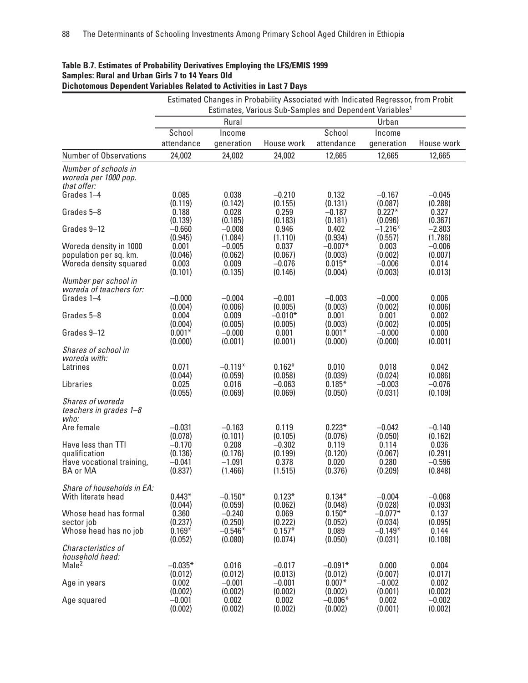| <b>Dichotomous Dependent Variables Related to Activities in Last 7 Days</b> |                             |                                | Estimated Changes in Probability Associated with Indicated Regressor, from Probit |                                |                                 |                             |
|-----------------------------------------------------------------------------|-----------------------------|--------------------------------|-----------------------------------------------------------------------------------|--------------------------------|---------------------------------|-----------------------------|
|                                                                             |                             |                                | Estimates, Various Sub-Samples and Dependent Variables <sup>1</sup>               |                                |                                 |                             |
|                                                                             |                             | Rural                          |                                                                                   |                                | Urban                           |                             |
|                                                                             | School                      | Income                         |                                                                                   | School                         | Income                          |                             |
|                                                                             | attendance                  | generation                     | House work                                                                        | attendance                     | generation                      | House work                  |
| <b>Number of Observations</b>                                               | 24,002                      | 24,002                         | 24,002                                                                            | 12,665                         | 12,665                          | 12,665                      |
| Number of schools in<br>woreda per 1000 pop.<br>that offer:                 |                             |                                |                                                                                   |                                |                                 |                             |
| Grades 1-4                                                                  | 0.085                       | 0.038                          | $-0.210$                                                                          | 0.132                          | $-0.167$                        | $-0.045$                    |
|                                                                             | (0.119)                     | (0.142)                        | (0.155)                                                                           | (0.131)                        | (0.087)                         | (0.288)                     |
| Grades 5-8                                                                  | 0.188                       | 0.028                          | 0.259                                                                             | $-0.187$                       | $0.227*$                        | 0.327                       |
|                                                                             | (0.139)                     | (0.185)                        | (0.183)                                                                           | (0.181)                        | (0.096)                         | (0.367)                     |
| Grades 9-12                                                                 | $-0.660$                    | $-0.008$                       | 0.946                                                                             | 0.402                          | $-1.216*$                       | $-2.803$                    |
|                                                                             | (0.945)                     | (1.084)                        | (1.110)                                                                           | (0.934)                        | (0.557)                         | (1.786)                     |
| Woreda density in 1000                                                      | 0.001                       | $-0.005$                       | 0.037                                                                             | $-0.007*$                      | 0.003                           | $-0.006$                    |
| population per sq. km.                                                      | (0.046)                     | (0.062)                        | (0.067)                                                                           | (0.003)                        | (0.002)                         | (0.007)                     |
| Woreda density squared                                                      | 0.003                       | 0.009                          | $-0.076$                                                                          | $0.015*$                       | $-0.006$                        | 0.014                       |
|                                                                             | (0.101)                     | (0.135)                        | (0.146)                                                                           | (0.004)                        | (0.003)                         | (0.013)                     |
| Number per school in<br>woreda of teachers for:<br>Grades 1-4               | $-0.000$                    | $-0.004$                       | $-0.001$                                                                          | $-0.003$                       | $-0.000$                        | 0.006                       |
| Grades 5-8                                                                  | (0.004)                     | (0.006)                        | (0.005)                                                                           | (0.003)                        | (0.002)                         | (0.006)                     |
|                                                                             | 0.004                       | 0.009                          | $-0.010*$                                                                         | 0.001                          | 0.001                           | 0.002                       |
| Grades 9-12                                                                 | (0.004)                     | (0.005)                        | (0.005)                                                                           | (0.003)                        | (0.002)                         | (0.005)                     |
|                                                                             | $0.001*$                    | $-0.000$                       | 0.001                                                                             | $0.001*$                       | $-0.000$                        | 0.000                       |
|                                                                             | (0.000)                     | (0.001)                        | (0.001)                                                                           | (0.000)                        | (0.000)                         | (0.001)                     |
| Shares of school in<br>woreda with:                                         |                             |                                |                                                                                   |                                |                                 |                             |
| Latrines                                                                    | 0.071                       | $-0.119*$                      | $0.162*$                                                                          | 0.010                          | 0.018                           | 0.042                       |
|                                                                             | (0.044)                     | (0.059)                        | (0.058)                                                                           | (0.039)                        | (0.024)                         | (0.086)                     |
| Libraries                                                                   | 0.025                       | 0.016                          | $-0.063$                                                                          | $0.185*$                       | $-0.003$                        | $-0.076$                    |
|                                                                             | (0.055)                     | (0.069)                        | (0.069)                                                                           | (0.050)                        | (0.031)                         | (0.109)                     |
| Shares of woreda<br>teachers in grades 1-8<br>who:                          |                             |                                |                                                                                   |                                |                                 |                             |
| Are female                                                                  | $-0.031$                    | $-0.163$                       | 0.119                                                                             | $0.223*$                       | $-0.042$                        | $-0.140$                    |
|                                                                             | (0.078)                     | (0.101)                        | (0.105)                                                                           | (0.076)                        | (0.050)                         | (0.162)                     |
| Have less than TTI                                                          | $-0.170$                    | 0.208                          | $-0.302$                                                                          | 0.119                          | 0.114                           | 0.036                       |
| qualification                                                               | (0.136)                     | (0.176)                        | (0.199)                                                                           | (0.120)                        | (0.067)                         | (0.291)                     |
| Have vocational training,                                                   | $-0.041$                    | $-1.091$                       | 0.378                                                                             | 0.020                          | 0.280                           | $-0.596$                    |
| <b>BA or MA</b>                                                             | (0.837)                     | (1.466)                        | (1.515)                                                                           | (0.376)                        | (0.209)                         | (0.848)                     |
| Share of households in EA:<br>With literate head                            | $0.443*$                    | $-0.150*$                      | $0.123*$                                                                          | $0.134*$                       | $-0.004$                        | $-0.068$                    |
| Whose head has formal<br>sector job                                         | (0.044)<br>0.360<br>(0.237) | (0.059)<br>$-0.240$<br>(0.250) | (0.062)<br>0.069<br>(0.222)                                                       | (0.048)<br>$0.150*$<br>(0.052) | (0.028)<br>$-0.077*$<br>(0.034) | (0.093)<br>0.137<br>(0.095) |
| Whose head has no job                                                       | $0.169*$                    | $-0.546*$                      | $0.157*$                                                                          | 0.089                          | $-0.149*$                       | 0.144                       |
|                                                                             | (0.052)                     | (0.080)                        | (0.074)                                                                           | (0.050)                        | (0.031)                         | (0.108)                     |
| Characteristics of<br>household head:<br>Male <sup>2</sup>                  | $-0.035*$                   | 0.016                          | $-0.017$                                                                          | $-0.091*$                      | 0.000                           | 0.004                       |
| Age in years                                                                | (0.012)                     | (0.012)                        | (0.013)                                                                           | (0.012)                        | (0.007)                         | (0.017)                     |
|                                                                             | 0.002                       | $-0.001$                       | $-0.001$                                                                          | $0.007*$                       | $-0.002$                        | 0.002                       |
| Age squared                                                                 | (0.002)                     | (0.002)                        | (0.002)                                                                           | (0.002)                        | (0.001)                         | (0.002)                     |
|                                                                             | $-0.001$                    | 0.002                          | 0.002                                                                             | $-0.006*$                      | 0.002                           | $-0.002$                    |
|                                                                             | (0.002)                     | (0.002)                        | (0.002)                                                                           | (0.002)                        | (0.001)                         | (0.002)                     |

## **Table B.7. Estimates of Probability Derivatives Employing the LFS/EMIS 1999 Samples: Rural and Urban Girls 7 to 14 Years Old**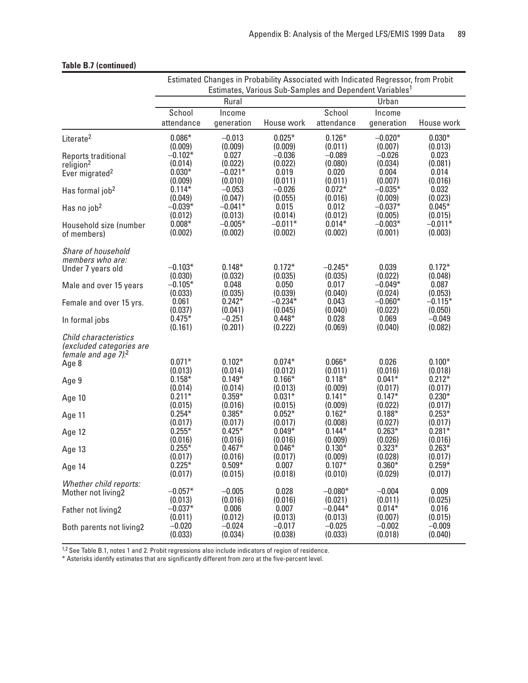|                                                                                         | Estimated Changes in Probability Associated with Indicated Regressor, from Probit<br>Estimates, Various Sub-Samples and Dependent Variables <sup>1</sup> |                               |                              |                              |                              |                           |
|-----------------------------------------------------------------------------------------|----------------------------------------------------------------------------------------------------------------------------------------------------------|-------------------------------|------------------------------|------------------------------|------------------------------|---------------------------|
|                                                                                         | Rural                                                                                                                                                    |                               |                              |                              | Urban                        |                           |
|                                                                                         | School                                                                                                                                                   | Income                        |                              | School                       | Income                       |                           |
|                                                                                         | attendance                                                                                                                                               | generation                    | House work                   | attendance                   | generation                   | House work                |
| Literate <sup>2</sup>                                                                   | $0.086*$                                                                                                                                                 | $-0.013$                      | $0.025*$                     | $0.126*$                     | $-0.020*$                    | $0.030*$                  |
|                                                                                         | (0.009)                                                                                                                                                  | (0.009)                       | (0.009)                      | (0.011)                      | (0.007)                      | (0.013)                   |
| Reports traditional<br>religion <sup>2</sup>                                            | $-0.102*$<br>(0.014)<br>$0.030*$                                                                                                                         | 0.027<br>(0.022)<br>$-0.021*$ | $-0.036$<br>(0.022)<br>0.019 | $-0.089$<br>(0.080)<br>0.020 | $-0.026$<br>(0.034)<br>0.004 | 0.023<br>(0.081)<br>0.014 |
| Ever migrated <sup>2</sup>                                                              | (0.009)                                                                                                                                                  | (0.010)                       | (0.011)                      | (0.011)                      | (0.007)                      | (0.016)                   |
| Has formal job <sup>2</sup>                                                             | $0.114*$                                                                                                                                                 | $-0.053$                      | $-0.026$                     | $0.072*$                     | $-0.035*$                    | 0.032                     |
| Has no job <sup>2</sup>                                                                 | (0.049)                                                                                                                                                  | (0.047)                       | (0.055)                      | (0.016)                      | (0.009)                      | (0.023)                   |
|                                                                                         | $-0.039*$                                                                                                                                                | $-0.041*$                     | 0.015                        | 0.012                        | $-0.037*$                    | $0.045*$                  |
| Household size (number                                                                  | (0.012)                                                                                                                                                  | (0.013)                       | (0.014)                      | (0.012)                      | (0.005)                      | (0.015)                   |
|                                                                                         | $0.008*$                                                                                                                                                 | $-0.005*$                     | $-0.011*$                    | $0.014*$                     | $-0.003*$                    | $-0.011*$                 |
| of members)                                                                             | (0.002)                                                                                                                                                  | (0.002)                       | (0.002)                      | (0.002)                      | (0.001)                      | (0.003)                   |
| Share of household<br>members who are:                                                  |                                                                                                                                                          |                               |                              |                              |                              |                           |
| Under 7 years old                                                                       | $-0.103*$                                                                                                                                                | $0.148*$                      | $0.172*$                     | $-0.245*$                    | 0.039                        | $0.172*$                  |
|                                                                                         | (0.030)                                                                                                                                                  | (0.032)                       | (0.035)                      | (0.035)                      | (0.022)                      | (0.048)                   |
| Male and over 15 years                                                                  | $-0.105*$                                                                                                                                                | 0.048                         | 0.050                        | 0.017                        | $-0.049*$                    | 0.087                     |
|                                                                                         | (0.033)                                                                                                                                                  | (0.035)                       | (0.039)                      | (0.040)                      | (0.024)                      | (0.053)                   |
| Female and over 15 yrs.                                                                 | 0.061                                                                                                                                                    | $0.242*$                      | $-0.234*$                    | 0.043                        | $-0.060*$                    | $-0.115*$                 |
|                                                                                         | (0.037)                                                                                                                                                  | (0.041)                       | (0.045)                      | (0.040)                      | (0.022)                      | (0.050)                   |
| In formal jobs                                                                          | $0.475*$                                                                                                                                                 | $-0.251$                      | $0.448*$                     | 0.028                        | 0.069                        | $-0.049$                  |
|                                                                                         | (0.161)                                                                                                                                                  | (0.201)                       | (0.222)                      | (0.069)                      | (0.040)                      | (0.082)                   |
| Child characteristics<br>(excluded categories are<br>female and age $7$ ). <sup>2</sup> |                                                                                                                                                          |                               |                              |                              |                              |                           |
| Age 8                                                                                   | $0.071*$                                                                                                                                                 | $0.102*$                      | $0.074*$                     | $0.066*$                     | 0.026                        | $0.100*$                  |
|                                                                                         | (0.013)                                                                                                                                                  | (0.014)                       | (0.012)                      | (0.011)                      | (0.016)                      | (0.018)                   |
| Age 9                                                                                   | $0.158*$                                                                                                                                                 | $0.149*$                      | $0.166*$                     | $0.118*$                     | $0.041*$                     | $0.212*$                  |
|                                                                                         | (0.014)                                                                                                                                                  | (0.014)                       | (0.013)                      | (0.009)                      | (0.017)                      | (0.017)                   |
| Age 10                                                                                  | $0.211*$                                                                                                                                                 | $0.359*$                      | $0.031*$                     | $0.141*$                     | $0.147*$                     | $0.230*$                  |
|                                                                                         | (0.015)                                                                                                                                                  | (0.016)                       | (0.015)                      | (0.009)                      | (0.022)                      | (0.017)                   |
| Age 11                                                                                  | $0.254*$                                                                                                                                                 | $0.385*$                      | $0.052*$                     | $0.162*$                     | $0.188*$                     | $0.253*$                  |
|                                                                                         | (0.017)                                                                                                                                                  | (0.017)                       | (0.017)                      | (0.008)                      | (0.027)                      | (0.017)                   |
| Age 12                                                                                  | $0.255*$                                                                                                                                                 | $0.425*$                      | $0.049*$                     | $0.144*$                     | $0.263*$                     | $0.281*$                  |
|                                                                                         | (0.016)                                                                                                                                                  | (0.016)                       | (0.016)                      | (0.009)                      | (0.026)                      | (0.016)                   |
| Age 13                                                                                  | $0.255*$                                                                                                                                                 | $0.467*$                      | $0.046*$                     | $0.130*$                     | $0.323*$                     | $0.263*$                  |
|                                                                                         | (0.017)                                                                                                                                                  | (0.016)                       | (0.017)                      | (0.009)                      | (0.028)                      | (0.017)                   |
| Age 14                                                                                  | $0.225*$                                                                                                                                                 | $0.509*$                      | 0.007                        | $0.107*$                     | $0.360*$                     | $0.259*$                  |
|                                                                                         | (0.017)                                                                                                                                                  | (0.015)                       | (0.018)                      | (0.010)                      | (0.029)                      | (0.017)                   |
| Whether child reports:                                                                  | $-0.057*$                                                                                                                                                | $-0.005$                      | 0.028                        | $-0.080*$                    | $-0.004$                     | 0.009                     |
| Mother not living2                                                                      | (0.013)                                                                                                                                                  | (0.016)                       | (0.016)                      | (0.021)                      | (0.011)                      | (0.025)                   |
| Father not living2                                                                      | $-0.037*$                                                                                                                                                | 0.006                         | 0.007                        | $-0.044*$                    | $0.014*$                     | 0.016                     |
|                                                                                         | (0.011)                                                                                                                                                  | (0.012)                       | (0.013)                      | (0.013)                      | (0.007)                      | (0.015)                   |
| Both parents not living2                                                                | $-0.020$                                                                                                                                                 | $-0.024$                      | $-0.017$                     | $-0.025$                     | $-0.002$                     | $-0.009$                  |
|                                                                                         | (0.033)                                                                                                                                                  | (0.034)                       | (0.038)                      | (0.033)                      | (0.018)                      | (0.040)                   |

#### **Table B.7 (continued)**

<sup>1,2</sup> See Table B.1, notes 1 and 2. Probit regressions also include indicators of region of residence.

\* Asterisks identify estimates that are significantly different from zero at the five-percent level.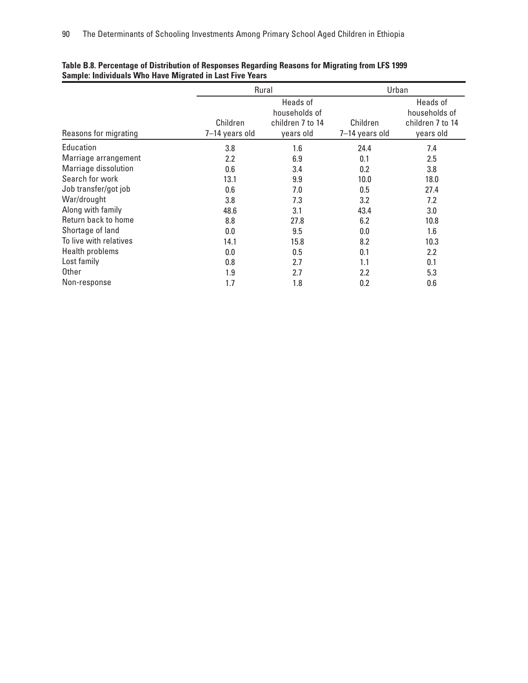|                        |                | Rural            | Urban          |                  |  |
|------------------------|----------------|------------------|----------------|------------------|--|
|                        |                | Heads of         |                | Heads of         |  |
|                        |                | households of    |                | households of    |  |
|                        | Children       | children 7 to 14 | Children       | children 7 to 14 |  |
| Reasons for migrating  | 7-14 years old | years old        | 7-14 years old | years old        |  |
| Education              | 3.8            | 1.6              | 24.4           | 7.4              |  |
| Marriage arrangement   | 2.2            | 6.9              | 0.1            | 2.5              |  |
| Marriage dissolution   | 0.6            | 3.4              | 0.2            | 3.8              |  |
| Search for work        | 13.1           | 9.9              | 10.0           | 18.0             |  |
| Job transfer/got job   | 0.6            | 7.0              | 0.5            | 27.4             |  |
| War/drought            | 3.8            | 7.3              | 3.2            | 7.2              |  |
| Along with family      | 48.6           | 3.1              | 43.4           | 3.0              |  |
| Return back to home    | 8.8            | 27.8             | 6.2            | 10.8             |  |
| Shortage of land       | 0.0            | 9.5              | 0.0            | 1.6              |  |
| To live with relatives | 14.1           | 15.8             | 8.2            | 10.3             |  |
| Health problems        | 0.0            | 0.5              | 0.1            | 2.2              |  |
| Lost family            | 0.8            | 2.7              | 1.1            | 0.1              |  |
| Other                  | 1.9            | 2.7              | 2.2            | 5.3              |  |
| Non-response           | 1.7            | 1.8              | 0.2            | 0.6              |  |

#### **Table B.8. Percentage of Distribution of Responses Regarding Reasons for Migrating from LFS 1999 Sample: Individuals Who Have Migrated in Last Five Years**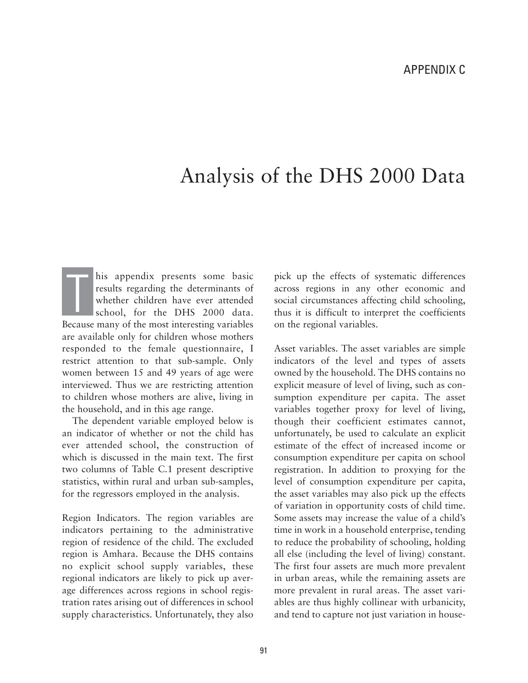# Analysis of the DHS 2000 Data

his appendix presents some basic results regarding the determinants of whether children have ever attended school, for the DHS 2000 data. Because many of the most interesting variables are available only for children whose mothers responded to the female questionnaire, I restrict attention to that sub-sample. Only women between 15 and 49 years of age were interviewed. Thus we are restricting attention to children whose mothers are alive, living in the household, and in this age range. T

The dependent variable employed below is an indicator of whether or not the child has ever attended school, the construction of which is discussed in the main text. The first two columns of Table C.1 present descriptive statistics, within rural and urban sub-samples, for the regressors employed in the analysis.

Region Indicators. The region variables are indicators pertaining to the administrative region of residence of the child. The excluded region is Amhara. Because the DHS contains no explicit school supply variables, these regional indicators are likely to pick up average differences across regions in school registration rates arising out of differences in school supply characteristics. Unfortunately, they also pick up the effects of systematic differences across regions in any other economic and social circumstances affecting child schooling, thus it is difficult to interpret the coefficients on the regional variables.

Asset variables. The asset variables are simple indicators of the level and types of assets owned by the household. The DHS contains no explicit measure of level of living, such as consumption expenditure per capita. The asset variables together proxy for level of living, though their coefficient estimates cannot, unfortunately, be used to calculate an explicit estimate of the effect of increased income or consumption expenditure per capita on school registration. In addition to proxying for the level of consumption expenditure per capita, the asset variables may also pick up the effects of variation in opportunity costs of child time. Some assets may increase the value of a child's time in work in a household enterprise, tending to reduce the probability of schooling, holding all else (including the level of living) constant. The first four assets are much more prevalent in urban areas, while the remaining assets are more prevalent in rural areas. The asset variables are thus highly collinear with urbanicity, and tend to capture not just variation in house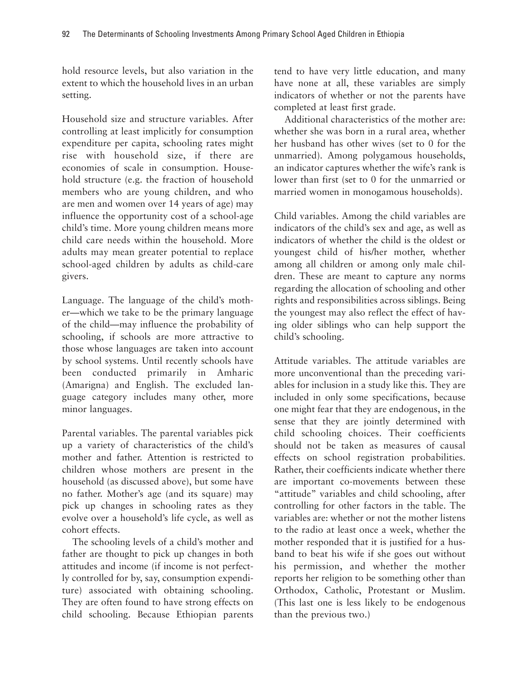hold resource levels, but also variation in the extent to which the household lives in an urban setting.

Household size and structure variables. After controlling at least implicitly for consumption expenditure per capita, schooling rates might rise with household size, if there are economies of scale in consumption. Household structure (e.g. the fraction of household members who are young children, and who are men and women over 14 years of age) may influence the opportunity cost of a school-age child's time. More young children means more child care needs within the household. More adults may mean greater potential to replace school-aged children by adults as child-care givers.

Language. The language of the child's mother—which we take to be the primary language of the child—may influence the probability of schooling, if schools are more attractive to those whose languages are taken into account by school systems. Until recently schools have been conducted primarily in Amharic (Amarigna) and English. The excluded language category includes many other, more minor languages.

Parental variables. The parental variables pick up a variety of characteristics of the child's mother and father. Attention is restricted to children whose mothers are present in the household (as discussed above), but some have no father. Mother's age (and its square) may pick up changes in schooling rates as they evolve over a household's life cycle, as well as cohort effects.

The schooling levels of a child's mother and father are thought to pick up changes in both attitudes and income (if income is not perfectly controlled for by, say, consumption expenditure) associated with obtaining schooling. They are often found to have strong effects on child schooling. Because Ethiopian parents tend to have very little education, and many have none at all, these variables are simply indicators of whether or not the parents have completed at least first grade.

Additional characteristics of the mother are: whether she was born in a rural area, whether her husband has other wives (set to 0 for the unmarried). Among polygamous households, an indicator captures whether the wife's rank is lower than first (set to 0 for the unmarried or married women in monogamous households).

Child variables. Among the child variables are indicators of the child's sex and age, as well as indicators of whether the child is the oldest or youngest child of his/her mother, whether among all children or among only male children. These are meant to capture any norms regarding the allocation of schooling and other rights and responsibilities across siblings. Being the youngest may also reflect the effect of having older siblings who can help support the child's schooling.

Attitude variables. The attitude variables are more unconventional than the preceding variables for inclusion in a study like this. They are included in only some specifications, because one might fear that they are endogenous, in the sense that they are jointly determined with child schooling choices. Their coefficients should not be taken as measures of causal effects on school registration probabilities. Rather, their coefficients indicate whether there are important co-movements between these "attitude" variables and child schooling, after controlling for other factors in the table. The variables are: whether or not the mother listens to the radio at least once a week, whether the mother responded that it is justified for a husband to beat his wife if she goes out without his permission, and whether the mother reports her religion to be something other than Orthodox, Catholic, Protestant or Muslim. (This last one is less likely to be endogenous than the previous two.)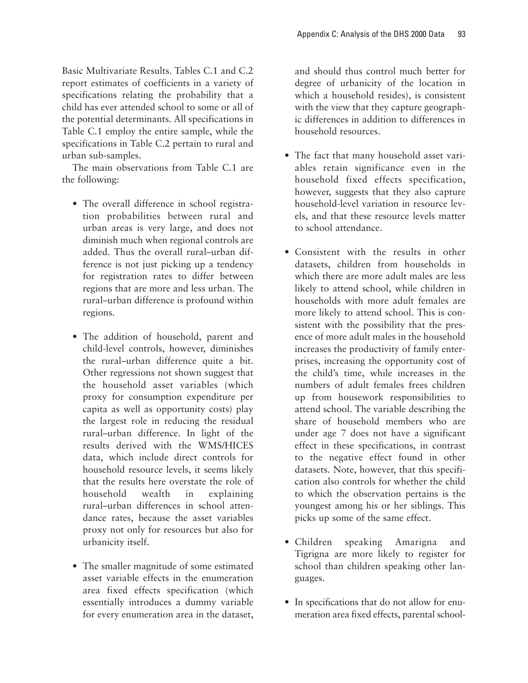Basic Multivariate Results. Tables C.1 and C.2 report estimates of coefficients in a variety of specifications relating the probability that a child has ever attended school to some or all of the potential determinants. All specifications in Table C.1 employ the entire sample, while the specifications in Table C.2 pertain to rural and urban sub-samples.

The main observations from Table C.1 are the following:

- The overall difference in school registration probabilities between rural and urban areas is very large, and does not diminish much when regional controls are added. Thus the overall rural–urban difference is not just picking up a tendency for registration rates to differ between regions that are more and less urban. The rural–urban difference is profound within regions.
- The addition of household, parent and child-level controls, however, diminishes the rural–urban difference quite a bit. Other regressions not shown suggest that the household asset variables (which proxy for consumption expenditure per capita as well as opportunity costs) play the largest role in reducing the residual rural–urban difference. In light of the results derived with the WMS/HICES data, which include direct controls for household resource levels, it seems likely that the results here overstate the role of household wealth in explaining rural–urban differences in school attendance rates, because the asset variables proxy not only for resources but also for urbanicity itself.
- The smaller magnitude of some estimated asset variable effects in the enumeration area fixed effects specification (which essentially introduces a dummy variable for every enumeration area in the dataset,

and should thus control much better for degree of urbanicity of the location in which a household resides), is consistent with the view that they capture geographic differences in addition to differences in household resources.

- The fact that many household asset variables retain significance even in the household fixed effects specification, however, suggests that they also capture household-level variation in resource levels, and that these resource levels matter to school attendance.
- Consistent with the results in other datasets, children from households in which there are more adult males are less likely to attend school, while children in households with more adult females are more likely to attend school. This is consistent with the possibility that the presence of more adult males in the household increases the productivity of family enterprises, increasing the opportunity cost of the child's time, while increases in the numbers of adult females frees children up from housework responsibilities to attend school. The variable describing the share of household members who are under age 7 does not have a significant effect in these specifications, in contrast to the negative effect found in other datasets. Note, however, that this specification also controls for whether the child to which the observation pertains is the youngest among his or her siblings. This picks up some of the same effect.
- Children speaking Amarigna and Tigrigna are more likely to register for school than children speaking other languages.
- In specifications that do not allow for enumeration area fixed effects, parental school-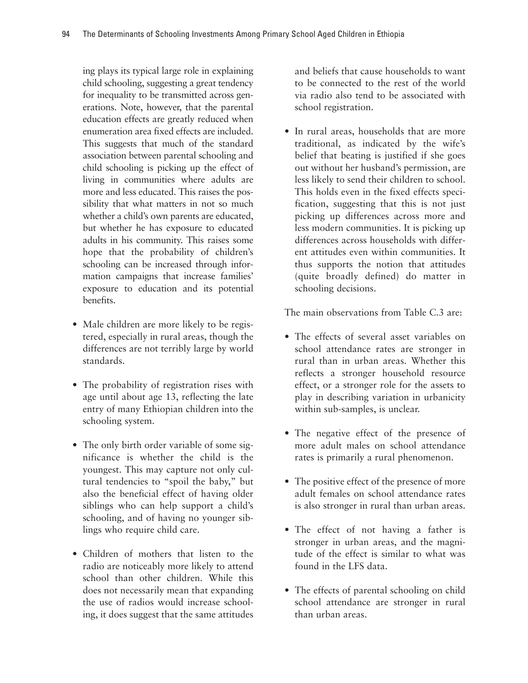ing plays its typical large role in explaining child schooling, suggesting a great tendency for inequality to be transmitted across generations. Note, however, that the parental education effects are greatly reduced when enumeration area fixed effects are included. This suggests that much of the standard association between parental schooling and child schooling is picking up the effect of living in communities where adults are more and less educated. This raises the possibility that what matters in not so much whether a child's own parents are educated, but whether he has exposure to educated adults in his community. This raises some hope that the probability of children's schooling can be increased through information campaigns that increase families' exposure to education and its potential benefits.

- Male children are more likely to be registered, especially in rural areas, though the differences are not terribly large by world standards.
- The probability of registration rises with age until about age 13, reflecting the late entry of many Ethiopian children into the schooling system.
- The only birth order variable of some significance is whether the child is the youngest. This may capture not only cultural tendencies to "spoil the baby," but also the beneficial effect of having older siblings who can help support a child's schooling, and of having no younger siblings who require child care.
- Children of mothers that listen to the radio are noticeably more likely to attend school than other children. While this does not necessarily mean that expanding the use of radios would increase schooling, it does suggest that the same attitudes

and beliefs that cause households to want to be connected to the rest of the world via radio also tend to be associated with school registration.

• In rural areas, households that are more traditional, as indicated by the wife's belief that beating is justified if she goes out without her husband's permission, are less likely to send their children to school. This holds even in the fixed effects specification, suggesting that this is not just picking up differences across more and less modern communities. It is picking up differences across households with different attitudes even within communities. It thus supports the notion that attitudes (quite broadly defined) do matter in schooling decisions.

The main observations from Table C.3 are:

- The effects of several asset variables on school attendance rates are stronger in rural than in urban areas. Whether this reflects a stronger household resource effect, or a stronger role for the assets to play in describing variation in urbanicity within sub-samples, is unclear.
- The negative effect of the presence of more adult males on school attendance rates is primarily a rural phenomenon.
- The positive effect of the presence of more adult females on school attendance rates is also stronger in rural than urban areas.
- The effect of not having a father is stronger in urban areas, and the magnitude of the effect is similar to what was found in the LFS data.
- The effects of parental schooling on child school attendance are stronger in rural than urban areas.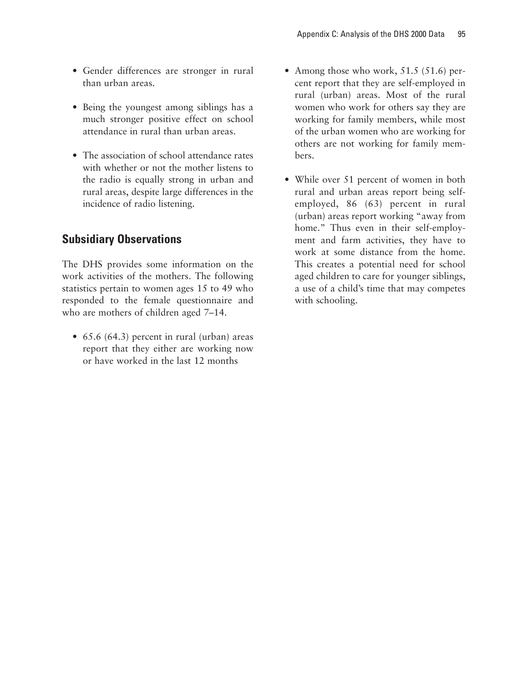- Gender differences are stronger in rural than urban areas.
- Being the youngest among siblings has a much stronger positive effect on school attendance in rural than urban areas.
- The association of school attendance rates with whether or not the mother listens to the radio is equally strong in urban and rural areas, despite large differences in the incidence of radio listening.

# **Subsidiary Observations**

The DHS provides some information on the work activities of the mothers. The following statistics pertain to women ages 15 to 49 who responded to the female questionnaire and who are mothers of children aged 7–14.

• 65.6 (64.3) percent in rural (urban) areas report that they either are working now or have worked in the last 12 months

- Among those who work, 51.5 (51.6) percent report that they are self-employed in rural (urban) areas. Most of the rural women who work for others say they are working for family members, while most of the urban women who are working for others are not working for family members.
- While over 51 percent of women in both rural and urban areas report being selfemployed, 86 (63) percent in rural (urban) areas report working "away from home." Thus even in their self-employment and farm activities, they have to work at some distance from the home. This creates a potential need for school aged children to care for younger siblings, a use of a child's time that may competes with schooling.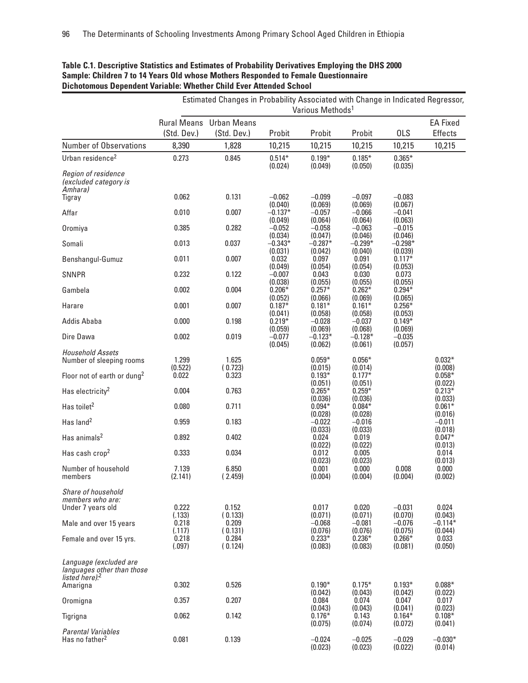|                                                                                       | Estimated Changes in Probability Associated with Change in Indicated Regressor, |                                               |                      |                                         |                                         |                                            |                                          |
|---------------------------------------------------------------------------------------|---------------------------------------------------------------------------------|-----------------------------------------------|----------------------|-----------------------------------------|-----------------------------------------|--------------------------------------------|------------------------------------------|
|                                                                                       | Various Methods <sup>1</sup>                                                    |                                               |                      |                                         |                                         |                                            |                                          |
|                                                                                       | (Std. Dev.)                                                                     | <b>Rural Means</b> Urban Means<br>(Std. Dev.) | Probit               | Probit                                  | Probit                                  | <b>OLS</b>                                 | <b>EA Fixed</b><br>Effects               |
| <b>Number of Observations</b>                                                         | 8,390                                                                           | 1,828                                         | 10,215               | 10,215                                  | 10,215                                  | 10,215                                     | 10,215                                   |
| Urban residence <sup>2</sup>                                                          | 0.273                                                                           | 0.845                                         | $0.514*$             | $0.199*$                                | $0.185*$                                | $0.365*$                                   |                                          |
| Region of residence<br>(excluded category is<br>Amhara)<br>Tigray                     | 0.062                                                                           | 0.131                                         | (0.024)<br>$-0.062$  | (0.049)<br>$-0.099$                     | (0.050)<br>$-0.097$                     | (0.035)<br>$-0.083$                        |                                          |
| Affar                                                                                 | 0.010                                                                           | 0.007                                         | (0.040)<br>$-0.137*$ | (0.069)<br>$-0.057$                     | (0.069)<br>$-0.066$                     | (0.067)<br>$-0.041$                        |                                          |
| Oromiya                                                                               | 0.385                                                                           | 0.282                                         | (0.049)<br>$-0.052$  | (0.064)<br>$-0.058$                     | (0.064)<br>$-0.063$                     | (0.063)<br>$-0.015$                        |                                          |
| Somali                                                                                | 0.013                                                                           | 0.037                                         | (0.034)<br>$-0.343*$ | (0.047)<br>$-0.287*$                    | (0.046)<br>$-0.299*$                    | (0.046)<br>$-0.298*$                       |                                          |
|                                                                                       |                                                                                 |                                               | (0.031)              | (0.042)                                 | (0.040)                                 | (0.039)                                    |                                          |
| Benshangul-Gumuz                                                                      | 0.011                                                                           | 0.007                                         | 0.032<br>(0.049)     | 0.097<br>(0.054)                        | 0.091<br>(0.054)                        | $0.117*$<br>(0.053)                        |                                          |
| <b>SNNPR</b>                                                                          | 0.232                                                                           | 0.122                                         | $-0.007$<br>(0.038)  | 0.043<br>(0.055)                        | 0.030<br>(0.055)                        | 0.073<br>(0.055)                           |                                          |
| Gambela                                                                               | 0.002                                                                           | 0.004                                         | $0.206*$<br>(0.052)  | $0.257*$<br>(0.066)                     | $0.262*$<br>(0.069)                     | $0.294*$<br>(0.065)                        |                                          |
| Harare                                                                                | 0.001                                                                           | 0.007                                         | $0.187*$<br>(0.041)  | $0.181*$<br>(0.058)                     | $0.161*$<br>(0.058)                     | $0.256*$<br>(0.053)                        |                                          |
| Addis Ababa                                                                           | 0.000                                                                           | 0.198                                         | $0.219*$<br>(0.059)  | $-0.028$<br>(0.069)                     | $-0.037$<br>(0.068)                     | $0.149*$<br>(0.069)                        |                                          |
| Dire Dawa                                                                             | 0.002                                                                           | 0.019                                         | $-0.077$<br>(0.045)  | $-0.123*$<br>(0.062)                    | $-0.128*$<br>(0.061)                    | $-0.035$<br>(0.057)                        |                                          |
| <b>Household Assets</b><br>Number of sleeping rooms                                   | 1.299<br>(0.522)                                                                | 1.625<br>(0.723)                              |                      | $0.059*$                                | $0.056*$<br>(0.014)                     |                                            | $0.032*$<br>(0.008)                      |
| Floor not of earth or dung <sup>2</sup>                                               | 0.022                                                                           | 0.323                                         |                      | $(0.015)$<br>$0.193*$<br>(0.051)        | $0.177*$<br>(0.051)                     |                                            | $0.058*$<br>(0.022)                      |
| Has electricity <sup>2</sup>                                                          | 0.004                                                                           | 0.763                                         |                      | $0.265*$<br>(0.036)                     | $0.259*$<br>(0.036)                     |                                            | $0.213*$<br>(0.033)                      |
| Has toilet <sup>2</sup>                                                               | 0.080                                                                           | 0.711                                         |                      | $0.094*$<br>(0.028)                     | $0.084*$<br>(0.028)                     |                                            | $0.061*$<br>(0.016)                      |
| Has land <sup>2</sup>                                                                 | 0.959                                                                           | 0.183                                         |                      | $-0.022$                                | $-0.016$                                |                                            | $-0.011$                                 |
| Has animals <sup>2</sup>                                                              | 0.892                                                                           | 0.402                                         |                      | (0.033)<br>0.024                        | (0.033)<br>0.019                        |                                            | (0.018)<br>$0.047*$                      |
| Has cash crop <sup>2</sup>                                                            | 0.333                                                                           | 0.034                                         |                      | (0.022)<br>0.012<br>(0.023)             | (0.022)<br>0.005<br>(0.023)             |                                            | (0.013)<br>0.014<br>(0.013)              |
| Number of household<br>members                                                        | 7.139<br>(2.141)                                                                | 6.850<br>(2.459)                              |                      | 0.001<br>(0.004)                        | 0.000<br>(0.004)                        | 0.008<br>(0.004)                           | 0.000<br>(0.002)                         |
| Share of household<br>members who are:<br>Under 7 years old<br>Male and over 15 years | 0.222<br>(.133)<br>0.218<br>(.117)                                              | 0.152<br>(0.133)<br>0.209<br>(0.131)          |                      | 0.017<br>(0.071)<br>$-0.068$<br>(0.076) | 0.020<br>(0.071)<br>$-0.081$<br>(0.076) | $-0.031$<br>(0.070)<br>$-0.076$<br>(0.075) | 0.024<br>(0.043)<br>$-0.114*$<br>(0.044) |
| Female and over 15 yrs.                                                               | 0.218<br>(.097)                                                                 | 0.284<br>(0.124)                              |                      | $0.233*$<br>(0.083)                     | $0.236*$<br>(0.083)                     | $0.266*$<br>(0.081)                        | 0.033<br>(0.050)                         |
| Language (excluded are<br>languages other than those<br>listed here). <sup>2</sup>    |                                                                                 |                                               |                      |                                         |                                         |                                            |                                          |
| Amarigna                                                                              | 0.302                                                                           | 0.526                                         |                      | $0.190*$<br>(0.042)                     | $0.175*$<br>(0.043)                     | $0.193*$<br>(0.042)                        | $0.088*$<br>(0.022)                      |
| Oromigna                                                                              | 0.357                                                                           | 0.207                                         |                      | 0.084<br>(0.043)                        | 0.074<br>(0.043)                        | 0.047<br>(0.041)                           | 0.017<br>(0.023)                         |
| Tigrigna                                                                              | 0.062                                                                           | 0.142                                         |                      | $0.176*$<br>(0.075)                     | 0.143<br>(0.074)                        | $0.164*$<br>(0.072)                        | $0.108*$<br>(0.041)                      |
| <b>Parental Variables</b><br>Has no father <sup>2</sup>                               | 0.081                                                                           | 0.139                                         |                      | $-0.024$<br>(0.023)                     | $-0.025$<br>(0.023)                     | $-0.029$<br>(0.022)                        | $-0.030*$<br>(0.014)                     |

#### **Table C.1. Descriptive Statistics and Estimates of Probability Derivatives Employing the DHS 2000 Sample: Children 7 to 14 Years Old whose Mothers Responded to Female Questionnaire Dichotomous Dependent Variable: Whether Child Ever Attended School**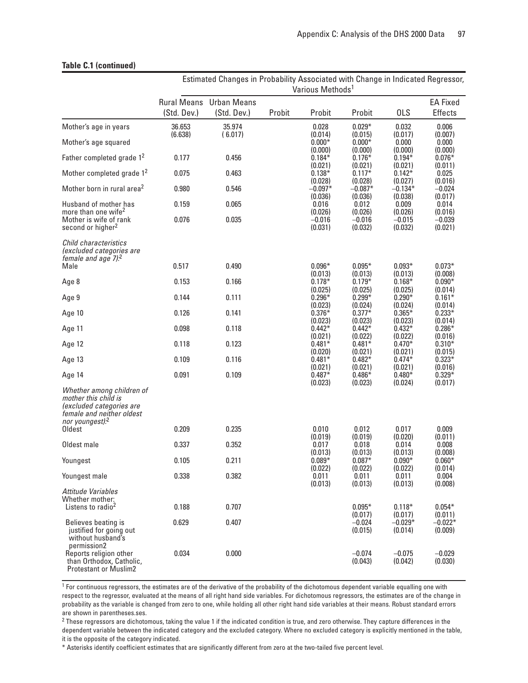#### **Table C.1 (continued)**

|                                                                                                                                           | Estimated Changes in Probability Associated with Change in Indicated Regressor,<br>Various Methods <sup>1</sup> |                                               |        |                                |                                |                                            |                                            |
|-------------------------------------------------------------------------------------------------------------------------------------------|-----------------------------------------------------------------------------------------------------------------|-----------------------------------------------|--------|--------------------------------|--------------------------------|--------------------------------------------|--------------------------------------------|
|                                                                                                                                           | (Std. Dev.)                                                                                                     | <b>Rural Means</b> Urban Means<br>(Std. Dev.) | Probit | Probit                         | Probit                         | <b>OLS</b>                                 | <b>EA Fixed</b><br><b>Effects</b>          |
| Mother's age in years                                                                                                                     | 36.653                                                                                                          | 35.974                                        |        | 0.028                          | $0.029*$                       | 0.032                                      | 0.006                                      |
| Mother's age squared                                                                                                                      | (6.638)                                                                                                         | (6.017)                                       |        | (0.014)<br>$0.000*$            | (0.015)<br>$0.000*$            | (0.017)<br>0.000                           | (0.007)<br>0.000<br>(0.000)<br>$0.076*$    |
| Father completed grade 1 <sup>2</sup>                                                                                                     | 0.177                                                                                                           | 0.456                                         |        | (0.000)<br>$0.184*$            | (0.000)<br>$0.176*$            | (0.000)<br>$0.194*$                        |                                            |
| Mother completed grade 1 <sup>2</sup>                                                                                                     | 0.075                                                                                                           | 0.463                                         |        | (0.021)<br>$0.138*$            | (0.021)<br>$0.117*$            | (0.021)<br>$0.142*$                        | (0.011)<br>0.025                           |
| Mother born in rural area <sup>2</sup>                                                                                                    | 0.980                                                                                                           | 0.546                                         |        | (0.028)<br>$-0.097*$           | (0.028)<br>$-0.087*$           | (0.027)<br>$-0.134*$                       | (0.016)<br>$-0.024$                        |
| Husband of mother has                                                                                                                     | 0.159                                                                                                           | 0.065                                         |        | (0.036)<br>0.016               | (0.036)<br>0.012               | (0.038)<br>0.009                           | (0.017)<br>0.014                           |
| more than one wife <sup>2</sup><br>Mother is wife of rank<br>second or higher <sup>2</sup>                                                | 0.076                                                                                                           | 0.035                                         |        | (0.026)<br>$-0.016$<br>(0.031) | (0.026)<br>$-0.016$<br>(0.032) | (0.026)<br>$-0.015$<br>(0.032)             | (0.016)<br>$-0.039$<br>(0.021)             |
| Child characteristics<br>(excluded categories are<br>female and age 7). <sup>2</sup><br>Male                                              | 0.517                                                                                                           | 0.490                                         |        | $0.096*$                       |                                |                                            | $0.073*$                                   |
|                                                                                                                                           |                                                                                                                 |                                               |        | (0.013)                        | $0.095*$<br>(0.013)            | $0.093*$<br>(0.013)                        | (0.008)                                    |
| Age 8                                                                                                                                     | 0.153                                                                                                           | 0.166                                         |        | $0.178*$<br>(0.025)            | $0.179*$<br>(0.025)            | $0.168*$<br>(0.025)                        | $0.090*$<br>(0.014)                        |
| Age 9                                                                                                                                     | 0.144                                                                                                           | 0.111                                         |        | $0.296*$<br>(0.023)            | $0.299*$<br>(0.024)            | $0.290*$<br>(0.024)<br>$0.365*$<br>(0.023) | $0.161*$<br>(0.014)                        |
| Age 10                                                                                                                                    | 0.126                                                                                                           | 0.141                                         |        | $0.376*$<br>(0.023)            | $0.377*$<br>(0.023)            |                                            | $0.233*$<br>(0.014)                        |
| Age 11                                                                                                                                    | 0.098                                                                                                           | 0.118                                         |        | $0.442*$<br>(0.021)            | $0.442*$<br>(0.022)            | $0.432*$<br>(0.022)                        | $0.286*$<br>(0.016)                        |
| Age 12                                                                                                                                    | 0.118                                                                                                           | 0.123                                         |        | $0.481*$<br>(0.020)            | $0.481*$<br>(0.021)            | $0.470*$<br>(0.021)                        | $0.310*$<br>(0.015)<br>$0.323*$<br>(0.016) |
| Age 13                                                                                                                                    | 0.109                                                                                                           | 0.116                                         |        | $0.481*$<br>(0.021)            | $0.482*$<br>(0.021)            | $0.474*$<br>(0.021)                        |                                            |
| Age 14                                                                                                                                    | 0.091                                                                                                           | 0.109                                         |        | $0.487*$<br>(0.023)            | $0.486*$<br>(0.023)            | $0.480*$<br>(0.024)                        | $0.329*$<br>(0.017)                        |
| Whether among children of<br>mother this child is<br>(excluded categories are<br>female and neither oldest<br>nor youngest). <sup>2</sup> |                                                                                                                 |                                               |        |                                |                                |                                            |                                            |
| Oldest                                                                                                                                    | 0.209                                                                                                           | 0.235                                         |        | 0.010<br>(0.019)               | 0.012<br>(0.019)               | 0.017<br>(0.020)                           | 0.009<br>(0.011)                           |
| Oldest male                                                                                                                               | 0.337                                                                                                           | 0.352                                         |        | 0.017                          | 0.018                          | 0.014                                      | 0.008                                      |
| Youngest                                                                                                                                  | 0.105                                                                                                           | 0.211                                         |        | (0.013)<br>$0.089*$<br>(0.022) | (0.013)<br>$0.087*$<br>(0.022) | (0.013)<br>$0.090*$<br>(0.022)             | (0.008)<br>$0.060*$<br>(0.014)             |
| Youngest male                                                                                                                             | 0.338                                                                                                           | 0.382                                         |        | 0.011<br>(0.013)               | 0.011<br>(0.013)               | 0.011<br>(0.013)                           | 0.004<br>(0.008)                           |
| Attitude Variables<br>Whether mother:<br>Listens to radio <sup>2</sup>                                                                    | 0.188                                                                                                           | 0.707                                         |        |                                | $0.095*$                       | $0.118*$                                   | $0.054*$                                   |
| Believes beating is<br>justified for going out<br>without husband's                                                                       | 0.629                                                                                                           | 0.407                                         |        |                                | (0.017)<br>$-0.024$<br>(0.015) | (0.017)<br>$-0.029*$<br>(0.014)            | (0.011)<br>$-0.022*$<br>(0.009)            |
| permission2<br>Reports religion other<br>than Orthodox, Catholic,<br><b>Protestant or Muslim2</b>                                         | 0.034                                                                                                           | 0.000                                         |        |                                | $-0.074$<br>(0.043)            | $-0.075$<br>(0.042)                        | $-0.029$<br>(0.030)                        |

<sup>1</sup> For continuous regressors, the estimates are of the derivative of the probability of the dichotomous dependent variable equalling one with respect to the regressor, evaluated at the means of all right hand side variables. For dichotomous regressors, the estimates are of the change in probability as the variable is changed from zero to one, while holding all other right hand side variables at their means. Robust standard errors are shown in parentheses.ses.

<sup>2</sup> These regressors are dichotomous, taking the value 1 if the indicated condition is true, and zero otherwise. They capture differences in the dependent variable between the indicated category and the excluded category. Where no excluded category is explicitly mentioned in the table, it is the opposite of the category indicated.

\* Asterisks identify coefficient estimates that are significantly different from zero at the two-tailed five percent level.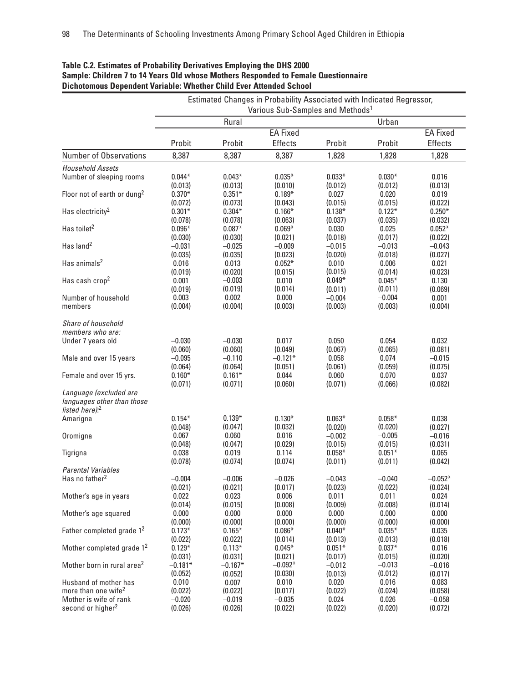|                                         | Estimated Changes in Probability Associated with Indicated Regressor,<br>Various Sub-Samples and Methods <sup>1</sup> |           |                 |          |          |                 |  |
|-----------------------------------------|-----------------------------------------------------------------------------------------------------------------------|-----------|-----------------|----------|----------|-----------------|--|
|                                         | Urban<br>Rural                                                                                                        |           |                 |          |          |                 |  |
|                                         |                                                                                                                       |           | <b>EA Fixed</b> |          |          | <b>EA Fixed</b> |  |
|                                         | Probit                                                                                                                | Probit    | Effects         | Probit   | Probit   | <b>Effects</b>  |  |
| <b>Number of Observations</b>           | 8,387                                                                                                                 | 8,387     | 8,387           | 1,828    | 1,828    | 1,828           |  |
| <b>Household Assets</b>                 |                                                                                                                       |           |                 |          |          |                 |  |
| Number of sleeping rooms                | $0.044*$                                                                                                              | $0.043*$  | $0.035*$        | $0.033*$ | $0.030*$ | 0.016           |  |
|                                         | (0.013)                                                                                                               | (0.013)   | (0.010)         | (0.012)  | (0.012)  | (0.013)         |  |
| Floor not of earth or dung <sup>2</sup> | $0.370*$                                                                                                              | $0.351*$  | $0.189*$        | 0.027    | 0.020    | 0.019           |  |
|                                         | (0.072)                                                                                                               | (0.073)   | (0.043)         | (0.015)  | (0.015)  | (0.022)         |  |
| Has electricity <sup>2</sup>            | $0.301*$                                                                                                              | $0.304*$  | $0.166*$        | $0.138*$ | $0.122*$ | $0.250*$        |  |
|                                         | (0.078)                                                                                                               | (0.078)   | (0.063)         | (0.037)  | (0.035)  | (0.032)         |  |
| Has toilet <sup>2</sup>                 | $0.096*$                                                                                                              | $0.087*$  | $0.069*$        | 0.030    | 0.025    | $0.052*$        |  |
|                                         | (0.030)                                                                                                               | (0.030)   | (0.021)         | (0.018)  | (0.017)  | (0.022)         |  |
| Has land <sup>2</sup>                   | $-0.031$                                                                                                              | $-0.025$  | $-0.009$        | $-0.015$ | $-0.013$ | $-0.043$        |  |
|                                         | (0.035)                                                                                                               | (0.035)   | (0.023)         | (0.020)  | (0.018)  | (0.027)         |  |
| Has animals <sup>2</sup>                | 0.016                                                                                                                 | 0.013     | $0.052*$        | 0.010    | 0.006    | 0.021           |  |
|                                         | (0.019)                                                                                                               | (0.020)   | (0.015)         | (0.015)  | (0.014)  | (0.023)         |  |
| Has cash crop <sup>2</sup>              | 0.001                                                                                                                 | $-0.003$  | 0.010           | $0.049*$ | $0.045*$ | 0.130           |  |
|                                         | (0.019)                                                                                                               | (0.019)   | (0.014)         | (0.011)  | (0.011)  | (0.069)         |  |
| Number of household                     | 0.003                                                                                                                 | 0.002     | 0.000           | $-0.004$ | $-0.004$ | 0.001           |  |
| members                                 | (0.004)                                                                                                               | (0.004)   | (0.003)         | (0.003)  | (0.003)  | (0.004)         |  |
|                                         |                                                                                                                       |           |                 |          |          |                 |  |
| Share of household                      |                                                                                                                       |           |                 |          |          |                 |  |
| members who are:                        |                                                                                                                       |           |                 |          |          |                 |  |
| Under 7 years old                       | $-0.030$                                                                                                              | $-0.030$  | 0.017           | 0.050    | 0.054    | 0.032           |  |
|                                         | (0.060)                                                                                                               | (0.060)   | (0.049)         | (0.067)  | (0.065)  | (0.081)         |  |
| Male and over 15 years                  | $-0.095$                                                                                                              | $-0.110$  | $-0.121*$       | 0.058    | 0.074    | $-0.015$        |  |
|                                         | (0.064)                                                                                                               | (0.064)   | (0.051)         | (0.061)  | (0.059)  | (0.075)         |  |
| Female and over 15 yrs.                 | $0.160*$                                                                                                              | $0.161*$  | 0.044           | 0.060    | 0.070    | 0.037           |  |
|                                         | (0.071)                                                                                                               | (0.071)   | (0.060)         | (0.071)  | (0.066)  | (0.082)         |  |
| Language (excluded are                  |                                                                                                                       |           |                 |          |          |                 |  |
| languages other than those              |                                                                                                                       |           |                 |          |          |                 |  |
| listed here). <sup>2</sup>              |                                                                                                                       |           |                 |          |          |                 |  |
| Amarigna                                | $0.154*$                                                                                                              | $0.139*$  | $0.130*$        | $0.063*$ | $0.058*$ | 0.038           |  |
|                                         | (0.048)                                                                                                               | (0.047)   | (0.032)         | (0.020)  | (0.020)  | (0.027)         |  |
| Oromigna                                | 0.067                                                                                                                 | 0.060     | 0.016           | $-0.002$ | $-0.005$ | $-0.016$        |  |
|                                         | (0.048)                                                                                                               | (0.047)   | (0.029)         | (0.015)  | (0.015)  | (0.031)         |  |
| Tigrigna                                | 0.038                                                                                                                 | 0.019     | 0.114           | $0.058*$ | $0.051*$ | 0.065           |  |
|                                         | (0.078)                                                                                                               | (0.074)   | (0.074)         | (0.011)  | (0.011)  | (0.042)         |  |
| <b>Parental Variables</b>               |                                                                                                                       |           |                 |          |          |                 |  |
| Has no father <sup>2</sup>              | $-0.004$                                                                                                              | $-0.006$  | $-0.026$        | $-0.043$ | $-0.040$ | $-0.052*$       |  |
|                                         | (0.021)                                                                                                               | (0.021)   | (0.017)         | (0.023)  | (0.022)  | (0.024)         |  |
| Mother's age in years                   | 0.022                                                                                                                 | 0.023     | 0.006           | 0.011    | 0.011    | 0.024           |  |
|                                         | (0.014)                                                                                                               | (0.015)   | (0.008)         | (0.009)  | (0.008)  | (0.014)         |  |
| Mother's age squared                    | 0.000                                                                                                                 | 0.000     | 0.000           | 0.000    | 0.000    | 0.000           |  |
|                                         | (0.000)                                                                                                               | (0.000)   | (0.000)         | (0.000)  | (0.000)  | (0.000)         |  |
| Father completed grade 1 <sup>2</sup>   | $0.173*$                                                                                                              | $0.165*$  | $0.086*$        | $0.040*$ | $0.035*$ | 0.035           |  |
|                                         |                                                                                                                       |           |                 |          |          |                 |  |
| Mother completed grade 1 <sup>2</sup>   | (0.022)                                                                                                               | (0.022)   | (0.014)         | (0.013)  | (0.013)  | (0.018)         |  |
|                                         | $0.129*$                                                                                                              | $0.113*$  | $0.045*$        | $0.051*$ | $0.037*$ | 0.016           |  |
| Mother born in rural area <sup>2</sup>  | (0.031)                                                                                                               | (0.031)   | (0.021)         | (0.017)  | (0.015)  | (0.020)         |  |
|                                         | $-0.181*$                                                                                                             | $-0.167*$ | $-0.092*$       | $-0.012$ | $-0.013$ | $-0.016$        |  |
|                                         | (0.052)                                                                                                               | (0.052)   | (0.030)         | (0.013)  | (0.012)  | (0.017)         |  |
| Husband of mother has                   | 0.010                                                                                                                 | 0.007     | 0.010           | 0.020    | 0.016    | 0.083           |  |
| more than one wife <sup>2</sup>         | (0.022)                                                                                                               | (0.022)   | (0.017)         | (0.022)  | (0.024)  | (0.058)         |  |
| Mother is wife of rank                  | $-0.020$                                                                                                              | $-0.019$  | $-0.035$        | 0.024    | 0.026    | $-0.058$        |  |
| second or higher <sup>2</sup>           | (0.026)                                                                                                               | (0.026)   | (0.022)         | (0.022)  | (0.020)  | (0.072)         |  |

#### **Table C.2. Estimates of Probability Derivatives Employing the DHS 2000 Sample: Children 7 to 14 Years Old whose Mothers Responded to Female Questionnaire Dichotomous Dependent Variable: Whether Child Ever Attended School**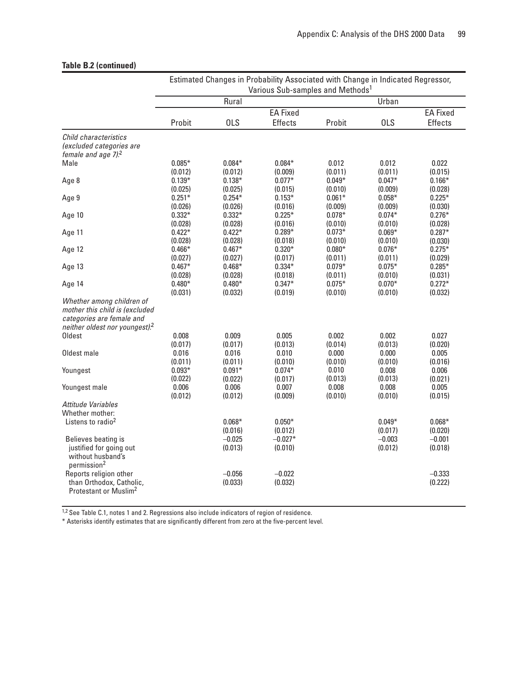## **Table B.2 (continued)**

|                                            | Estimated Changes in Probability Associated with Change in Indicated Regressor,<br>Various Sub-samples and Methods <sup>1</sup> |            |           |                 |            |          |
|--------------------------------------------|---------------------------------------------------------------------------------------------------------------------------------|------------|-----------|-----------------|------------|----------|
|                                            |                                                                                                                                 |            |           |                 |            |          |
|                                            |                                                                                                                                 | Rural      |           |                 | Urban      |          |
|                                            | <b>EA Fixed</b>                                                                                                                 |            |           | <b>EA Fixed</b> |            |          |
|                                            | Probit                                                                                                                          | <b>OLS</b> | Effects   | Probit          | <b>OLS</b> | Effects  |
| Child characteristics                      |                                                                                                                                 |            |           |                 |            |          |
| (excluded categories are                   |                                                                                                                                 |            |           |                 |            |          |
| female and age 7). <sup>2</sup>            |                                                                                                                                 |            |           |                 |            |          |
| Male                                       | $0.085*$                                                                                                                        | $0.084*$   | $0.084*$  | 0.012           | 0.012      | 0.022    |
|                                            | (0.012)                                                                                                                         | (0.012)    | (0.009)   | (0.011)         | (0.011)    | (0.015)  |
| Age 8                                      | $0.139*$                                                                                                                        | $0.138*$   | $0.077*$  | $0.049*$        | $0.047*$   | $0.166*$ |
|                                            | (0.025)                                                                                                                         | (0.025)    | (0.015)   | (0.010)         | (0.009)    | (0.028)  |
| Age 9                                      | $0.251*$                                                                                                                        | $0.254*$   | $0.153*$  | $0.061*$        | $0.058*$   | $0.225*$ |
|                                            |                                                                                                                                 |            | (0.016)   |                 |            |          |
|                                            | (0.026)<br>$0.332*$                                                                                                             | (0.026)    |           | (0.009)         | (0.009)    | (0.030)  |
| Age 10                                     |                                                                                                                                 | $0.332*$   | $0.225*$  | $0.078*$        | $0.074*$   | $0.276*$ |
|                                            | (0.028)                                                                                                                         | (0.028)    | (0.016)   | (0.010)         | (0.010)    | (0.028)  |
| Age 11                                     | $0.422*$                                                                                                                        | $0.422*$   | $0.289*$  | $0.073*$        | $0.069*$   | $0.287*$ |
|                                            | (0.028)                                                                                                                         | (0.028)    | (0.018)   | (0.010)         | (0.010)    | (0.030)  |
| Age 12                                     | $0.466*$                                                                                                                        | $0.467*$   | $0.320*$  | $0.080*$        | $0.076*$   | $0.275*$ |
|                                            | (0.027)                                                                                                                         | (0.027)    | (0.017)   | (0.011)         | (0.011)    | (0.029)  |
| Age 13                                     | $0.467*$                                                                                                                        | $0.468*$   | $0.334*$  | $0.079*$        | $0.075*$   | $0.285*$ |
|                                            | (0.028)                                                                                                                         | (0.028)    | (0.018)   | (0.011)         | (0.010)    | (0.031)  |
| Age 14                                     | $0.480*$                                                                                                                        | $0.480*$   | $0.347*$  | $0.075*$        | $0.070*$   | $0.272*$ |
|                                            | (0.031)                                                                                                                         | (0.032)    | (0.019)   | (0.010)         | (0.010)    | (0.032)  |
| Whether among children of                  |                                                                                                                                 |            |           |                 |            |          |
| mother this child is (excluded             |                                                                                                                                 |            |           |                 |            |          |
| categories are female and                  |                                                                                                                                 |            |           |                 |            |          |
| neither oldest nor youngest). <sup>2</sup> |                                                                                                                                 |            |           |                 |            |          |
| Oldest                                     | 0.008                                                                                                                           | 0.009      | 0.005     | 0.002           | 0.002      | 0.027    |
|                                            | (0.017)                                                                                                                         | (0.017)    | (0.013)   | (0.014)         | (0.013)    | (0.020)  |
| Oldest male                                | 0.016                                                                                                                           | 0.016      | 0.010     | 0.000           | 0.000      | 0.005    |
|                                            | (0.011)                                                                                                                         |            |           | (0.010)         | (0.010)    | (0.016)  |
|                                            |                                                                                                                                 | (0.011)    | (0.010)   |                 |            |          |
| Youngest                                   | $0.093*$                                                                                                                        | $0.091*$   | $0.074*$  | 0.010           | 0.008      | 0.006    |
|                                            | (0.022)                                                                                                                         | (0.022)    | (0.017)   | (0.013)         | (0.013)    | (0.021)  |
| Youngest male                              | 0.006                                                                                                                           | 0.006      | 0.007     | 0.008           | 0.008      | 0.005    |
|                                            | (0.012)                                                                                                                         | (0.012)    | (0.009)   | (0.010)         | (0.010)    | (0.015)  |
| Attitude Variables                         |                                                                                                                                 |            |           |                 |            |          |
| Whether mother:                            |                                                                                                                                 |            |           |                 |            |          |
| Listens to radio <sup>2</sup>              |                                                                                                                                 | $0.068*$   | $0.050*$  |                 | $0.049*$   | $0.068*$ |
|                                            |                                                                                                                                 | (0.016)    | (0.012)   |                 | (0.017)    | (0.020)  |
| Believes beating is                        |                                                                                                                                 | $-0.025$   | $-0.027*$ |                 | $-0.003$   | $-0.001$ |
| justified for going out                    |                                                                                                                                 | (0.013)    | (0.010)   |                 | (0.012)    | (0.018)  |
| without husband's                          |                                                                                                                                 |            |           |                 |            |          |
| permission <sup>2</sup>                    |                                                                                                                                 |            |           |                 |            |          |
| Reports religion other                     |                                                                                                                                 | $-0.056$   | $-0.022$  |                 |            | $-0.333$ |
| than Orthodox, Catholic,                   |                                                                                                                                 | (0.033)    | (0.032)   |                 |            | (0.222)  |
| Protestant or Muslim <sup>2</sup>          |                                                                                                                                 |            |           |                 |            |          |
|                                            |                                                                                                                                 |            |           |                 |            |          |

<sup>1,2</sup> See Table C.1, notes 1 and 2. Regressions also include indicators of region of residence.

\* Asterisks identify estimates that are significantly different from zero at the five-percent level.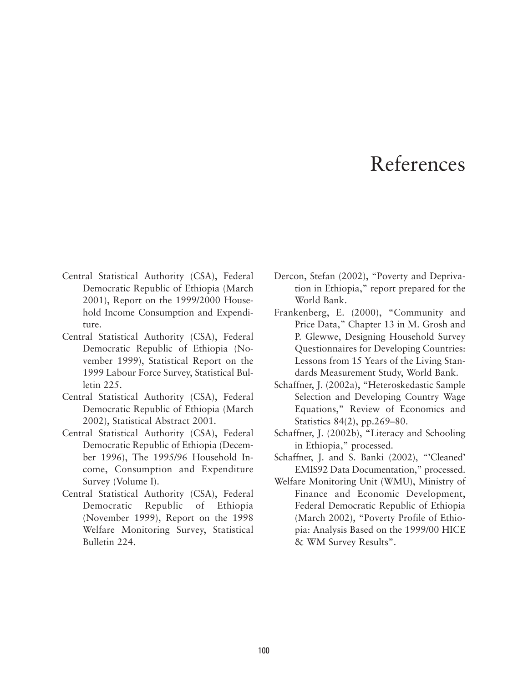## References

- Central Statistical Authority (CSA), Federal Democratic Republic of Ethiopia (March 2001), Report on the 1999/2000 Household Income Consumption and Expenditure.
- Central Statistical Authority (CSA), Federal Democratic Republic of Ethiopia (November 1999), Statistical Report on the 1999 Labour Force Survey, Statistical Bulletin 225.
- Central Statistical Authority (CSA), Federal Democratic Republic of Ethiopia (March 2002), Statistical Abstract 2001.
- Central Statistical Authority (CSA), Federal Democratic Republic of Ethiopia (December 1996), The 1995/96 Household Income, Consumption and Expenditure Survey (Volume I).
- Central Statistical Authority (CSA), Federal Democratic Republic of Ethiopia (November 1999), Report on the 1998 Welfare Monitoring Survey, Statistical Bulletin 224.
- Dercon, Stefan (2002), "Poverty and Deprivation in Ethiopia," report prepared for the World Bank.
- Frankenberg, E. (2000), "Community and Price Data," Chapter 13 in M. Grosh and P. Glewwe, Designing Household Survey Questionnaires for Developing Countries: Lessons from 15 Years of the Living Standards Measurement Study, World Bank.
- Schaffner, J. (2002a), "Heteroskedastic Sample Selection and Developing Country Wage Equations," Review of Economics and Statistics 84(2), pp.269–80.
- Schaffner, J. (2002b), "Literacy and Schooling in Ethiopia," processed.
- Schaffner, J. and S. Banki (2002), "'Cleaned' EMIS92 Data Documentation," processed.
- Welfare Monitoring Unit (WMU), Ministry of Finance and Economic Development, Federal Democratic Republic of Ethiopia (March 2002), "Poverty Profile of Ethiopia: Analysis Based on the 1999/00 HICE & WM Survey Results".